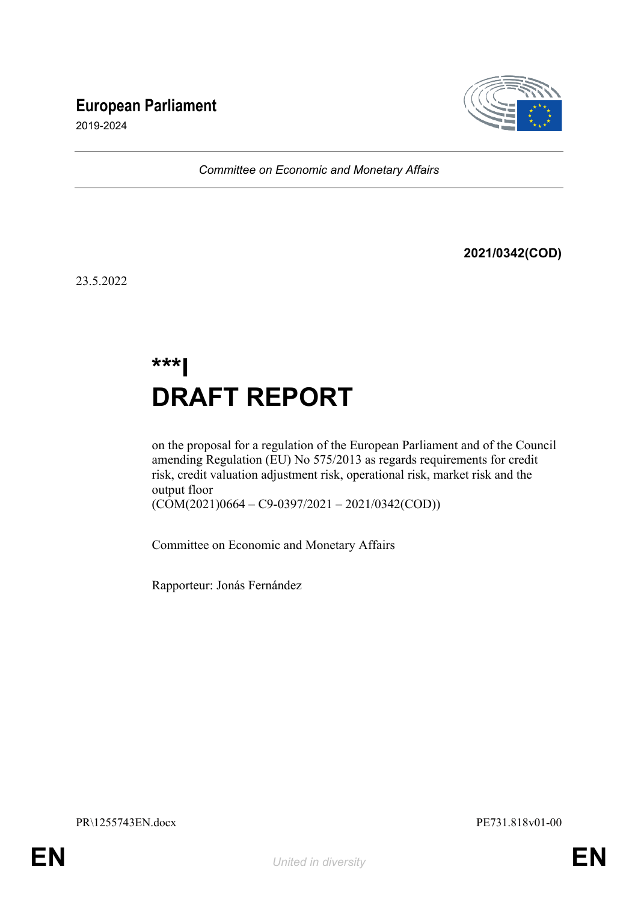# **European Parliament**



2019-2024

*Committee on Economic and Monetary Affairs*

**2021/0342(COD)**

23.5.2022

# **\*\*\*I DRAFT REPORT**

on the proposal for a regulation of the European Parliament and of the Council amending Regulation (EU) No 575/2013 as regards requirements for credit risk, credit valuation adjustment risk, operational risk, market risk and the output floor

 $(COM(2021)0664 - C9-0397/2021 - 2021/0342(COD))$ 

Committee on Economic and Monetary Affairs

Rapporteur: Jonás Fernández

PR\1255743EN.docx PE731.818v01-00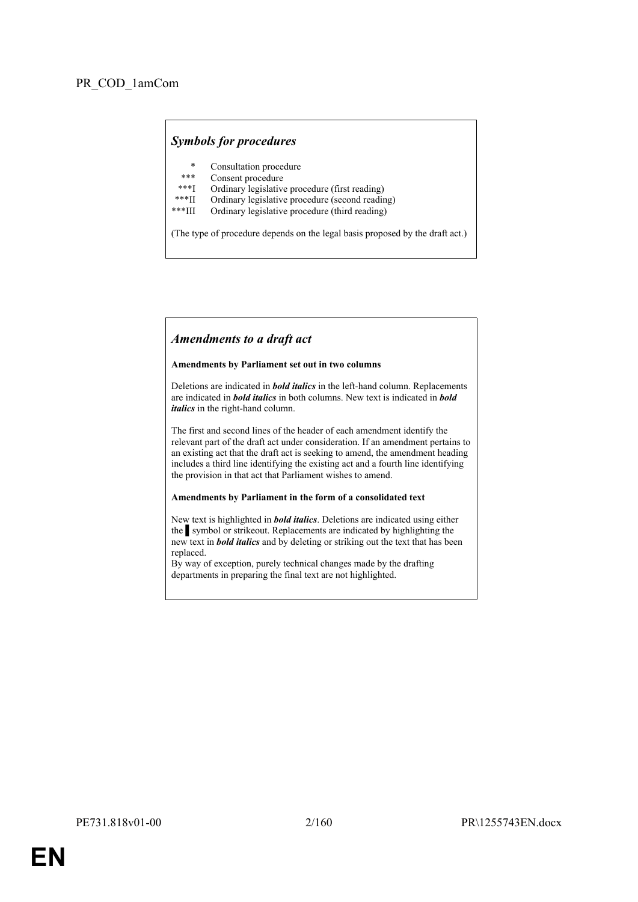# *Symbols for procedures*

- \* Consultation procedure
- Consent procedure
- \*\*\*I Ordinary legislative procedure (first reading)<br>\*\*\*II Ordinary legislative procedure (second reading)
- \*\*\*II Ordinary legislative procedure (second reading)<br>\*\*\*III Ordinary legislative procedure (third reading)
- Ordinary legislative procedure (third reading)

(The type of procedure depends on the legal basis proposed by the draft act.)

### *Amendments to a draft act*

#### **Amendments by Parliament set out in two columns**

Deletions are indicated in *bold italics* in the left-hand column. Replacements are indicated in *bold italics* in both columns. New text is indicated in *bold italics* in the right-hand column.

The first and second lines of the header of each amendment identify the relevant part of the draft act under consideration. If an amendment pertains to an existing act that the draft act is seeking to amend, the amendment heading includes a third line identifying the existing act and a fourth line identifying the provision in that act that Parliament wishes to amend.

#### **Amendments by Parliament in the form of a consolidated text**

New text is highlighted in *bold italics*. Deletions are indicated using either the symbol or strikeout. Replacements are indicated by highlighting the new text in *bold italics* and by deleting or striking out the text that has been replaced.

By way of exception, purely technical changes made by the drafting departments in preparing the final text are not highlighted.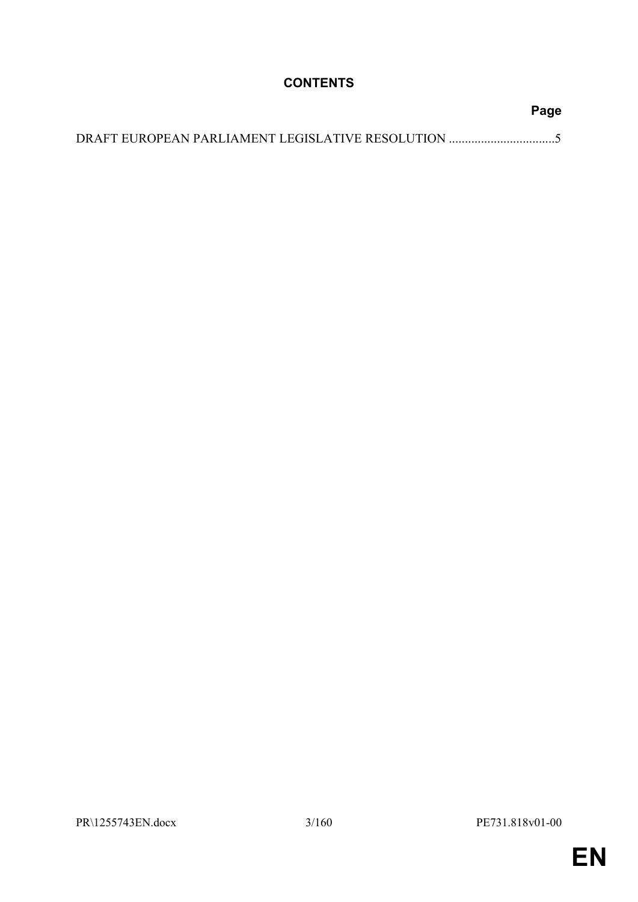# **CONTENTS**

| Page |
|------|
|      |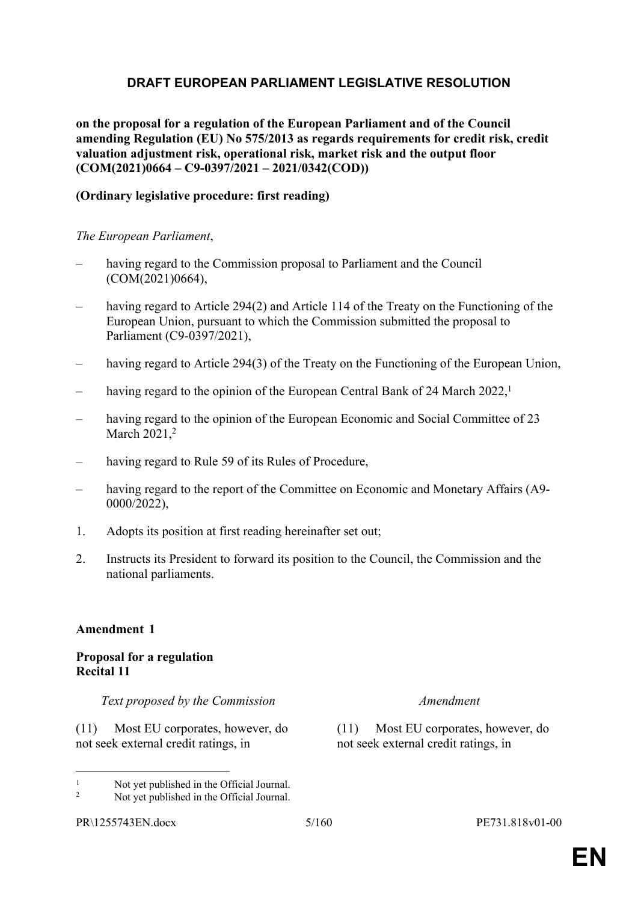# <span id="page-4-0"></span>**DRAFT EUROPEAN PARLIAMENT LEGISLATIVE RESOLUTION**

**on the proposal for a regulation of the European Parliament and of the Council amending Regulation (EU) No 575/2013 as regards requirements for credit risk, credit valuation adjustment risk, operational risk, market risk and the output floor (COM(2021)0664 – C9-0397/2021 – 2021/0342(COD))**

# **(Ordinary legislative procedure: first reading)**

*The European Parliament*,

- having regard to the Commission proposal to Parliament and the Council (COM(2021)0664),
- having regard to Article 294(2) and Article 114 of the Treaty on the Functioning of the European Union, pursuant to which the Commission submitted the proposal to Parliament (C9-0397/2021),
- having regard to Article 294(3) of the Treaty on the Functioning of the European Union,
- having regard to the opinion of the European Central Bank of 24 March 2022,<sup>1</sup>
- having regard to the opinion of the European Economic and Social Committee of 23 March 2021,<sup>2</sup>
- having regard to Rule 59 of its Rules of Procedure,
- having regard to the report of the Committee on Economic and Monetary Affairs (A9-0000/2022),
- 1. Adopts its position at first reading hereinafter set out;
- 2. Instructs its President to forward its position to the Council, the Commission and the national parliaments.

### **Amendment 1**

# **Proposal for a regulation Recital 11**

*Text proposed by the Commission Amendment*

(11) Most EU corporates, however, do not seek external credit ratings, in

(11) Most EU corporates, however, do not seek external credit ratings, in

<sup>1</sup> Not yet published in the Official Journal.

 $\overline{2}$ Not yet published in the Official Journal.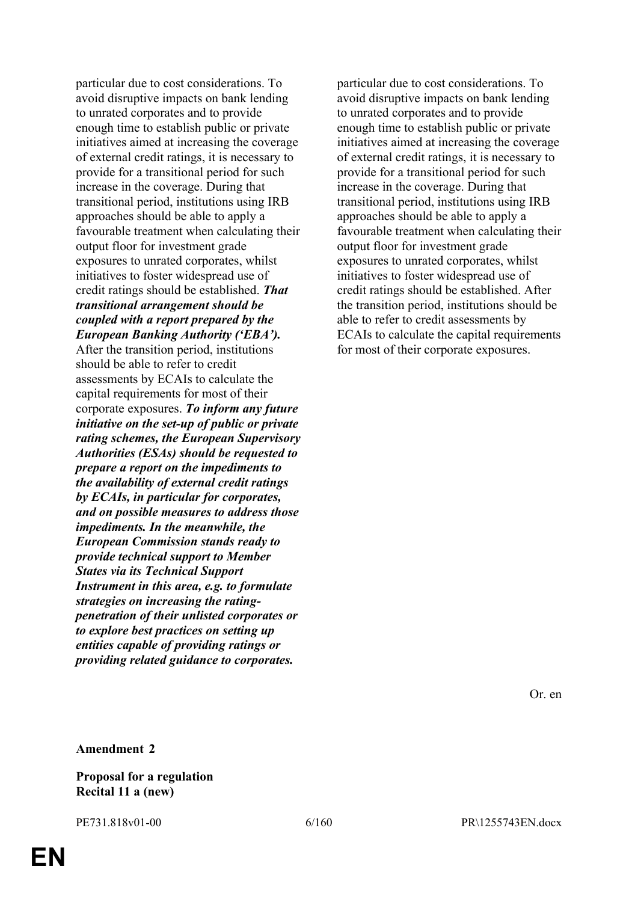particular due to cost considerations. To avoid disruptive impacts on bank lending to unrated corporates and to provide enough time to establish public or private initiatives aimed at increasing the coverage of external credit ratings, it is necessary to provide for a transitional period for such increase in the coverage. During that transitional period, institutions using IRB approaches should be able to apply a favourable treatment when calculating their output floor for investment grade exposures to unrated corporates, whilst initiatives to foster widespread use of credit ratings should be established. *That transitional arrangement should be coupled with a report prepared by the European Banking Authority ('EBA').* After the transition period, institutions should be able to refer to credit assessments by ECAIs to calculate the capital requirements for most of their corporate exposures. *To inform any future initiative on the set-up of public or private rating schemes, the European Supervisory Authorities (ESAs) should be requested to prepare a report on the impediments to the availability of external credit ratings by ECAIs, in particular for corporates, and on possible measures to address those impediments. In the meanwhile, the European Commission stands ready to provide technical support to Member States via its Technical Support Instrument in this area, e.g. to formulate strategies on increasing the ratingpenetration of their unlisted corporates or to explore best practices on setting up entities capable of providing ratings or providing related guidance to corporates.*

particular due to cost considerations. To avoid disruptive impacts on bank lending to unrated corporates and to provide enough time to establish public or private initiatives aimed at increasing the coverage of external credit ratings, it is necessary to provide for a transitional period for such increase in the coverage. During that transitional period, institutions using IRB approaches should be able to apply a favourable treatment when calculating their output floor for investment grade exposures to unrated corporates, whilst initiatives to foster widespread use of credit ratings should be established. After the transition period, institutions should be able to refer to credit assessments by ECAIs to calculate the capital requirements for most of their corporate exposures.

Or. en

**Amendment 2**

**Proposal for a regulation Recital 11 a (new)**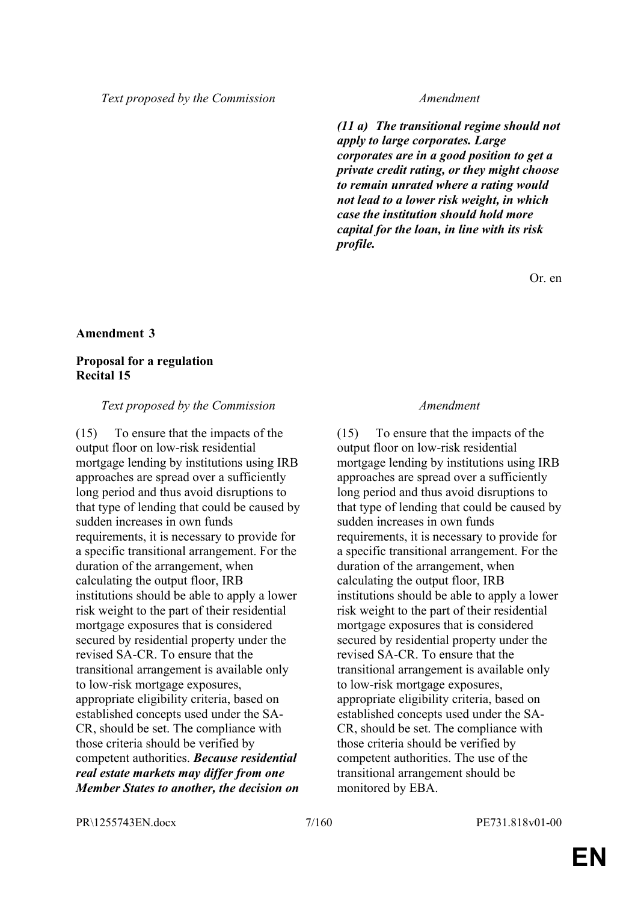*(11 a) The transitional regime should not apply to large corporates. Large corporates are in a good position to get a private credit rating, or they might choose to remain unrated where a rating would not lead to a lower risk weight, in which case the institution should hold more capital for the loan, in line with its risk profile.*

Or. en

#### **Amendment 3**

### **Proposal for a regulation Recital 15**

#### *Text proposed by the Commission Amendment*

(15) To ensure that the impacts of the output floor on low-risk residential mortgage lending by institutions using IRB approaches are spread over a sufficiently long period and thus avoid disruptions to that type of lending that could be caused by sudden increases in own funds requirements, it is necessary to provide for a specific transitional arrangement. For the duration of the arrangement, when calculating the output floor, IRB institutions should be able to apply a lower risk weight to the part of their residential mortgage exposures that is considered secured by residential property under the revised SA-CR. To ensure that the transitional arrangement is available only to low-risk mortgage exposures, appropriate eligibility criteria, based on established concepts used under the SA-CR, should be set. The compliance with those criteria should be verified by competent authorities. *Because residential real estate markets may differ from one Member States to another, the decision on* 

(15) To ensure that the impacts of the output floor on low-risk residential mortgage lending by institutions using IRB approaches are spread over a sufficiently long period and thus avoid disruptions to that type of lending that could be caused by sudden increases in own funds requirements, it is necessary to provide for a specific transitional arrangement. For the duration of the arrangement, when calculating the output floor, IRB institutions should be able to apply a lower risk weight to the part of their residential mortgage exposures that is considered secured by residential property under the revised SA-CR. To ensure that the transitional arrangement is available only to low-risk mortgage exposures, appropriate eligibility criteria, based on established concepts used under the SA-CR, should be set. The compliance with those criteria should be verified by competent authorities. The use of the transitional arrangement should be monitored by EBA.

PR\1255743EN.docx 7/160 PE731.818v01-00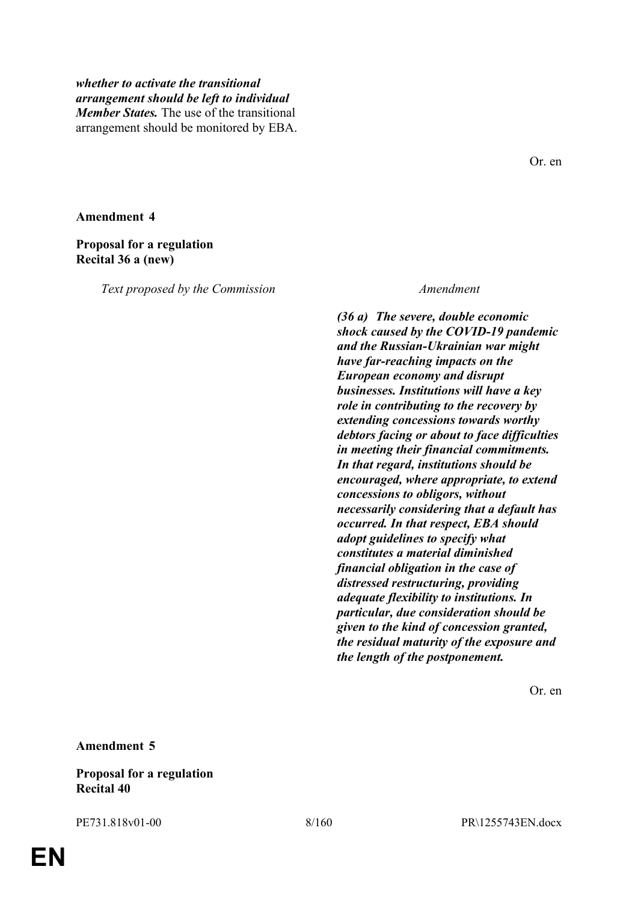# *whether to activate the transitional arrangement should be left to individual Member States.* The use of the transitional arrangement should be monitored by EBA.

**Amendment 4**

### **Proposal for a regulation Recital 36 a (new)**

*Text proposed by the Commission Amendment*

*(36 a) The severe, double economic shock caused by the COVID-19 pandemic and the Russian-Ukrainian war might have far-reaching impacts on the European economy and disrupt businesses. Institutions will have a key role in contributing to the recovery by extending concessions towards worthy debtors facing or about to face difficulties in meeting their financial commitments. In that regard, institutions should be encouraged, where appropriate, to extend concessions to obligors, without necessarily considering that a default has occurred. In that respect, EBA should adopt guidelines to specify what constitutes a material diminished financial obligation in the case of distressed restructuring, providing adequate flexibility to institutions. In particular, due consideration should be given to the kind of concession granted, the residual maturity of the exposure and the length of the postponement.*

Or. en

**Amendment 5**

**Proposal for a regulation Recital 40**

Or. en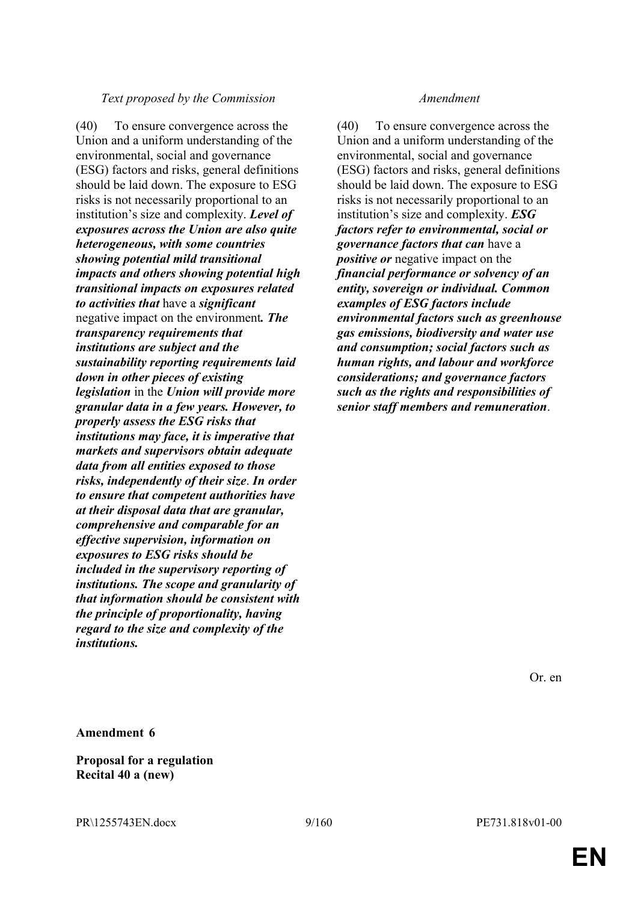### *Text proposed by the Commission Amendment*

(40) To ensure convergence across the Union and a uniform understanding of the environmental, social and governance (ESG) factors and risks, general definitions should be laid down. The exposure to ESG risks is not necessarily proportional to an institution's size and complexity. *Level of exposures across the Union are also quite heterogeneous, with some countries showing potential mild transitional impacts and others showing potential high transitional impacts on exposures related to activities that* have a *significant* negative impact on the environment*. The transparency requirements that institutions are subject and the sustainability reporting requirements laid down in other pieces of existing legislation* in the *Union will provide more granular data in a few years. However, to properly assess the ESG risks that institutions may face, it is imperative that markets and supervisors obtain adequate data from all entities exposed to those risks, independently of their size*. *In order to ensure that competent authorities have at their disposal data that are granular, comprehensive and comparable for an effective supervision, information on exposures to ESG risks should be included in the supervisory reporting of institutions. The scope and granularity of that information should be consistent with the principle of proportionality, having regard to the size and complexity of the institutions.*

(40) To ensure convergence across the Union and a uniform understanding of the environmental, social and governance (ESG) factors and risks, general definitions should be laid down. The exposure to ESG risks is not necessarily proportional to an institution's size and complexity. *ESG factors refer to environmental, social or governance factors that can* have a *positive or* negative impact on the *financial performance or solvency of an entity, sovereign or individual. Common examples of ESG factors include environmental factors such as greenhouse gas emissions, biodiversity and water use and consumption; social factors such as human rights, and labour and workforce considerations; and governance factors such as the rights and responsibilities of senior staff members and remuneration*.

Or. en

**Amendment 6**

**Proposal for a regulation Recital 40 a (new)**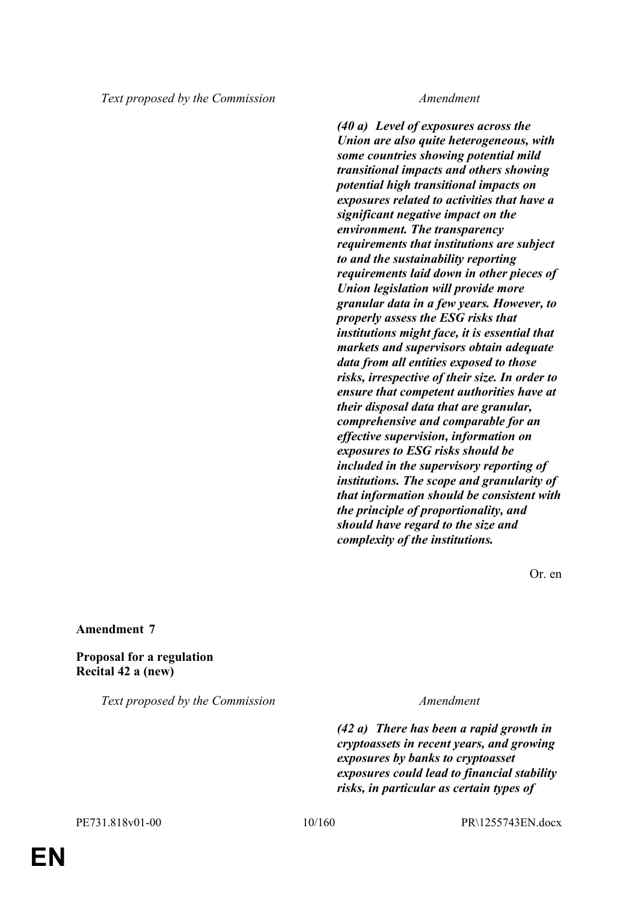*(40 a) Level of exposures across the Union are also quite heterogeneous, with some countries showing potential mild transitional impacts and others showing potential high transitional impacts on exposures related to activities that have a significant negative impact on the environment. The transparency requirements that institutions are subject to and the sustainability reporting requirements laid down in other pieces of Union legislation will provide more granular data in a few years. However, to properly assess the ESG risks that institutions might face, it is essential that markets and supervisors obtain adequate data from all entities exposed to those risks, irrespective of their size. In order to ensure that competent authorities have at their disposal data that are granular, comprehensive and comparable for an effective supervision, information on exposures to ESG risks should be included in the supervisory reporting of institutions. The scope and granularity of that information should be consistent with the principle of proportionality, and should have regard to the size and complexity of the institutions.*

Or. en

#### **Amendment 7**

**Proposal for a regulation Recital 42 a (new)**

*Text proposed by the Commission Amendment*

*(42 a) There has been a rapid growth in cryptoassets in recent years, and growing exposures by banks to cryptoasset exposures could lead to financial stability risks, in particular as certain types of*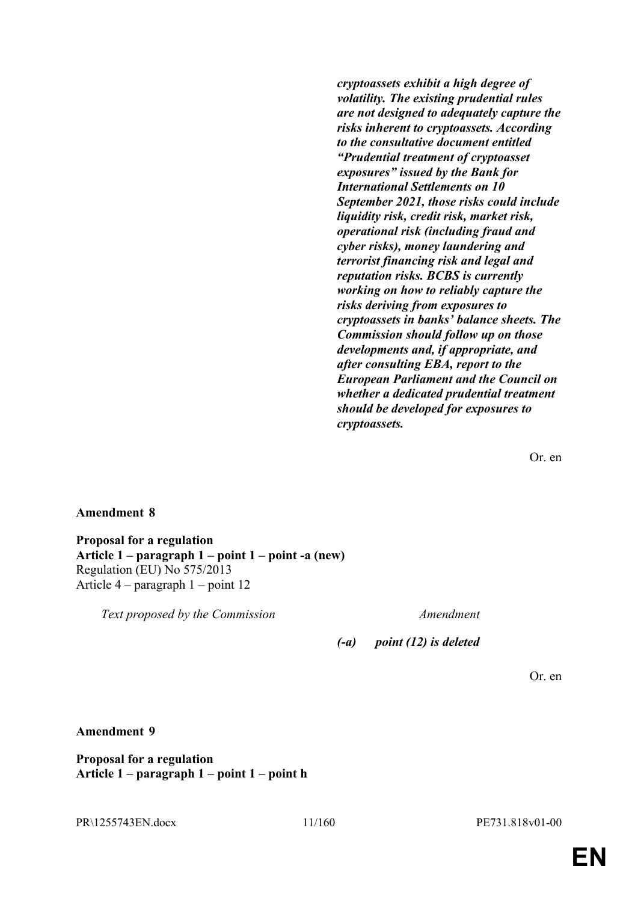*cryptoassets exhibit a high degree of volatility. The existing prudential rules are not designed to adequately capture the risks inherent to cryptoassets. According to the consultative document entitled "Prudential treatment of cryptoasset exposures" issued by the Bank for International Settlements on 10 September 2021, those risks could include liquidity risk, credit risk, market risk, operational risk (including fraud and cyber risks), money laundering and terrorist financing risk and legal and reputation risks. BCBS is currently working on how to reliably capture the risks deriving from exposures to cryptoassets in banks' balance sheets. The Commission should follow up on those developments and, if appropriate, and after consulting EBA, report to the European Parliament and the Council on whether a dedicated prudential treatment should be developed for exposures to cryptoassets.*

Or. en

### **Amendment 8**

**Proposal for a regulation Article 1 – paragraph 1 – point 1 – point -a (new)** Regulation (EU) No 575/2013 Article 4 – paragraph 1 – point 12

*Text proposed by the Commission Amendment*

*(-a) point (12) is deleted*

Or. en

### **Amendment 9**

**Proposal for a regulation Article 1 – paragraph 1 – point 1 – point h**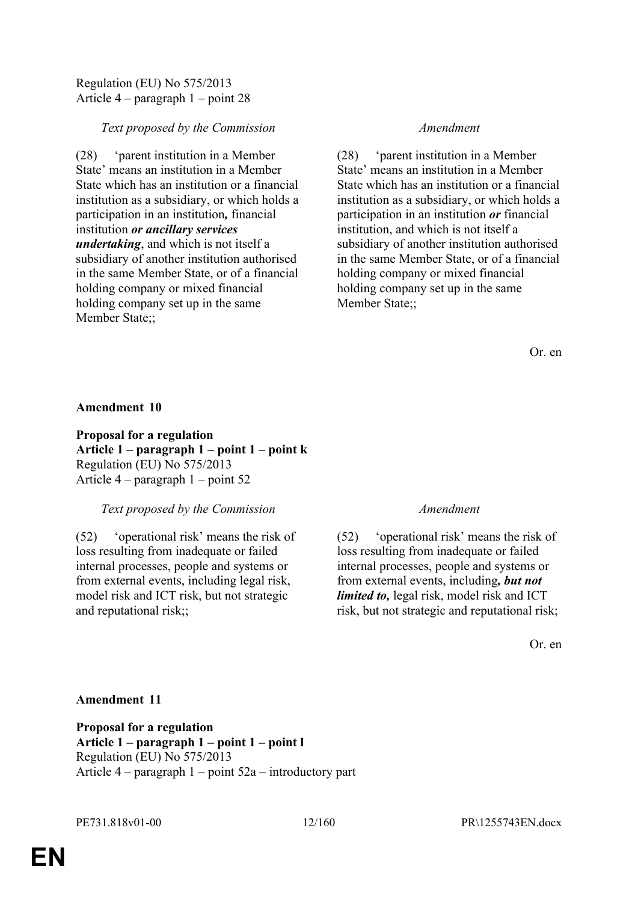# Regulation (EU) No 575/2013 Article 4 – paragraph 1 – point 28

# *Text proposed by the Commission Amendment*

(28) 'parent institution in a Member State' means an institution in a Member State which has an institution or a financial institution as a subsidiary, or which holds a participation in an institution*,* financial institution *or ancillary services undertaking*, and which is not itself a subsidiary of another institution authorised in the same Member State, or of a financial holding company or mixed financial holding company set up in the same Member State;;

(28) 'parent institution in a Member State' means an institution in a Member State which has an institution or a financial institution as a subsidiary, or which holds a participation in an institution *or* financial institution, and which is not itself a subsidiary of another institution authorised in the same Member State, or of a financial holding company or mixed financial holding company set up in the same Member State;;

Or. en

### **Amendment 10**

**Proposal for a regulation Article 1 – paragraph 1 – point 1 – point k** Regulation (EU) No 575/2013 Article 4 – paragraph 1 – point 52

### *Text proposed by the Commission Amendment*

(52) 'operational risk' means the risk of loss resulting from inadequate or failed internal processes, people and systems or from external events, including legal risk, model risk and ICT risk, but not strategic and reputational risk;;

(52) 'operational risk' means the risk of loss resulting from inadequate or failed internal processes, people and systems or from external events, including*, but not limited to,* legal risk, model risk and ICT risk, but not strategic and reputational risk;

Or. en

### **Amendment 11**

**Proposal for a regulation Article 1 – paragraph 1 – point 1 – point l** Regulation (EU) No 575/2013 Article 4 – paragraph 1 – point 52a – introductory part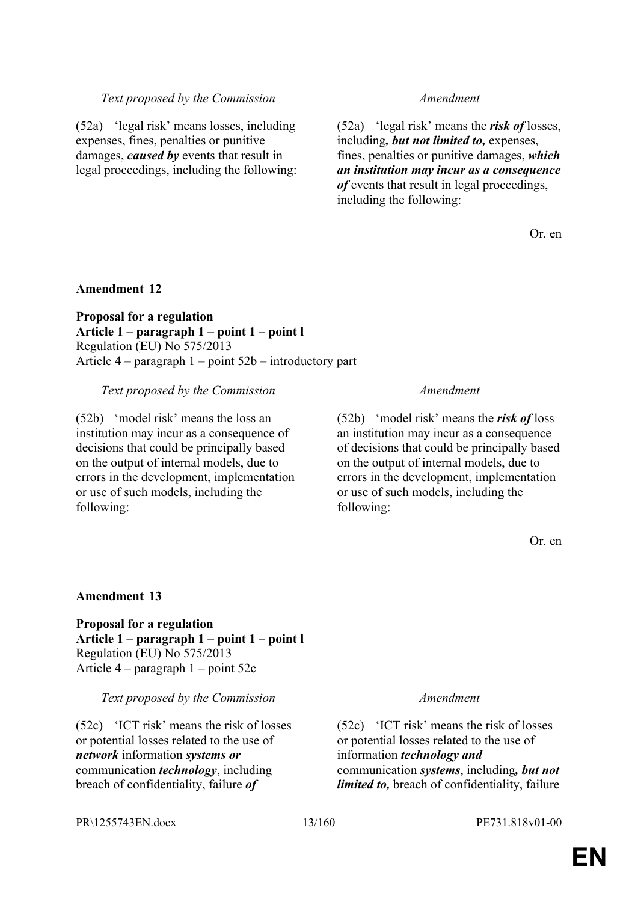# *Text proposed by the Commission Amendment*

(52a) 'legal risk' means losses, including expenses, fines, penalties or punitive damages, *caused by* events that result in legal proceedings, including the following:

(52a) 'legal risk' means the *risk of* losses, including*, but not limited to,* expenses, fines, penalties or punitive damages, *which an institution may incur as a consequence of* events that result in legal proceedings, including the following:

Or. en

### **Amendment 12**

**Proposal for a regulation Article 1 – paragraph 1 – point 1 – point l** Regulation (EU) No 575/2013 Article 4 – paragraph 1 – point 52b – introductory part

#### *Text proposed by the Commission Amendment*

(52b) 'model risk' means the loss an institution may incur as a consequence of decisions that could be principally based on the output of internal models, due to errors in the development, implementation or use of such models, including the following:

(52b) 'model risk' means the *risk of* loss an institution may incur as a consequence of decisions that could be principally based on the output of internal models, due to errors in the development, implementation or use of such models, including the following:

Or. en

#### **Amendment 13**

**Proposal for a regulation Article 1 – paragraph 1 – point 1 – point l** Regulation (EU) No 575/2013 Article 4 – paragraph 1 – point 52c

*Text proposed by the Commission Amendment*

(52c) 'ICT risk' means the risk of losses or potential losses related to the use of *network* information *systems or* communication *technology*, including breach of confidentiality, failure *of* 

(52c) 'ICT risk' means the risk of losses or potential losses related to the use of information *technology and* communication *systems*, including*, but not limited to,* breach of confidentiality, failure

#### PR\1255743EN.docx 13/160 PE731.818v01-00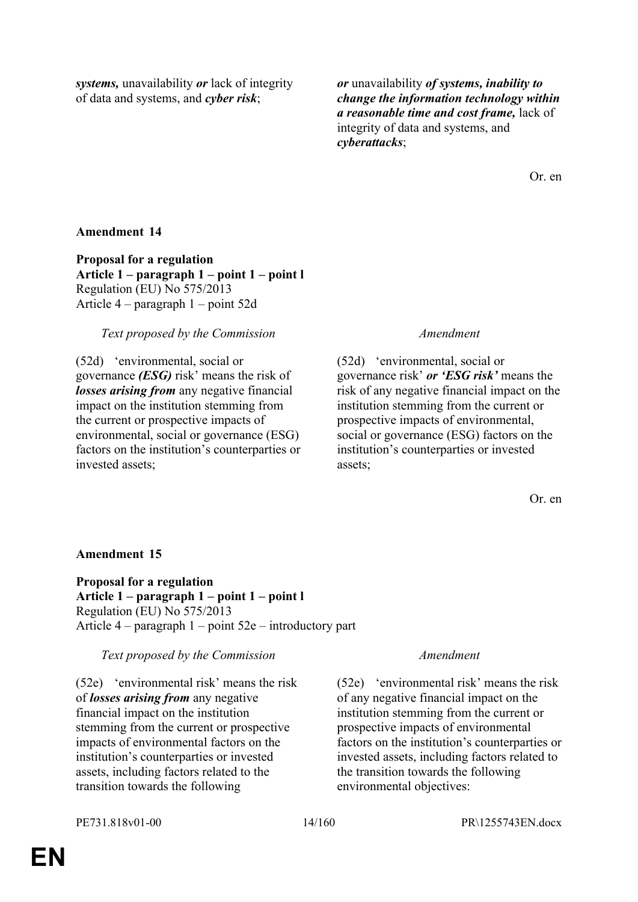*systems,* unavailability *or* lack of integrity of data and systems, and *cyber risk*;

*or* unavailability *of systems, inability to change the information technology within a reasonable time and cost frame,* lack of integrity of data and systems, and *cyberattacks*;

Or. en

# **Amendment 14**

**Proposal for a regulation Article 1 – paragraph 1 – point 1 – point l** Regulation (EU) No 575/2013 Article 4 – paragraph 1 – point 52d

### *Text proposed by the Commission Amendment*

(52d) 'environmental, social or governance *(ESG)* risk' means the risk of *losses arising from* any negative financial impact on the institution stemming from the current or prospective impacts of environmental, social or governance (ESG) factors on the institution's counterparties or invested assets;

(52d) 'environmental, social or governance risk' *or 'ESG risk'* means the risk of any negative financial impact on the institution stemming from the current or prospective impacts of environmental, social or governance (ESG) factors on the institution's counterparties or invested assets;

Or. en

# **Amendment 15**

**Proposal for a regulation Article 1 – paragraph 1 – point 1 – point l** Regulation (EU) No 575/2013 Article 4 – paragraph 1 – point 52e – introductory part

*Text proposed by the Commission Amendment*

(52e) 'environmental risk' means the risk of *losses arising from* any negative financial impact on the institution stemming from the current or prospective impacts of environmental factors on the institution's counterparties or invested assets, including factors related to the transition towards the following

(52e) 'environmental risk' means the risk of any negative financial impact on the institution stemming from the current or prospective impacts of environmental factors on the institution's counterparties or invested assets, including factors related to the transition towards the following environmental objectives: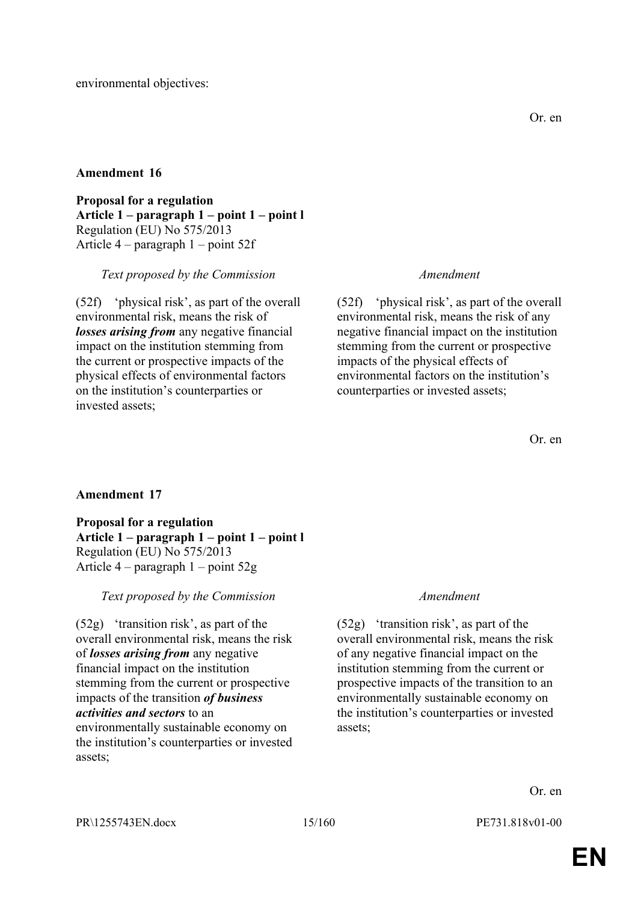**Proposal for a regulation Article 1 – paragraph 1 – point 1 – point l** Regulation (EU) No 575/2013 Article 4 – paragraph 1 – point 52f

*Text proposed by the Commission Amendment*

(52f) 'physical risk', as part of the overall environmental risk, means the risk of *losses arising from* any negative financial impact on the institution stemming from the current or prospective impacts of the physical effects of environmental factors on the institution's counterparties or invested assets;

(52f) 'physical risk', as part of the overall environmental risk, means the risk of any negative financial impact on the institution stemming from the current or prospective impacts of the physical effects of environmental factors on the institution's counterparties or invested assets;

Or. en

# **Amendment 17**

**Proposal for a regulation Article 1 – paragraph 1 – point 1 – point l** Regulation (EU) No 575/2013 Article 4 – paragraph 1 – point 52g

# *Text proposed by the Commission Amendment*

(52g) 'transition risk', as part of the overall environmental risk, means the risk of *losses arising from* any negative financial impact on the institution stemming from the current or prospective impacts of the transition *of business activities and sectors* to an environmentally sustainable economy on the institution's counterparties or invested assets;

(52g) 'transition risk', as part of the overall environmental risk, means the risk of any negative financial impact on the institution stemming from the current or prospective impacts of the transition to an environmentally sustainable economy on the institution's counterparties or invested assets;

Or. en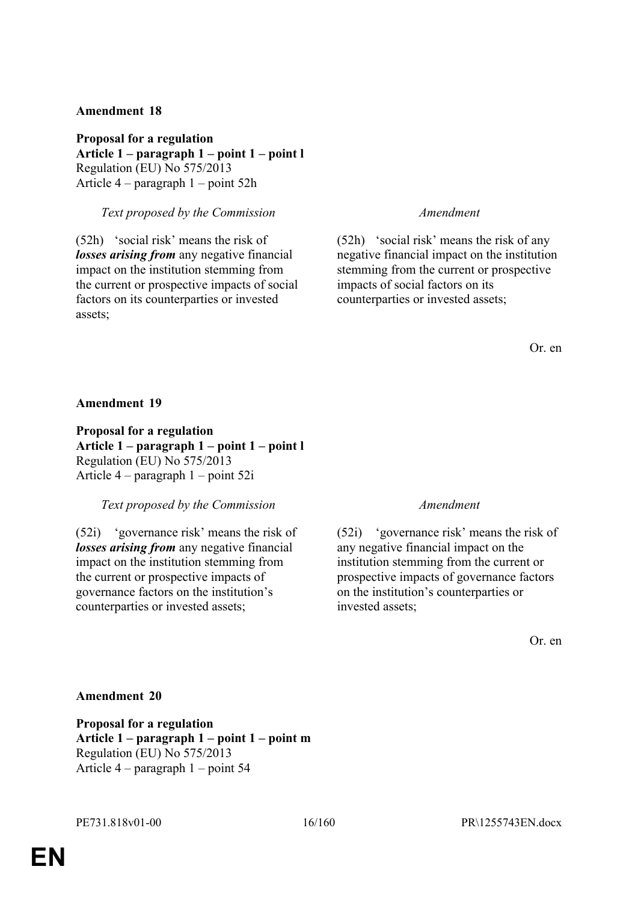**Proposal for a regulation Article 1 – paragraph 1 – point 1 – point l** Regulation (EU) No 575/2013 Article 4 – paragraph 1 – point 52h

# *Text proposed by the Commission Amendment*

(52h) 'social risk' means the risk of *losses arising from* any negative financial impact on the institution stemming from the current or prospective impacts of social factors on its counterparties or invested assets;

(52h) 'social risk' means the risk of any negative financial impact on the institution stemming from the current or prospective impacts of social factors on its counterparties or invested assets;

Or. en

**Amendment 19**

**Proposal for a regulation Article 1 – paragraph 1 – point 1 – point l** Regulation (EU) No 575/2013 Article 4 – paragraph 1 – point 52i

### *Text proposed by the Commission Amendment*

(52i) 'governance risk' means the risk of *losses arising from* any negative financial impact on the institution stemming from the current or prospective impacts of governance factors on the institution's counterparties or invested assets;

(52i) 'governance risk' means the risk of any negative financial impact on the institution stemming from the current or prospective impacts of governance factors on the institution's counterparties or invested assets;

Or. en

### **Amendment 20**

**Proposal for a regulation Article 1 – paragraph 1 – point 1 – point m** Regulation (EU) No 575/2013 Article 4 – paragraph 1 – point 54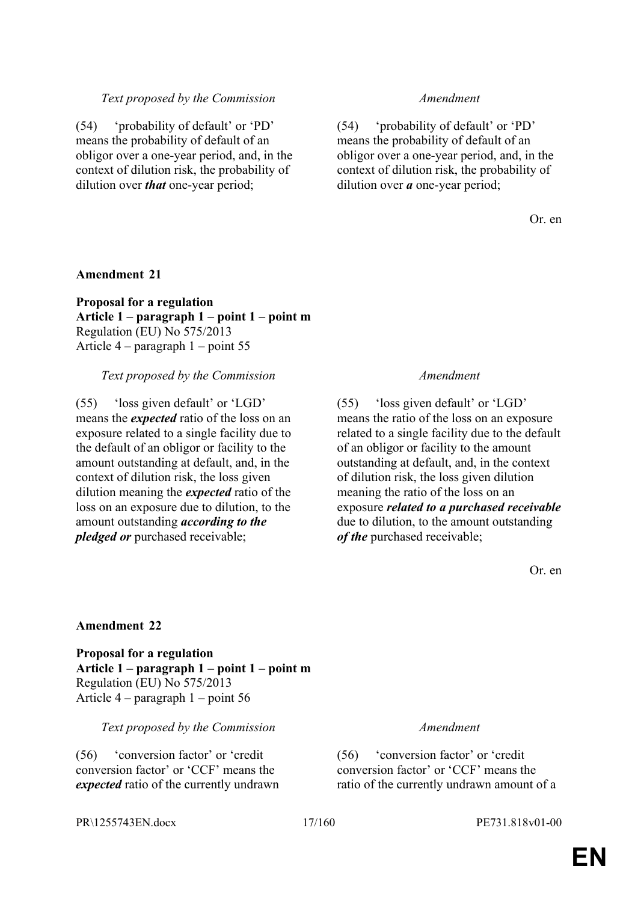#### *Text proposed by the Commission Amendment*

(54) 'probability of default' or 'PD' means the probability of default of an obligor over a one-year period, and, in the context of dilution risk, the probability of dilution over *that* one-year period;

(54) 'probability of default' or 'PD' means the probability of default of an obligor over a one-year period, and, in the context of dilution risk, the probability of dilution over *a* one-year period;

Or. en

#### **Amendment 21**

**Proposal for a regulation Article 1 – paragraph 1 – point 1 – point m** Regulation (EU) No 575/2013 Article 4 – paragraph 1 – point 55

#### *Text proposed by the Commission Amendment*

(55) 'loss given default' or 'LGD' means the *expected* ratio of the loss on an exposure related to a single facility due to the default of an obligor or facility to the amount outstanding at default, and, in the context of dilution risk, the loss given dilution meaning the *expected* ratio of the loss on an exposure due to dilution, to the amount outstanding *according to the pledged or* purchased receivable;

(55) 'loss given default' or 'LGD' means the ratio of the loss on an exposure related to a single facility due to the default of an obligor or facility to the amount outstanding at default, and, in the context of dilution risk, the loss given dilution meaning the ratio of the loss on an exposure *related to a purchased receivable* due to dilution, to the amount outstanding *of the* purchased receivable;

Or. en

#### **Amendment 22**

**Proposal for a regulation Article 1 – paragraph 1 – point 1 – point m** Regulation (EU) No 575/2013 Article 4 – paragraph 1 – point 56

#### *Text proposed by the Commission Amendment*

(56) 'conversion factor' or 'credit conversion factor' or 'CCF' means the *expected* ratio of the currently undrawn

(56) 'conversion factor' or 'credit conversion factor' or 'CCF' means the ratio of the currently undrawn amount of a

PR\1255743EN.docx 17/160 PE731.818v01-00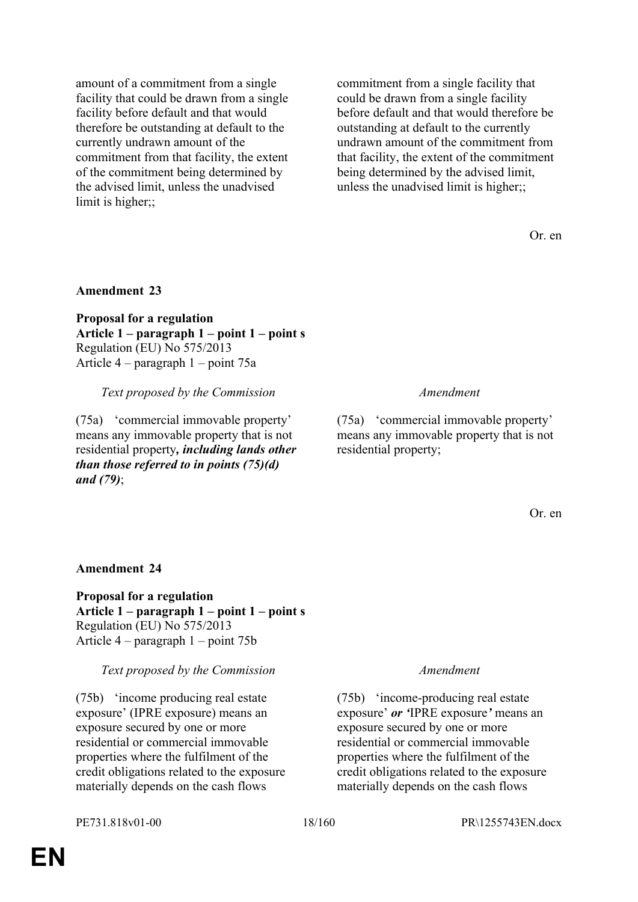amount of a commitment from a single facility that could be drawn from a single facility before default and that would therefore be outstanding at default to the currently undrawn amount of the commitment from that facility, the extent of the commitment being determined by the advised limit, unless the unadvised limit is higher;;

commitment from a single facility that could be drawn from a single facility before default and that would therefore be outstanding at default to the currently undrawn amount of the commitment from that facility, the extent of the commitment being determined by the advised limit, unless the unadvised limit is higher;;

Or. en

### **Amendment 23**

**Proposal for a regulation Article 1 – paragraph 1 – point 1 – point s** Regulation (EU) No 575/2013 Article 4 – paragraph 1 – point 75a

*Text proposed by the Commission Amendment*

(75a) 'commercial immovable property' means any immovable property that is not residential property*, including lands other than those referred to in points (75)(d) and (79)*;

(75a) 'commercial immovable property' means any immovable property that is not residential property;

Or. en

#### **Amendment 24**

**Proposal for a regulation Article 1 – paragraph 1 – point 1 – point s** Regulation (EU) No 575/2013 Article 4 – paragraph 1 – point 75b

#### *Text proposed by the Commission Amendment*

(75b) 'income producing real estate exposure' (IPRE exposure) means an exposure secured by one or more residential or commercial immovable properties where the fulfilment of the credit obligations related to the exposure materially depends on the cash flows

(75b) 'income-producing real estate exposure' *or '*IPRE exposure*'* means an exposure secured by one or more residential or commercial immovable properties where the fulfilment of the credit obligations related to the exposure materially depends on the cash flows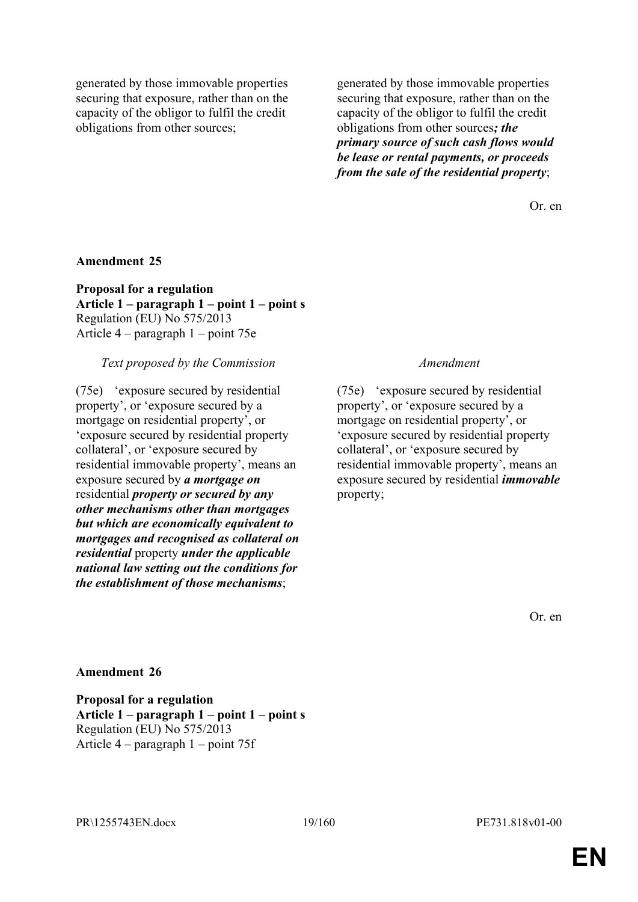generated by those immovable properties securing that exposure, rather than on the capacity of the obligor to fulfil the credit obligations from other sources;

generated by those immovable properties securing that exposure, rather than on the capacity of the obligor to fulfil the credit obligations from other sources*; the primary source of such cash flows would be lease or rental payments, or proceeds from the sale of the residential property*;

Or. en

#### **Amendment 25**

**Proposal for a regulation Article 1 – paragraph 1 – point 1 – point s** Regulation (EU) No 575/2013 Article 4 – paragraph 1 – point 75e

#### *Text proposed by the Commission Amendment*

(75e) 'exposure secured by residential property', or 'exposure secured by a mortgage on residential property', or 'exposure secured by residential property collateral', or 'exposure secured by residential immovable property', means an exposure secured by *a mortgage on* residential *property or secured by any other mechanisms other than mortgages but which are economically equivalent to mortgages and recognised as collateral on residential* property *under the applicable national law setting out the conditions for the establishment of those mechanisms*;

(75e) 'exposure secured by residential property', or 'exposure secured by a mortgage on residential property', or 'exposure secured by residential property collateral', or 'exposure secured by residential immovable property', means an exposure secured by residential *immovable* property;

Or. en

#### **Amendment 26**

**Proposal for a regulation Article 1 – paragraph 1 – point 1 – point s** Regulation (EU) No 575/2013 Article 4 – paragraph 1 – point 75f

PR\1255743EN.docx 19/160 PE731.818v01-00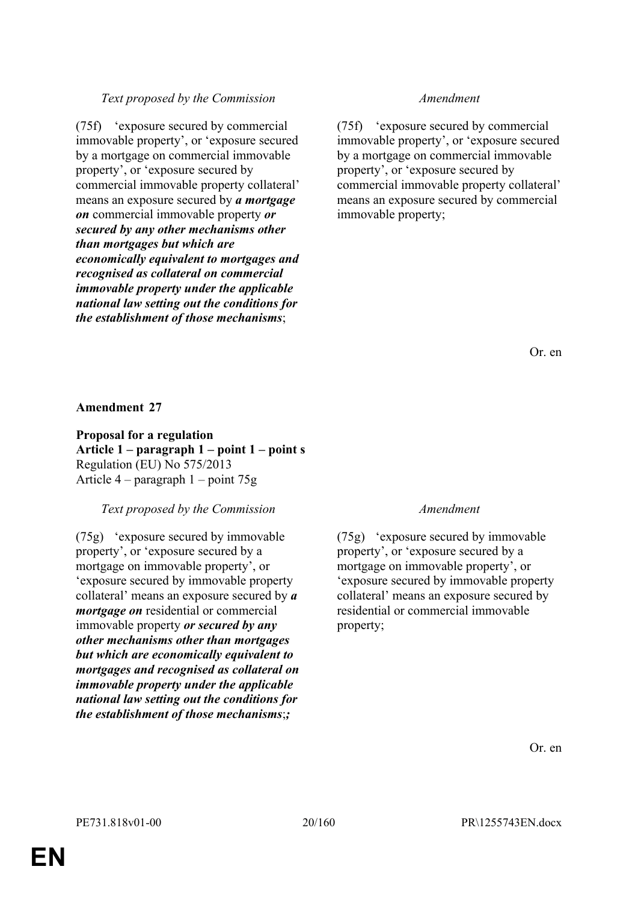# *Text proposed by the Commission Amendment*

(75f) 'exposure secured by commercial immovable property', or 'exposure secured by a mortgage on commercial immovable property', or 'exposure secured by commercial immovable property collateral' means an exposure secured by *a mortgage on* commercial immovable property *or secured by any other mechanisms other than mortgages but which are economically equivalent to mortgages and recognised as collateral on commercial immovable property under the applicable national law setting out the conditions for the establishment of those mechanisms*;

(75f) 'exposure secured by commercial immovable property', or 'exposure secured by a mortgage on commercial immovable property', or 'exposure secured by commercial immovable property collateral' means an exposure secured by commercial immovable property;

Or. en

### **Amendment 27**

# **Proposal for a regulation**

**Article 1 – paragraph 1 – point 1 – point s** Regulation (EU) No 575/2013 Article 4 – paragraph 1 – point 75g

### *Text proposed by the Commission Amendment*

(75g) 'exposure secured by immovable property', or 'exposure secured by a mortgage on immovable property', or 'exposure secured by immovable property collateral' means an exposure secured by *a mortgage on* residential or commercial immovable property *or secured by any other mechanisms other than mortgages but which are economically equivalent to mortgages and recognised as collateral on immovable property under the applicable national law setting out the conditions for the establishment of those mechanisms*;*;*

(75g) 'exposure secured by immovable property', or 'exposure secured by a mortgage on immovable property', or 'exposure secured by immovable property collateral' means an exposure secured by residential or commercial immovable property;

Or. en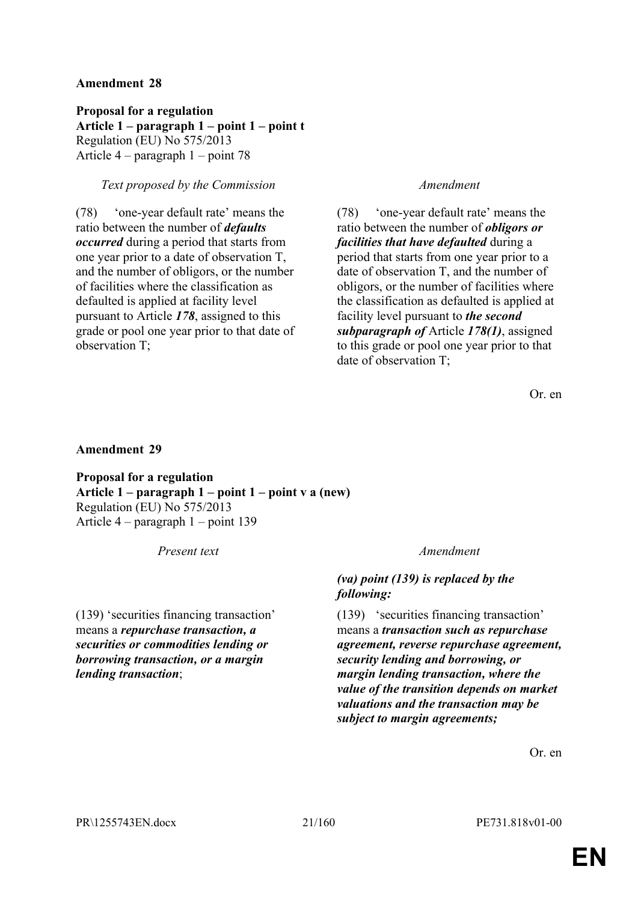**Proposal for a regulation Article 1 – paragraph 1 – point 1 – point t** Regulation (EU) No 575/2013 Article 4 – paragraph 1 – point 78

# *Text proposed by the Commission Amendment*

(78) 'one-year default rate' means the ratio between the number of *defaults occurred* during a period that starts from one year prior to a date of observation T, and the number of obligors, or the number of facilities where the classification as defaulted is applied at facility level pursuant to Article *178*, assigned to this grade or pool one year prior to that date of observation T;

(78) 'one-year default rate' means the ratio between the number of *obligors or facilities that have defaulted* during a period that starts from one year prior to a date of observation T, and the number of obligors, or the number of facilities where the classification as defaulted is applied at facility level pursuant to *the second subparagraph of* Article *178(1)*, assigned to this grade or pool one year prior to that date of observation T;

Or. en

### **Amendment 29**

**Proposal for a regulation Article 1 – paragraph 1 – point 1 – point v a (new)** Regulation (EU) No 575/2013 Article 4 – paragraph 1 – point 139

*Present text Amendment*

(139) 'securities financing transaction' means a *repurchase transaction, a securities or commodities lending or borrowing transaction, or a margin lending transaction*;

# *(va) point (139) is replaced by the following:*

(139) 'securities financing transaction' means a *transaction such as repurchase agreement, reverse repurchase agreement, security lending and borrowing, or margin lending transaction, where the value of the transition depends on market valuations and the transaction may be subject to margin agreements;* 

Or. en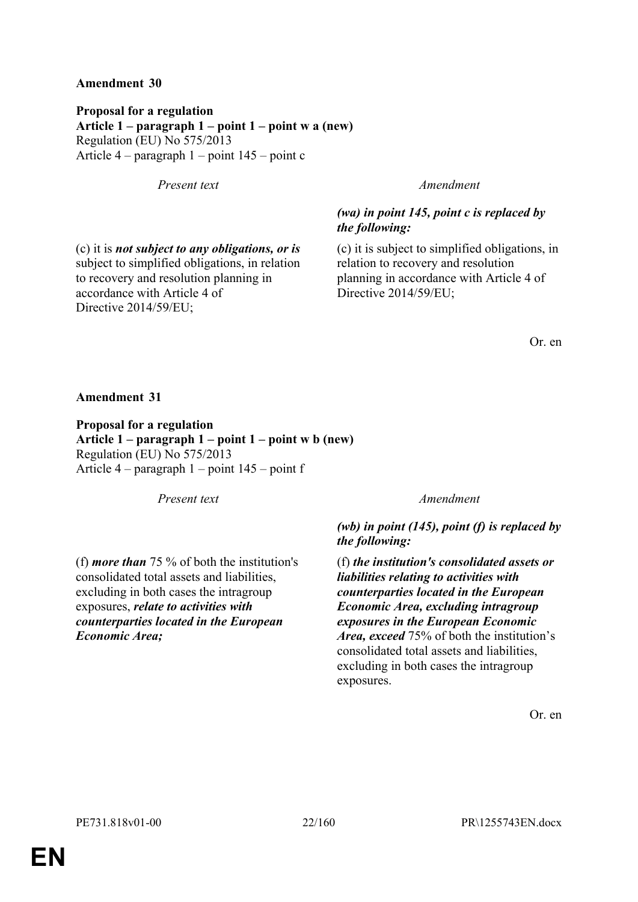**Proposal for a regulation Article 1 – paragraph 1 – point 1 – point w a (new)** Regulation (EU) No 575/2013 Article 4 – paragraph 1 – point 145 – point c

*Present text Amendment*

(c) it is *not subject to any obligations, or is* subject to simplified obligations, in relation to recovery and resolution planning in

accordance with Article 4 of

Directive 2014/59/EU;

# *(wa) in point 145, point c is replaced by the following:*

(c) it is subject to simplified obligations, in relation to recovery and resolution planning in accordance with Article 4 of Directive 2014/59/EU;

Or. en

**Amendment 31**

**Proposal for a regulation Article 1 – paragraph 1 – point 1 – point w b (new)** Regulation (EU) No 575/2013 Article 4 – paragraph 1 – point 145 – point f

*Present text Amendment*

(f) *more than* 75 % of both the institution's consolidated total assets and liabilities, excluding in both cases the intragroup exposures, *relate to activities with* 

*counterparties located in the European* 

*(wb) in point (145), point (f) is replaced by the following:*

(f) *the institution's consolidated assets or liabilities relating to activities with counterparties located in the European Economic Area, excluding intragroup exposures in the European Economic Area, exceed* 75% of both the institution's consolidated total assets and liabilities, excluding in both cases the intragroup exposures.

Or. en

*Economic Area;*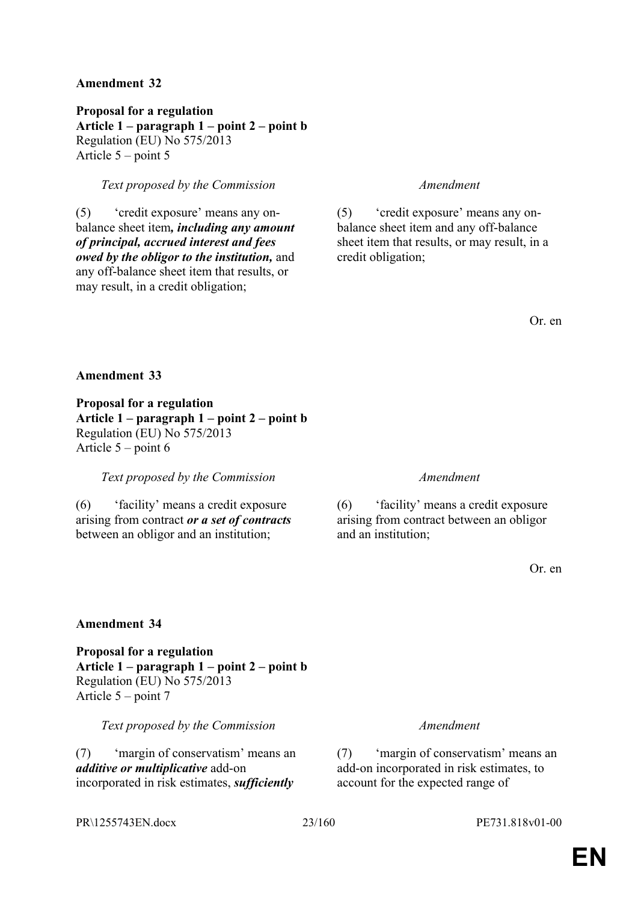**Proposal for a regulation Article 1 – paragraph 1 – point 2 – point b** Regulation (EU) No 575/2013 Article 5 – point 5

### *Text proposed by the Commission Amendment*

(5) 'credit exposure' means any onbalance sheet item*, including any amount of principal, accrued interest and fees owed by the obligor to the institution,* and any off-balance sheet item that results, or may result, in a credit obligation;

(5) 'credit exposure' means any onbalance sheet item and any off-balance sheet item that results, or may result, in a credit obligation;

Or. en

### **Amendment 33**

**Proposal for a regulation Article 1 – paragraph 1 – point 2 – point b** Regulation (EU) No 575/2013 Article 5 – point 6

*Text proposed by the Commission Amendment*

(6) 'facility' means a credit exposure arising from contract *or a set of contracts* between an obligor and an institution;

(6) 'facility' means a credit exposure arising from contract between an obligor and an institution;

Or. en

### **Amendment 34**

**Proposal for a regulation Article 1 – paragraph 1 – point 2 – point b** Regulation (EU) No 575/2013 Article 5 – point 7

*Text proposed by the Commission Amendment*

(7) 'margin of conservatism' means an *additive or multiplicative* add-on incorporated in risk estimates, *sufficiently* 

(7) 'margin of conservatism' means an add-on incorporated in risk estimates, to account for the expected range of

PR\1255743EN.docx 23/160 PE731.818v01-00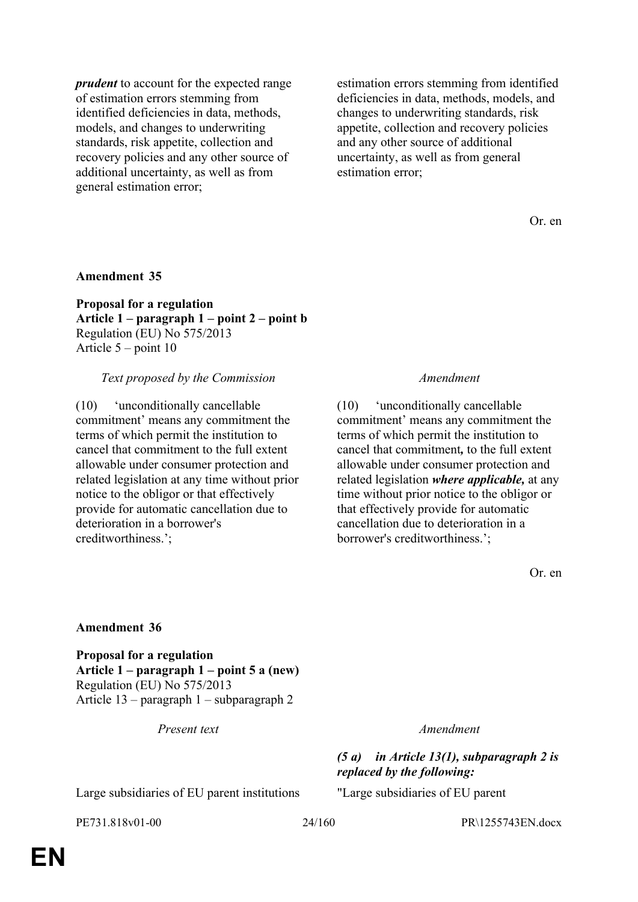*prudent* to account for the expected range of estimation errors stemming from identified deficiencies in data, methods, models, and changes to underwriting standards, risk appetite, collection and recovery policies and any other source of additional uncertainty, as well as from general estimation error;

estimation errors stemming from identified deficiencies in data, methods, models, and changes to underwriting standards, risk appetite, collection and recovery policies and any other source of additional uncertainty, as well as from general estimation error;

Or. en

### **Amendment 35**

**Proposal for a regulation Article 1 – paragraph 1 – point 2 – point b** Regulation (EU) No 575/2013 Article 5 – point 10

#### *Text proposed by the Commission Amendment*

(10) 'unconditionally cancellable commitment' means any commitment the terms of which permit the institution to cancel that commitment to the full extent allowable under consumer protection and related legislation at any time without prior notice to the obligor or that effectively provide for automatic cancellation due to deterioration in a borrower's creditworthiness.';

(10) 'unconditionally cancellable commitment' means any commitment the terms of which permit the institution to cancel that commitment*,* to the full extent allowable under consumer protection and related legislation *where applicable,* at any time without prior notice to the obligor or that effectively provide for automatic cancellation due to deterioration in a borrower's creditworthiness.';

Or. en

#### **Amendment 36**

**Proposal for a regulation Article 1 – paragraph 1 – point 5 a (new)** Regulation (EU) No 575/2013 Article 13 – paragraph 1 – subparagraph 2

*Present text Amendment*

### *(5 a) in Article 13(1), subparagraph 2 is replaced by the following:*

Large subsidiaries of EU parent institutions "Large subsidiaries of EU parent

PE731.818v01-00 24/160 PR\1255743EN.docx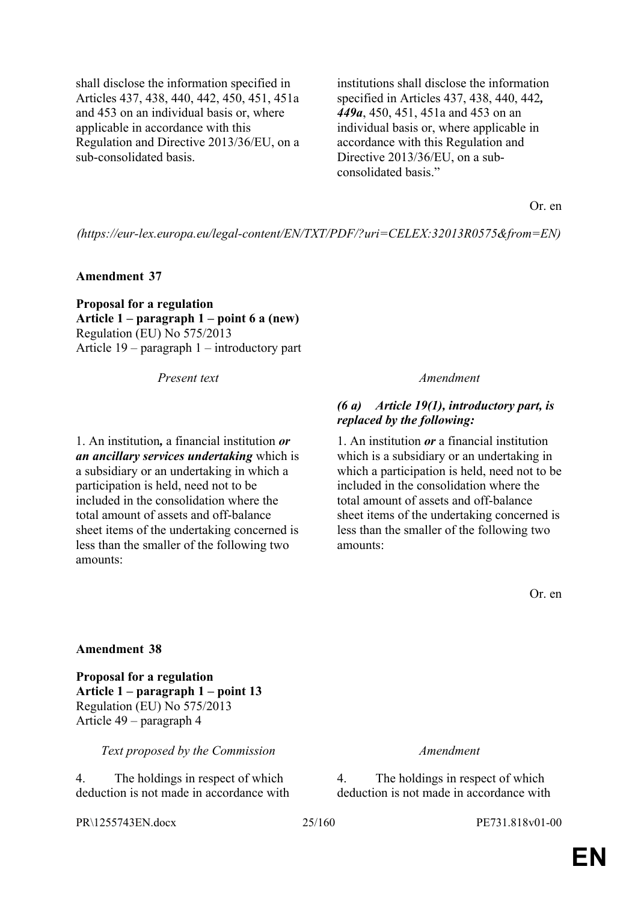shall disclose the information specified in Articles 437, 438, 440, 442, 450, 451, 451a and 453 on an individual basis or, where applicable in accordance with this Regulation and Directive 2013/36/EU, on a sub-consolidated basis.

institutions shall disclose the information specified in Articles 437, 438, 440, 442*, 449a*, 450, 451, 451a and 453 on an individual basis or, where applicable in accordance with this Regulation and Directive 2013/36/EU, on a subconsolidated basis."

Or. en

*(https://eur-lex.europa.eu/legal-content/EN/TXT/PDF/?uri=CELEX:32013R0575&from=EN)*

**Amendment 37**

**Proposal for a regulation Article 1 – paragraph 1 – point 6 a (new)** Regulation (EU) No 575/2013 Article 19 – paragraph 1 – introductory part

*Present text Amendment*

1. An institution*,* a financial institution *or an ancillary services undertaking* which is a subsidiary or an undertaking in which a participation is held, need not to be included in the consolidation where the total amount of assets and off-balance sheet items of the undertaking concerned is less than the smaller of the following two amounts:

### *(6 a) Article 19(1), introductory part, is replaced by the following:*

1. An institution *or* a financial institution which is a subsidiary or an undertaking in which a participation is held, need not to be included in the consolidation where the total amount of assets and off-balance sheet items of the undertaking concerned is less than the smaller of the following two amounts:

Or. en

#### **Amendment 38**

**Proposal for a regulation Article 1 – paragraph 1 – point 13** Regulation (EU) No 575/2013 Article 49 – paragraph 4

*Text proposed by the Commission Amendment*

4. The holdings in respect of which deduction is not made in accordance with

PR\1255743EN.docx 25/160 PE731.818v01-00

4. The holdings in respect of which deduction is not made in accordance with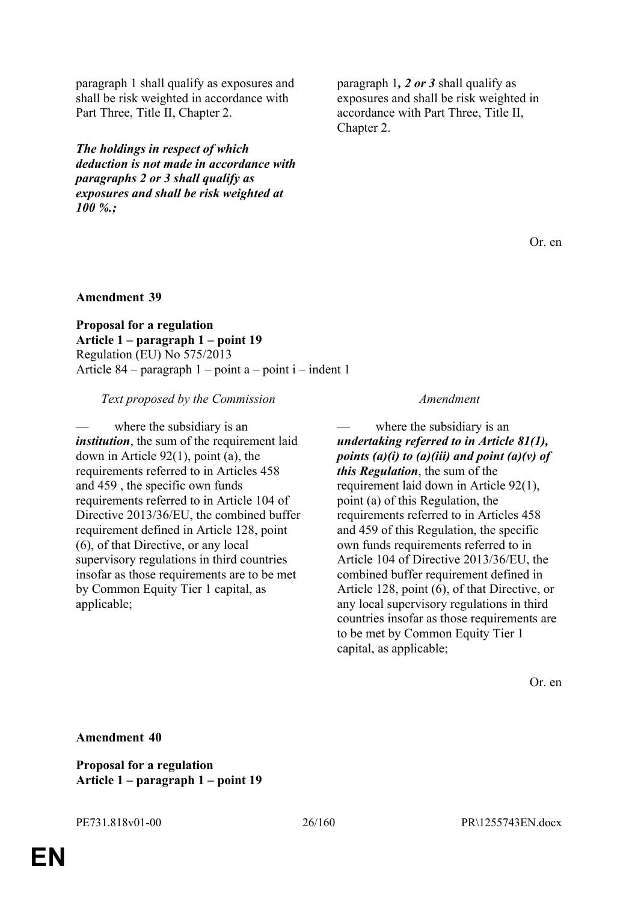paragraph 1 shall qualify as exposures and shall be risk weighted in accordance with Part Three, Title II, Chapter 2.

*The holdings in respect of which deduction is not made in accordance with paragraphs 2 or 3 shall qualify as exposures and shall be risk weighted at 100 %.;*

paragraph 1*, 2 or 3* shall qualify as exposures and shall be risk weighted in accordance with Part Three, Title II, Chapter 2.

Or. en

#### **Amendment 39**

**Proposal for a regulation Article 1 – paragraph 1 – point 19** Regulation (EU) No 575/2013 Article 84 – paragraph 1 – point a – point i – indent 1

*Text proposed by the Commission Amendment*

where the subsidiary is an *institution*, the sum of the requirement laid down in Article 92(1), point (a), the requirements referred to in Articles 458 and 459 , the specific own funds requirements referred to in Article 104 of Directive 2013/36/EU, the combined buffer requirement defined in Article 128, point (6), of that Directive, or any local supervisory regulations in third countries insofar as those requirements are to be met by Common Equity Tier 1 capital, as applicable;

where the subsidiary is an *undertaking referred to in Article 81(1), points (a)(i) to (a)(iii) and point (a)(v) of this Regulation*, the sum of the requirement laid down in Article 92(1), point (a) of this Regulation, the requirements referred to in Articles 458 and 459 of this Regulation, the specific own funds requirements referred to in Article 104 of Directive 2013/36/EU, the combined buffer requirement defined in Article 128, point (6), of that Directive, or any local supervisory regulations in third countries insofar as those requirements are to be met by Common Equity Tier 1 capital, as applicable;

Or. en

**Amendment 40**

**Proposal for a regulation Article 1 – paragraph 1 – point 19**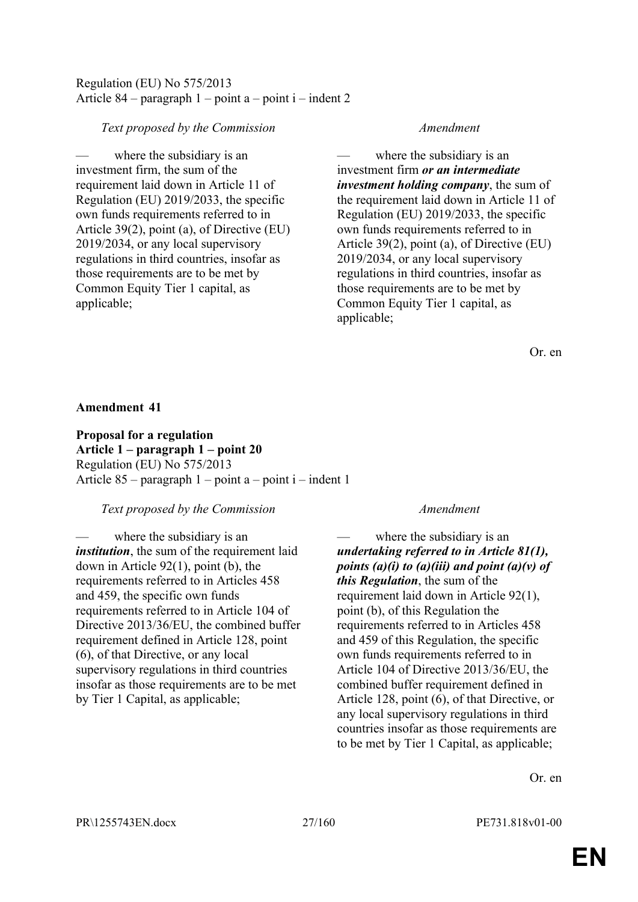# Regulation (EU) No 575/2013 Article 84 – paragraph  $1$  – point a – point i – indent 2

# *Text proposed by the Commission Amendment*

where the subsidiary is an investment firm, the sum of the requirement laid down in Article 11 of Regulation (EU) 2019/2033, the specific own funds requirements referred to in Article 39(2), point (a), of Directive (EU) 2019/2034, or any local supervisory regulations in third countries, insofar as those requirements are to be met by Common Equity Tier 1 capital, as applicable;

where the subsidiary is an investment firm *or an intermediate investment holding company*, the sum of the requirement laid down in Article 11 of Regulation (EU) 2019/2033, the specific own funds requirements referred to in Article 39(2), point (a), of Directive (EU) 2019/2034, or any local supervisory regulations in third countries, insofar as those requirements are to be met by Common Equity Tier 1 capital, as applicable;

Or. en

### **Amendment 41**

**Proposal for a regulation Article 1 – paragraph 1 – point 20** Regulation (EU) No 575/2013 Article 85 – paragraph 1 – point a – point i – indent 1

### *Text proposed by the Commission Amendment*

where the subsidiary is an *institution*, the sum of the requirement laid down in Article 92(1), point (b), the requirements referred to in Articles 458 and 459, the specific own funds requirements referred to in Article 104 of Directive 2013/36/EU, the combined buffer requirement defined in Article 128, point (6), of that Directive, or any local supervisory regulations in third countries insofar as those requirements are to be met by Tier 1 Capital, as applicable;

where the subsidiary is an *undertaking referred to in Article 81(1), points (a)(i) to (a)(iii) and point (a)(v) of this Regulation*, the sum of the requirement laid down in Article 92(1), point (b), of this Regulation the requirements referred to in Articles 458 and 459 of this Regulation, the specific own funds requirements referred to in Article 104 of Directive 2013/36/EU, the combined buffer requirement defined in Article 128, point (6), of that Directive, or any local supervisory regulations in third countries insofar as those requirements are to be met by Tier 1 Capital, as applicable;

Or. en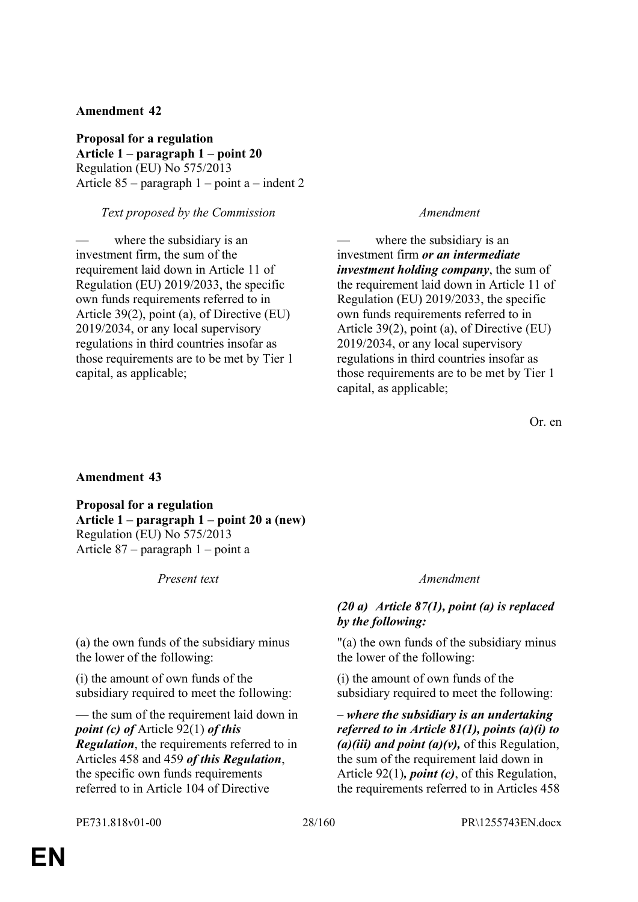**Proposal for a regulation Article 1 – paragraph 1 – point 20** Regulation (EU) No 575/2013 Article 85 – paragraph 1 – point a – indent 2

# *Text proposed by the Commission Amendment*

where the subsidiary is an investment firm, the sum of the requirement laid down in Article 11 of Regulation (EU) 2019/2033, the specific own funds requirements referred to in Article 39(2), point (a), of Directive (EU) 2019/2034, or any local supervisory regulations in third countries insofar as those requirements are to be met by Tier 1 capital, as applicable;

where the subsidiary is an investment firm *or an intermediate investment holding company*, the sum of the requirement laid down in Article 11 of Regulation (EU) 2019/2033, the specific own funds requirements referred to in Article 39(2), point (a), of Directive (EU) 2019/2034, or any local supervisory regulations in third countries insofar as those requirements are to be met by Tier 1 capital, as applicable;

Or. en

### **Amendment 43**

**Proposal for a regulation Article 1 – paragraph 1 – point 20 a (new)** Regulation (EU) No 575/2013 Article 87 – paragraph 1 – point a

*Present text Amendment*

(a) the own funds of the subsidiary minus the lower of the following:

(i) the amount of own funds of the subsidiary required to meet the following:

*—* the sum of the requirement laid down in *point (c) of* Article 92(1) *of this Regulation*, the requirements referred to in Articles 458 and 459 *of this Regulation*, the specific own funds requirements referred to in Article 104 of Directive

# *(20 a) Article 87(1), point (a) is replaced by the following:*

"(a) the own funds of the subsidiary minus the lower of the following:

(i) the amount of own funds of the subsidiary required to meet the following:

*– where the subsidiary is an undertaking referred to in Article 81(1), points (a)(i) to (a)(iii) and point (a)(v),* of this Regulation, the sum of the requirement laid down in Article 92(1)*, point (c)*, of this Regulation, the requirements referred to in Articles 458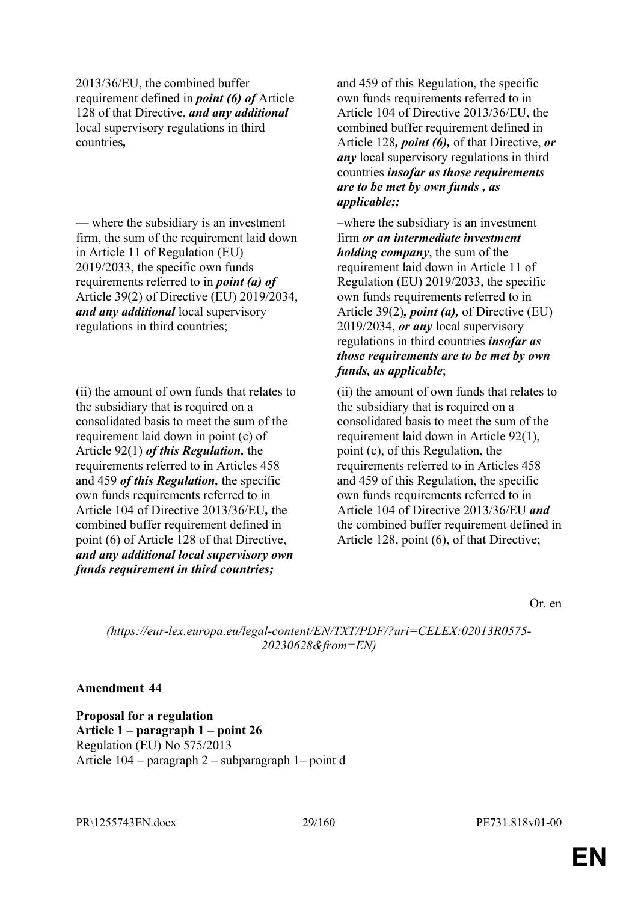2013/36/EU, the combined buffer requirement defined in *point (6) of* Article 128 of that Directive, *and any additional* local supervisory regulations in third countries*,*

*—* where the subsidiary is an investment firm, the sum of the requirement laid down in Article 11 of Regulation (EU) 2019/2033, the specific own funds requirements referred to in *point (a) of* Article 39(2) of Directive (EU) 2019/2034, *and any additional* local supervisory regulations in third countries;

(ii) the amount of own funds that relates to the subsidiary that is required on a consolidated basis to meet the sum of the requirement laid down in point (c) of Article 92(1) *of this Regulation,* the requirements referred to in Articles 458 and 459 *of this Regulation,* the specific own funds requirements referred to in Article 104 of Directive 2013/36/EU*,* the combined buffer requirement defined in point (6) of Article 128 of that Directive, *and any additional local supervisory own funds requirement in third countries;*

and 459 of this Regulation, the specific own funds requirements referred to in Article 104 of Directive 2013/36/EU, the combined buffer requirement defined in Article 128*, point (6),* of that Directive, *or any* local supervisory regulations in third countries *insofar as those requirements are to be met by own funds , as applicable;;*

*–*where the subsidiary is an investment firm *or an intermediate investment holding company*, the sum of the requirement laid down in Article 11 of Regulation (EU) 2019/2033, the specific own funds requirements referred to in Article 39(2)*, point (a),* of Directive (EU) 2019/2034, *or any* local supervisory regulations in third countries *insofar as those requirements are to be met by own funds, as applicable*;

(ii) the amount of own funds that relates to the subsidiary that is required on a consolidated basis to meet the sum of the requirement laid down in Article 92(1), point (c), of this Regulation, the requirements referred to in Articles 458 and 459 of this Regulation, the specific own funds requirements referred to in Article 104 of Directive 2013/36/EU *and*  the combined buffer requirement defined in Article 128, point (6), of that Directive;

Or. en

*(https://eur-lex.europa.eu/legal-content/EN/TXT/PDF/?uri=CELEX:02013R0575- 20230628&from=EN)*

### **Amendment 44**

**Proposal for a regulation Article 1 – paragraph 1 – point 26** Regulation (EU) No 575/2013 Article 104 – paragraph 2 – subparagraph 1– point d

PR\1255743EN.docx 29/160 PE731.818v01-00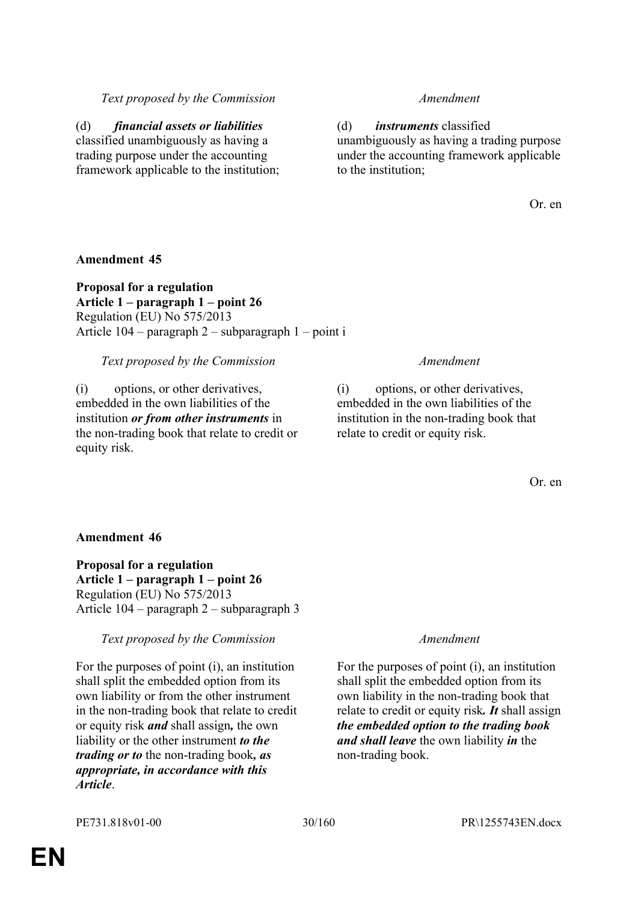# *Text proposed by the Commission Amendment*

(d) *financial assets or liabilities* classified unambiguously as having a trading purpose under the accounting framework applicable to the institution;

(d) *instruments* classified unambiguously as having a trading purpose under the accounting framework applicable to the institution;

Or. en

# **Amendment 45**

**Proposal for a regulation Article 1 – paragraph 1 – point 26** Regulation (EU) No 575/2013 Article 104 – paragraph 2 – subparagraph 1 – point i

### *Text proposed by the Commission Amendment*

(i) options, or other derivatives, embedded in the own liabilities of the institution *or from other instruments* in the non-trading book that relate to credit or equity risk.

(i) options, or other derivatives, embedded in the own liabilities of the institution in the non-trading book that relate to credit or equity risk.

Or. en

# **Amendment 46**

**Proposal for a regulation Article 1 – paragraph 1 – point 26** Regulation (EU) No 575/2013 Article 104 – paragraph 2 – subparagraph 3

*Text proposed by the Commission Amendment*

For the purposes of point (i), an institution shall split the embedded option from its own liability or from the other instrument in the non-trading book that relate to credit or equity risk *and* shall assign*,* the own liability or the other instrument *to the trading or to* the non-trading book*, as appropriate, in accordance with this Article*.

For the purposes of point (i), an institution shall split the embedded option from its own liability in the non-trading book that relate to credit or equity risk*. It* shall assign *the embedded option to the trading book and shall leave* the own liability *in* the non-trading book.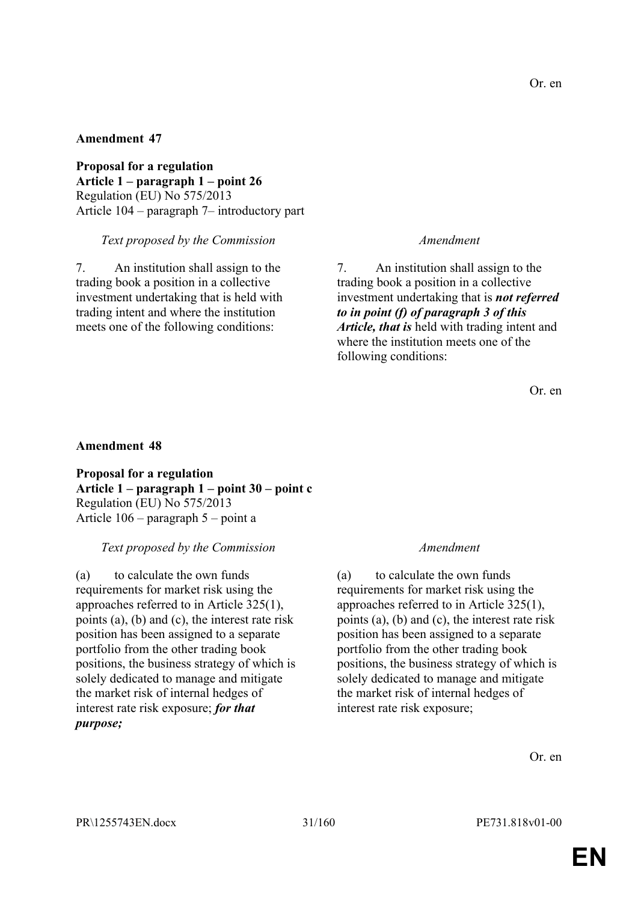**Proposal for a regulation Article 1 – paragraph 1 – point 26** Regulation (EU) No 575/2013 Article 104 – paragraph 7– introductory part

#### *Text proposed by the Commission Amendment*

7. An institution shall assign to the trading book a position in a collective investment undertaking that is held with trading intent and where the institution meets one of the following conditions:

7. An institution shall assign to the trading book a position in a collective investment undertaking that is *not referred to in point (f) of paragraph 3 of this Article, that is* held with trading intent and where the institution meets one of the following conditions:

Or. en

### **Amendment 48**

**Proposal for a regulation Article 1 – paragraph 1 – point 30 – point c** Regulation (EU) No 575/2013 Article 106 – paragraph 5 – point a

#### *Text proposed by the Commission Amendment*

(a) to calculate the own funds requirements for market risk using the approaches referred to in Article 325(1), points (a), (b) and (c), the interest rate risk position has been assigned to a separate portfolio from the other trading book positions, the business strategy of which is solely dedicated to manage and mitigate the market risk of internal hedges of interest rate risk exposure; *for that purpose;*

(a) to calculate the own funds requirements for market risk using the approaches referred to in Article 325(1), points (a), (b) and (c), the interest rate risk position has been assigned to a separate portfolio from the other trading book positions, the business strategy of which is solely dedicated to manage and mitigate the market risk of internal hedges of interest rate risk exposure;

Or. en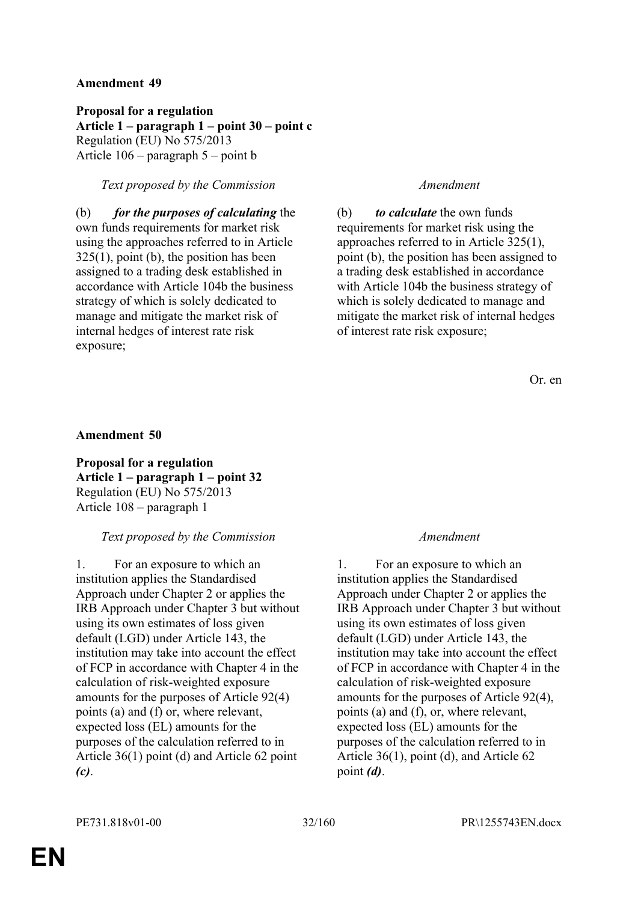**Proposal for a regulation Article 1 – paragraph 1 – point 30 – point c** Regulation (EU) No 575/2013 Article 106 – paragraph 5 – point b

# *Text proposed by the Commission Amendment*

(b) *for the purposes of calculating* the own funds requirements for market risk using the approaches referred to in Article 325(1), point (b), the position has been assigned to a trading desk established in accordance with Article 104b the business strategy of which is solely dedicated to manage and mitigate the market risk of internal hedges of interest rate risk exposure;

(b) *to calculate* the own funds requirements for market risk using the approaches referred to in Article 325(1), point (b), the position has been assigned to a trading desk established in accordance with Article 104b the business strategy of which is solely dedicated to manage and mitigate the market risk of internal hedges of interest rate risk exposure;

Or. en

### **Amendment 50**

**Proposal for a regulation Article 1 – paragraph 1 – point 32** Regulation (EU) No 575/2013 Article 108 – paragraph 1

# *Text proposed by the Commission Amendment*

1. For an exposure to which an institution applies the Standardised Approach under Chapter 2 or applies the IRB Approach under Chapter 3 but without using its own estimates of loss given default (LGD) under Article 143, the institution may take into account the effect of FCP in accordance with Chapter 4 in the calculation of risk-weighted exposure amounts for the purposes of Article 92(4) points (a) and (f) or, where relevant, expected loss (EL) amounts for the purposes of the calculation referred to in Article 36(1) point (d) and Article 62 point *(c)*.

1. For an exposure to which an institution applies the Standardised Approach under Chapter 2 or applies the IRB Approach under Chapter 3 but without using its own estimates of loss given default (LGD) under Article 143, the institution may take into account the effect of FCP in accordance with Chapter 4 in the calculation of risk-weighted exposure amounts for the purposes of Article 92(4), points (a) and (f), or, where relevant, expected loss (EL) amounts for the purposes of the calculation referred to in Article 36(1), point (d), and Article 62 point *(d)*.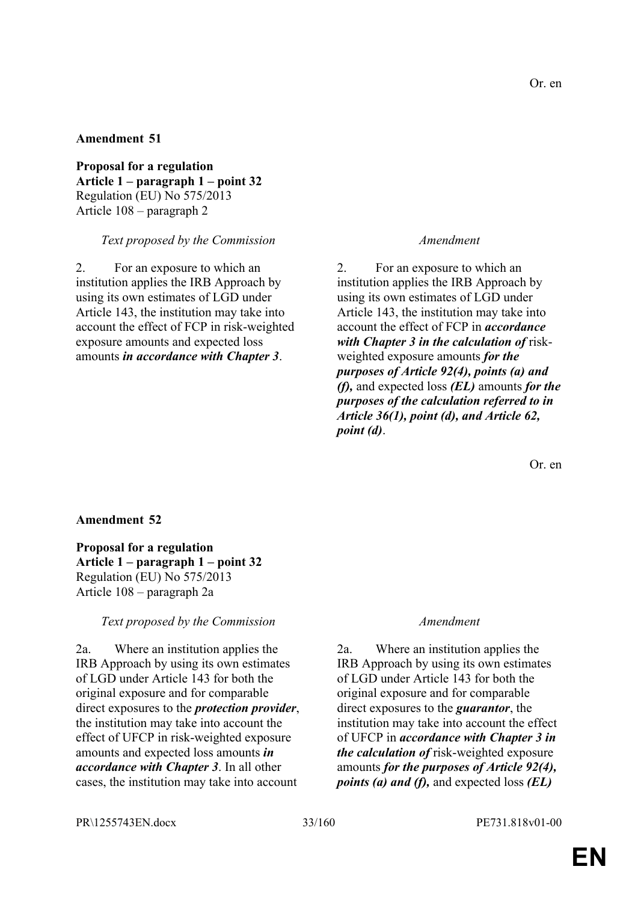**Proposal for a regulation Article 1 – paragraph 1 – point 32** Regulation (EU) No 575/2013 Article 108 – paragraph 2

#### *Text proposed by the Commission Amendment*

2. For an exposure to which an institution applies the IRB Approach by using its own estimates of LGD under Article 143, the institution may take into account the effect of FCP in risk-weighted exposure amounts and expected loss amounts *in accordance with Chapter 3*.

2. For an exposure to which an institution applies the IRB Approach by using its own estimates of LGD under Article 143, the institution may take into account the effect of FCP in *accordance with Chapter 3 in the calculation of* riskweighted exposure amounts *for the purposes of Article 92(4), points (a) and (f),* and expected loss *(EL)* amounts *for the purposes of the calculation referred to in Article 36(1), point (d), and Article 62, point (d)*.

Or. en

### **Amendment 52**

**Proposal for a regulation Article 1 – paragraph 1 – point 32** Regulation (EU) No 575/2013 Article 108 – paragraph 2a

### *Text proposed by the Commission Amendment*

2a. Where an institution applies the IRB Approach by using its own estimates of LGD under Article 143 for both the original exposure and for comparable direct exposures to the *protection provider*, the institution may take into account the effect of UFCP in risk-weighted exposure amounts and expected loss amounts *in accordance with Chapter 3*. In all other cases, the institution may take into account

2a. Where an institution applies the IRB Approach by using its own estimates of LGD under Article 143 for both the original exposure and for comparable direct exposures to the *guarantor*, the institution may take into account the effect of UFCP in *accordance with Chapter 3 in the calculation of* risk-weighted exposure amounts *for the purposes of Article 92(4), points (a) and (f),* and expected loss *(EL)*

PR\1255743EN.docx 33/160 PE731.818v01-00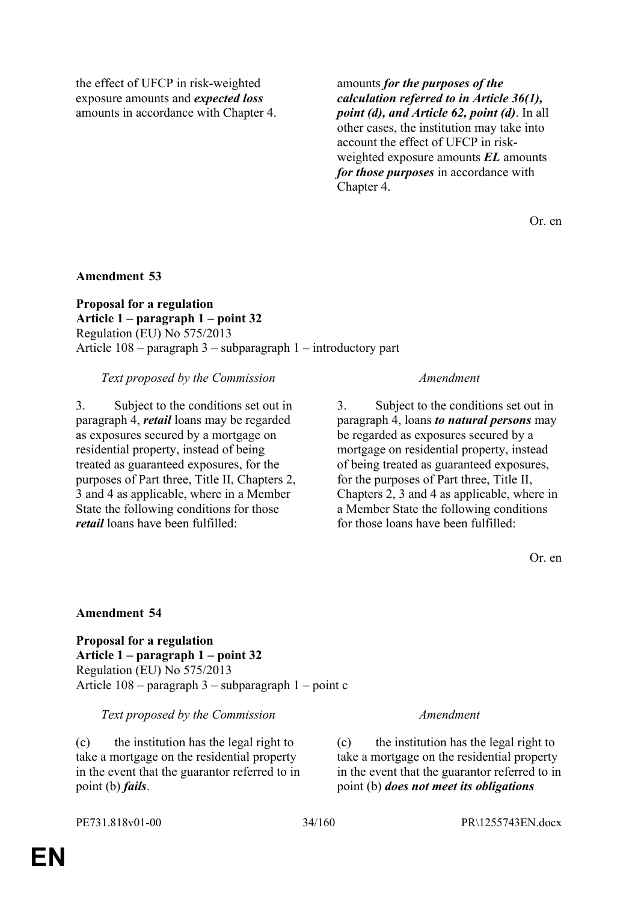the effect of UFCP in risk-weighted exposure amounts and *expected loss* amounts in accordance with Chapter 4. amounts *for the purposes of the calculation referred to in Article 36(1), point (d), and Article 62, point (d)*. In all other cases, the institution may take into account the effect of UFCP in riskweighted exposure amounts *EL* amounts *for those purposes* in accordance with Chapter 4.

Or. en

**Amendment 53**

**Proposal for a regulation Article 1 – paragraph 1 – point 32** Regulation (EU) No 575/2013 Article 108 – paragraph 3 – subparagraph 1 – introductory part

# *Text proposed by the Commission Amendment*

3. Subject to the conditions set out in paragraph 4, *retail* loans may be regarded as exposures secured by a mortgage on residential property, instead of being treated as guaranteed exposures, for the purposes of Part three, Title II, Chapters 2, 3 and 4 as applicable, where in a Member State the following conditions for those *retail* loans have been fulfilled:

3. Subject to the conditions set out in paragraph 4, loans *to natural persons* may be regarded as exposures secured by a mortgage on residential property, instead of being treated as guaranteed exposures, for the purposes of Part three, Title II, Chapters 2, 3 and 4 as applicable, where in a Member State the following conditions for those loans have been fulfilled:

Or. en

# **Amendment 54**

**Proposal for a regulation Article 1 – paragraph 1 – point 32** Regulation (EU) No 575/2013 Article 108 – paragraph 3 – subparagraph 1 – point c

### *Text proposed by the Commission Amendment*

(c) the institution has the legal right to take a mortgage on the residential property in the event that the guarantor referred to in point (b) *fails*.

(c) the institution has the legal right to take a mortgage on the residential property in the event that the guarantor referred to in point (b) *does not meet its obligations*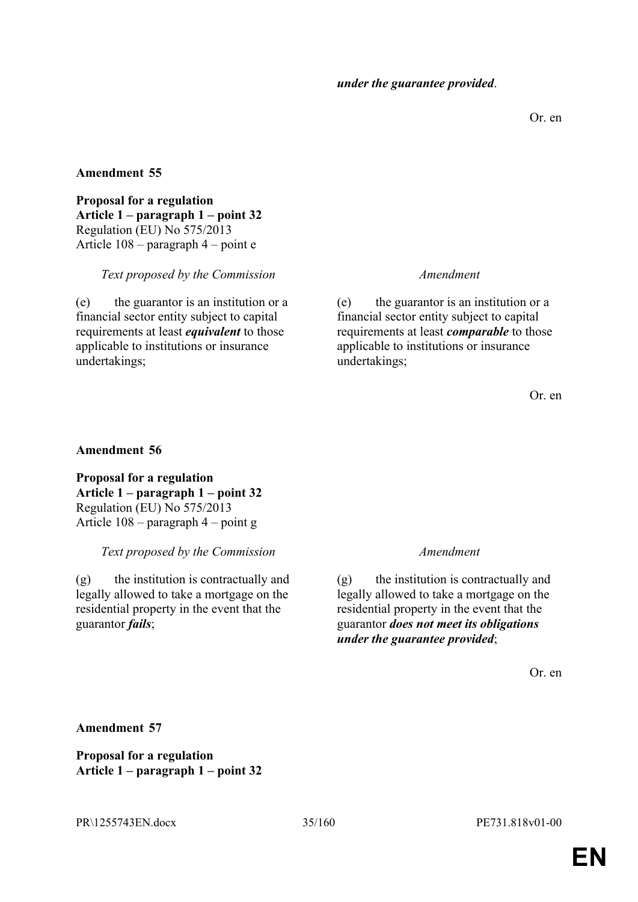Or. en

### **Amendment 55**

**Proposal for a regulation Article 1 – paragraph 1 – point 32** Regulation (EU) No 575/2013 Article 108 – paragraph 4 – point e

### *Text proposed by the Commission Amendment*

(e) the guarantor is an institution or a financial sector entity subject to capital requirements at least *equivalent* to those applicable to institutions or insurance undertakings;

(e) the guarantor is an institution or a financial sector entity subject to capital requirements at least *comparable* to those applicable to institutions or insurance undertakings;

Or. en

### **Amendment 56**

**Proposal for a regulation Article 1 – paragraph 1 – point 32** Regulation (EU) No 575/2013 Article 108 – paragraph 4 – point g

### *Text proposed by the Commission Amendment*

(g) the institution is contractually and legally allowed to take a mortgage on the residential property in the event that the guarantor *fails*;

(g) the institution is contractually and legally allowed to take a mortgage on the residential property in the event that the guarantor *does not meet its obligations under the guarantee provided*;

Or. en

**Amendment 57**

**Proposal for a regulation Article 1 – paragraph 1 – point 32**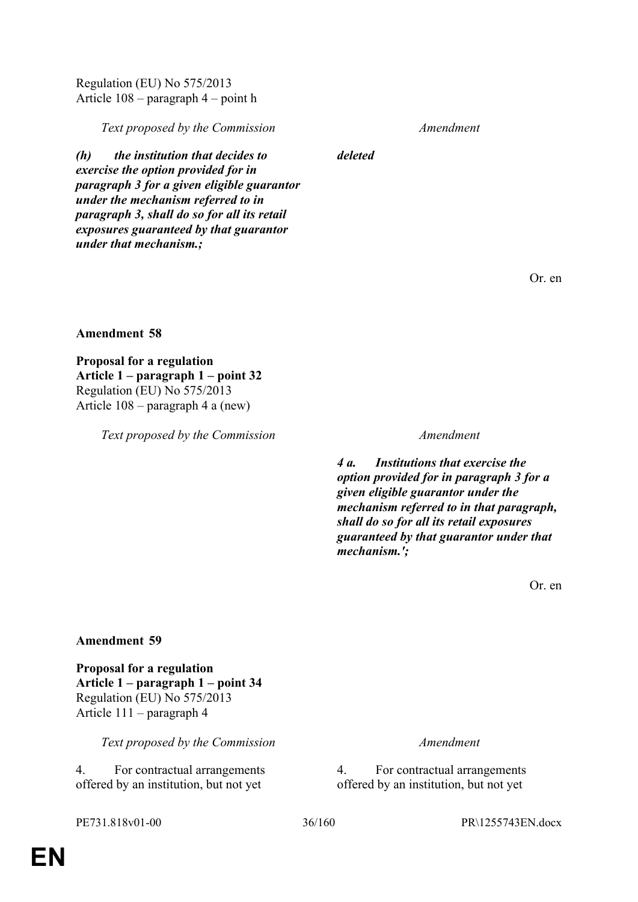Regulation (EU) No 575/2013 Article 108 – paragraph 4 – point h

*Text proposed by the Commission Amendment*

*deleted*

*(h) the institution that decides to exercise the option provided for in paragraph 3 for a given eligible guarantor under the mechanism referred to in paragraph 3, shall do so for all its retail exposures guaranteed by that guarantor under that mechanism.;*

Or. en

#### **Amendment 58**

**Proposal for a regulation Article 1 – paragraph 1 – point 32** Regulation (EU) No 575/2013 Article 108 – paragraph 4 a (new)

*Text proposed by the Commission Amendment*

*4 a. Institutions that exercise the option provided for in paragraph 3 for a given eligible guarantor under the mechanism referred to in that paragraph, shall do so for all its retail exposures guaranteed by that guarantor under that mechanism.';*

Or. en

#### **Amendment 59**

**Proposal for a regulation Article 1 – paragraph 1 – point 34** Regulation (EU) No 575/2013 Article 111 – paragraph 4

*Text proposed by the Commission Amendment*

4. For contractual arrangements offered by an institution, but not yet

4. For contractual arrangements offered by an institution, but not yet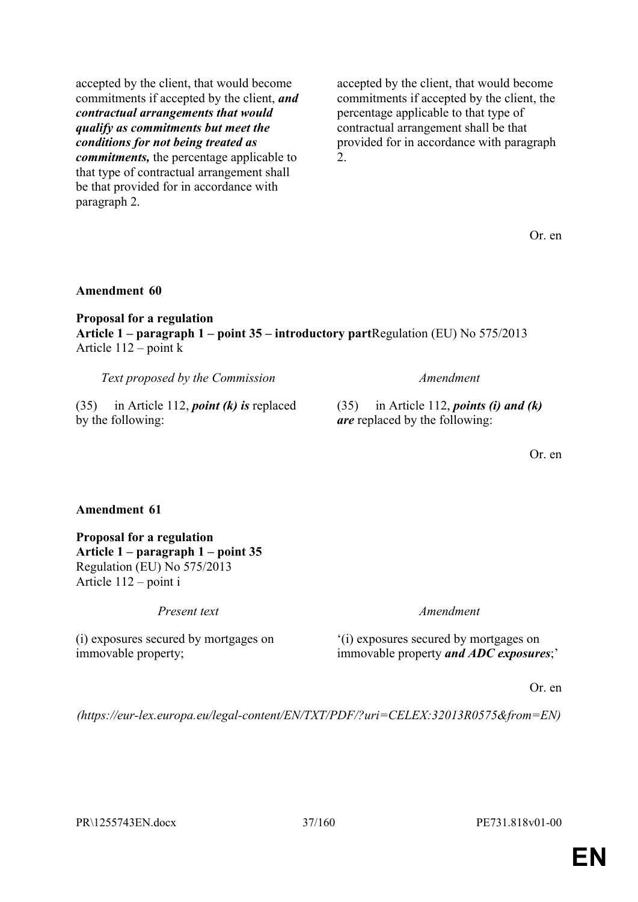accepted by the client, that would become commitments if accepted by the client, *and contractual arrangements that would qualify as commitments but meet the conditions for not being treated as commitments,* the percentage applicable to that type of contractual arrangement shall be that provided for in accordance with paragraph 2.

accepted by the client, that would become commitments if accepted by the client, the percentage applicable to that type of contractual arrangement shall be that provided for in accordance with paragraph 2.

Or. en

# **Amendment 60**

**Proposal for a regulation Article 1 – paragraph 1 – point 35 – introductory part**Regulation (EU) No 575/2013 Article 112 – point k

*Text proposed by the Commission Amendment*

(35) in Article 112, *point (k) is* replaced by the following:

(35) in Article 112, *points (i) and (k) are* replaced by the following:

Or. en

## **Amendment 61**

**Proposal for a regulation Article 1 – paragraph 1 – point 35** Regulation (EU) No 575/2013 Article 112 – point i

(i) exposures secured by mortgages on immovable property;

*Present text Amendment*

'(i) exposures secured by mortgages on immovable property *and ADC exposures*;'

Or. en

*(https://eur-lex.europa.eu/legal-content/EN/TXT/PDF/?uri=CELEX:32013R0575&from=EN)*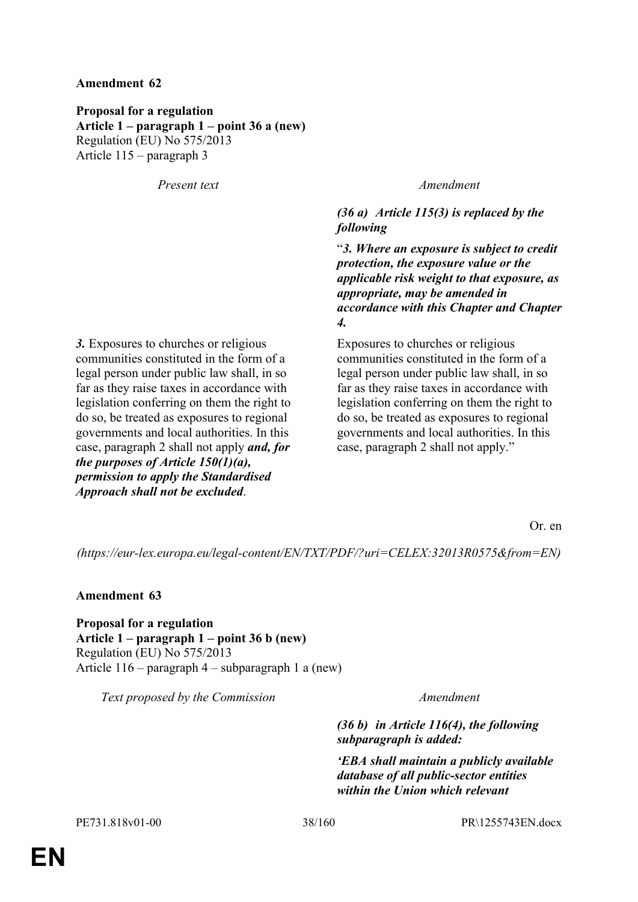**Proposal for a regulation Article 1 – paragraph 1 – point 36 a (new)** Regulation (EU) No 575/2013 Article 115 – paragraph 3

*Present text Amendment*

*(36 a) Article 115(3) is replaced by the following*

"*3. Where an exposure is subject to credit protection, the exposure value or the applicable risk weight to that exposure, as appropriate, may be amended in accordance with this Chapter and Chapter 4.*

Exposures to churches or religious communities constituted in the form of a legal person under public law shall, in so far as they raise taxes in accordance with legislation conferring on them the right to do so, be treated as exposures to regional governments and local authorities. In this case, paragraph 2 shall not apply."

*3.* Exposures to churches or religious communities constituted in the form of a legal person under public law shall, in so far as they raise taxes in accordance with legislation conferring on them the right to do so, be treated as exposures to regional governments and local authorities. In this case, paragraph 2 shall not apply *and, for the purposes of Article 150(1)(a), permission to apply the Standardised Approach shall not be excluded*.

Or. en

*(https://eur-lex.europa.eu/legal-content/EN/TXT/PDF/?uri=CELEX:32013R0575&from=EN)*

**Amendment 63**

**Proposal for a regulation Article 1 – paragraph 1 – point 36 b (new)** Regulation (EU) No 575/2013 Article 116 – paragraph 4 – subparagraph 1 a (new)

*Text proposed by the Commission Amendment*

*(36 b) in Article 116(4), the following subparagraph is added:*

*'EBA shall maintain a publicly available database of all public-sector entities within the Union which relevant*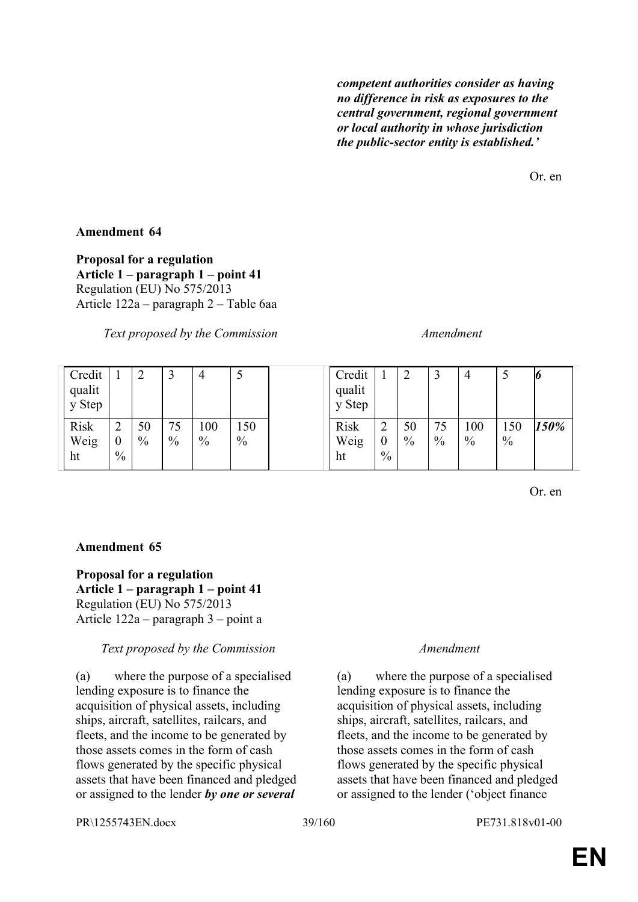*competent authorities consider as having no difference in risk as exposures to the central government, regional government or local authority in whose jurisdiction the public-sector entity is established.'*

Or. en

# **Amendment 64**

**Proposal for a regulation Article 1 – paragraph 1 – point 41**  Regulation (EU) No 575/2013 Article 122a – paragraph 2 – Table 6aa

*Text proposed by the Commission Amendment*

| Credit<br>qualit<br>y Step |                                        | ↑<br>∠     |                     | 4           |             | Credit<br>qualit<br>y Step |                                         | $\overline{2}$      | $\mathbf{c}$<br>پ   |                      | ◡                    | Ю    |
|----------------------------|----------------------------------------|------------|---------------------|-------------|-------------|----------------------------|-----------------------------------------|---------------------|---------------------|----------------------|----------------------|------|
| <b>Risk</b><br>Weig<br>ht  | 2<br>$\boldsymbol{0}$<br>$\frac{0}{0}$ | 50<br>$\%$ | 75<br>$\frac{0}{0}$ | 100<br>$\%$ | 150<br>$\%$ | <b>Risk</b><br>Weig<br>ht  | $\sim$<br>∠<br>$\boldsymbol{0}$<br>$\%$ | 50<br>$\frac{0}{0}$ | 75<br>$\frac{0}{0}$ | 100<br>$\frac{0}{0}$ | 150<br>$\frac{0}{0}$ | 150% |

Or. en

## **Amendment 65**

**Proposal for a regulation Article 1 – paragraph 1 – point 41** Regulation (EU) No 575/2013 Article 122a – paragraph 3 – point a

## *Text proposed by the Commission Amendment*

(a) where the purpose of a specialised lending exposure is to finance the acquisition of physical assets, including ships, aircraft, satellites, railcars, and fleets, and the income to be generated by those assets comes in the form of cash flows generated by the specific physical assets that have been financed and pledged or assigned to the lender *by one or several* 

(a) where the purpose of a specialised lending exposure is to finance the acquisition of physical assets, including ships, aircraft, satellites, railcars, and fleets, and the income to be generated by those assets comes in the form of cash flows generated by the specific physical assets that have been financed and pledged or assigned to the lender ('object finance

PR\1255743EN.docx 39/160 PE731.818v01-00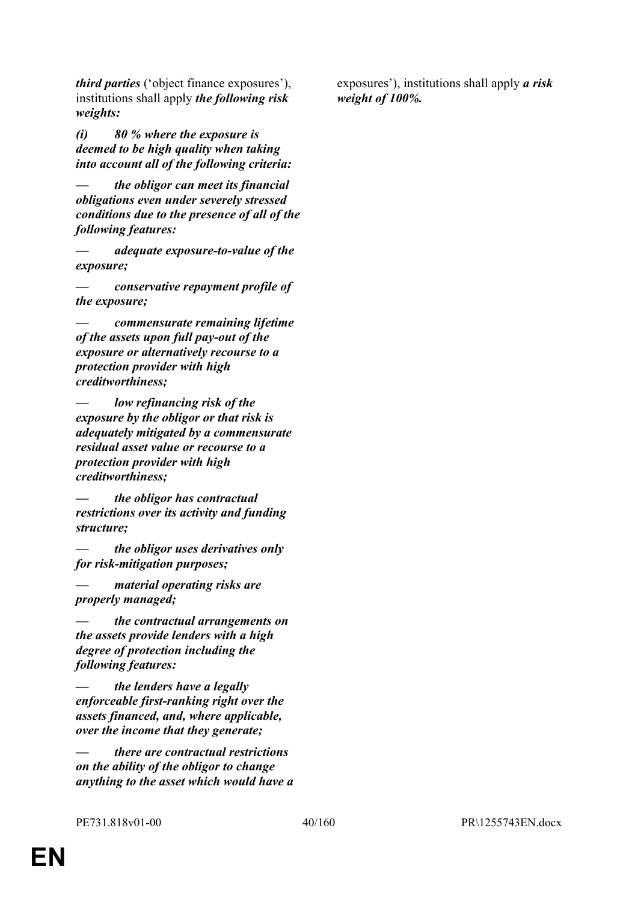*third parties* ('object finance exposures'), institutions shall apply *the following risk weights:*

*(i) 80 % where the exposure is deemed to be high quality when taking into account all of the following criteria:*

*— the obligor can meet its financial obligations even under severely stressed conditions due to the presence of all of the following features:*

*— adequate exposure-to-value of the exposure;*

*— conservative repayment profile of the exposure;*

*— commensurate remaining lifetime of the assets upon full pay-out of the exposure or alternatively recourse to a protection provider with high creditworthiness;*

low refinancing risk of the *exposure by the obligor or that risk is adequately mitigated by a commensurate residual asset value or recourse to a protection provider with high creditworthiness;*

*— the obligor has contractual restrictions over its activity and funding structure;*

*— the obligor uses derivatives only for risk-mitigation purposes;*

*— material operating risks are properly managed;*

*— the contractual arrangements on the assets provide lenders with a high degree of protection including the following features:*

*the lenders have a legally enforceable first-ranking right over the assets financed, and, where applicable, over the income that they generate;*

*— there are contractual restrictions on the ability of the obligor to change anything to the asset which would have a*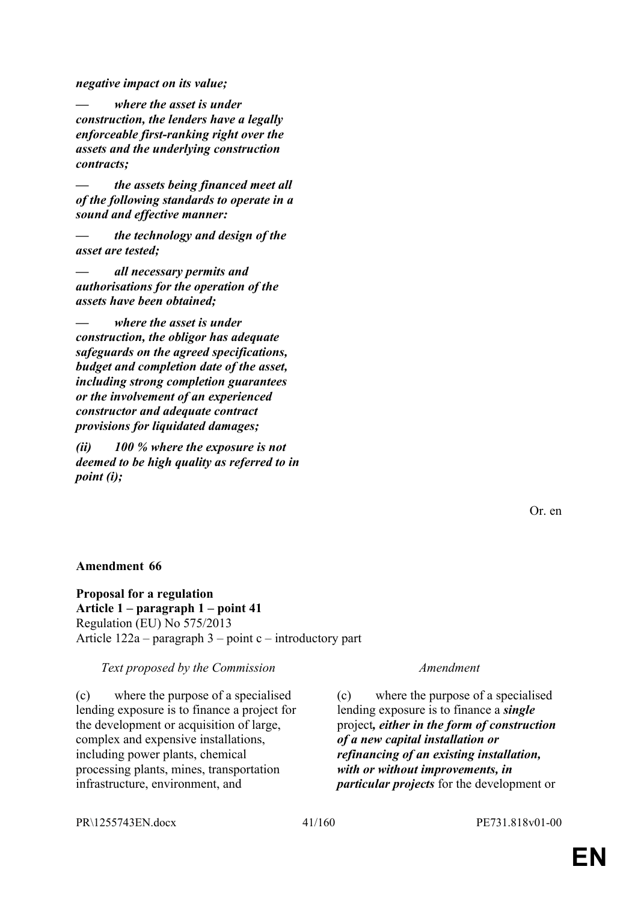*negative impact on its value;*

*where the asset is under construction, the lenders have a legally enforceable first-ranking right over the assets and the underlying construction contracts;*

*— the assets being financed meet all of the following standards to operate in a sound and effective manner:*

*— the technology and design of the asset are tested;*

*— all necessary permits and authorisations for the operation of the assets have been obtained;*

*— where the asset is under construction, the obligor has adequate safeguards on the agreed specifications, budget and completion date of the asset, including strong completion guarantees or the involvement of an experienced constructor and adequate contract provisions for liquidated damages;*

*(ii) 100 % where the exposure is not deemed to be high quality as referred to in point (i);*

Or. en

## **Amendment 66**

**Proposal for a regulation Article 1 – paragraph 1 – point 41** Regulation (EU) No 575/2013 Article 122a – paragraph 3 – point c – introductory part

*Text proposed by the Commission Amendment*

(c) where the purpose of a specialised lending exposure is to finance a project for the development or acquisition of large, complex and expensive installations, including power plants, chemical processing plants, mines, transportation infrastructure, environment, and

(c) where the purpose of a specialised lending exposure is to finance a *single* project*, either in the form of construction of a new capital installation or refinancing of an existing installation, with or without improvements, in particular projects* for the development or

PR\1255743EN.docx 41/160 PE731.818v01-00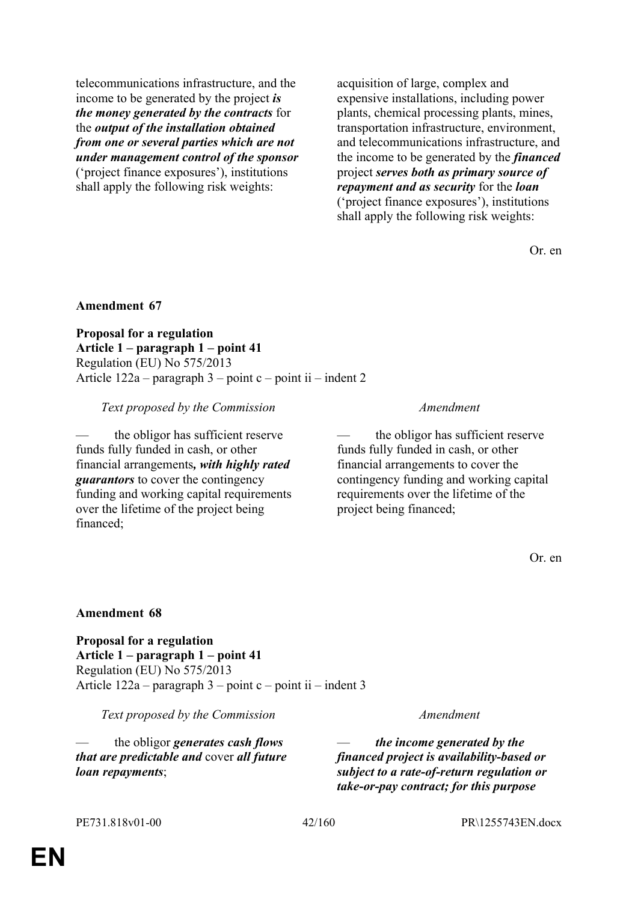telecommunications infrastructure, and the income to be generated by the project *is the money generated by the contracts* for the *output of the installation obtained from one or several parties which are not under management control of the sponsor* ('project finance exposures'), institutions shall apply the following risk weights:

acquisition of large, complex and expensive installations, including power plants, chemical processing plants, mines, transportation infrastructure, environment, and telecommunications infrastructure, and the income to be generated by the *financed* project *serves both as primary source of repayment and as security* for the *loan* ('project finance exposures'), institutions shall apply the following risk weights:

Or. en

## **Amendment 67**

**Proposal for a regulation Article 1 – paragraph 1 – point 41** Regulation (EU) No 575/2013 Article  $122a$  – paragraph 3 – point c – point ii – indent 2

*Text proposed by the Commission Amendment*

the obligor has sufficient reserve funds fully funded in cash, or other financial arrangements*, with highly rated guarantors* to cover the contingency funding and working capital requirements over the lifetime of the project being financed;

the obligor has sufficient reserve funds fully funded in cash, or other financial arrangements to cover the contingency funding and working capital requirements over the lifetime of the project being financed;

Or. en

## **Amendment 68**

**Proposal for a regulation Article 1 – paragraph 1 – point 41** Regulation (EU) No 575/2013 Article  $122a$  – paragraph 3 – point c – point ii – indent 3

*Text proposed by the Commission Amendment*

— the obligor *generates cash flows that are predictable and* cover *all future loan repayments*;

— *the income generated by the financed project is availability-based or subject to a rate-of-return regulation or take-or-pay contract; for this purpose*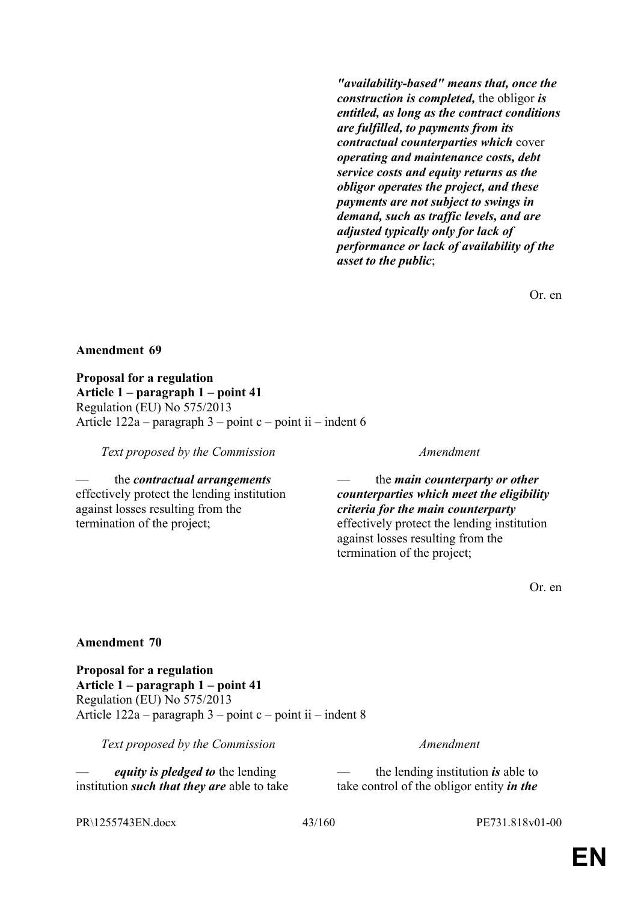*"availability-based" means that, once the construction is completed,* the obligor *is entitled, as long as the contract conditions are fulfilled, to payments from its contractual counterparties which* cover *operating and maintenance costs, debt service costs and equity returns as the obligor operates the project, and these payments are not subject to swings in demand, such as traffic levels, and are adjusted typically only for lack of performance or lack of availability of the asset to the public*;

Or. en

## **Amendment 69**

**Proposal for a regulation Article 1 – paragraph 1 – point 41** Regulation (EU) No 575/2013 Article  $122a$  – paragraph  $3$  – point c – point ii – indent 6

*Text proposed by the Commission Amendment*

— the *contractual arrangements* effectively protect the lending institution against losses resulting from the termination of the project;

— the *main counterparty or other counterparties which meet the eligibility criteria for the main counterparty* effectively protect the lending institution against losses resulting from the termination of the project;

Or. en

## **Amendment 70**

**Proposal for a regulation Article 1 – paragraph 1 – point 41** Regulation (EU) No 575/2013 Article  $122a$  – paragraph  $3$  – point c – point ii – indent 8

*Text proposed by the Commission Amendment*

— *equity is pledged to* the lending institution *such that they are* able to take

— the lending institution *is* able to take control of the obligor entity *in the* 

PR\1255743EN.docx 43/160 PE731.818v01-00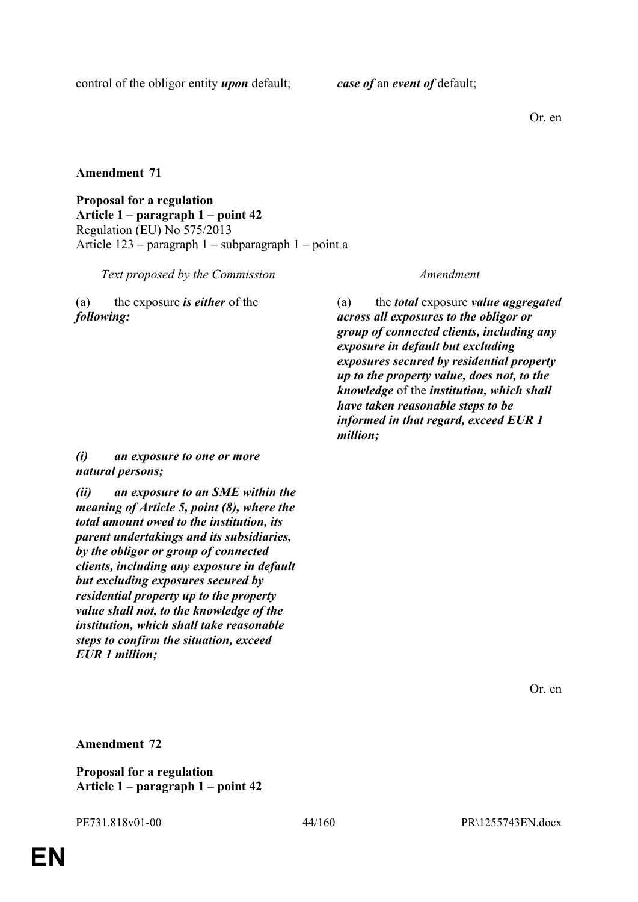Or. en

# **Amendment 71**

**Proposal for a regulation Article 1 – paragraph 1 – point 42** Regulation (EU) No 575/2013 Article 123 – paragraph 1 – subparagraph 1 – point a

*Text proposed by the Commission Amendment*

(a) the exposure *is either* of the *following:*

(a) the *total* exposure *value aggregated across all exposures to the obligor or group of connected clients, including any exposure in default but excluding exposures secured by residential property up to the property value, does not, to the knowledge* of the *institution, which shall have taken reasonable steps to be informed in that regard, exceed EUR 1 million;*

# *(i) an exposure to one or more natural persons;*

*(ii) an exposure to an SME within the meaning of Article 5, point (8), where the total amount owed to the institution, its parent undertakings and its subsidiaries, by the obligor or group of connected clients, including any exposure in default but excluding exposures secured by residential property up to the property value shall not, to the knowledge of the institution, which shall take reasonable steps to confirm the situation, exceed EUR 1 million;*

Or. en

**Amendment 72**

**Proposal for a regulation Article 1 – paragraph 1 – point 42**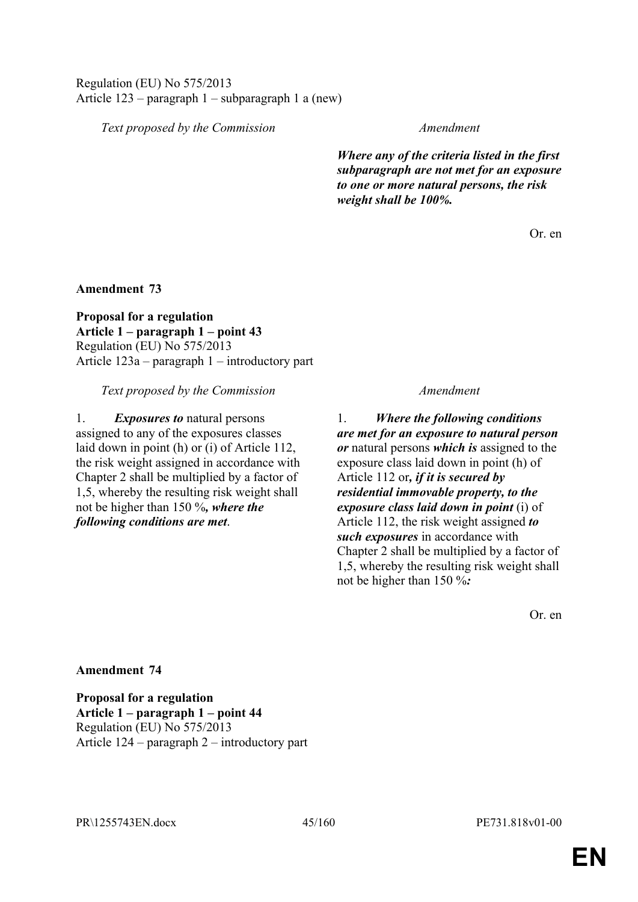Regulation (EU) No 575/2013 Article 123 – paragraph 1 – subparagraph 1 a (new)

*Text proposed by the Commission Amendment*

*Where any of the criteria listed in the first subparagraph are not met for an exposure to one or more natural persons, the risk weight shall be 100%.*

Or. en

**Amendment 73**

**Proposal for a regulation Article 1 – paragraph 1 – point 43** Regulation (EU) No 575/2013 Article 123a – paragraph 1 – introductory part

*Text proposed by the Commission Amendment*

1. *Exposures to* natural persons assigned to any of the exposures classes laid down in point (h) or (i) of Article 112, the risk weight assigned in accordance with Chapter 2 shall be multiplied by a factor of 1,5, whereby the resulting risk weight shall not be higher than 150 %*, where the following conditions are met*.

1. *Where the following conditions are met for an exposure to natural person or* natural persons *which is* assigned to the exposure class laid down in point (h) of Article 112 or*, if it is secured by residential immovable property, to the exposure class laid down in point* (i) of Article 112, the risk weight assigned *to such exposures* in accordance with Chapter 2 shall be multiplied by a factor of 1,5, whereby the resulting risk weight shall not be higher than 150 %*:*

Or. en

## **Amendment 74**

**Proposal for a regulation Article 1 – paragraph 1 – point 44** Regulation (EU) No 575/2013 Article 124 – paragraph 2 – introductory part

PR\1255743EN.docx 45/160 PE731.818v01-00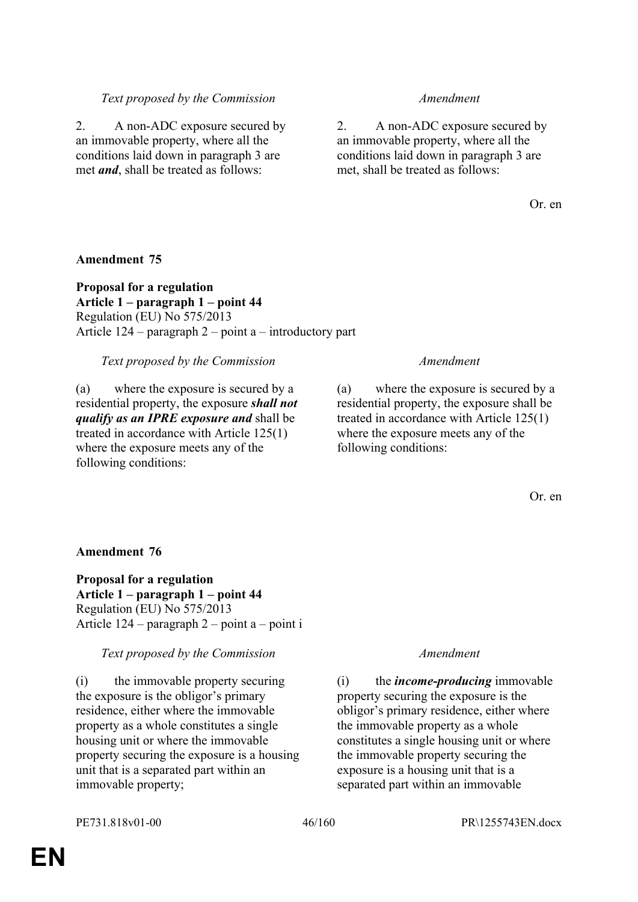# *Text proposed by the Commission Amendment*

2. A non-ADC exposure secured by an immovable property, where all the conditions laid down in paragraph 3 are met *and*, shall be treated as follows:

2. A non-ADC exposure secured by an immovable property, where all the conditions laid down in paragraph 3 are met, shall be treated as follows:

Or. en

## **Amendment 75**

**Proposal for a regulation Article 1 – paragraph 1 – point 44** Regulation (EU) No 575/2013 Article 124 – paragraph 2 – point a – introductory part

*Text proposed by the Commission Amendment*

(a) where the exposure is secured by a residential property, the exposure *shall not qualify as an IPRE exposure and* shall be treated in accordance with Article 125(1) where the exposure meets any of the following conditions:

(a) where the exposure is secured by a residential property, the exposure shall be treated in accordance with Article 125(1) where the exposure meets any of the following conditions:

Or. en

## **Amendment 76**

**Proposal for a regulation Article 1 – paragraph 1 – point 44** Regulation (EU) No 575/2013 Article 124 – paragraph 2 – point a – point i

*Text proposed by the Commission Amendment*

(i) the immovable property securing the exposure is the obligor's primary residence, either where the immovable property as a whole constitutes a single housing unit or where the immovable property securing the exposure is a housing unit that is a separated part within an immovable property;

(i) the *income-producing* immovable property securing the exposure is the obligor's primary residence, either where the immovable property as a whole constitutes a single housing unit or where the immovable property securing the exposure is a housing unit that is a separated part within an immovable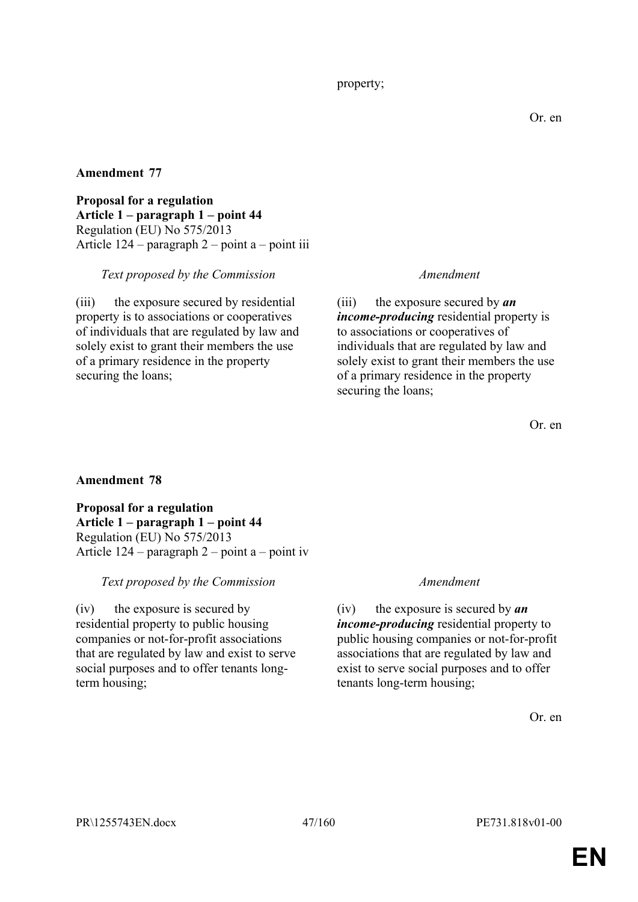**Proposal for a regulation Article 1 – paragraph 1 – point 44** Regulation (EU) No 575/2013 Article 124 – paragraph 2 – point a – point iii

# *Text proposed by the Commission Amendment*

(iii) the exposure secured by residential property is to associations or cooperatives of individuals that are regulated by law and solely exist to grant their members the use of a primary residence in the property securing the loans;

(iii) the exposure secured by *an income-producing* residential property is to associations or cooperatives of individuals that are regulated by law and solely exist to grant their members the use of a primary residence in the property securing the loans;

Or. en

# **Amendment 78**

**Proposal for a regulation Article 1 – paragraph 1 – point 44** Regulation (EU) No 575/2013 Article 124 – paragraph 2 – point a – point iv

# *Text proposed by the Commission Amendment*

(iv) the exposure is secured by residential property to public housing companies or not-for-profit associations that are regulated by law and exist to serve social purposes and to offer tenants longterm housing;

(iv) the exposure is secured by *an income-producing* residential property to public housing companies or not-for-profit associations that are regulated by law and exist to serve social purposes and to offer tenants long-term housing;

Or. en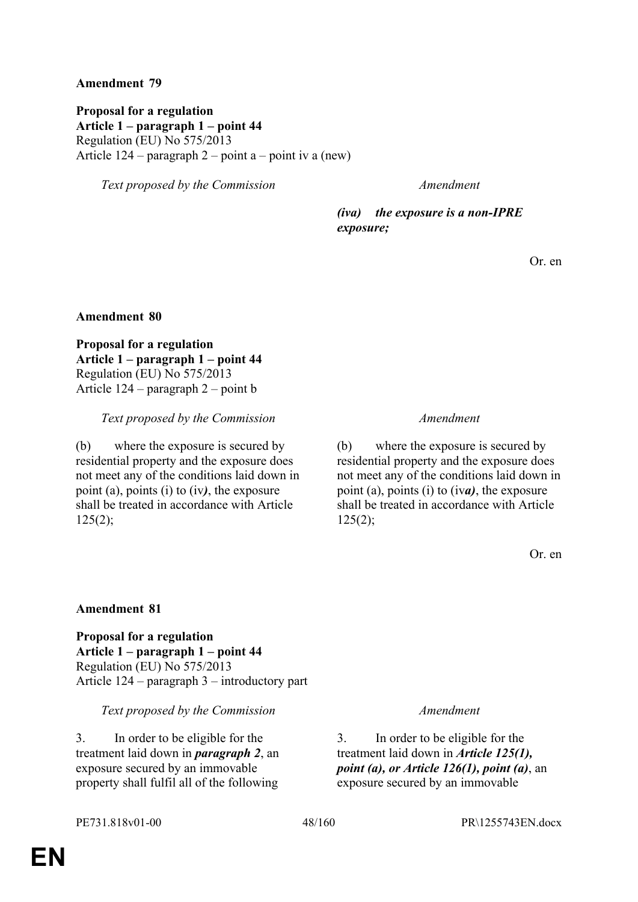**Proposal for a regulation Article 1 – paragraph 1 – point 44** Regulation (EU) No 575/2013 Article  $124$  – paragraph  $2$  – point a – point iv a (new)

*Text proposed by the Commission Amendment*

*(iva) the exposure is a non-IPRE exposure;*

Or. en

## **Amendment 80**

**Proposal for a regulation Article 1 – paragraph 1 – point 44** Regulation (EU) No 575/2013 Article 124 – paragraph 2 – point b

## *Text proposed by the Commission Amendment*

(b) where the exposure is secured by residential property and the exposure does not meet any of the conditions laid down in point (a), points (i) to (iv*)*, the exposure shall be treated in accordance with Article  $125(2)$ ;

(b) where the exposure is secured by residential property and the exposure does not meet any of the conditions laid down in point (a), points (i) to (iv*a)*, the exposure shall be treated in accordance with Article  $125(2)$ ;

Or. en

# **Amendment 81**

**Proposal for a regulation Article 1 – paragraph 1 – point 44** Regulation (EU) No 575/2013 Article 124 – paragraph 3 – introductory part

## *Text proposed by the Commission Amendment*

3. In order to be eligible for the treatment laid down in *paragraph 2*, an exposure secured by an immovable property shall fulfil all of the following

3. In order to be eligible for the treatment laid down in *Article 125(1), point (a), or Article 126(1), point (a)*, an exposure secured by an immovable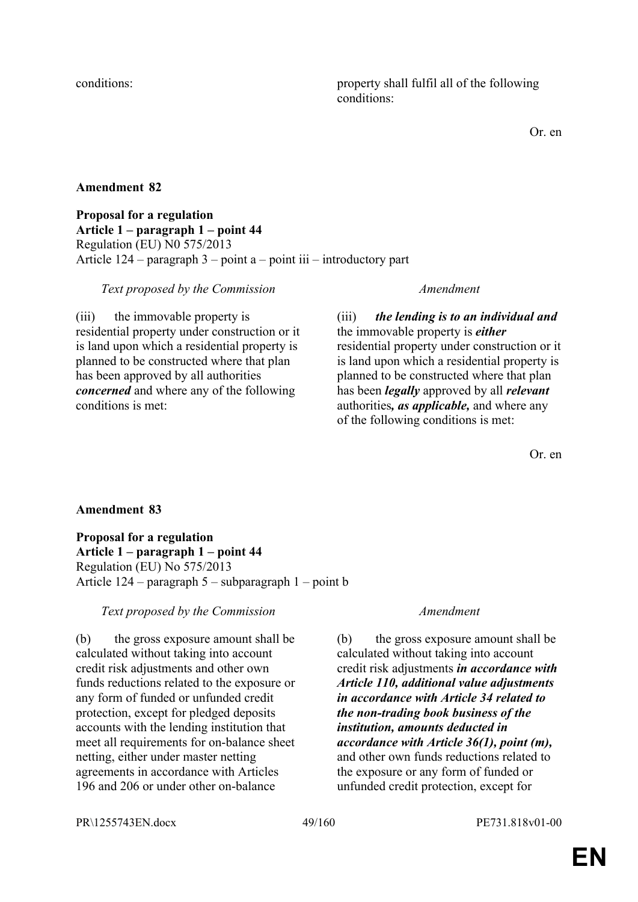conditions: property shall fulfil all of the following conditions:

Or. en

# **Amendment 82**

## **Proposal for a regulation Article 1 – paragraph 1 – point 44** Regulation (EU) N0 575/2013 Article 124 – paragraph 3 – point a – point iii – introductory part

# *Text proposed by the Commission Amendment*

(iii) the immovable property is residential property under construction or it is land upon which a residential property is planned to be constructed where that plan has been approved by all authorities *concerned* and where any of the following conditions is met:

(iii) *the lending is to an individual and* the immovable property is *either* residential property under construction or it is land upon which a residential property is planned to be constructed where that plan has been *legally* approved by all *relevant* authorities*, as applicable,* and where any of the following conditions is met:

Or. en

# **Amendment 83**

**Proposal for a regulation Article 1 – paragraph 1 – point 44** Regulation (EU) No 575/2013 Article 124 – paragraph 5 – subparagraph 1 – point b

# *Text proposed by the Commission Amendment*

(b) the gross exposure amount shall be calculated without taking into account credit risk adjustments and other own funds reductions related to the exposure or any form of funded or unfunded credit protection, except for pledged deposits accounts with the lending institution that meet all requirements for on-balance sheet netting, either under master netting agreements in accordance with Articles 196 and 206 or under other on-balance

(b) the gross exposure amount shall be calculated without taking into account credit risk adjustments *in accordance with Article 110, additional value adjustments in accordance with Article 34 related to the non-trading book business of the institution, amounts deducted in accordance with Article 36(1), point (m),* and other own funds reductions related to the exposure or any form of funded or unfunded credit protection, except for

PR\1255743EN.docx 49/160 PE731.818v01-00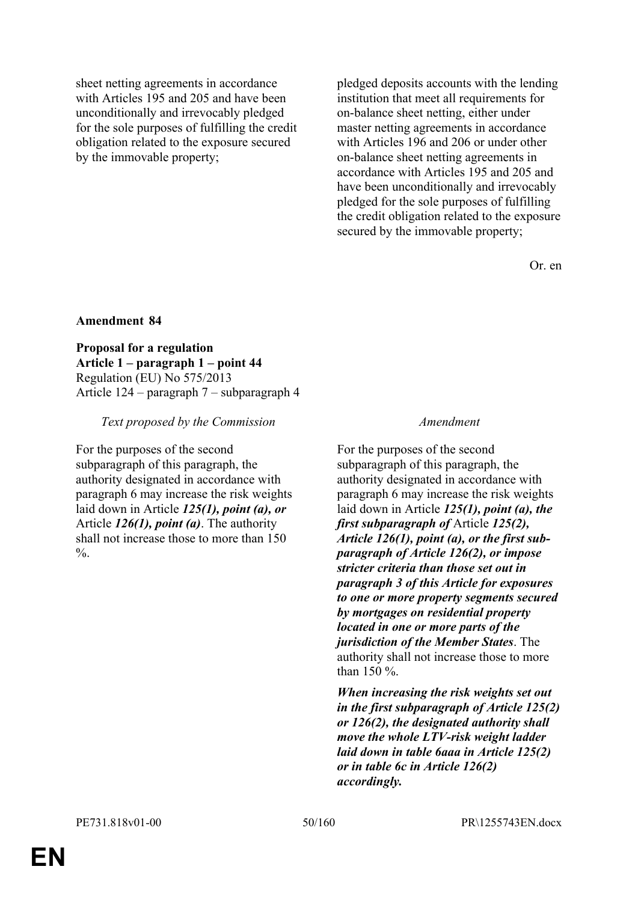sheet netting agreements in accordance with Articles 195 and 205 and have been unconditionally and irrevocably pledged for the sole purposes of fulfilling the credit obligation related to the exposure secured by the immovable property;

pledged deposits accounts with the lending institution that meet all requirements for on-balance sheet netting, either under master netting agreements in accordance with Articles 196 and 206 or under other on-balance sheet netting agreements in accordance with Articles 195 and 205 and have been unconditionally and irrevocably pledged for the sole purposes of fulfilling the credit obligation related to the exposure secured by the immovable property;

Or. en

## **Amendment 84**

**Proposal for a regulation Article 1 – paragraph 1 – point 44** Regulation (EU) No 575/2013 Article 124 – paragraph 7 – subparagraph 4

## *Text proposed by the Commission Amendment*

For the purposes of the second subparagraph of this paragraph, the authority designated in accordance with paragraph 6 may increase the risk weights laid down in Article *125(1), point (a), or* Article *126(1), point (a)*. The authority shall not increase those to more than 150  $\frac{0}{6}$ .

For the purposes of the second subparagraph of this paragraph, the authority designated in accordance with paragraph 6 may increase the risk weights laid down in Article *125(1), point (a), the first subparagraph of* Article *125(2), Article 126(1), point (a), or the first subparagraph of Article 126(2), or impose stricter criteria than those set out in paragraph 3 of this Article for exposures to one or more property segments secured by mortgages on residential property located in one or more parts of the jurisdiction of the Member States*. The authority shall not increase those to more than 150 %.

*When increasing the risk weights set out in the first subparagraph of Article 125(2) or 126(2), the designated authority shall move the whole LTV-risk weight ladder laid down in table 6aaa in Article 125(2) or in table 6c in Article 126(2) accordingly.*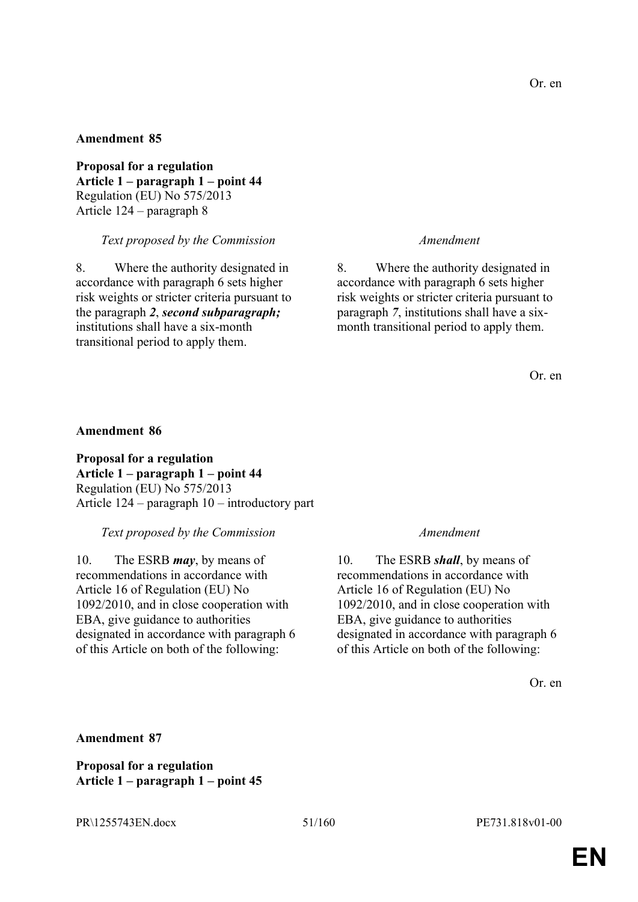**Proposal for a regulation Article 1 – paragraph 1 – point 44** Regulation (EU) No 575/2013 Article 124 – paragraph 8

*Text proposed by the Commission Amendment*

8. Where the authority designated in accordance with paragraph 6 sets higher risk weights or stricter criteria pursuant to the paragraph *2*, *second subparagraph;* institutions shall have a six-month transitional period to apply them.

8. Where the authority designated in accordance with paragraph 6 sets higher risk weights or stricter criteria pursuant to paragraph *7*, institutions shall have a sixmonth transitional period to apply them.

Or. en

## **Amendment 86**

**Proposal for a regulation Article 1 – paragraph 1 – point 44** Regulation (EU) No 575/2013 Article 124 – paragraph 10 – introductory part

*Text proposed by the Commission Amendment*

10. The ESRB *may*, by means of recommendations in accordance with Article 16 of Regulation (EU) No 1092/2010, and in close cooperation with EBA, give guidance to authorities designated in accordance with paragraph 6 of this Article on both of the following:

10. The ESRB *shall*, by means of recommendations in accordance with Article 16 of Regulation (EU) No 1092/2010, and in close cooperation with EBA, give guidance to authorities designated in accordance with paragraph 6 of this Article on both of the following:

Or. en

# **Amendment 87**

**Proposal for a regulation Article 1 – paragraph 1 – point 45**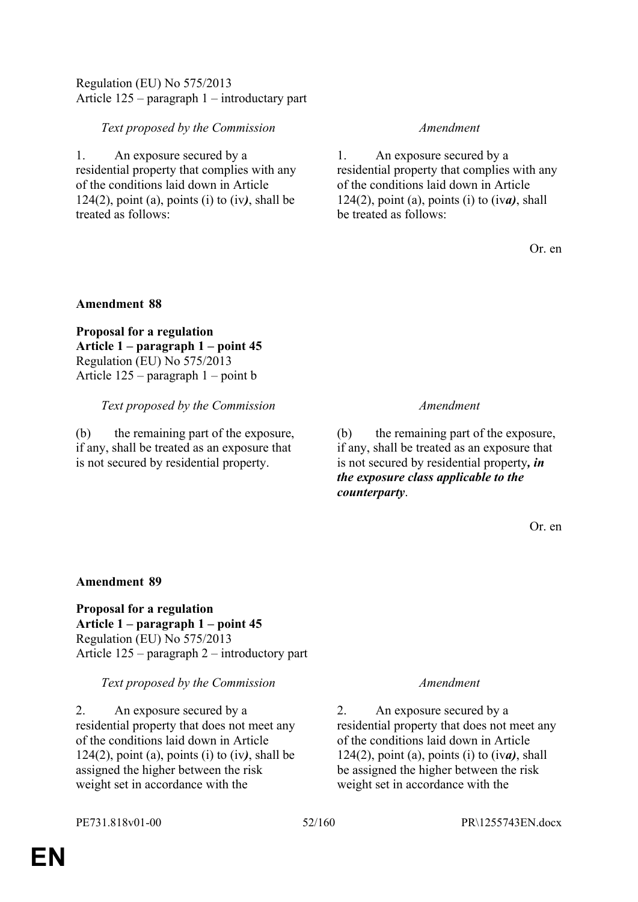# Regulation (EU) No 575/2013 Article 125 – paragraph 1 – introductary part

# *Text proposed by the Commission Amendment*

1. An exposure secured by a residential property that complies with any of the conditions laid down in Article 124(2), point (a), points (i) to (iv*)*, shall be treated as follows:

1. An exposure secured by a residential property that complies with any of the conditions laid down in Article 124(2), point (a), points (i) to (iv*a)*, shall be treated as follows:

Or. en

# **Amendment 88**

**Proposal for a regulation Article 1 – paragraph 1 – point 45** Regulation (EU) No 575/2013 Article 125 – paragraph 1 – point b

# *Text proposed by the Commission Amendment*

(b) the remaining part of the exposure, if any, shall be treated as an exposure that is not secured by residential property.

(b) the remaining part of the exposure, if any, shall be treated as an exposure that is not secured by residential property*, in the exposure class applicable to the counterparty*.

Or. en

# **Amendment 89**

**Proposal for a regulation Article 1 – paragraph 1 – point 45** Regulation (EU) No 575/2013 Article 125 – paragraph 2 – introductory part

# *Text proposed by the Commission Amendment*

2. An exposure secured by a residential property that does not meet any of the conditions laid down in Article 124(2), point (a), points (i) to (iv*)*, shall be assigned the higher between the risk weight set in accordance with the

2. An exposure secured by a residential property that does not meet any of the conditions laid down in Article 124(2), point (a), points (i) to (iv*a)*, shall be assigned the higher between the risk weight set in accordance with the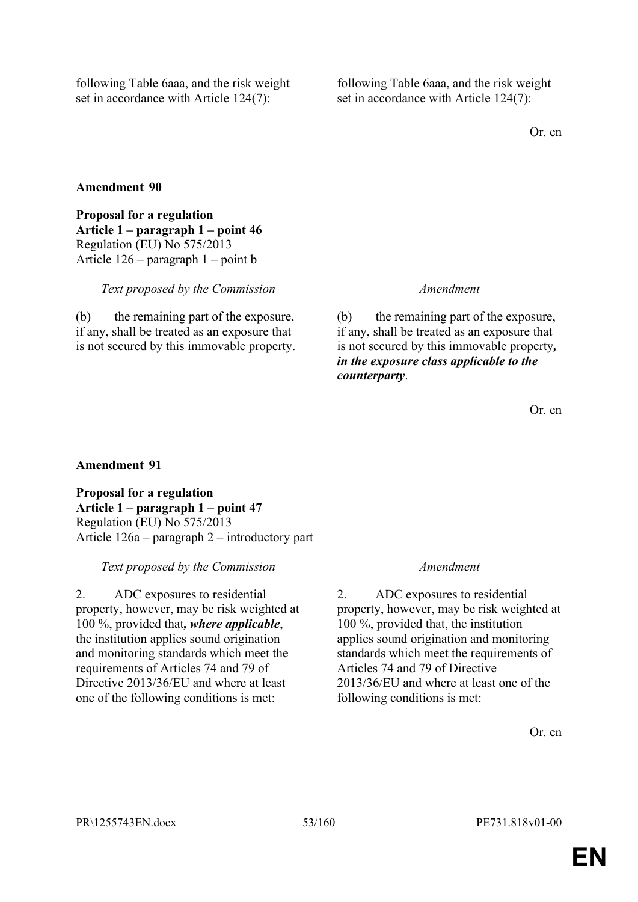following Table 6aaa, and the risk weight set in accordance with Article 124(7):

following Table 6aaa, and the risk weight set in accordance with Article 124(7):

Or. en

# **Amendment 90**

**Proposal for a regulation Article 1 – paragraph 1 – point 46** Regulation (EU) No 575/2013 Article 126 – paragraph 1 – point b

## *Text proposed by the Commission Amendment*

(b) the remaining part of the exposure, if any, shall be treated as an exposure that is not secured by this immovable property.

(b) the remaining part of the exposure, if any, shall be treated as an exposure that is not secured by this immovable property*, in the exposure class applicable to the counterparty*.

Or. en

# **Amendment 91**

**Proposal for a regulation Article 1 – paragraph 1 – point 47** Regulation (EU) No 575/2013 Article 126a – paragraph 2 – introductory part

# *Text proposed by the Commission Amendment*

2. ADC exposures to residential property, however, may be risk weighted at 100 %, provided that*, where applicable*, the institution applies sound origination and monitoring standards which meet the requirements of Articles 74 and 79 of Directive 2013/36/EU and where at least one of the following conditions is met:

2. ADC exposures to residential property, however, may be risk weighted at 100 %, provided that, the institution applies sound origination and monitoring standards which meet the requirements of Articles 74 and 79 of Directive 2013/36/EU and where at least one of the following conditions is met:

Or. en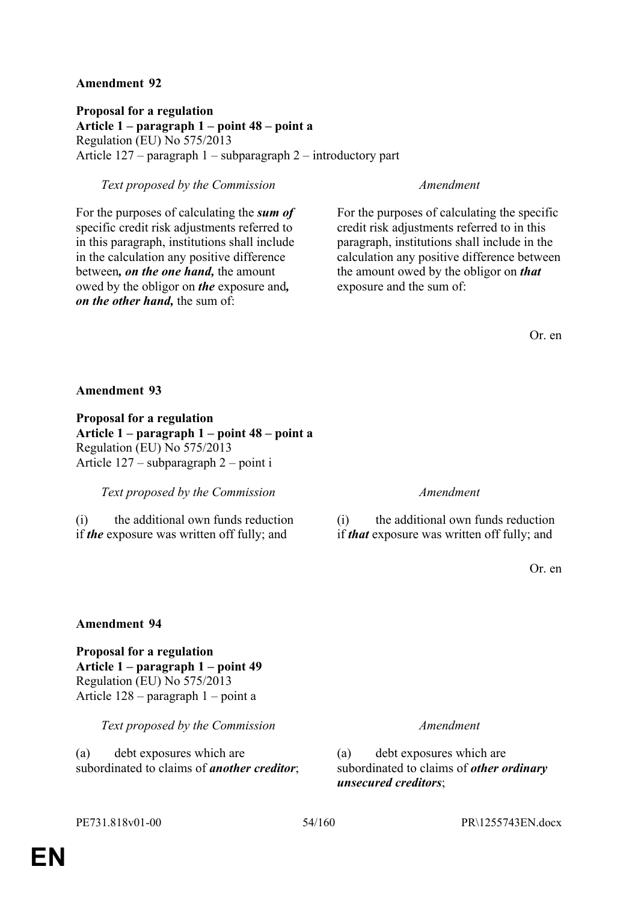**Proposal for a regulation Article 1 – paragraph 1 – point 48 – point a** Regulation (EU) No 575/2013 Article 127 – paragraph 1 – subparagraph 2 – introductory part

# *Text proposed by the Commission Amendment*

For the purposes of calculating the *sum of* specific credit risk adjustments referred to in this paragraph, institutions shall include in the calculation any positive difference between*, on the one hand,* the amount owed by the obligor on *the* exposure and*, on the other hand,* the sum of:

For the purposes of calculating the specific credit risk adjustments referred to in this paragraph, institutions shall include in the calculation any positive difference between the amount owed by the obligor on *that* exposure and the sum of:

Or. en

## **Amendment 93**

**Proposal for a regulation Article 1 – paragraph 1 – point 48 – point a** Regulation (EU) No 575/2013 Article 127 – subparagraph 2 – point i

*Text proposed by the Commission Amendment*

(i) the additional own funds reduction if *the* exposure was written off fully; and

(i) the additional own funds reduction if *that* exposure was written off fully; and

Or. en

## **Amendment 94**

**Proposal for a regulation Article 1 – paragraph 1 – point 49** Regulation (EU) No 575/2013 Article 128 – paragraph 1 – point a

*Text proposed by the Commission Amendment*

(a) debt exposures which are subordinated to claims of *another creditor*;

(a) debt exposures which are subordinated to claims of *other ordinary unsecured creditors*;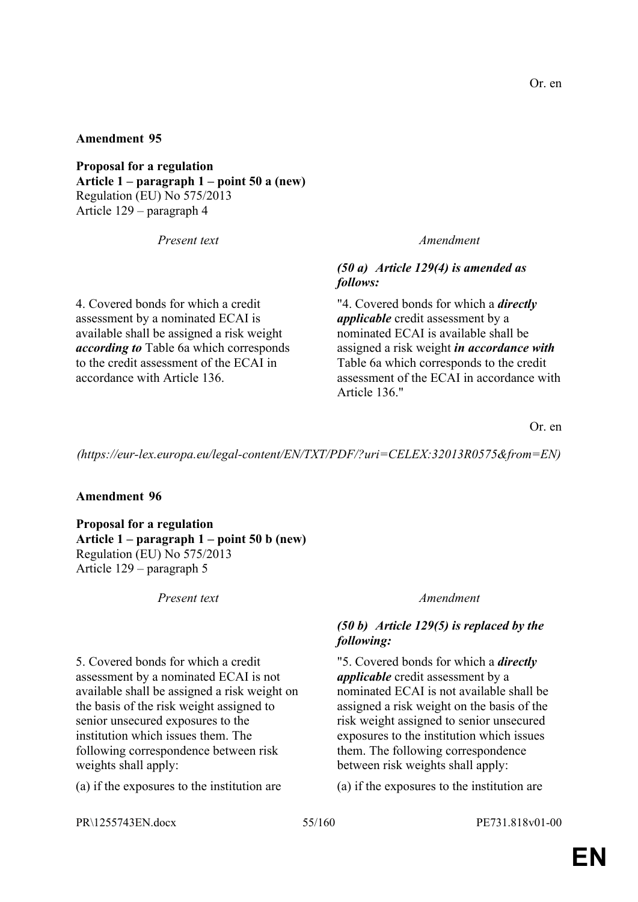**Proposal for a regulation Article 1 – paragraph 1 – point 50 a (new)** Regulation (EU) No 575/2013 Article 129 – paragraph 4

4. Covered bonds for which a credit assessment by a nominated ECAI is available shall be assigned a risk weight *according to* Table 6a which corresponds to the credit assessment of the ECAI in accordance with Article 136.

## *Present text Amendment*

# *(50 a) Article 129(4) is amended as follows:*

"4. Covered bonds for which a *directly applicable* credit assessment by a nominated ECAI is available shall be assigned a risk weight *in accordance with* Table 6a which corresponds to the credit assessment of the ECAI in accordance with Article 136."

Or. en

*(https://eur-lex.europa.eu/legal-content/EN/TXT/PDF/?uri=CELEX:32013R0575&from=EN)*

## **Amendment 96**

**Proposal for a regulation Article 1 – paragraph 1 – point 50 b (new)** Regulation (EU) No 575/2013 Article 129 – paragraph 5

*Present text Amendment*

5. Covered bonds for which a credit assessment by a nominated ECAI is not available shall be assigned a risk weight on the basis of the risk weight assigned to senior unsecured exposures to the institution which issues them. The following correspondence between risk weights shall apply:

(a) if the exposures to the institution are (a) if the exposures to the institution are

# *(50 b) Article 129(5) is replaced by the following:*

"5. Covered bonds for which a *directly applicable* credit assessment by a nominated ECAI is not available shall be assigned a risk weight on the basis of the risk weight assigned to senior unsecured exposures to the institution which issues them. The following correspondence between risk weights shall apply:

PR\1255743EN.docx 55/160 PE731.818v01-00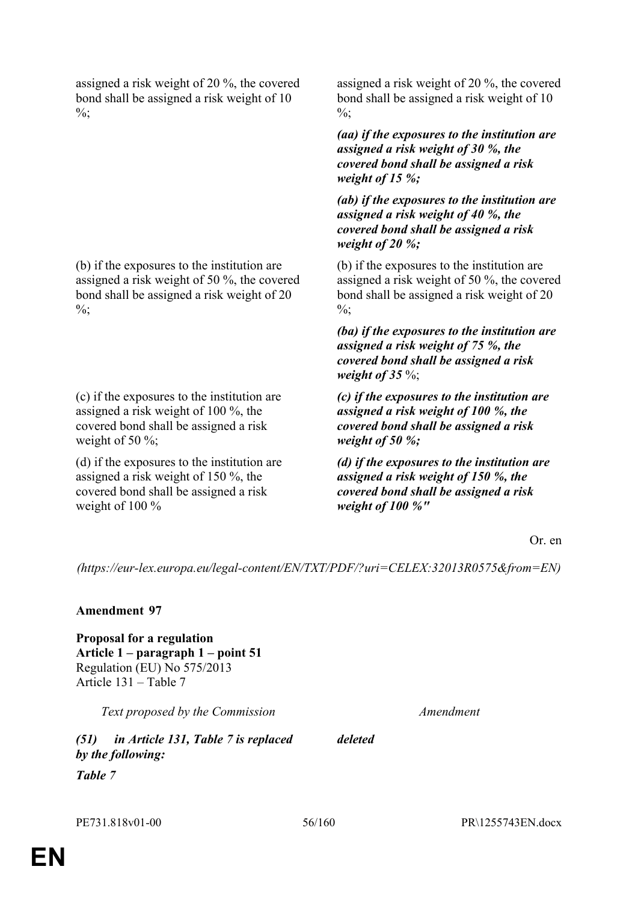assigned a risk weight of 20 %, the covered bond shall be assigned a risk weight of 10  $\frac{0}{6}$ ;

(b) if the exposures to the institution are assigned a risk weight of 50 %, the covered bond shall be assigned a risk weight of 20  $\%$ ;

(c) if the exposures to the institution are assigned a risk weight of 100 %, the covered bond shall be assigned a risk weight of 50 %;

(d) if the exposures to the institution are assigned a risk weight of 150 %, the covered bond shall be assigned a risk weight of 100 %

assigned a risk weight of 20 %, the covered bond shall be assigned a risk weight of 10  $\frac{0}{6}$ ;

*(aa) if the exposures to the institution are assigned a risk weight of 30 %, the covered bond shall be assigned a risk weight of 15 %;*

*(ab) if the exposures to the institution are assigned a risk weight of 40 %, the covered bond shall be assigned a risk weight of 20 %;*

(b) if the exposures to the institution are assigned a risk weight of 50 %, the covered bond shall be assigned a risk weight of 20  $\frac{0}{6}$ ;

*(ba) if the exposures to the institution are assigned a risk weight of 75 %, the covered bond shall be assigned a risk weight of 35* %;

*(c) if the exposures to the institution are assigned a risk weight of 100 %, the covered bond shall be assigned a risk weight of 50 %;*

*(d) if the exposures to the institution are assigned a risk weight of 150 %, the covered bond shall be assigned a risk weight of 100 %"*

Or. en

*(https://eur-lex.europa.eu/legal-content/EN/TXT/PDF/?uri=CELEX:32013R0575&from=EN)*

## **Amendment 97**

**Proposal for a regulation Article 1 – paragraph 1 – point 51** Regulation (EU) No 575/2013 Article 131 – Table 7

*Text proposed by the Commission Amendment*

*(51) in Article 131, Table 7 is replaced by the following:*

*Table 7*

*deleted*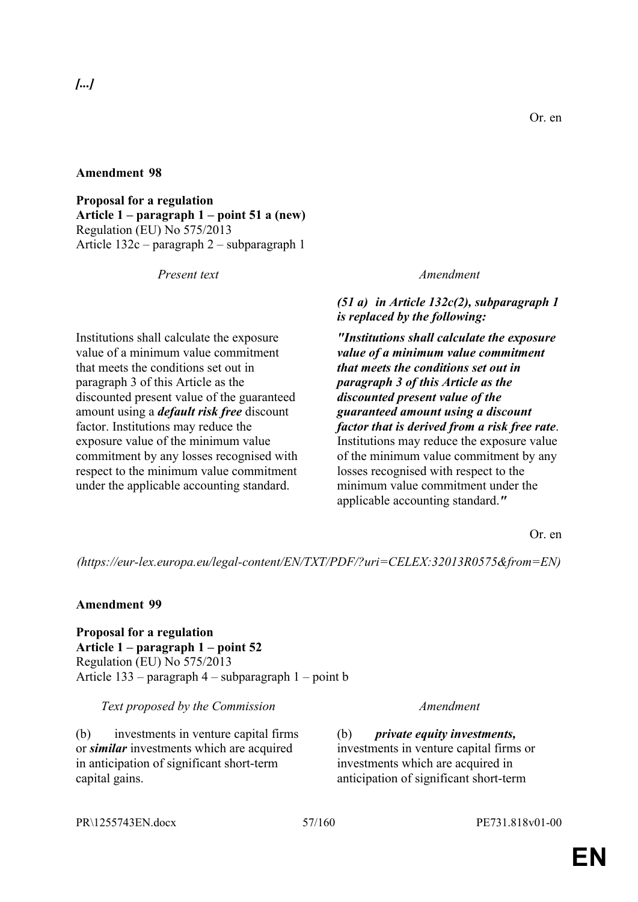# *[...]*

**Proposal for a regulation Article 1 – paragraph 1 – point 51 a (new)** Regulation (EU) No 575/2013 Article 132c – paragraph 2 – subparagraph 1

Institutions shall calculate the exposure value of a minimum value commitment that meets the conditions set out in paragraph 3 of this Article as the discounted present value of the guaranteed amount using a *default risk free* discount factor. Institutions may reduce the exposure value of the minimum value commitment by any losses recognised with respect to the minimum value commitment under the applicable accounting standard.

## *Present text Amendment*

*(51 a) in Article 132c(2), subparagraph 1 is replaced by the following:*

*"Institutions shall calculate the exposure value of a minimum value commitment that meets the conditions set out in paragraph 3 of this Article as the discounted present value of the guaranteed amount using a discount factor that is derived from a risk free rate*. Institutions may reduce the exposure value of the minimum value commitment by any losses recognised with respect to the minimum value commitment under the applicable accounting standard.*"*

Or. en

*(https://eur-lex.europa.eu/legal-content/EN/TXT/PDF/?uri=CELEX:32013R0575&from=EN)*

# **Amendment 99**

**Proposal for a regulation Article 1 – paragraph 1 – point 52** Regulation (EU) No 575/2013 Article 133 – paragraph 4 – subparagraph 1 – point b

*Text proposed by the Commission Amendment*

(b) investments in venture capital firms or *similar* investments which are acquired in anticipation of significant short-term capital gains.

(b) *private equity investments,* investments in venture capital firms or investments which are acquired in anticipation of significant short-term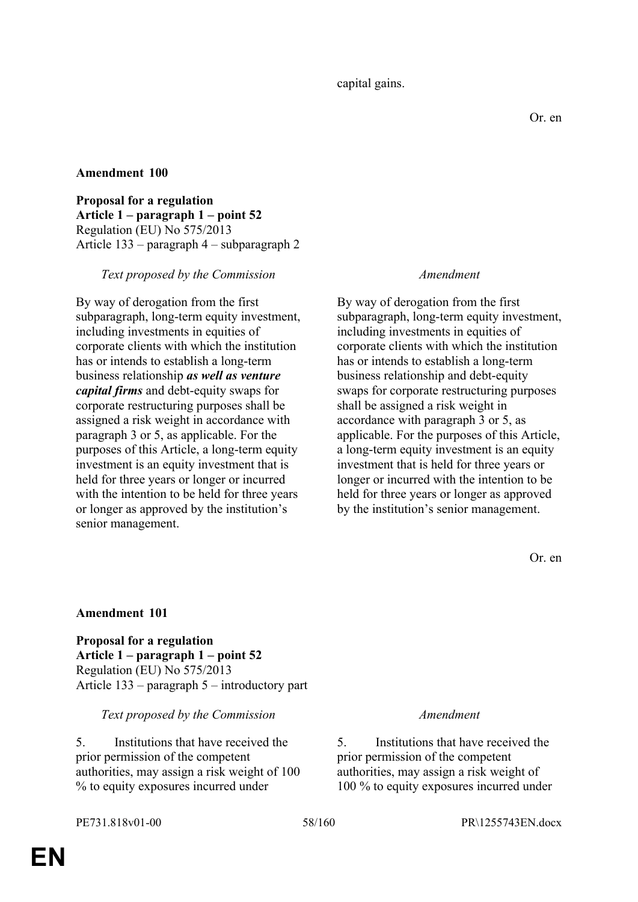**Proposal for a regulation Article 1 – paragraph 1 – point 52** Regulation (EU) No 575/2013 Article 133 – paragraph 4 – subparagraph 2

## *Text proposed by the Commission Amendment*

By way of derogation from the first subparagraph, long-term equity investment, including investments in equities of corporate clients with which the institution has or intends to establish a long-term business relationship *as well as venture capital firms* and debt-equity swaps for corporate restructuring purposes shall be assigned a risk weight in accordance with paragraph 3 or 5, as applicable. For the purposes of this Article, a long-term equity investment is an equity investment that is held for three years or longer or incurred with the intention to be held for three years or longer as approved by the institution's senior management.

By way of derogation from the first subparagraph, long-term equity investment, including investments in equities of corporate clients with which the institution has or intends to establish a long-term business relationship and debt-equity swaps for corporate restructuring purposes shall be assigned a risk weight in accordance with paragraph 3 or 5, as applicable. For the purposes of this Article, a long-term equity investment is an equity investment that is held for three years or longer or incurred with the intention to be held for three years or longer as approved by the institution's senior management.

Or. en

## **Amendment 101**

**Proposal for a regulation Article 1 – paragraph 1 – point 52** Regulation (EU) No 575/2013 Article 133 – paragraph 5 – introductory part

## *Text proposed by the Commission Amendment*

5. Institutions that have received the prior permission of the competent authorities, may assign a risk weight of 100 % to equity exposures incurred under

5. Institutions that have received the prior permission of the competent authorities, may assign a risk weight of 100 % to equity exposures incurred under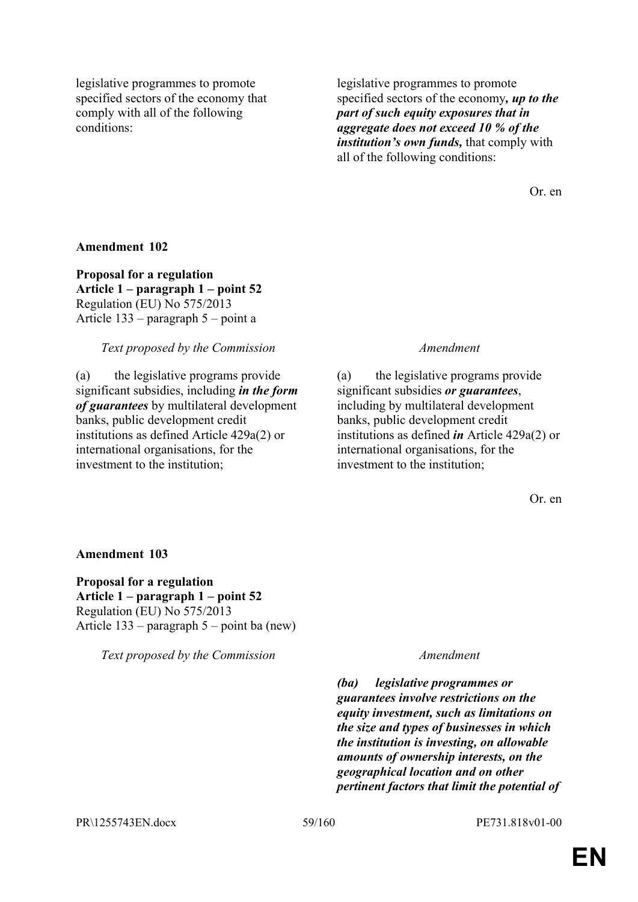legislative programmes to promote specified sectors of the economy that comply with all of the following conditions:

legislative programmes to promote specified sectors of the economy*, up to the part of such equity exposures that in aggregate does not exceed 10 % of the institution's own funds,* that comply with all of the following conditions:

Or. en

## **Amendment 102**

**Proposal for a regulation Article 1 – paragraph 1 – point 52** Regulation (EU) No 575/2013 Article 133 – paragraph 5 – point a

## *Text proposed by the Commission Amendment*

(a) the legislative programs provide significant subsidies, including *in the form of guarantees* by multilateral development banks, public development credit institutions as defined Article 429a(2) or international organisations, for the investment to the institution;

(a) the legislative programs provide significant subsidies *or guarantees*, including by multilateral development banks, public development credit institutions as defined *in* Article 429a(2) or international organisations, for the investment to the institution;

Or. en

## **Amendment 103**

**Proposal for a regulation Article 1 – paragraph 1 – point 52** Regulation (EU) No 575/2013 Article 133 – paragraph 5 – point ba (new)

*Text proposed by the Commission Amendment*

*(ba) legislative programmes or guarantees involve restrictions on the equity investment, such as limitations on the size and types of businesses in which the institution is investing, on allowable amounts of ownership interests, on the geographical location and on other pertinent factors that limit the potential of*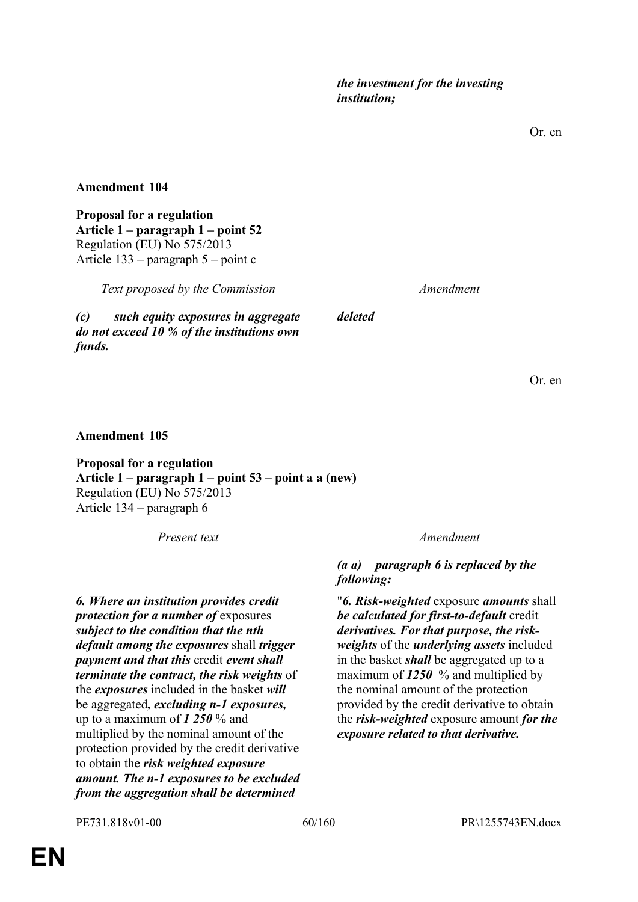Or. en

## **Amendment 104**

**Proposal for a regulation Article 1 – paragraph 1 – point 52** Regulation (EU) No 575/2013 Article 133 – paragraph 5 – point c

*Text proposed by the Commission Amendment*

*(c) such equity exposures in aggregate do not exceed 10 % of the institutions own funds.*

*deleted*

Or. en

# **Amendment 105**

**Proposal for a regulation Article 1 – paragraph 1 – point 53 – point a a (new)** Regulation (EU) No 575/2013 Article 134 – paragraph 6

*Present text Amendment*

*6. Where an institution provides credit protection for a number of* exposures *subject to the condition that the nth default among the exposures* shall *trigger payment and that this* credit *event shall terminate the contract, the risk weights* of the *exposures* included in the basket *will* be aggregated*, excluding n-1 exposures,* up to a maximum of *1 250* % and multiplied by the nominal amount of the protection provided by the credit derivative to obtain the *risk weighted exposure amount. The n-1 exposures to be excluded from the aggregation shall be determined* 

*(a a) paragraph 6 is replaced by the following:*

"*6. Risk-weighted* exposure *amounts* shall *be calculated for first-to-default* credit *derivatives. For that purpose, the riskweights* of the *underlying assets* included in the basket *shall* be aggregated up to a maximum of *1250* % and multiplied by the nominal amount of the protection provided by the credit derivative to obtain the *risk-weighted* exposure amount *for the exposure related to that derivative.*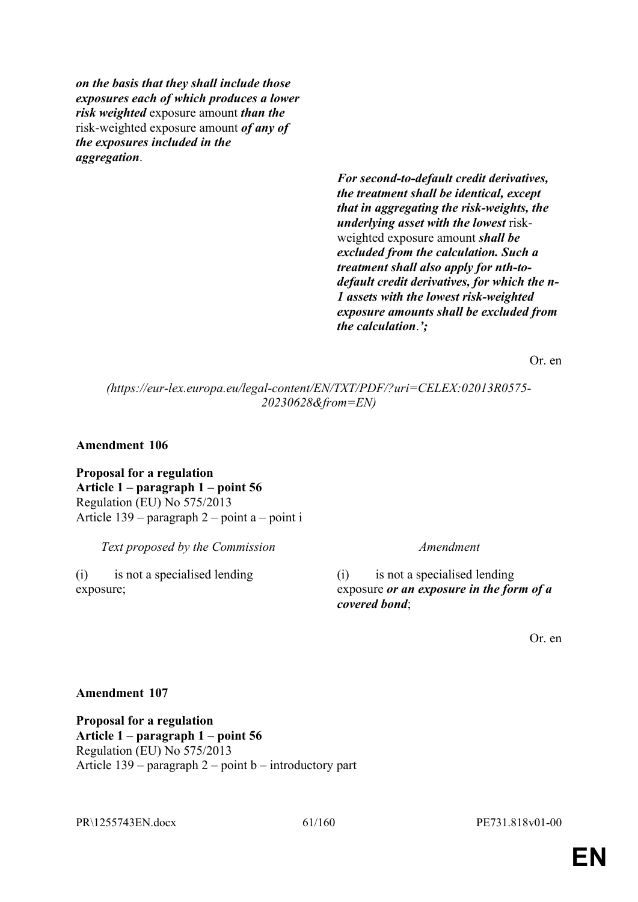*on the basis that they shall include those exposures each of which produces a lower risk weighted* exposure amount *than the* risk-weighted exposure amount *of any of the exposures included in the aggregation*.

> *For second-to-default credit derivatives, the treatment shall be identical, except that in aggregating the risk-weights, the underlying asset with the lowest* riskweighted exposure amount *shall be excluded from the calculation. Such a treatment shall also apply for nth-todefault credit derivatives, for which the n-1 assets with the lowest risk-weighted exposure amounts shall be excluded from the calculation*.*';*

> > Or. en

*(https://eur-lex.europa.eu/legal-content/EN/TXT/PDF/?uri=CELEX:02013R0575- 20230628&from=EN)*

**Amendment 106**

**Proposal for a regulation Article 1 – paragraph 1 – point 56** Regulation (EU) No 575/2013 Article 139 – paragraph 2 – point a – point i

*Text proposed by the Commission Amendment*

(i) is not a specialised lending exposure;

(i) is not a specialised lending exposure *or an exposure in the form of a covered bond*;

Or. en

## **Amendment 107**

**Proposal for a regulation Article 1 – paragraph 1 – point 56** Regulation (EU) No 575/2013 Article 139 – paragraph 2 – point b – introductory part

PR\1255743EN.docx 61/160 PE731.818v01-00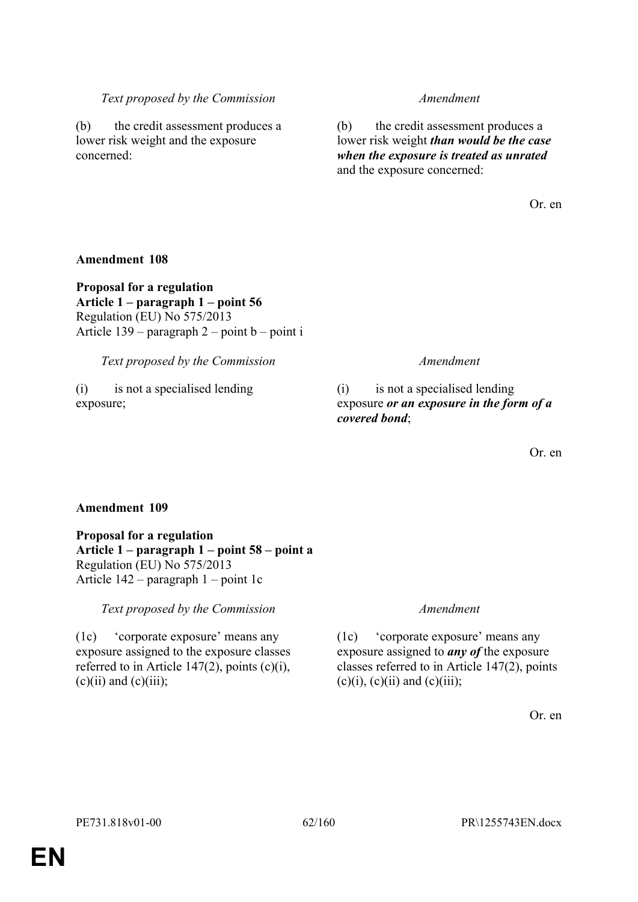# *Text proposed by the Commission Amendment*

(b) the credit assessment produces a lower risk weight and the exposure concerned:

(b) the credit assessment produces a lower risk weight *than would be the case when the exposure is treated as unrated* and the exposure concerned:

Or. en

# **Amendment 108**

**Proposal for a regulation Article 1 – paragraph 1 – point 56** Regulation (EU) No 575/2013 Article  $139$  – paragraph  $2$  – point b – point i

*Text proposed by the Commission Amendment*

(i) is not a specialised lending exposure;

(i) is not a specialised lending exposure *or an exposure in the form of a covered bond*;

Or. en

# **Amendment 109**

**Proposal for a regulation Article 1 – paragraph 1 – point 58 – point a** Regulation (EU) No 575/2013 Article 142 – paragraph 1 – point 1c

*Text proposed by the Commission Amendment*

(1c) 'corporate exposure' means any exposure assigned to the exposure classes referred to in Article 147(2), points  $(c)(i)$ ,  $(c)(ii)$  and  $(c)(iii)$ ;

(1c) 'corporate exposure' means any exposure assigned to *any of* the exposure classes referred to in Article 147(2), points  $(c)(i)$ ,  $(c)(ii)$  and  $(c)(iii)$ ;

Or. en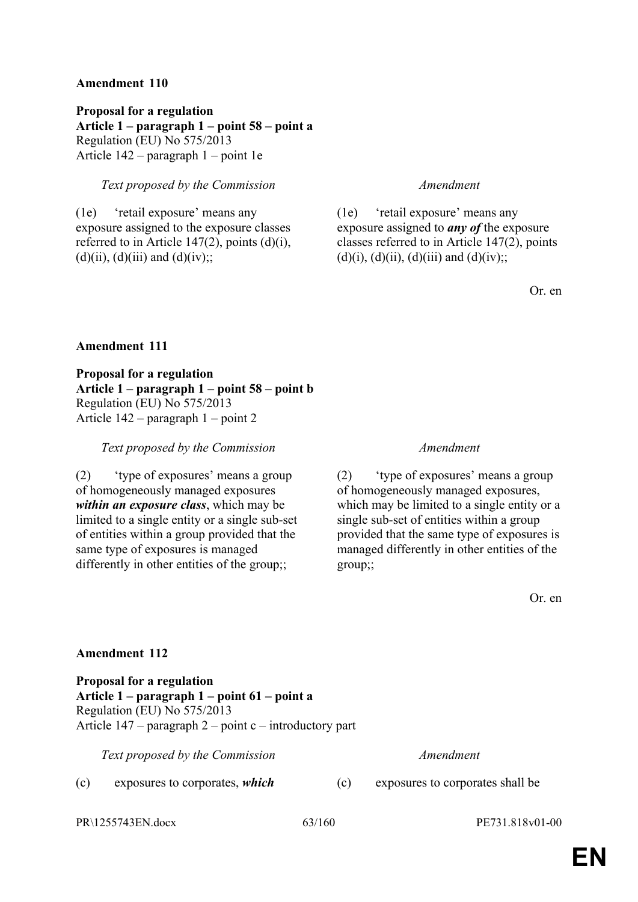**Proposal for a regulation Article 1 – paragraph 1 – point 58 – point a** Regulation (EU) No 575/2013 Article 142 – paragraph 1 – point 1e

# *Text proposed by the Commission Amendment*

(1e) 'retail exposure' means any exposure assigned to the exposure classes referred to in Article  $147(2)$ , points  $(d)(i)$ ,  $(d)(ii)$ ,  $(d)(iii)$  and  $(d)(iv)$ ;;

(1e) 'retail exposure' means any exposure assigned to *any of* the exposure classes referred to in Article 147(2), points (d)(i), (d)(ii), (d)(iii) and (d)(iv);;

Or. en

## **Amendment 111**

**Proposal for a regulation Article 1 – paragraph 1 – point 58 – point b** Regulation (EU) No 575/2013 Article 142 – paragraph 1 – point 2

*Text proposed by the Commission Amendment*

(2) 'type of exposures' means a group of homogeneously managed exposures *within an exposure class*, which may be limited to a single entity or a single sub-set of entities within a group provided that the same type of exposures is managed differently in other entities of the group;;

(2) 'type of exposures' means a group of homogeneously managed exposures, which may be limited to a single entity or a single sub-set of entities within a group provided that the same type of exposures is managed differently in other entities of the group;;

Or. en

## **Amendment 112**

**Proposal for a regulation Article 1 – paragraph 1 – point 61 – point a** Regulation (EU) No 575/2013 Article  $147$  – paragraph 2 – point c – introductory part

*Text proposed by the Commission Amendment*

(c) exposures to corporates, *which* (c) exposures to corporates shall be

PR\1255743EN.docx 63/160 PE731.818v01-00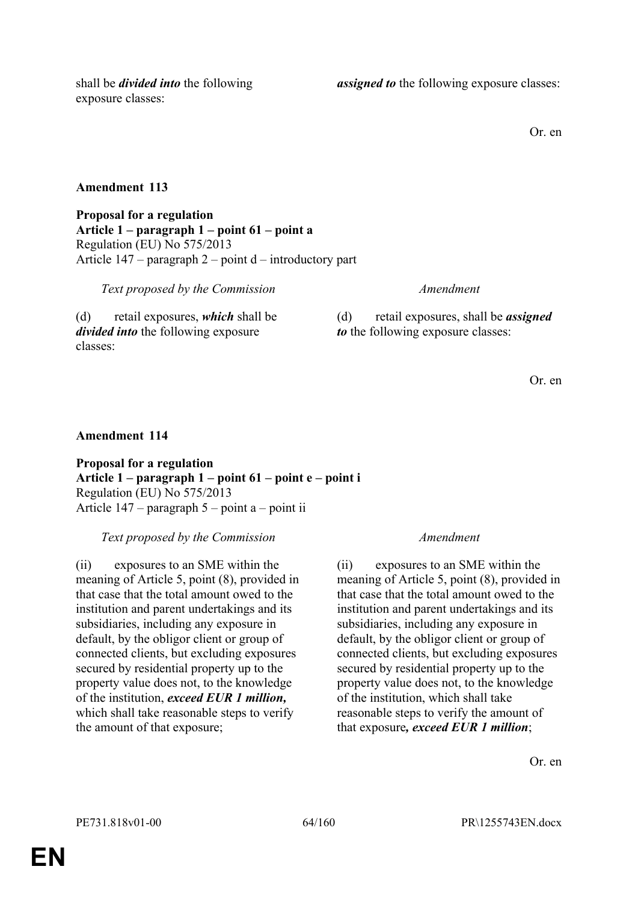shall be *divided into* the following exposure classes:

*assigned to* the following exposure classes:

Or. en

# **Amendment 113**

**Proposal for a regulation Article 1 – paragraph 1 – point 61 – point a** Regulation (EU) No 575/2013 Article 147 – paragraph 2 – point d – introductory part

*Text proposed by the Commission Amendment*

(d) retail exposures, *which* shall be *divided into* the following exposure classes:

(d) retail exposures, shall be *assigned to* the following exposure classes:

Or. en

# **Amendment 114**

**Proposal for a regulation Article 1 – paragraph 1 – point 61 – point e – point i** Regulation (EU) No 575/2013 Article 147 – paragraph 5 – point a – point ii

*Text proposed by the Commission Amendment*

(ii) exposures to an SME within the meaning of Article 5, point (8), provided in that case that the total amount owed to the institution and parent undertakings and its subsidiaries, including any exposure in default, by the obligor client or group of connected clients, but excluding exposures secured by residential property up to the property value does not, to the knowledge of the institution, *exceed EUR 1 million,* which shall take reasonable steps to verify the amount of that exposure;

(ii) exposures to an SME within the meaning of Article 5, point (8), provided in that case that the total amount owed to the institution and parent undertakings and its subsidiaries, including any exposure in default, by the obligor client or group of connected clients, but excluding exposures secured by residential property up to the property value does not, to the knowledge of the institution, which shall take reasonable steps to verify the amount of that exposure*, exceed EUR 1 million*;

Or. en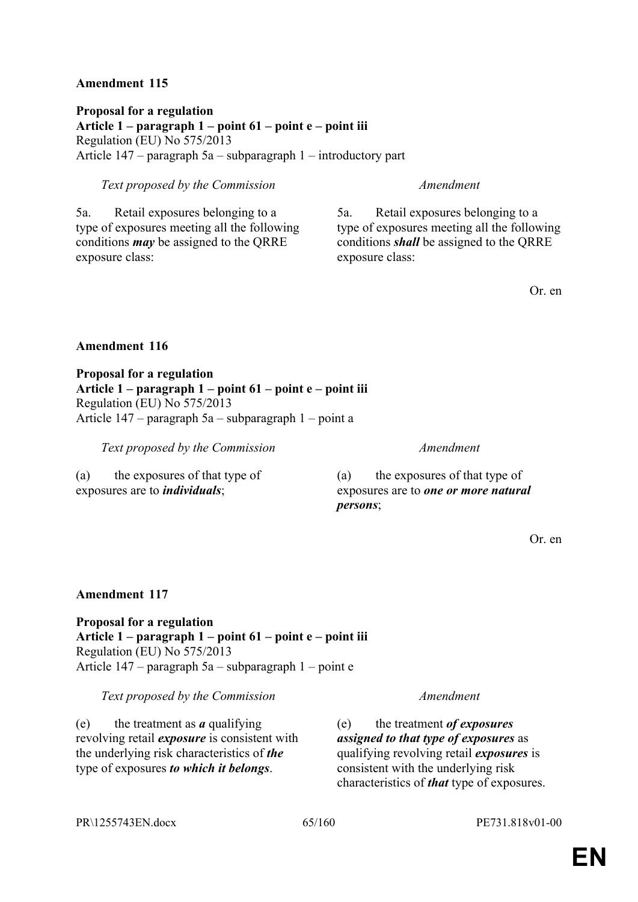**Proposal for a regulation Article 1 – paragraph 1 – point 61 – point e – point iii** Regulation (EU) No 575/2013 Article 147 – paragraph 5a – subparagraph 1 – introductory part

# *Text proposed by the Commission Amendment*

5a. Retail exposures belonging to a type of exposures meeting all the following conditions *may* be assigned to the QRRE exposure class:

5a. Retail exposures belonging to a type of exposures meeting all the following conditions *shall* be assigned to the QRRE exposure class:

Or. en

## **Amendment 116**

**Proposal for a regulation Article 1 – paragraph 1 – point 61 – point e – point iii** Regulation (EU) No 575/2013 Article 147 – paragraph 5a – subparagraph 1 – point a

*Text proposed by the Commission Amendment*

(a) the exposures of that type of exposures are to *individuals*;

(a) the exposures of that type of exposures are to *one or more natural persons*;

Or. en

## **Amendment 117**

**Proposal for a regulation Article 1 – paragraph 1 – point 61 – point e – point iii** Regulation (EU) No 575/2013 Article 147 – paragraph 5a – subparagraph 1 – point e

*Text proposed by the Commission Amendment*

(e) the treatment as *a* qualifying revolving retail *exposure* is consistent with the underlying risk characteristics of *the* type of exposures *to which it belongs*.

(e) the treatment *of exposures assigned to that type of exposures* as qualifying revolving retail *exposures* is consistent with the underlying risk characteristics of *that* type of exposures.

PR\1255743EN.docx 65/160 PE731.818v01-00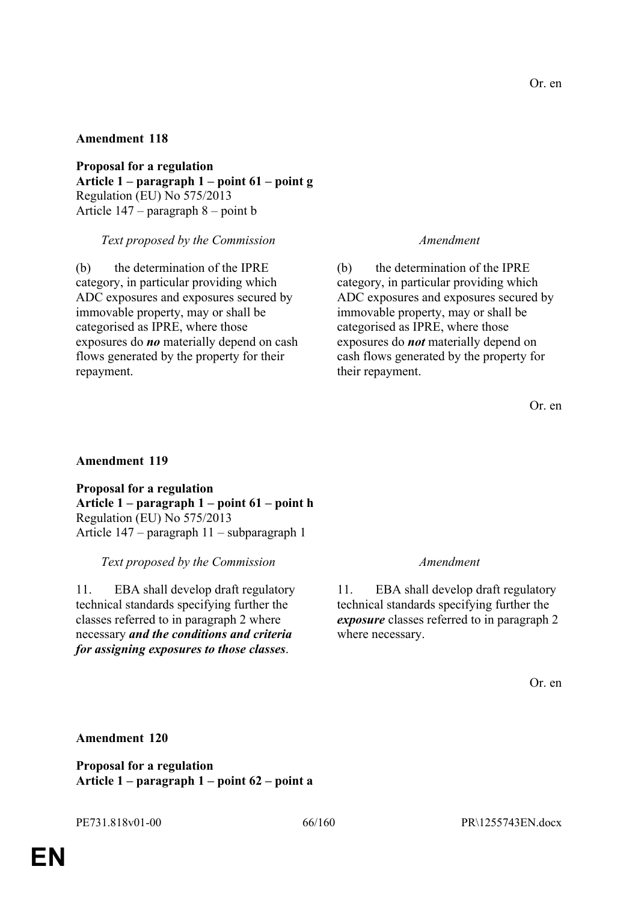**Proposal for a regulation Article 1 – paragraph 1 – point 61 – point g** Regulation (EU) No 575/2013 Article 147 – paragraph 8 – point b

## *Text proposed by the Commission Amendment*

(b) the determination of the IPRE category, in particular providing which ADC exposures and exposures secured by immovable property, may or shall be categorised as IPRE, where those exposures do *no* materially depend on cash flows generated by the property for their repayment.

(b) the determination of the IPRE category, in particular providing which ADC exposures and exposures secured by immovable property, may or shall be categorised as IPRE, where those exposures do *not* materially depend on cash flows generated by the property for their repayment.

Or. en

## **Amendment 119**

**Proposal for a regulation Article 1 – paragraph 1 – point 61 – point h** Regulation (EU) No 575/2013 Article 147 – paragraph 11 – subparagraph 1

*Text proposed by the Commission Amendment*

11. EBA shall develop draft regulatory technical standards specifying further the classes referred to in paragraph 2 where necessary *and the conditions and criteria for assigning exposures to those classes*.

11. EBA shall develop draft regulatory technical standards specifying further the *exposure* classes referred to in paragraph 2 where necessary.

Or. en

## **Amendment 120**

**Proposal for a regulation Article 1 – paragraph 1 – point 62 – point a**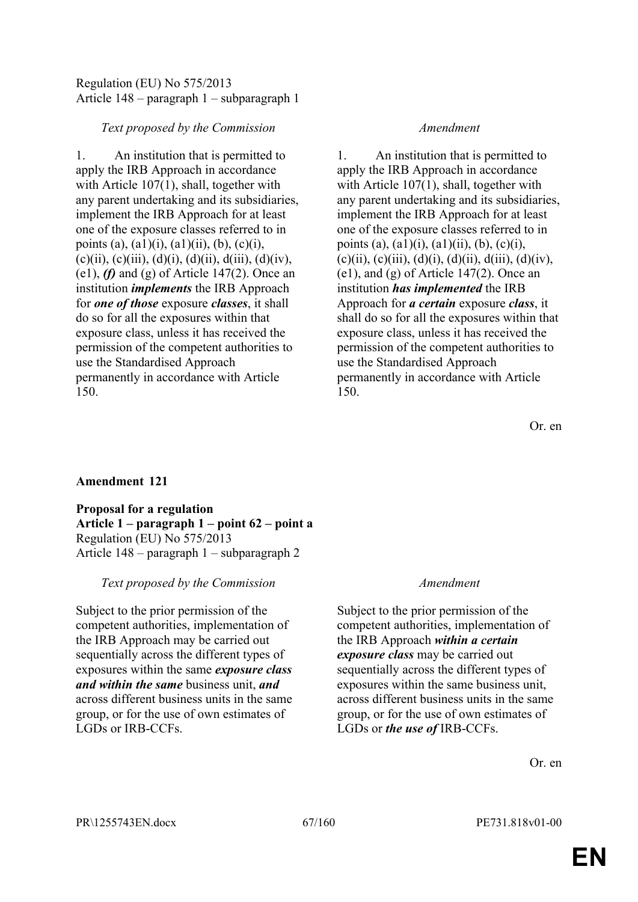# Regulation (EU) No 575/2013 Article 148 – paragraph 1 – subparagraph 1

## *Text proposed by the Commission Amendment*

1. An institution that is permitted to apply the IRB Approach in accordance with Article 107(1), shall, together with any parent undertaking and its subsidiaries, implement the IRB Approach for at least one of the exposure classes referred to in points (a),  $(a1)(i)$ ,  $(a1)(ii)$ ,  $(b)$ ,  $(c)(i)$ ,  $(c)(ii)$ ,  $(c)(iii)$ ,  $(d)(i)$ ,  $(d)(ii)$ ,  $d(iii)$ ,  $(d)(iv)$ , (e1), *(f)* and (g) of Article 147(2). Once an institution *implements* the IRB Approach for *one of those* exposure *classes*, it shall do so for all the exposures within that exposure class, unless it has received the permission of the competent authorities to use the Standardised Approach permanently in accordance with Article 150.

1. An institution that is permitted to apply the IRB Approach in accordance with Article 107(1), shall, together with any parent undertaking and its subsidiaries, implement the IRB Approach for at least one of the exposure classes referred to in points (a),  $(a1)(i)$ ,  $(a1)(ii)$ ,  $(b)$ ,  $(c)(i)$ ,  $(c)(ii)$ ,  $(c)(iii)$ ,  $(d)(i)$ ,  $(d)(ii)$ ,  $d(iii)$ ,  $(d)(iv)$ , (e1), and (g) of Article 147(2). Once an institution *has implemented* the IRB Approach for *a certain* exposure *class*, it shall do so for all the exposures within that exposure class, unless it has received the permission of the competent authorities to use the Standardised Approach permanently in accordance with Article 150.

Or. en

# **Amendment 121**

**Proposal for a regulation Article 1 – paragraph 1 – point 62 – point a** Regulation (EU) No 575/2013 Article 148 – paragraph 1 – subparagraph 2

# *Text proposed by the Commission Amendment*

Subject to the prior permission of the competent authorities, implementation of the IRB Approach may be carried out sequentially across the different types of exposures within the same *exposure class and within the same* business unit, *and* across different business units in the same group, or for the use of own estimates of LGDs or IRB-CCFs.

Subject to the prior permission of the competent authorities, implementation of the IRB Approach *within a certain exposure class* may be carried out sequentially across the different types of exposures within the same business unit, across different business units in the same group, or for the use of own estimates of LGDs or *the use of* IRB-CCFs.

Or. en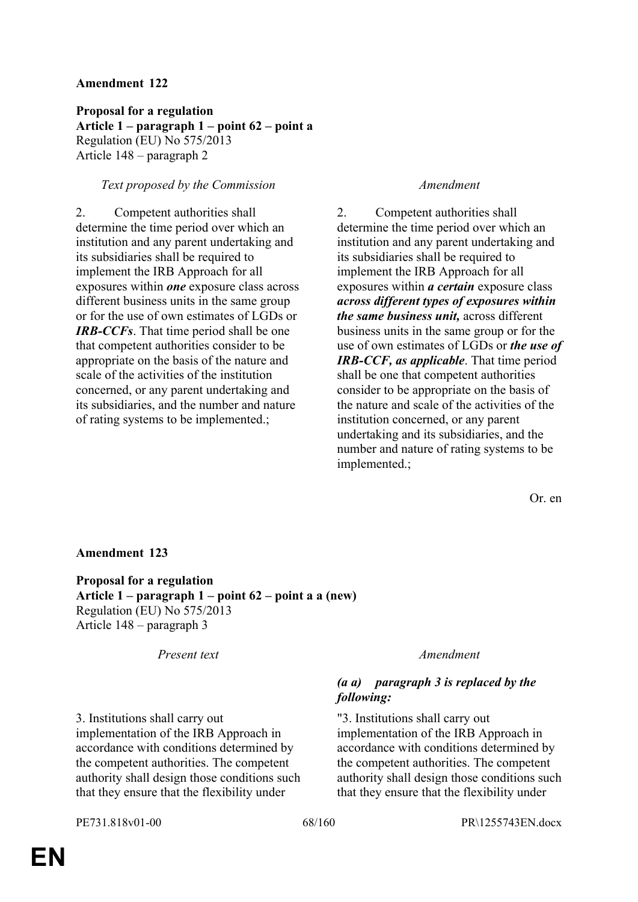**Proposal for a regulation Article 1 – paragraph 1 – point 62 – point a** Regulation (EU) No 575/2013 Article 148 – paragraph 2

## *Text proposed by the Commission Amendment*

2. Competent authorities shall determine the time period over which an institution and any parent undertaking and its subsidiaries shall be required to implement the IRB Approach for all exposures within *one* exposure class across different business units in the same group or for the use of own estimates of LGDs or *IRB-CCFs*. That time period shall be one that competent authorities consider to be appropriate on the basis of the nature and scale of the activities of the institution concerned, or any parent undertaking and its subsidiaries, and the number and nature of rating systems to be implemented.;

2. Competent authorities shall determine the time period over which an institution and any parent undertaking and its subsidiaries shall be required to implement the IRB Approach for all exposures within *a certain* exposure class *across different types of exposures within the same business unit,* across different business units in the same group or for the use of own estimates of LGDs or *the use of IRB-CCF, as applicable*. That time period shall be one that competent authorities consider to be appropriate on the basis of the nature and scale of the activities of the institution concerned, or any parent undertaking and its subsidiaries, and the number and nature of rating systems to be implemented.;

Or. en

## **Amendment 123**

**Proposal for a regulation Article 1 – paragraph 1 – point 62 – point a a (new)** Regulation (EU) No 575/2013 Article 148 – paragraph 3

*Present text Amendment*

## *(a a) paragraph 3 is replaced by the following:*

"3. Institutions shall carry out implementation of the IRB Approach in accordance with conditions determined by the competent authorities. The competent authority shall design those conditions such that they ensure that the flexibility under

3. Institutions shall carry out implementation of the IRB Approach in accordance with conditions determined by the competent authorities. The competent authority shall design those conditions such that they ensure that the flexibility under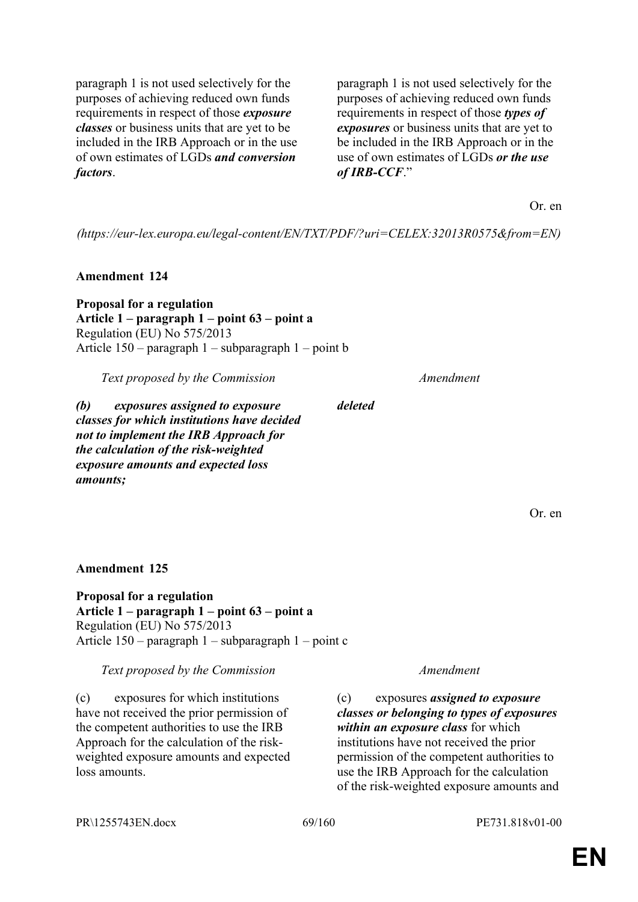paragraph 1 is not used selectively for the purposes of achieving reduced own funds requirements in respect of those *exposure classes* or business units that are yet to be included in the IRB Approach or in the use of own estimates of LGDs *and conversion factors*.

paragraph 1 is not used selectively for the purposes of achieving reduced own funds requirements in respect of those *types of exposures* or business units that are yet to be included in the IRB Approach or in the use of own estimates of LGDs *or the use of IRB-CCF*."

Or. en

*(https://eur-lex.europa.eu/legal-content/EN/TXT/PDF/?uri=CELEX:32013R0575&from=EN)*

*deleted*

**Amendment 124**

**Proposal for a regulation Article 1 – paragraph 1 – point 63 – point a** Regulation (EU) No 575/2013 Article 150 – paragraph 1 – subparagraph 1 – point b

*Text proposed by the Commission Amendment*

*(b) exposures assigned to exposure classes for which institutions have decided not to implement the IRB Approach for the calculation of the risk-weighted exposure amounts and expected loss amounts;*

Or. en

**Amendment 125**

**Proposal for a regulation Article 1 – paragraph 1 – point 63 – point a** Regulation (EU) No 575/2013 Article 150 – paragraph 1 – subparagraph 1 – point c

*Text proposed by the Commission Amendment*

(c) exposures for which institutions have not received the prior permission of the competent authorities to use the IRB Approach for the calculation of the riskweighted exposure amounts and expected loss amounts.

(c) exposures *assigned to exposure classes or belonging to types of exposures within an exposure class* for which institutions have not received the prior permission of the competent authorities to use the IRB Approach for the calculation of the risk-weighted exposure amounts and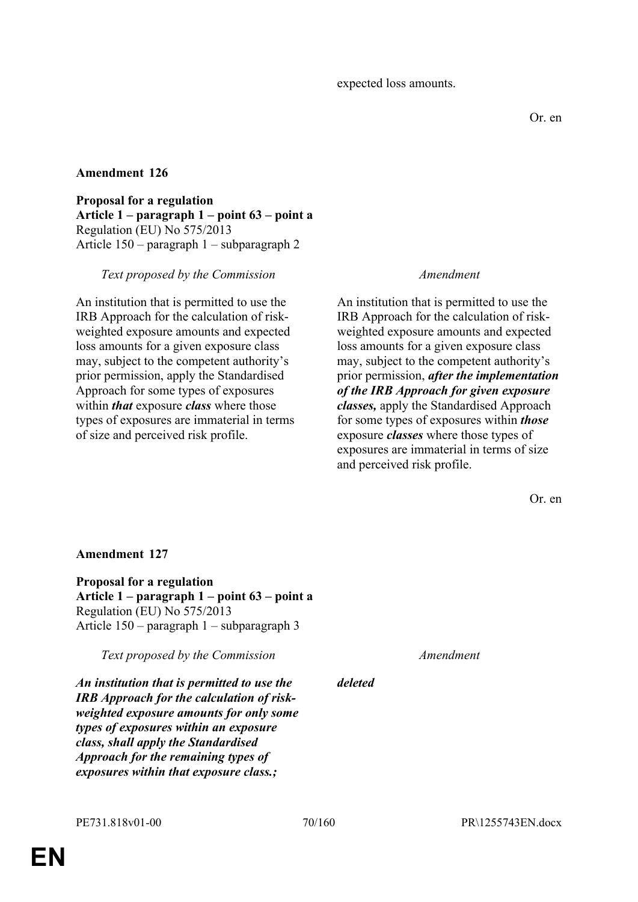**Proposal for a regulation Article 1 – paragraph 1 – point 63 – point a** Regulation (EU) No 575/2013 Article 150 – paragraph 1 – subparagraph 2

## *Text proposed by the Commission Amendment*

An institution that is permitted to use the IRB Approach for the calculation of riskweighted exposure amounts and expected loss amounts for a given exposure class may, subject to the competent authority's prior permission, apply the Standardised Approach for some types of exposures within *that* exposure *class* where those types of exposures are immaterial in terms of size and perceived risk profile.

An institution that is permitted to use the IRB Approach for the calculation of riskweighted exposure amounts and expected loss amounts for a given exposure class may, subject to the competent authority's prior permission, *after the implementation of the IRB Approach for given exposure classes,* apply the Standardised Approach for some types of exposures within *those* exposure *classes* where those types of exposures are immaterial in terms of size and perceived risk profile.

Or. en

## **Amendment 127**

**Proposal for a regulation Article 1 – paragraph 1 – point 63 – point a** Regulation (EU) No 575/2013 Article 150 – paragraph 1 – subparagraph 3

*Text proposed by the Commission Amendment*

*deleted*

*An institution that is permitted to use the IRB Approach for the calculation of riskweighted exposure amounts for only some types of exposures within an exposure class, shall apply the Standardised Approach for the remaining types of exposures within that exposure class.;*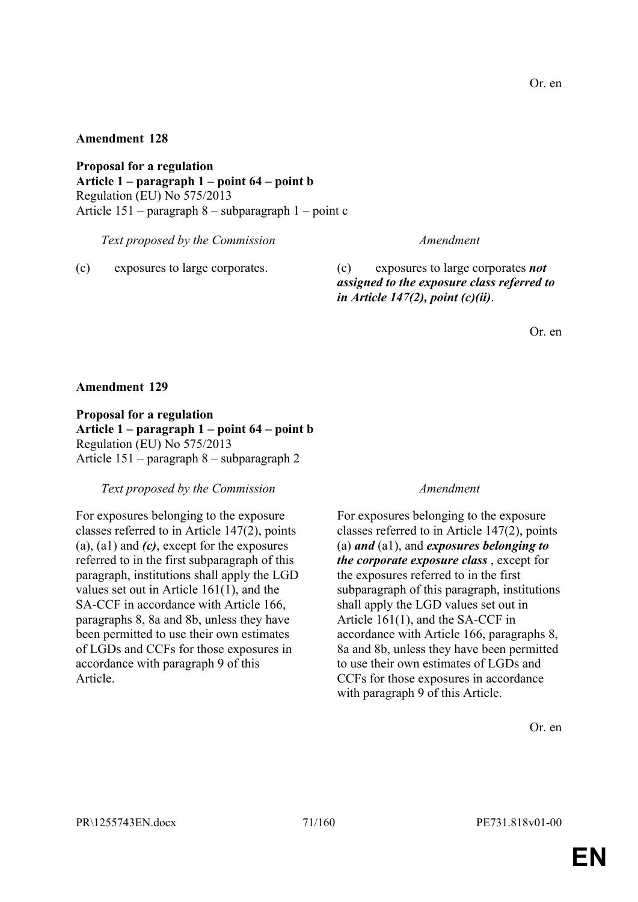**Proposal for a regulation Article 1 – paragraph 1 – point 64 – point b** Regulation (EU) No 575/2013 Article 151 – paragraph 8 – subparagraph 1 – point c

*Text proposed by the Commission Amendment*

(c) exposures to large corporates. (c) exposures to large corporates *not assigned to the exposure class referred to in Article 147(2), point (c)(ii)*.

Or. en

## **Amendment 129**

**Proposal for a regulation Article 1 – paragraph 1 – point 64 – point b** Regulation (EU) No 575/2013 Article 151 – paragraph 8 – subparagraph 2

*Text proposed by the Commission Amendment*

For exposures belonging to the exposure classes referred to in Article 147(2), points (a), (a1) and *(c)*, except for the exposures referred to in the first subparagraph of this paragraph, institutions shall apply the LGD values set out in Article 161(1), and the SA-CCF in accordance with Article 166, paragraphs 8, 8a and 8b, unless they have been permitted to use their own estimates of LGDs and CCFs for those exposures in accordance with paragraph 9 of this Article.

For exposures belonging to the exposure classes referred to in Article 147(2), points (a) *and* (a1), and *exposures belonging to the corporate exposure class* , except for the exposures referred to in the first subparagraph of this paragraph, institutions shall apply the LGD values set out in Article 161(1), and the SA-CCF in accordance with Article 166, paragraphs 8, 8a and 8b, unless they have been permitted to use their own estimates of LGDs and CCFs for those exposures in accordance with paragraph 9 of this Article.

Or. en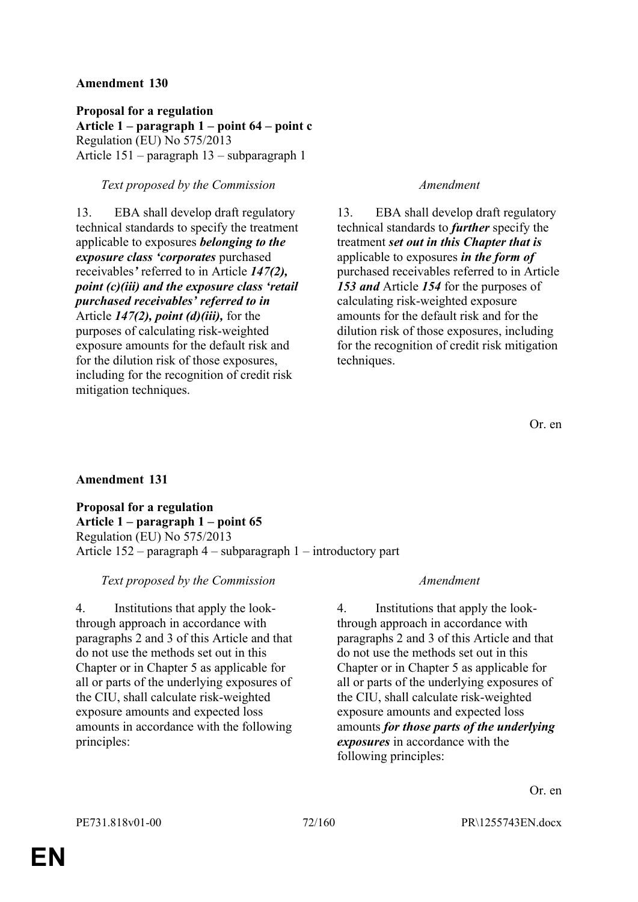**Proposal for a regulation Article 1 – paragraph 1 – point 64 – point c** Regulation (EU) No 575/2013 Article 151 – paragraph 13 – subparagraph 1

## *Text proposed by the Commission Amendment*

13. EBA shall develop draft regulatory technical standards to specify the treatment applicable to exposures *belonging to the exposure class 'corporates* purchased receivables*'* referred to in Article *147(2), point (c)(iii) and the exposure class 'retail purchased receivables' referred to in* Article *147(2), point (d)(iii),* for the purposes of calculating risk-weighted exposure amounts for the default risk and for the dilution risk of those exposures, including for the recognition of credit risk mitigation techniques.

13. EBA shall develop draft regulatory technical standards to *further* specify the treatment *set out in this Chapter that is* applicable to exposures *in the form of* purchased receivables referred to in Article *153 and* Article *154* for the purposes of calculating risk-weighted exposure amounts for the default risk and for the dilution risk of those exposures, including for the recognition of credit risk mitigation techniques.

# **Amendment 131**

**Proposal for a regulation Article 1 – paragraph 1 – point 65** Regulation (EU) No 575/2013 Article 152 – paragraph 4 – subparagraph 1 – introductory part

# *Text proposed by the Commission Amendment*

4. Institutions that apply the lookthrough approach in accordance with paragraphs 2 and 3 of this Article and that do not use the methods set out in this Chapter or in Chapter 5 as applicable for all or parts of the underlying exposures of the CIU, shall calculate risk-weighted exposure amounts and expected loss amounts in accordance with the following principles:

4. Institutions that apply the lookthrough approach in accordance with paragraphs 2 and 3 of this Article and that do not use the methods set out in this Chapter or in Chapter 5 as applicable for all or parts of the underlying exposures of the CIU, shall calculate risk-weighted exposure amounts and expected loss amounts *for those parts of the underlying exposures* in accordance with the following principles: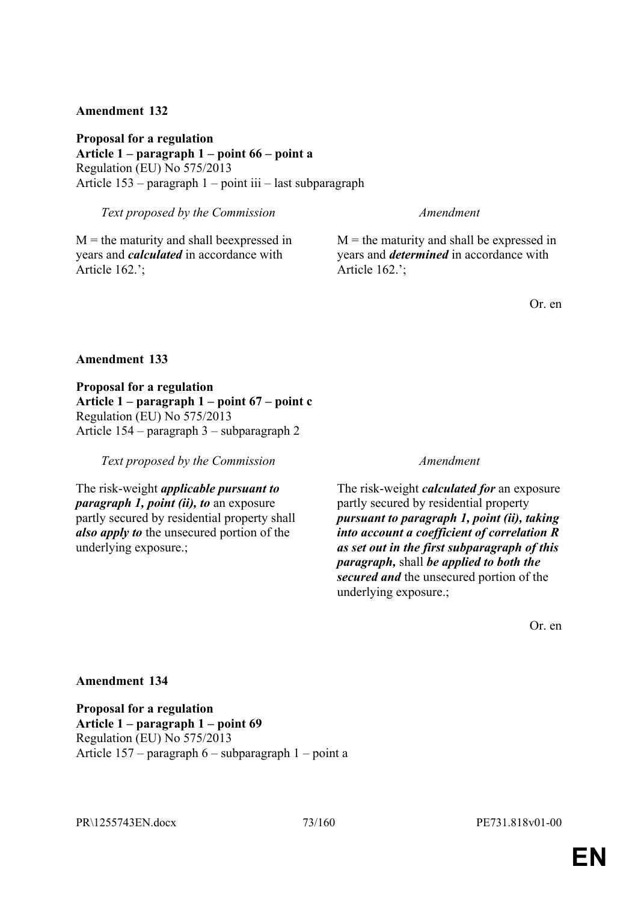**Proposal for a regulation Article 1 – paragraph 1 – point 66 – point a** Regulation (EU) No 575/2013 Article 153 – paragraph 1 – point iii – last subparagraph

*Text proposed by the Commission Amendment*

 $M =$  the maturity and shall beexpressed in years and *calculated* in accordance with Article 162.';

 $M =$  the maturity and shall be expressed in years and *determined* in accordance with Article 162.';

Or. en

### **Amendment 133**

**Proposal for a regulation Article 1 – paragraph 1 – point 67 – point c** Regulation (EU) No 575/2013 Article 154 – paragraph 3 – subparagraph 2

*Text proposed by the Commission Amendment*

The risk-weight *applicable pursuant to paragraph 1, point (ii), to* an exposure partly secured by residential property shall *also apply to* the unsecured portion of the underlying exposure.;

The risk-weight *calculated for* an exposure partly secured by residential property *pursuant to paragraph 1, point (ii), taking into account a coefficient of correlation R as set out in the first subparagraph of this paragraph,* shall *be applied to both the secured and* the unsecured portion of the underlying exposure.;

Or. en

### **Amendment 134**

**Proposal for a regulation Article 1 – paragraph 1 – point 69** Regulation (EU) No 575/2013 Article 157 – paragraph 6 – subparagraph 1 – point a

PR\1255743EN.docx 73/160 PE731.818v01-00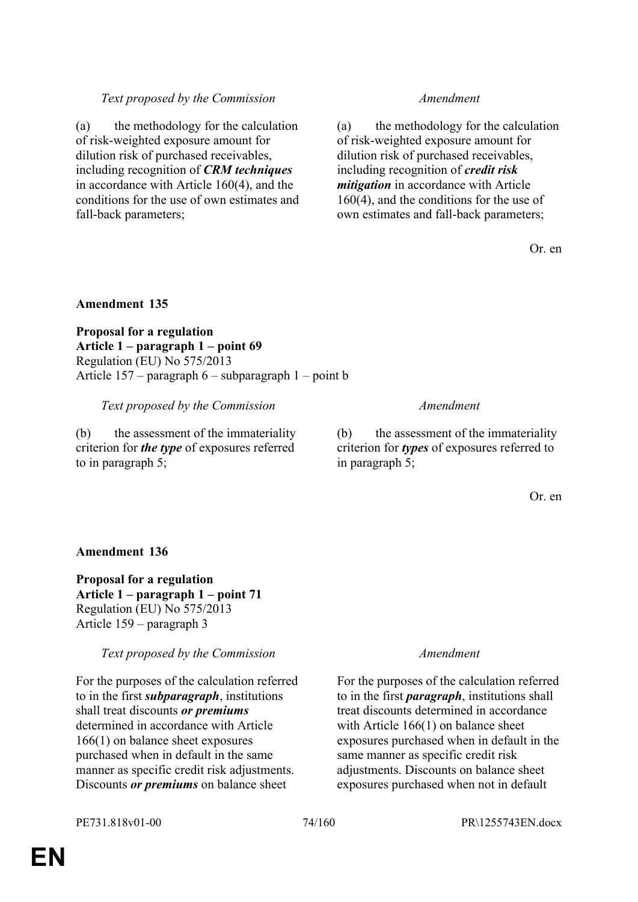# *Text proposed by the Commission Amendment*

(a) the methodology for the calculation of risk-weighted exposure amount for dilution risk of purchased receivables, including recognition of *CRM techniques* in accordance with Article 160(4), and the conditions for the use of own estimates and fall-back parameters;

(a) the methodology for the calculation of risk-weighted exposure amount for dilution risk of purchased receivables, including recognition of *credit risk mitigation* in accordance with Article 160(4), and the conditions for the use of own estimates and fall-back parameters;

Or. en

# **Amendment 135**

**Proposal for a regulation Article 1 – paragraph 1 – point 69** Regulation (EU) No 575/2013 Article 157 – paragraph 6 – subparagraph 1 – point b

*Text proposed by the Commission Amendment*

(b) the assessment of the immateriality criterion for *the type* of exposures referred to in paragraph 5;

(b) the assessment of the immateriality criterion for *types* of exposures referred to in paragraph 5;

Or. en

# **Amendment 136**

**Proposal for a regulation Article 1 – paragraph 1 – point 71** Regulation (EU) No 575/2013 Article 159 – paragraph 3

*Text proposed by the Commission Amendment*

For the purposes of the calculation referred to in the first *subparagraph*, institutions shall treat discounts *or premiums* determined in accordance with Article 166(1) on balance sheet exposures purchased when in default in the same manner as specific credit risk adjustments. Discounts *or premiums* on balance sheet

For the purposes of the calculation referred to in the first *paragraph*, institutions shall treat discounts determined in accordance with Article 166(1) on balance sheet exposures purchased when in default in the same manner as specific credit risk adjustments. Discounts on balance sheet exposures purchased when not in default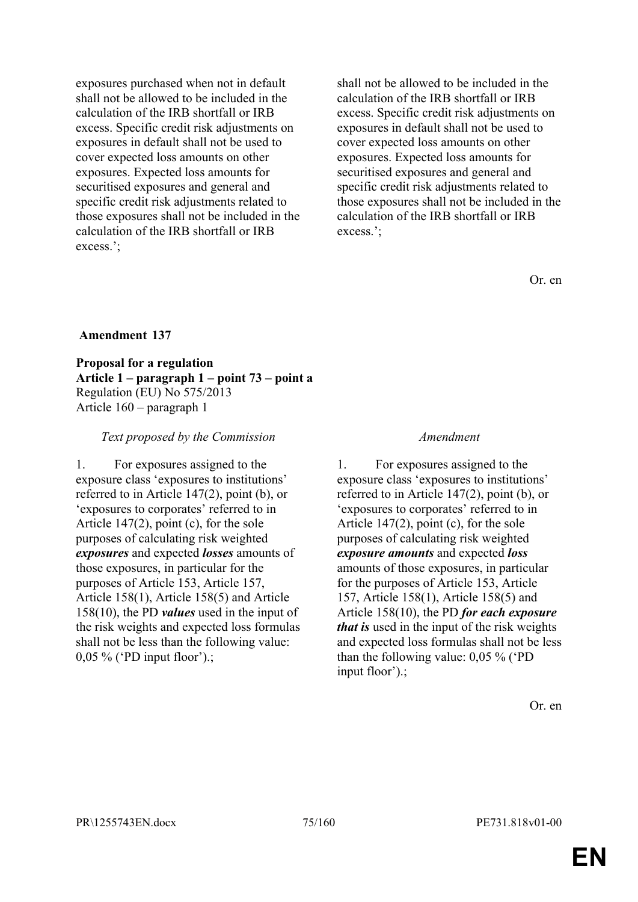exposures purchased when not in default shall not be allowed to be included in the calculation of the IRB shortfall or IRB excess. Specific credit risk adjustments on exposures in default shall not be used to cover expected loss amounts on other exposures. Expected loss amounts for securitised exposures and general and specific credit risk adjustments related to those exposures shall not be included in the calculation of the IRB shortfall or IRB excess.';

shall not be allowed to be included in the calculation of the IRB shortfall or IRB excess. Specific credit risk adjustments on exposures in default shall not be used to cover expected loss amounts on other exposures. Expected loss amounts for securitised exposures and general and specific credit risk adjustments related to those exposures shall not be included in the calculation of the IRB shortfall or IRB excess.';

Or. en

# **Amendment 137**

**Proposal for a regulation Article 1 – paragraph 1 – point 73 – point a** Regulation (EU) No 575/2013 Article 160 – paragraph 1

### *Text proposed by the Commission Amendment*

1. For exposures assigned to the exposure class 'exposures to institutions' referred to in Article 147(2), point (b), or 'exposures to corporates' referred to in Article 147(2), point (c), for the sole purposes of calculating risk weighted *exposures* and expected *losses* amounts of those exposures, in particular for the purposes of Article 153, Article 157, Article 158(1), Article 158(5) and Article 158(10), the PD *values* used in the input of the risk weights and expected loss formulas shall not be less than the following value: 0,05 % ('PD input floor').;

1. For exposures assigned to the exposure class 'exposures to institutions' referred to in Article 147(2), point (b), or 'exposures to corporates' referred to in Article 147(2), point (c), for the sole purposes of calculating risk weighted *exposure amounts* and expected *loss* amounts of those exposures, in particular for the purposes of Article 153, Article 157, Article 158(1), Article 158(5) and Article 158(10), the PD *for each exposure that is* used in the input of the risk weights and expected loss formulas shall not be less than the following value: 0,05 % ('PD input floor').;

Or. en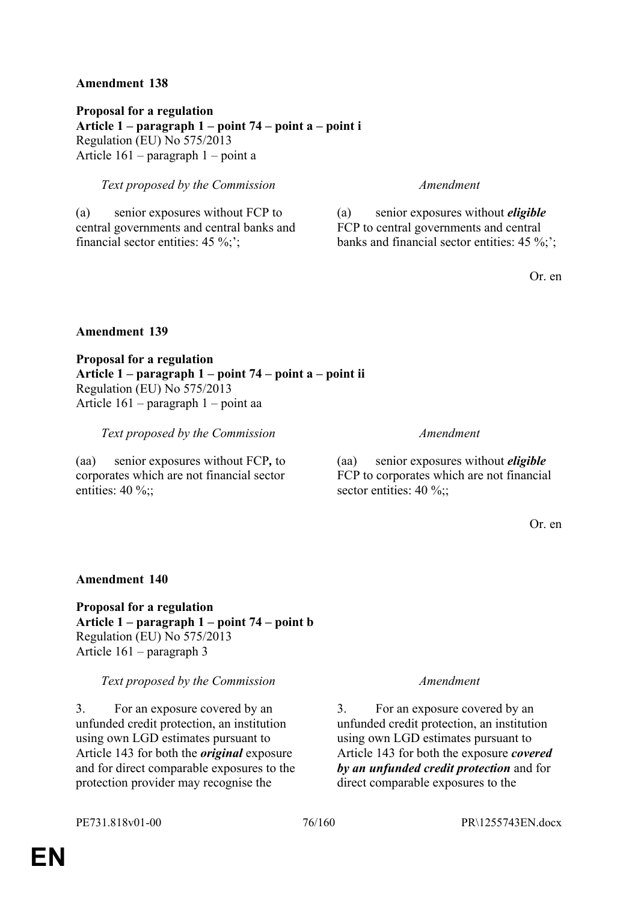**Proposal for a regulation Article 1 – paragraph 1 – point 74 – point a – point i** Regulation (EU) No 575/2013 Article 161 – paragraph 1 – point a

# *Text proposed by the Commission Amendment*

(a) senior exposures without FCP to central governments and central banks and financial sector entities: 45 %;';

(a) senior exposures without *eligible* FCP to central governments and central banks and financial sector entities: 45 %;';

Or. en

# **Amendment 139**

**Proposal for a regulation Article 1 – paragraph 1 – point 74 – point a – point ii** Regulation (EU) No 575/2013 Article 161 – paragraph 1 – point aa

*Text proposed by the Commission Amendment*

(aa) senior exposures without FCP*,* to corporates which are not financial sector entities:  $40\%$ ;;

(aa) senior exposures without *eligible* FCP to corporates which are not financial sector entities: 40 %;;

Or. en

### **Amendment 140**

**Proposal for a regulation Article 1 – paragraph 1 – point 74 – point b** Regulation (EU) No 575/2013 Article 161 – paragraph 3

### *Text proposed by the Commission Amendment*

3. For an exposure covered by an unfunded credit protection, an institution using own LGD estimates pursuant to Article 143 for both the *original* exposure and for direct comparable exposures to the protection provider may recognise the

3. For an exposure covered by an unfunded credit protection, an institution using own LGD estimates pursuant to Article 143 for both the exposure *covered by an unfunded credit protection* and for direct comparable exposures to the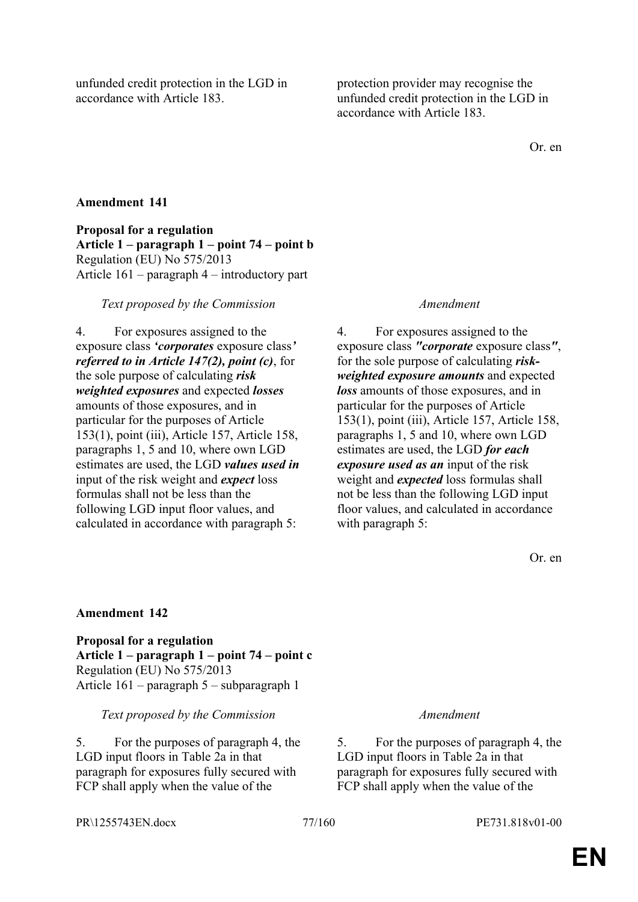unfunded credit protection in the LGD in accordance with Article 183.

protection provider may recognise the unfunded credit protection in the LGD in accordance with Article 183.

Or. en

# **Amendment 141**

**Proposal for a regulation Article 1 – paragraph 1 – point 74 – point b** Regulation (EU) No 575/2013 Article 161 – paragraph 4 – introductory part

# *Text proposed by the Commission Amendment*

4. For exposures assigned to the exposure class *'corporates* exposure class*' referred to in Article 147(2), point (c)*, for the sole purpose of calculating *risk weighted exposures* and expected *losses* amounts of those exposures, and in particular for the purposes of Article 153(1), point (iii), Article 157, Article 158, paragraphs 1, 5 and 10, where own LGD estimates are used, the LGD *values used in* input of the risk weight and *expect* loss formulas shall not be less than the following LGD input floor values, and calculated in accordance with paragraph 5:

4. For exposures assigned to the exposure class *"corporate* exposure class*"*, for the sole purpose of calculating *riskweighted exposure amounts* and expected *loss* amounts of those exposures, and in particular for the purposes of Article 153(1), point (iii), Article 157, Article 158, paragraphs 1, 5 and 10, where own LGD estimates are used, the LGD *for each exposure used as an* input of the risk weight and *expected* loss formulas shall not be less than the following LGD input floor values, and calculated in accordance with paragraph 5:

Or. en

# **Amendment 142**

**Proposal for a regulation Article 1 – paragraph 1 – point 74 – point c** Regulation (EU) No 575/2013 Article 161 – paragraph 5 – subparagraph 1

# *Text proposed by the Commission Amendment*

5. For the purposes of paragraph 4, the LGD input floors in Table 2a in that paragraph for exposures fully secured with FCP shall apply when the value of the

5. For the purposes of paragraph 4, the LGD input floors in Table 2a in that paragraph for exposures fully secured with FCP shall apply when the value of the

PR\1255743EN.docx 77/160 PE731.818v01-00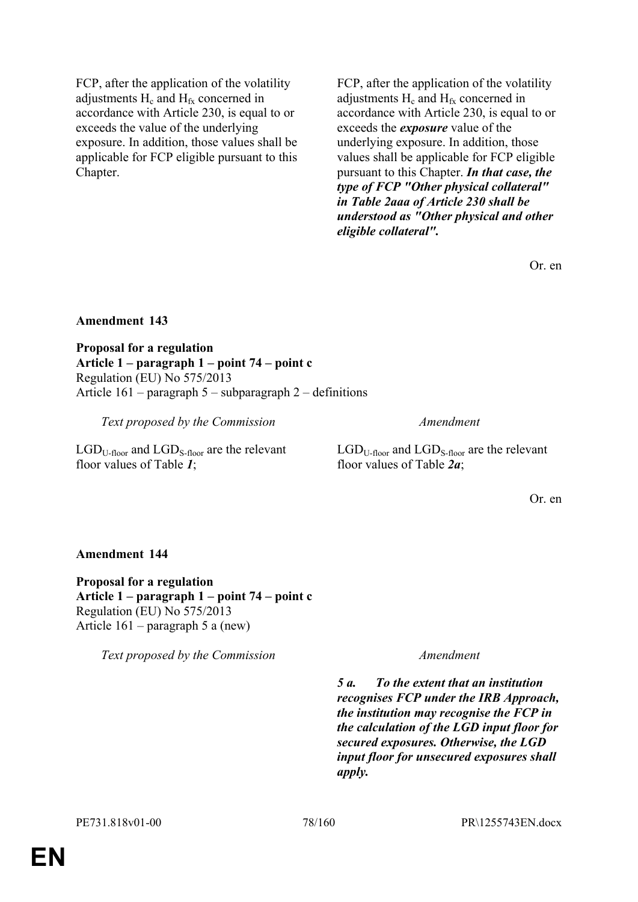FCP, after the application of the volatility adjustments  $H_c$  and  $H_{fx}$  concerned in accordance with Article 230, is equal to or exceeds the value of the underlying exposure. In addition, those values shall be applicable for FCP eligible pursuant to this Chapter.

FCP, after the application of the volatility adjustments  $H_c$  and  $H_{fx}$  concerned in accordance with Article 230, is equal to or exceeds the *exposure* value of the underlying exposure. In addition, those values shall be applicable for FCP eligible pursuant to this Chapter. *In that case, the type of FCP "Other physical collateral" in Table 2aaa of Article 230 shall be understood as "Other physical and other eligible collateral".*

Or. en

# **Amendment 143**

**Proposal for a regulation Article 1 – paragraph 1 – point 74 – point c** Regulation (EU) No 575/2013 Article 161 – paragraph 5 – subparagraph 2 – definitions

*Text proposed by the Commission Amendment*

 $LGD_{U-floor}$  and  $LGD_{S-floor}$  are the relevant floor values of Table *1*;

 $LGD_{U\text{-floor}}$  and  $LGD_{S\text{-floor}}$  are the relevant floor values of Table *2a*;

Or. en

# **Amendment 144**

**Proposal for a regulation Article 1 – paragraph 1 – point 74 – point c** Regulation (EU) No 575/2013 Article 161 – paragraph 5 a (new)

*Text proposed by the Commission Amendment*

*5 a. To the extent that an institution recognises FCP under the IRB Approach, the institution may recognise the FCP in the calculation of the LGD input floor for secured exposures. Otherwise, the LGD input floor for unsecured exposures shall apply.*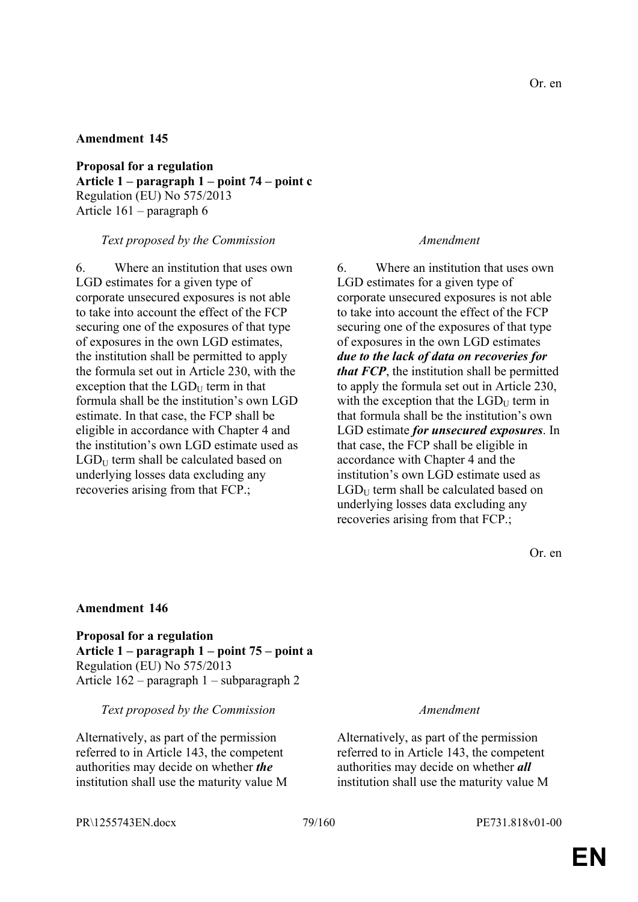**Proposal for a regulation Article 1 – paragraph 1 – point 74 – point c** Regulation (EU) No 575/2013 Article 161 – paragraph 6

### *Text proposed by the Commission Amendment*

6. Where an institution that uses own LGD estimates for a given type of corporate unsecured exposures is not able to take into account the effect of the FCP securing one of the exposures of that type of exposures in the own LGD estimates, the institution shall be permitted to apply the formula set out in Article 230, with the exception that the  $LGD_U$  term in that formula shall be the institution's own LGD estimate. In that case, the FCP shall be eligible in accordance with Chapter 4 and the institution's own LGD estimate used as  $LGD_U$  term shall be calculated based on underlying losses data excluding any recoveries arising from that FCP.;

6. Where an institution that uses own LGD estimates for a given type of corporate unsecured exposures is not able to take into account the effect of the FCP securing one of the exposures of that type of exposures in the own LGD estimates *due to the lack of data on recoveries for that FCP*, the institution shall be permitted to apply the formula set out in Article 230, with the exception that the  $LGD_U$  term in that formula shall be the institution's own LGD estimate *for unsecured exposures*. In that case, the FCP shall be eligible in accordance with Chapter 4 and the institution's own LGD estimate used as  $LGD_U$  term shall be calculated based on underlying losses data excluding any recoveries arising from that FCP.;

Or. en

### **Amendment 146**

**Proposal for a regulation Article 1 – paragraph 1 – point 75 – point a** Regulation (EU) No 575/2013 Article 162 – paragraph 1 – subparagraph 2

*Text proposed by the Commission Amendment*

Alternatively, as part of the permission referred to in Article 143, the competent authorities may decide on whether *the* institution shall use the maturity value M

Alternatively, as part of the permission referred to in Article 143, the competent authorities may decide on whether *all* institution shall use the maturity value M

PR\1255743EN.docx 79/160 PE731.818v01-00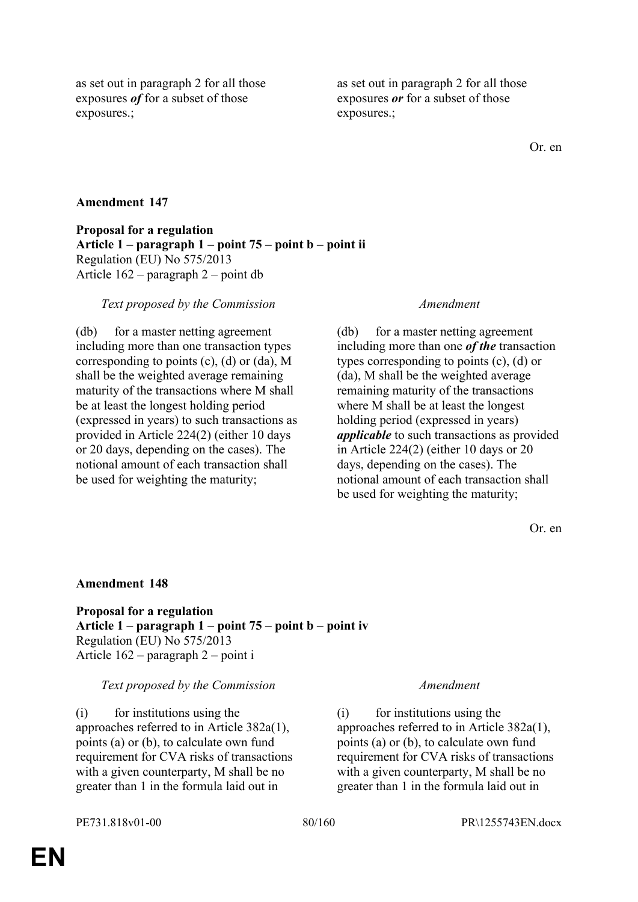as set out in paragraph 2 for all those exposures *of* for a subset of those exposures.;

as set out in paragraph 2 for all those exposures *or* for a subset of those exposures.;

Or. en

# **Amendment 147**

**Proposal for a regulation Article 1 – paragraph 1 – point 75 – point b – point ii** Regulation (EU) No 575/2013 Article 162 – paragraph 2 – point db

### *Text proposed by the Commission Amendment*

(db) for a master netting agreement including more than one transaction types corresponding to points (c), (d) or (da), M shall be the weighted average remaining maturity of the transactions where M shall be at least the longest holding period (expressed in years) to such transactions as provided in Article 224(2) (either 10 days or 20 days, depending on the cases). The notional amount of each transaction shall be used for weighting the maturity;

(db) for a master netting agreement including more than one *of the* transaction types corresponding to points (c), (d) or (da), M shall be the weighted average remaining maturity of the transactions where M shall be at least the longest holding period (expressed in years) *applicable* to such transactions as provided in Article 224(2) (either 10 days or 20 days, depending on the cases). The notional amount of each transaction shall be used for weighting the maturity;

Or. en

### **Amendment 148**

**Proposal for a regulation Article 1 – paragraph 1 – point 75 – point b – point iv** Regulation (EU) No 575/2013 Article 162 – paragraph 2 – point i

### *Text proposed by the Commission Amendment*

(i) for institutions using the approaches referred to in Article 382a(1), points (a) or (b), to calculate own fund requirement for CVA risks of transactions with a given counterparty, M shall be no greater than 1 in the formula laid out in

(i) for institutions using the approaches referred to in Article 382a(1), points (a) or (b), to calculate own fund requirement for CVA risks of transactions with a given counterparty, M shall be no greater than 1 in the formula laid out in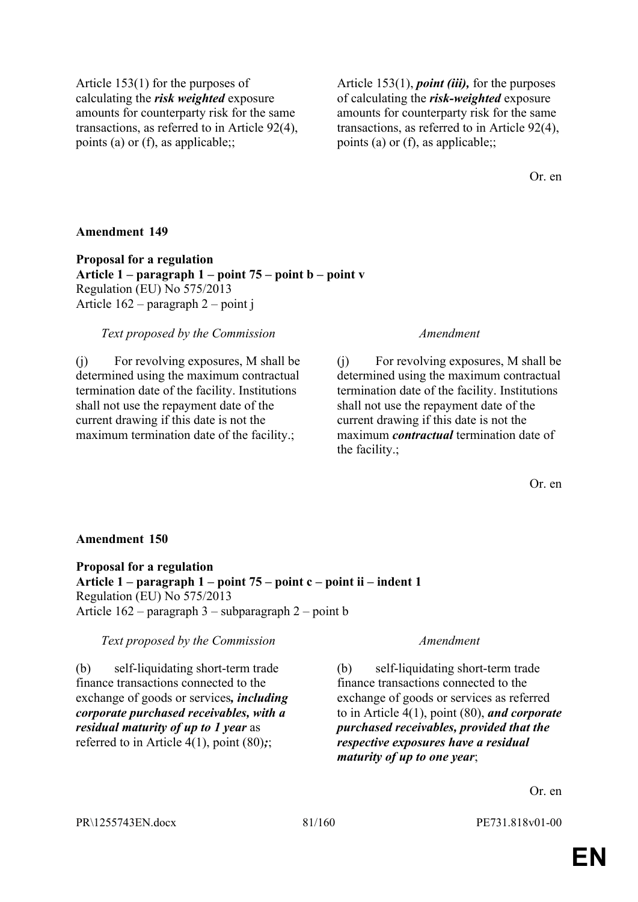Article 153(1) for the purposes of calculating the *risk weighted* exposure amounts for counterparty risk for the same transactions, as referred to in Article 92(4), points (a) or (f), as applicable;;

Article 153(1), *point (iii),* for the purposes of calculating the *risk-weighted* exposure amounts for counterparty risk for the same transactions, as referred to in Article 92(4), points (a) or (f), as applicable;;

Or. en

### **Amendment 149**

**Proposal for a regulation Article 1 – paragraph 1 – point 75 – point b – point v** Regulation (EU) No 575/2013 Article 162 – paragraph 2 – point j

### *Text proposed by the Commission Amendment*

(j) For revolving exposures, M shall be determined using the maximum contractual termination date of the facility. Institutions shall not use the repayment date of the current drawing if this date is not the maximum termination date of the facility.;

(j) For revolving exposures, M shall be determined using the maximum contractual termination date of the facility. Institutions shall not use the repayment date of the current drawing if this date is not the maximum *contractual* termination date of the facility.;

Or. en

### **Amendment 150**

**Proposal for a regulation Article 1 – paragraph 1 – point 75 – point c – point ii – indent 1** Regulation (EU) No 575/2013 Article 162 – paragraph 3 – subparagraph 2 – point b

*Text proposed by the Commission Amendment*

(b) self-liquidating short-term trade finance transactions connected to the exchange of goods or services*, including corporate purchased receivables, with a residual maturity of up to 1 year* as referred to in Article 4(1), point (80)*;*;

(b) self-liquidating short-term trade finance transactions connected to the exchange of goods or services as referred to in Article 4(1), point (80), *and corporate purchased receivables, provided that the respective exposures have a residual maturity of up to one year*;

Or. en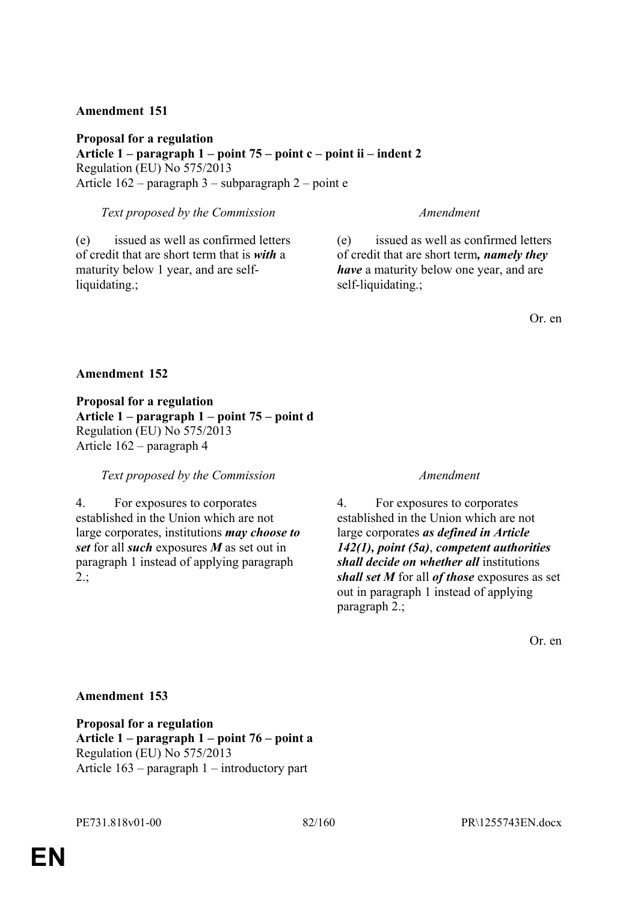**Proposal for a regulation Article 1 – paragraph 1 – point 75 – point c – point ii – indent 2** Regulation (EU) No 575/2013 Article 162 – paragraph 3 – subparagraph 2 – point e

*Text proposed by the Commission Amendment*

(e) issued as well as confirmed letters of credit that are short term that is *with* a maturity below 1 year, and are selfliquidating.;

(e) issued as well as confirmed letters of credit that are short term*, namely they have* a maturity below one year, and are self-liquidating.;

Or. en

# **Amendment 152**

**Proposal for a regulation Article 1 – paragraph 1 – point 75 – point d** Regulation (EU) No 575/2013 Article 162 – paragraph 4

*Text proposed by the Commission Amendment*

4. For exposures to corporates established in the Union which are not large corporates, institutions *may choose to set* for all *such* exposures *M* as set out in paragraph 1 instead of applying paragraph 2.;

4. For exposures to corporates established in the Union which are not large corporates *as defined in Article 142(1), point (5a)*, *competent authorities shall decide on whether all* institutions *shall set M* for all *of those* exposures as set out in paragraph 1 instead of applying paragraph 2.;

Or. en

# **Amendment 153**

**Proposal for a regulation Article 1 – paragraph 1 – point 76 – point a** Regulation (EU) No 575/2013 Article 163 – paragraph 1 – introductory part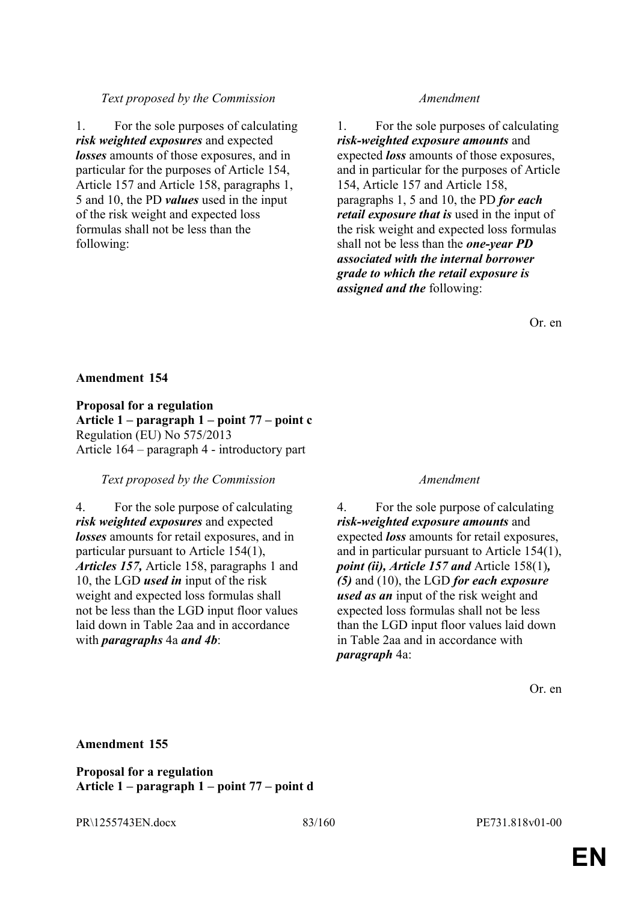# *Text proposed by the Commission Amendment*

1. For the sole purposes of calculating *risk weighted exposures* and expected *losses* amounts of those exposures, and in particular for the purposes of Article 154, Article 157 and Article 158, paragraphs 1, 5 and 10, the PD *values* used in the input of the risk weight and expected loss formulas shall not be less than the following:

1. For the sole purposes of calculating *risk-weighted exposure amounts* and expected *loss* amounts of those exposures, and in particular for the purposes of Article 154, Article 157 and Article 158, paragraphs 1, 5 and 10, the PD *for each retail exposure that is* used in the input of the risk weight and expected loss formulas shall not be less than the *one-year PD associated with the internal borrower grade to which the retail exposure is assigned and the* following:

Or. en

# **Amendment 154**

**Proposal for a regulation Article 1 – paragraph 1 – point 77 – point c** Regulation (EU) No 575/2013 Article 164 – paragraph 4 - introductory part

### *Text proposed by the Commission Amendment*

4. For the sole purpose of calculating *risk weighted exposures* and expected *losses* amounts for retail exposures, and in particular pursuant to Article 154(1), *Articles 157,* Article 158, paragraphs 1 and 10, the LGD *used in* input of the risk weight and expected loss formulas shall not be less than the LGD input floor values laid down in Table 2aa and in accordance with *paragraphs* 4a *and 4b*:

4. For the sole purpose of calculating *risk-weighted exposure amounts* and expected *loss* amounts for retail exposures, and in particular pursuant to Article 154(1), *point (ii), Article 157 and* Article 158(1)*, (5)* and (10), the LGD *for each exposure used as an* input of the risk weight and expected loss formulas shall not be less than the LGD input floor values laid down in Table 2aa and in accordance with *paragraph* 4a:

Or. en

### **Amendment 155**

**Proposal for a regulation Article 1 – paragraph 1 – point 77 – point d**

PR\1255743EN.docx 83/160 PE731.818v01-00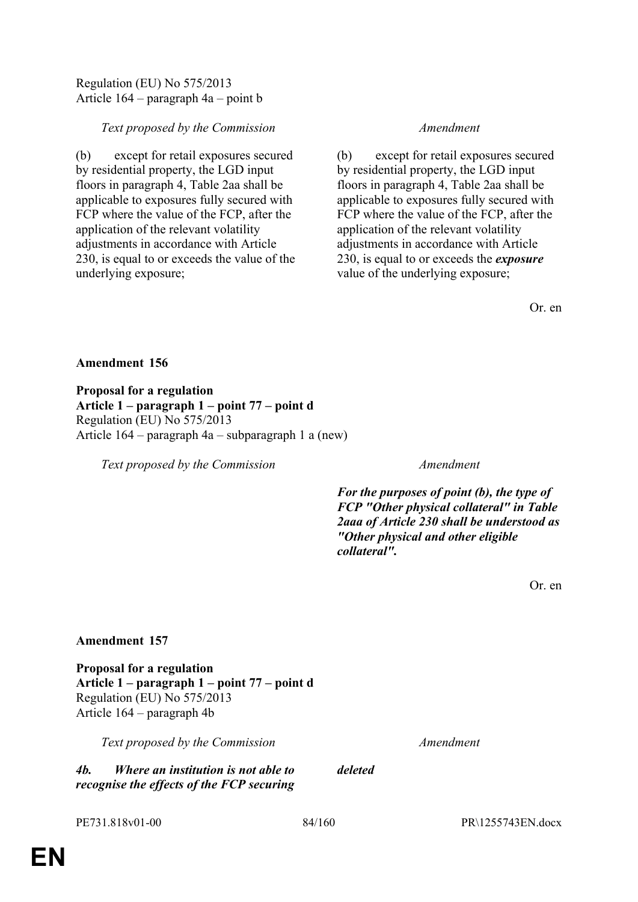# Article 164 – paragraph 4a – point b

Regulation (EU) No 575/2013

# *Text proposed by the Commission Amendment*

(b) except for retail exposures secured by residential property, the LGD input floors in paragraph 4, Table 2aa shall be applicable to exposures fully secured with FCP where the value of the FCP, after the application of the relevant volatility adjustments in accordance with Article 230, is equal to or exceeds the value of the underlying exposure;

(b) except for retail exposures secured by residential property, the LGD input floors in paragraph 4, Table 2aa shall be applicable to exposures fully secured with FCP where the value of the FCP, after the application of the relevant volatility adjustments in accordance with Article 230, is equal to or exceeds the *exposure*  value of the underlying exposure;

Or. en

# **Amendment 156**

**Proposal for a regulation Article 1 – paragraph 1 – point 77 – point d** Regulation (EU) No 575/2013 Article 164 – paragraph 4a – subparagraph 1 a (new)

*Text proposed by the Commission Amendment*

*For the purposes of point (b), the type of FCP "Other physical collateral" in Table 2aaa of Article 230 shall be understood as "Other physical and other eligible collateral".*

Or. en

# **Amendment 157**

**Proposal for a regulation Article 1 – paragraph 1 – point 77 – point d** Regulation (EU) No 575/2013 Article 164 – paragraph 4b

*Text proposed by the Commission Amendment*

*4b. Where an institution is not able to recognise the effects of the FCP securing*  *deleted*

PE731.818v01-00 84/160 BR\1255743EN.docx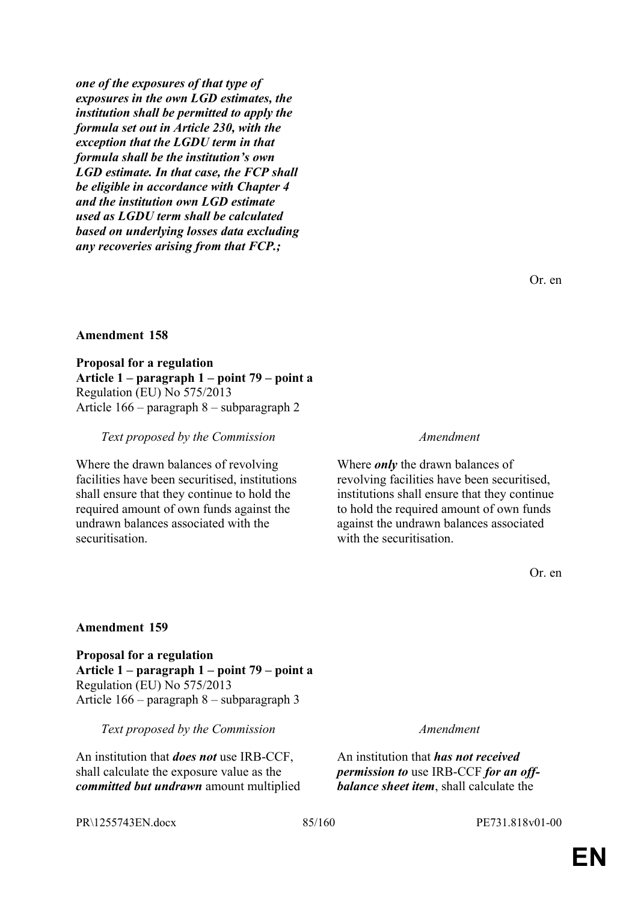*one of the exposures of that type of exposures in the own LGD estimates, the institution shall be permitted to apply the formula set out in Article 230, with the exception that the LGDU term in that formula shall be the institution's own LGD estimate. In that case, the FCP shall be eligible in accordance with Chapter 4 and the institution own LGD estimate used as LGDU term shall be calculated based on underlying losses data excluding any recoveries arising from that FCP.;*

Or. en

### **Amendment 158**

**Proposal for a regulation Article 1 – paragraph 1 – point 79 – point a** Regulation (EU) No 575/2013 Article 166 – paragraph 8 – subparagraph 2

### *Text proposed by the Commission Amendment*

Where the drawn balances of revolving facilities have been securitised, institutions shall ensure that they continue to hold the required amount of own funds against the undrawn balances associated with the securitisation.

Where *only* the drawn balances of revolving facilities have been securitised, institutions shall ensure that they continue to hold the required amount of own funds against the undrawn balances associated with the securitisation.

Or. en

### **Amendment 159**

**Proposal for a regulation Article 1 – paragraph 1 – point 79 – point a** Regulation (EU) No 575/2013 Article 166 – paragraph 8 – subparagraph 3

*Text proposed by the Commission Amendment*

An institution that *does not* use IRB-CCF, shall calculate the exposure value as the *committed but undrawn* amount multiplied

An institution that *has not received permission to* use IRB-CCF *for an offbalance sheet item*, shall calculate the

PR\1255743EN.docx 85/160 PE731.818v01-00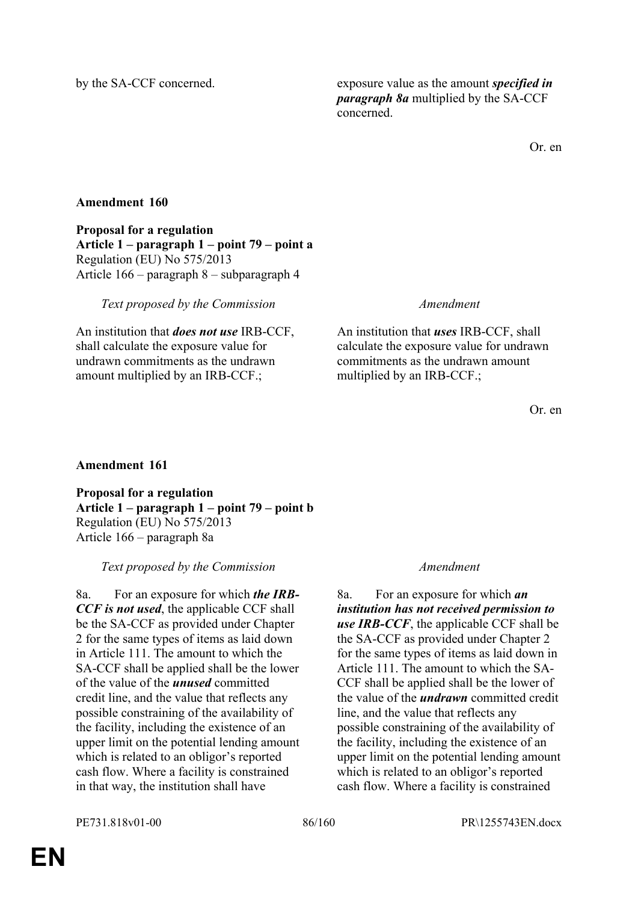by the SA-CCF concerned. exposure value as the amount *specified in paragraph 8a* multiplied by the SA-CCF concerned.

Or. en

# **Amendment 160**

**Proposal for a regulation Article 1 – paragraph 1 – point 79 – point a** Regulation (EU) No 575/2013 Article 166 – paragraph 8 – subparagraph 4

*Text proposed by the Commission Amendment*

An institution that *does not use* IRB-CCF, shall calculate the exposure value for undrawn commitments as the undrawn amount multiplied by an IRB-CCF.;

An institution that *uses* IRB-CCF, shall calculate the exposure value for undrawn commitments as the undrawn amount multiplied by an IRB-CCF.;

Or. en

# **Amendment 161**

**Proposal for a regulation Article 1 – paragraph 1 – point 79 – point b** Regulation (EU) No 575/2013 Article 166 – paragraph 8a

*Text proposed by the Commission Amendment*

8a. For an exposure for which *the IRB-CCF is not used*, the applicable CCF shall be the SA-CCF as provided under Chapter 2 for the same types of items as laid down in Article 111. The amount to which the SA-CCF shall be applied shall be the lower of the value of the *unused* committed credit line, and the value that reflects any possible constraining of the availability of the facility, including the existence of an upper limit on the potential lending amount which is related to an obligor's reported cash flow. Where a facility is constrained in that way, the institution shall have

8a. For an exposure for which *an institution has not received permission to*  **use IRB-CCF**, the applicable CCF shall be the SA-CCF as provided under Chapter 2 for the same types of items as laid down in Article 111. The amount to which the SA-CCF shall be applied shall be the lower of the value of the *undrawn* committed credit line, and the value that reflects any possible constraining of the availability of the facility, including the existence of an upper limit on the potential lending amount which is related to an obligor's reported cash flow. Where a facility is constrained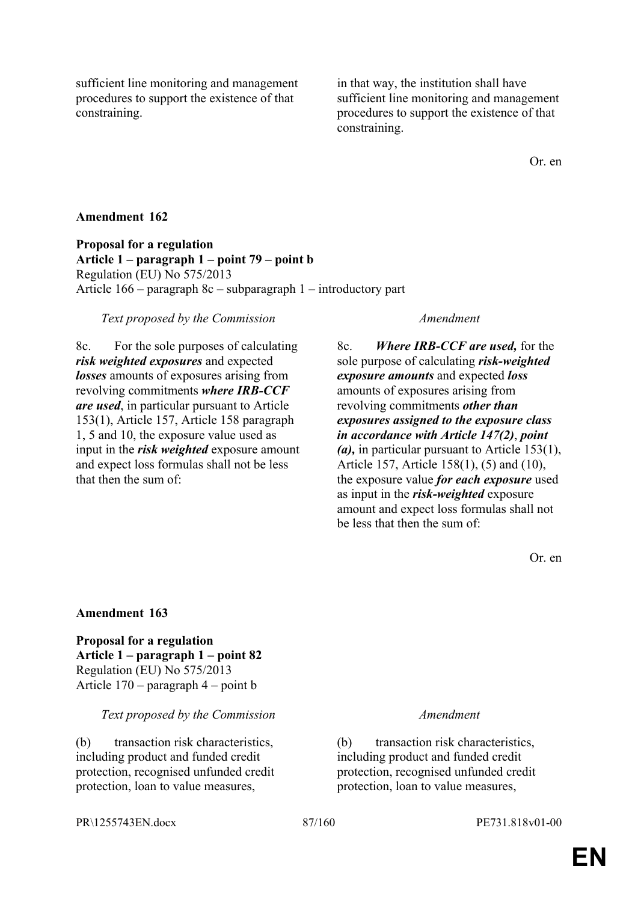sufficient line monitoring and management procedures to support the existence of that constraining.

in that way, the institution shall have sufficient line monitoring and management procedures to support the existence of that constraining.

Or. en

# **Amendment 162**

**Proposal for a regulation Article 1 – paragraph 1 – point 79 – point b** Regulation (EU) No 575/2013 Article 166 – paragraph 8c – subparagraph 1 – introductory part

### *Text proposed by the Commission Amendment*

8c. For the sole purposes of calculating *risk weighted exposures* and expected *losses* amounts of exposures arising from revolving commitments *where IRB-CCF are used*, in particular pursuant to Article 153(1), Article 157, Article 158 paragraph 1, 5 and 10, the exposure value used as input in the *risk weighted* exposure amount and expect loss formulas shall not be less that then the sum of:

8c. *Where IRB-CCF are used,* for the sole purpose of calculating *risk-weighted exposure amounts* and expected *loss* amounts of exposures arising from revolving commitments *other than exposures assigned to the exposure class in accordance with Article 147(2)*, *point (a),* in particular pursuant to Article 153(1), Article 157, Article 158(1), (5) and (10), the exposure value *for each exposure* used as input in the *risk-weighted* exposure amount and expect loss formulas shall not be less that then the sum of:

Or. en

### **Amendment 163**

**Proposal for a regulation Article 1 – paragraph 1 – point 82** Regulation (EU) No 575/2013 Article 170 – paragraph 4 – point b

### *Text proposed by the Commission Amendment*

(b) transaction risk characteristics, including product and funded credit protection, recognised unfunded credit protection, loan to value measures,

(b) transaction risk characteristics, including product and funded credit protection, recognised unfunded credit protection, loan to value measures,

PR\1255743EN.docx 87/160 PE731.818v01-00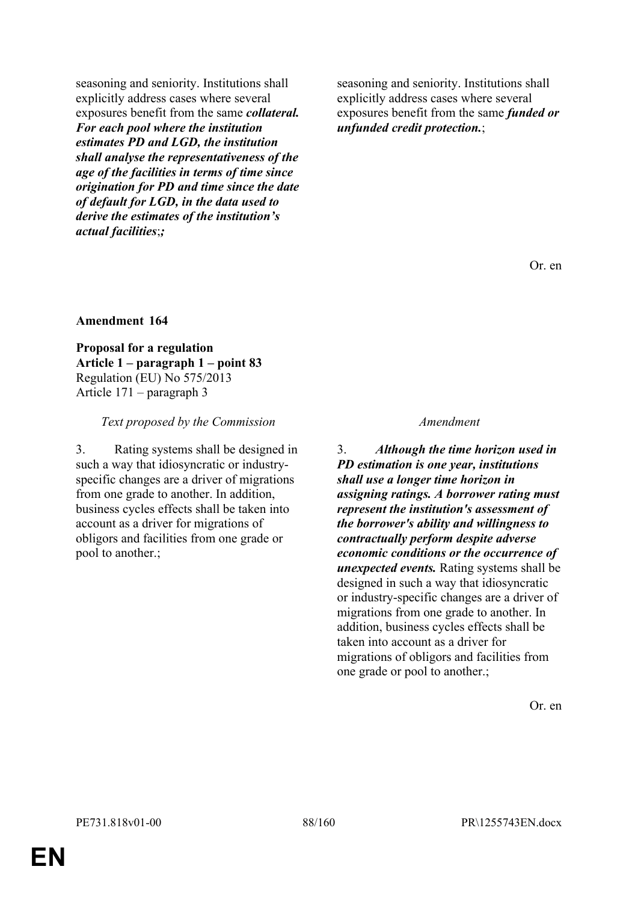seasoning and seniority. Institutions shall explicitly address cases where several exposures benefit from the same *collateral. For each pool where the institution estimates PD and LGD, the institution shall analyse the representativeness of the age of the facilities in terms of time since origination for PD and time since the date of default for LGD, in the data used to derive the estimates of the institution's actual facilities*;*;*

seasoning and seniority. Institutions shall explicitly address cases where several exposures benefit from the same *funded or unfunded credit protection.*;

Or. en

### **Amendment 164**

**Proposal for a regulation Article 1 – paragraph 1 – point 83** Regulation (EU) No 575/2013 Article 171 – paragraph 3

*Text proposed by the Commission Amendment*

3. Rating systems shall be designed in such a way that idiosyncratic or industryspecific changes are a driver of migrations from one grade to another. In addition, business cycles effects shall be taken into account as a driver for migrations of obligors and facilities from one grade or pool to another.;

3. *Although the time horizon used in PD estimation is one year, institutions shall use a longer time horizon in assigning ratings. A borrower rating must represent the institution's assessment of the borrower's ability and willingness to contractually perform despite adverse economic conditions or the occurrence of unexpected events.* Rating systems shall be designed in such a way that idiosyncratic or industry-specific changes are a driver of migrations from one grade to another. In addition, business cycles effects shall be taken into account as a driver for migrations of obligors and facilities from one grade or pool to another.;

Or. en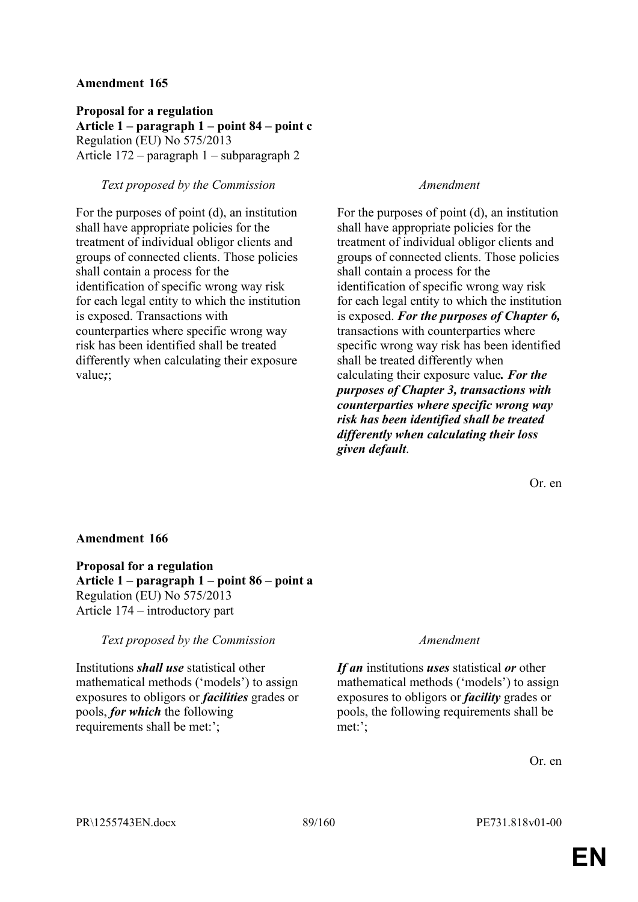**Proposal for a regulation Article 1 – paragraph 1 – point 84 – point c** Regulation (EU) No 575/2013 Article 172 – paragraph 1 – subparagraph 2

# *Text proposed by the Commission Amendment*

For the purposes of point (d), an institution shall have appropriate policies for the treatment of individual obligor clients and groups of connected clients. Those policies shall contain a process for the identification of specific wrong way risk for each legal entity to which the institution is exposed. Transactions with counterparties where specific wrong way risk has been identified shall be treated differently when calculating their exposure value*;*;

For the purposes of point (d), an institution shall have appropriate policies for the treatment of individual obligor clients and groups of connected clients. Those policies shall contain a process for the identification of specific wrong way risk for each legal entity to which the institution is exposed. *For the purposes of Chapter 6,* transactions with counterparties where specific wrong way risk has been identified shall be treated differently when calculating their exposure value*. For the purposes of Chapter 3, transactions with counterparties where specific wrong way risk has been identified shall be treated differently when calculating their loss given default*.

Or. en

# **Amendment 166**

**Proposal for a regulation Article 1 – paragraph 1 – point 86 – point a** Regulation (EU) No 575/2013 Article 174 – introductory part

*Text proposed by the Commission Amendment*

Institutions *shall use* statistical other mathematical methods ('models') to assign exposures to obligors or *facilities* grades or pools, *for which* the following requirements shall be met:';

*If an* institutions *uses* statistical *or* other mathematical methods ('models') to assign exposures to obligors or *facility* grades or pools, the following requirements shall be met:';

Or. en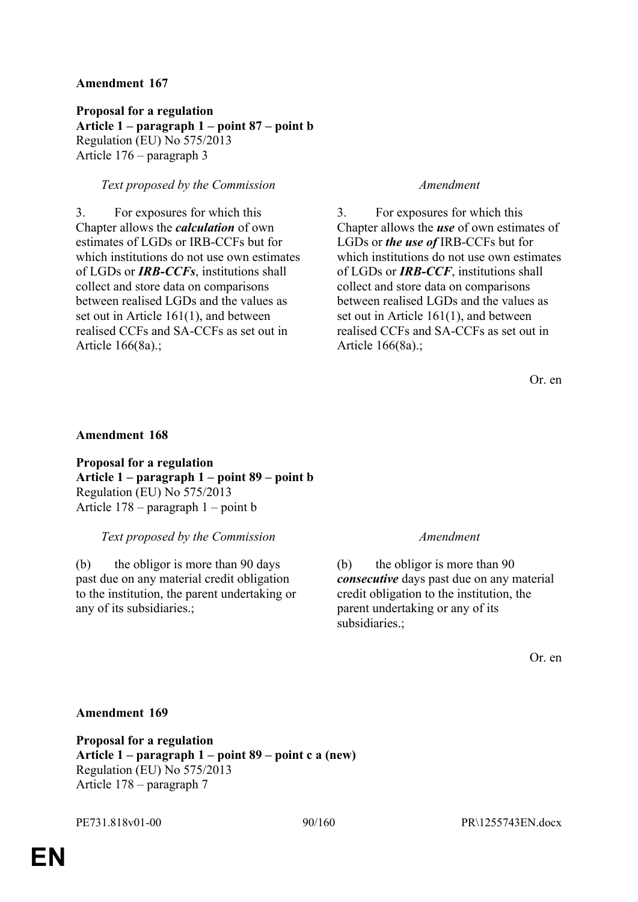**Proposal for a regulation Article 1 – paragraph 1 – point 87 – point b** Regulation (EU) No 575/2013 Article 176 – paragraph 3

# *Text proposed by the Commission Amendment*

3. For exposures for which this Chapter allows the *calculation* of own estimates of LGDs or IRB-CCFs but for which institutions do not use own estimates of LGDs or *IRB-CCFs*, institutions shall collect and store data on comparisons between realised LGDs and the values as set out in Article 161(1), and between realised CCFs and SA-CCFs as set out in Article 166(8a).;

3. For exposures for which this Chapter allows the *use* of own estimates of LGDs or *the use of* IRB-CCFs but for which institutions do not use own estimates of LGDs or *IRB-CCF*, institutions shall collect and store data on comparisons between realised LGDs and the values as set out in Article 161(1), and between realised CCFs and SA-CCFs as set out in Article 166(8a).;

Or. en

### **Amendment 168**

**Proposal for a regulation Article 1 – paragraph 1 – point 89 – point b** Regulation (EU) No 575/2013 Article 178 – paragraph 1 – point b

### *Text proposed by the Commission Amendment*

(b) the obligor is more than 90 days past due on any material credit obligation to the institution, the parent undertaking or any of its subsidiaries.;

(b) the obligor is more than 90 *consecutive* days past due on any material credit obligation to the institution, the parent undertaking or any of its subsidiaries.;

Or. en

### **Amendment 169**

**Proposal for a regulation Article 1 – paragraph 1 – point 89 – point c a (new)** Regulation (EU) No 575/2013 Article 178 – paragraph 7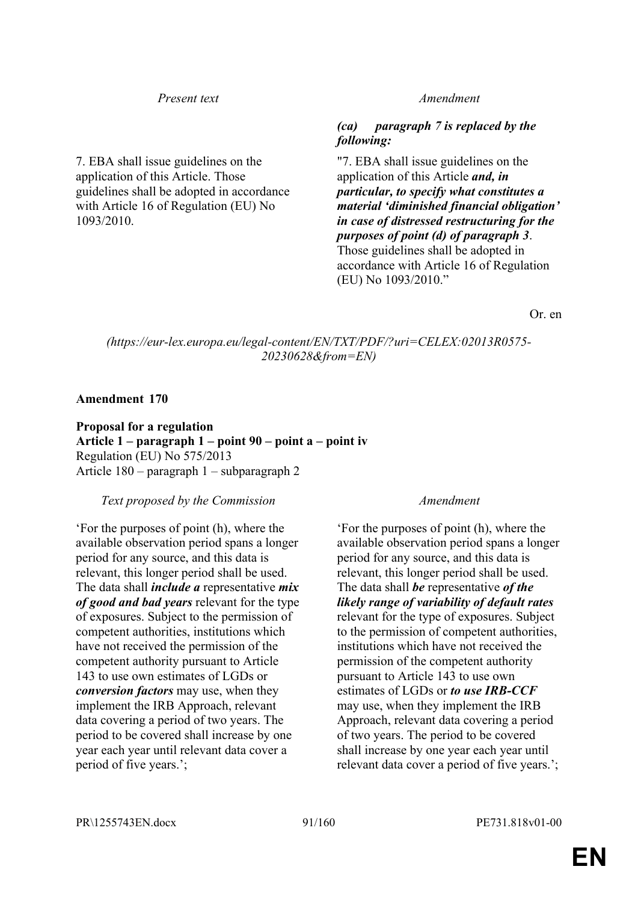7. EBA shall issue guidelines on the application of this Article. Those guidelines shall be adopted in accordance with Article 16 of Regulation (EU) No 1093/2010.

### *Present text Amendment*

# *(ca) paragraph 7 is replaced by the following:*

"7. EBA shall issue guidelines on the application of this Article *and, in particular, to specify what constitutes a material 'diminished financial obligation' in case of distressed restructuring for the purposes of point (d) of paragraph 3*. Those guidelines shall be adopted in accordance with Article 16 of Regulation (EU) No 1093/2010."

Or. en

*(https://eur-lex.europa.eu/legal-content/EN/TXT/PDF/?uri=CELEX:02013R0575- 20230628&from=EN)*

### **Amendment 170**

**Proposal for a regulation Article 1 – paragraph 1 – point 90 – point a – point iv** Regulation (EU) No 575/2013 Article 180 – paragraph 1 – subparagraph 2

### *Text proposed by the Commission Amendment*

'For the purposes of point (h), where the available observation period spans a longer period for any source, and this data is relevant, this longer period shall be used. The data shall *include a* representative *mix of good and bad years* relevant for the type of exposures. Subject to the permission of competent authorities, institutions which have not received the permission of the competent authority pursuant to Article 143 to use own estimates of LGDs or *conversion factors* may use, when they implement the IRB Approach, relevant data covering a period of two years. The period to be covered shall increase by one year each year until relevant data cover a period of five years.';

'For the purposes of point (h), where the available observation period spans a longer period for any source, and this data is relevant, this longer period shall be used. The data shall *be* representative *of the likely range of variability of default rates* relevant for the type of exposures. Subject to the permission of competent authorities, institutions which have not received the permission of the competent authority pursuant to Article 143 to use own estimates of LGDs or *to use IRB-CCF* may use, when they implement the IRB Approach, relevant data covering a period of two years. The period to be covered shall increase by one year each year until relevant data cover a period of five years.';

PR\1255743EN.docx 91/160 PE731.818v01-00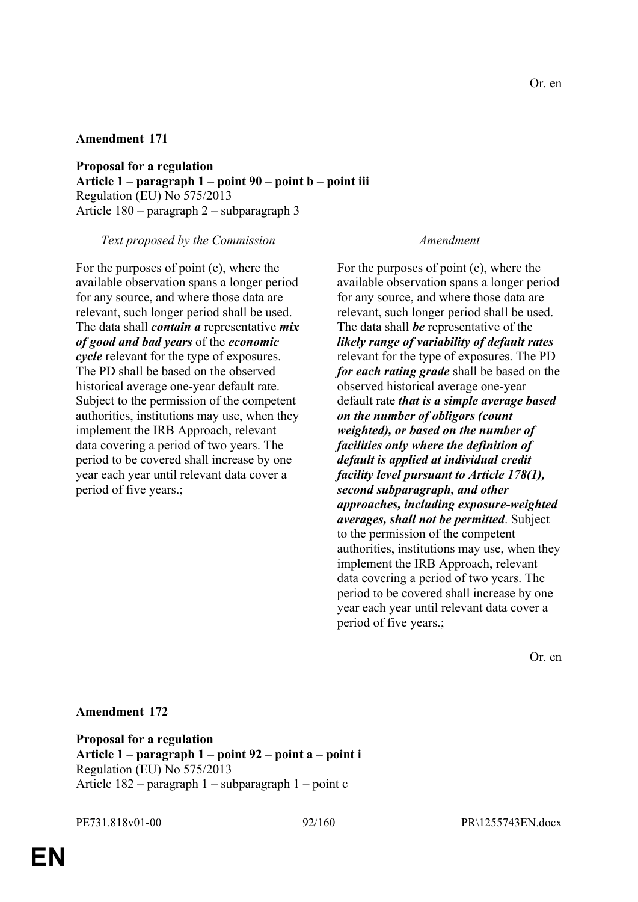**Proposal for a regulation Article 1 – paragraph 1 – point 90 – point b – point iii** Regulation (EU) No 575/2013 Article 180 – paragraph 2 – subparagraph 3

*Text proposed by the Commission Amendment*

For the purposes of point (e), where the available observation spans a longer period for any source, and where those data are relevant, such longer period shall be used. The data shall *contain a* representative *mix of good and bad years* of the *economic cycle* relevant for the type of exposures. The PD shall be based on the observed historical average one-year default rate. Subject to the permission of the competent authorities, institutions may use, when they implement the IRB Approach, relevant data covering a period of two years. The period to be covered shall increase by one year each year until relevant data cover a period of five years.;

For the purposes of point (e), where the available observation spans a longer period for any source, and where those data are relevant, such longer period shall be used. The data shall *be* representative of the *likely range of variability of default rates* relevant for the type of exposures. The PD *for each rating grade* shall be based on the observed historical average one-year default rate *that is a simple average based on the number of obligors (count weighted), or based on the number of facilities only where the definition of default is applied at individual credit facility level pursuant to Article 178(1), second subparagraph, and other approaches, including exposure-weighted averages, shall not be permitted*. Subject to the permission of the competent authorities, institutions may use, when they implement the IRB Approach, relevant data covering a period of two years. The period to be covered shall increase by one year each year until relevant data cover a period of five years.;

Or. en

**Amendment 172**

**Proposal for a regulation Article 1 – paragraph 1 – point 92 – point a – point i** Regulation (EU) No 575/2013 Article 182 – paragraph 1 – subparagraph 1 – point c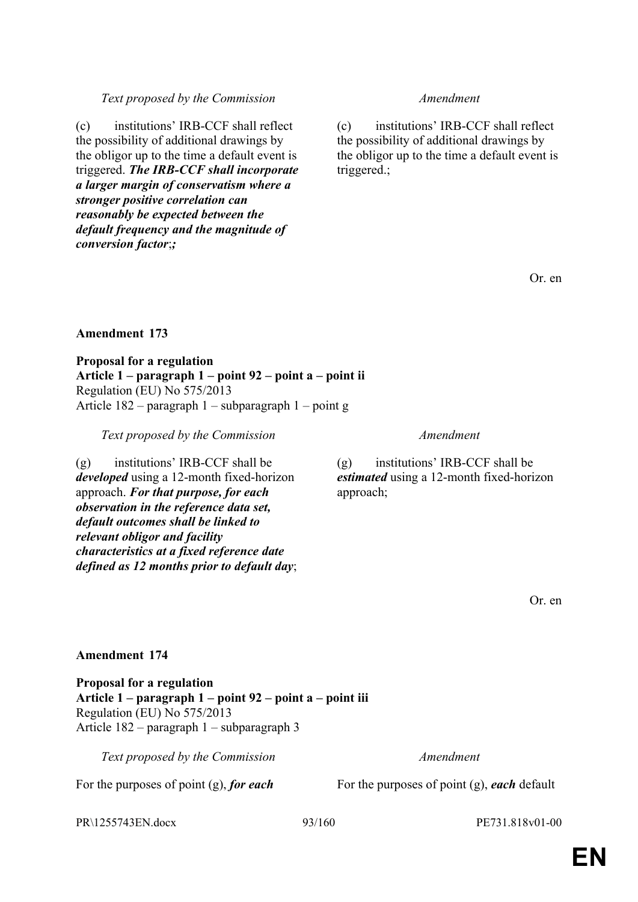# *Text proposed by the Commission Amendment*

(c) institutions' IRB-CCF shall reflect the possibility of additional drawings by the obligor up to the time a default event is triggered. *The IRB-CCF shall incorporate a larger margin of conservatism where a stronger positive correlation can reasonably be expected between the default frequency and the magnitude of conversion factor*;*;*

(c) institutions' IRB-CCF shall reflect the possibility of additional drawings by the obligor up to the time a default event is triggered.;

Or. en

# **Amendment 173**

**Proposal for a regulation Article 1 – paragraph 1 – point 92 – point a – point ii** Regulation (EU) No 575/2013 Article 182 – paragraph 1 – subparagraph 1 – point g

*Text proposed by the Commission Amendment*

(g) institutions' IRB-CCF shall be *developed* using a 12-month fixed-horizon approach. *For that purpose, for each observation in the reference data set, default outcomes shall be linked to relevant obligor and facility characteristics at a fixed reference date defined as 12 months prior to default day*;

(g) institutions' IRB-CCF shall be *estimated* using a 12-month fixed-horizon approach;

Or. en

**Amendment 174**

**Proposal for a regulation Article 1 – paragraph 1 – point 92 – point a – point iii** Regulation (EU) No 575/2013 Article 182 – paragraph 1 – subparagraph 3

*Text proposed by the Commission Amendment*

For the purposes of point (g), *for each* For the purposes of point (g), *each* default

PR\1255743EN.docx 93/160 PE731.818v01-00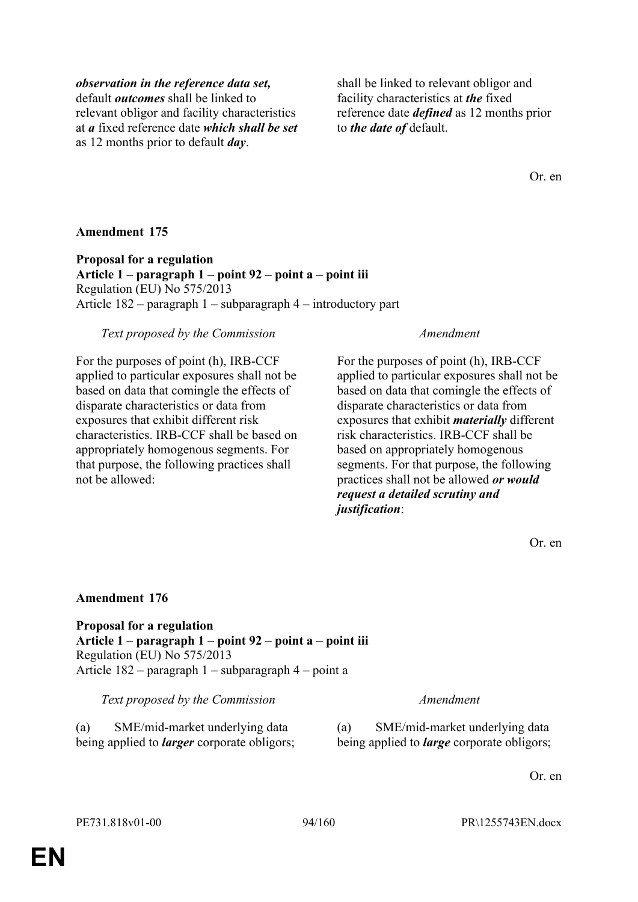# *observation in the reference data set,*

default *outcomes* shall be linked to relevant obligor and facility characteristics at *a* fixed reference date *which shall be set* as 12 months prior to default *day*.

shall be linked to relevant obligor and facility characteristics at *the* fixed reference date *defined* as 12 months prior to *the date of* default.

Or. en

# **Amendment 175**

**Proposal for a regulation Article 1 – paragraph 1 – point 92 – point a – point iii** Regulation (EU) No 575/2013 Article 182 – paragraph 1 – subparagraph 4 – introductory part

## *Text proposed by the Commission Amendment*

For the purposes of point (h), IRB-CCF applied to particular exposures shall not be based on data that comingle the effects of disparate characteristics or data from exposures that exhibit different risk characteristics. IRB-CCF shall be based on appropriately homogenous segments. For that purpose, the following practices shall not be allowed:

For the purposes of point (h), IRB-CCF applied to particular exposures shall not be based on data that comingle the effects of disparate characteristics or data from exposures that exhibit *materially* different risk characteristics. IRB-CCF shall be based on appropriately homogenous segments. For that purpose, the following practices shall not be allowed *or would request a detailed scrutiny and justification*:

Or. en

# **Amendment 176**

**Proposal for a regulation Article 1 – paragraph 1 – point 92 – point a – point iii** Regulation (EU) No 575/2013 Article 182 – paragraph 1 – subparagraph 4 – point a

### *Text proposed by the Commission Amendment*

(a) SME/mid-market underlying data being applied to *larger* corporate obligors; (a) SME/mid-market underlying data being applied to *large* corporate obligors;

Or. en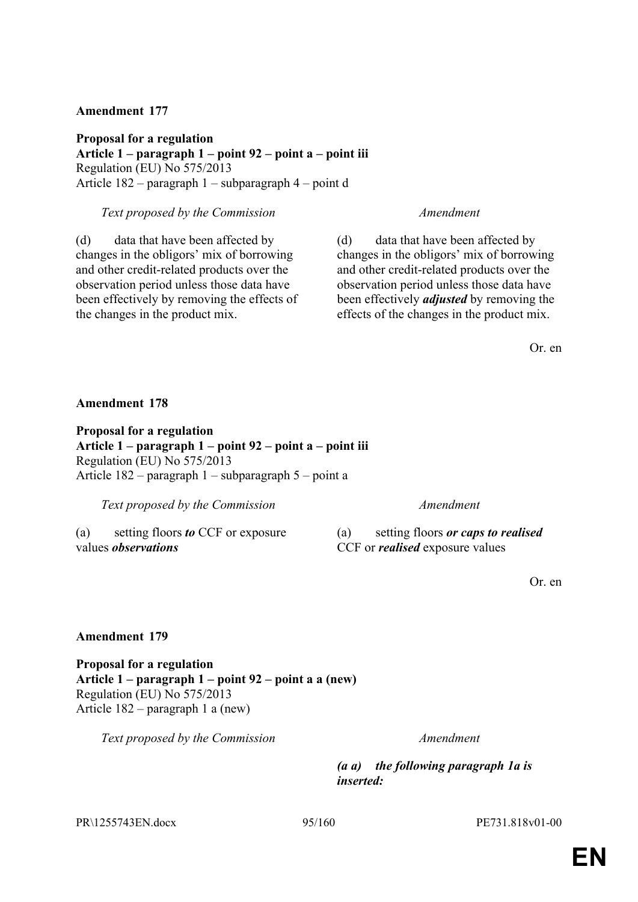**Proposal for a regulation Article 1 – paragraph 1 – point 92 – point a – point iii** Regulation (EU) No 575/2013 Article 182 – paragraph 1 – subparagraph 4 – point d

### *Text proposed by the Commission Amendment*

(d) data that have been affected by changes in the obligors' mix of borrowing and other credit-related products over the observation period unless those data have been effectively by removing the effects of the changes in the product mix.

(d) data that have been affected by changes in the obligors' mix of borrowing and other credit-related products over the observation period unless those data have been effectively *adjusted* by removing the effects of the changes in the product mix.

Or. en

**Amendment 178**

**Proposal for a regulation Article 1 – paragraph 1 – point 92 – point a – point iii** Regulation (EU) No 575/2013 Article 182 – paragraph 1 – subparagraph 5 – point a

*Text proposed by the Commission Amendment*

(a) setting floors *to* CCF or exposure values *observations*

(a) setting floors *or caps to realised* CCF or *realised* exposure values

Or. en

# **Amendment 179**

**Proposal for a regulation Article 1 – paragraph 1 – point 92 – point a a (new)** Regulation (EU) No 575/2013 Article 182 – paragraph 1 a (new)

*Text proposed by the Commission Amendment*

*(a a) the following paragraph 1a is inserted:*

PR\1255743EN.docx 95/160 PE731.818v01-00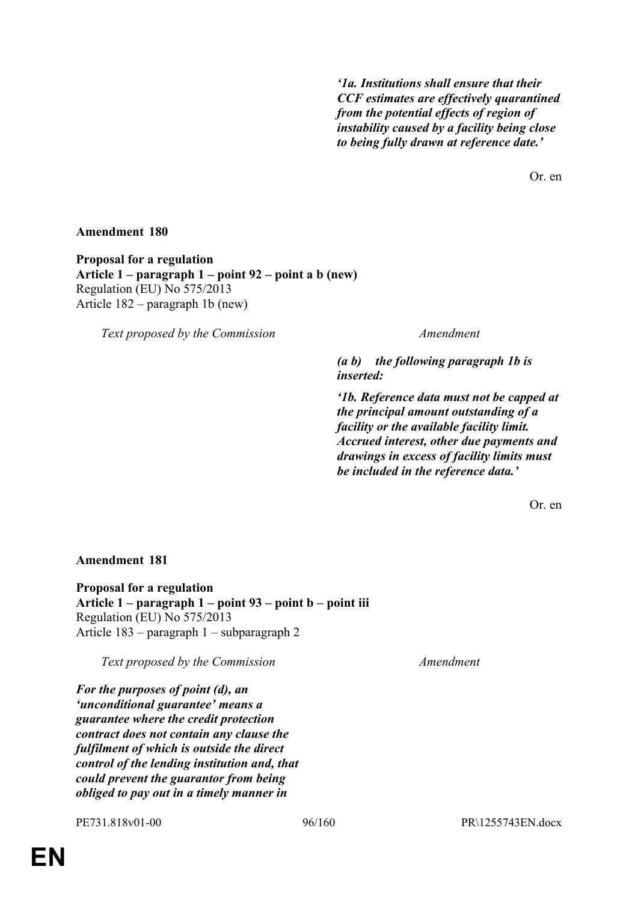*'1a. Institutions shall ensure that their CCF estimates are effectively quarantined from the potential effects of region of instability caused by a facility being close to being fully drawn at reference date.'*

Or. en

# **Amendment 180**

**Proposal for a regulation Article 1 – paragraph 1 – point 92 – point a b (new)** Regulation (EU) No 575/2013 Article 182 – paragraph 1b (new)

*Text proposed by the Commission Amendment*

*(a b) the following paragraph 1b is inserted:*

*'1b. Reference data must not be capped at the principal amount outstanding of a facility or the available facility limit. Accrued interest, other due payments and drawings in excess of facility limits must be included in the reference data.'*

Or. en

# **Amendment 181**

**Proposal for a regulation Article 1 – paragraph 1 – point 93 – point b – point iii** Regulation (EU) No 575/2013 Article 183 – paragraph 1 – subparagraph 2

*Text proposed by the Commission Amendment*

*For the purposes of point (d), an 'unconditional guarantee' means a guarantee where the credit protection contract does not contain any clause the fulfilment of which is outside the direct control of the lending institution and, that could prevent the guarantor from being obliged to pay out in a timely manner in*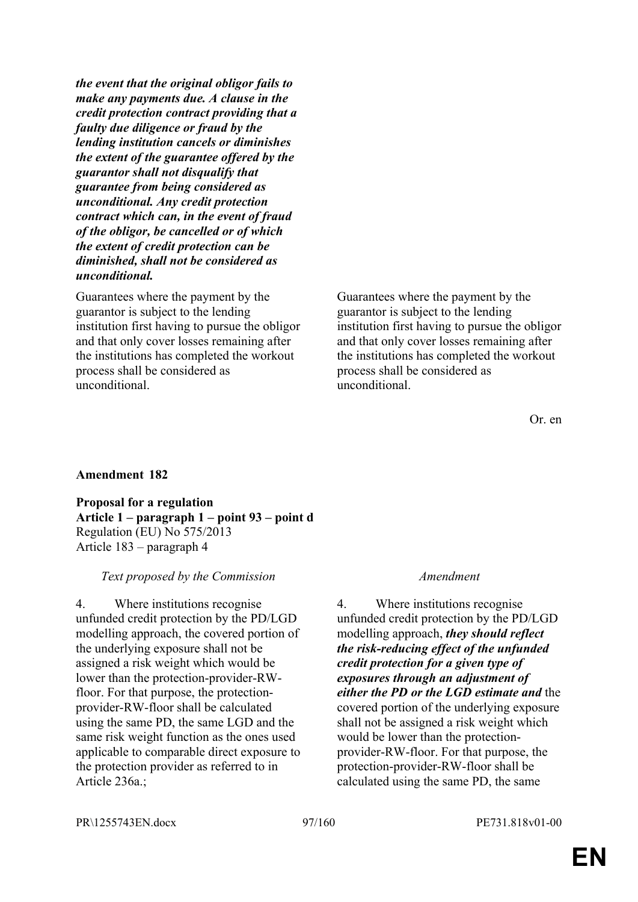*the event that the original obligor fails to make any payments due. A clause in the credit protection contract providing that a faulty due diligence or fraud by the lending institution cancels or diminishes the extent of the guarantee offered by the guarantor shall not disqualify that guarantee from being considered as unconditional. Any credit protection contract which can, in the event of fraud of the obligor, be cancelled or of which the extent of credit protection can be diminished, shall not be considered as unconditional.*

Guarantees where the payment by the guarantor is subject to the lending institution first having to pursue the obligor and that only cover losses remaining after the institutions has completed the workout process shall be considered as unconditional.

Guarantees where the payment by the guarantor is subject to the lending institution first having to pursue the obligor and that only cover losses remaining after the institutions has completed the workout process shall be considered as unconditional.

# **Amendment 182**

**Proposal for a regulation Article 1 – paragraph 1 – point 93 – point d** Regulation (EU) No 575/2013 Article 183 – paragraph 4

# *Text proposed by the Commission Amendment*

4. Where institutions recognise unfunded credit protection by the PD/LGD modelling approach, the covered portion of the underlying exposure shall not be assigned a risk weight which would be lower than the protection-provider-RWfloor. For that purpose, the protectionprovider-RW-floor shall be calculated using the same PD, the same LGD and the same risk weight function as the ones used applicable to comparable direct exposure to the protection provider as referred to in Article 236a.;

4. Where institutions recognise unfunded credit protection by the PD/LGD modelling approach, *they should reflect the risk-reducing effect of the unfunded credit protection for a given type of exposures through an adjustment of either the PD or the LGD estimate and* the covered portion of the underlying exposure shall not be assigned a risk weight which would be lower than the protectionprovider-RW-floor. For that purpose, the protection-provider-RW-floor shall be calculated using the same PD, the same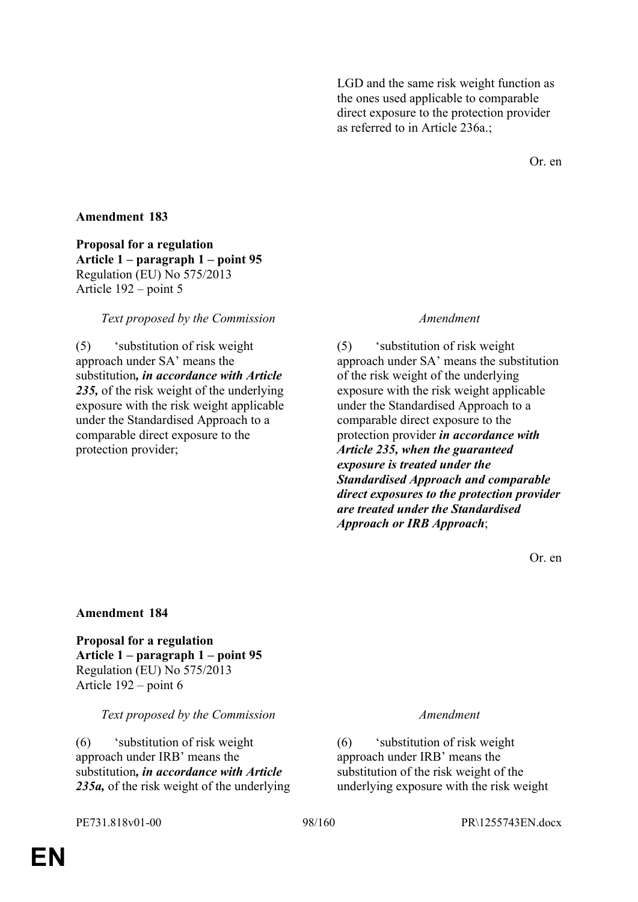LGD and the same risk weight function as the ones used applicable to comparable direct exposure to the protection provider as referred to in Article 236a.;

Or. en

# **Amendment 183**

**Proposal for a regulation Article 1 – paragraph 1 – point 95** Regulation (EU) No 575/2013 Article 192 – point 5

### *Text proposed by the Commission Amendment*

(5) 'substitution of risk weight approach under SA' means the substitution*, in accordance with Article 235,* of the risk weight of the underlying exposure with the risk weight applicable under the Standardised Approach to a comparable direct exposure to the protection provider;

(5) 'substitution of risk weight approach under SA' means the substitution of the risk weight of the underlying exposure with the risk weight applicable under the Standardised Approach to a comparable direct exposure to the protection provider *in accordance with Article 235, when the guaranteed exposure is treated under the Standardised Approach and comparable direct exposures to the protection provider are treated under the Standardised Approach or IRB Approach*;

Or. en

### **Amendment 184**

**Proposal for a regulation Article 1 – paragraph 1 – point 95** Regulation (EU) No 575/2013 Article 192 – point 6

### *Text proposed by the Commission Amendment*

(6) 'substitution of risk weight approach under IRB' means the substitution*, in accordance with Article 235a,* of the risk weight of the underlying

(6) 'substitution of risk weight approach under IRB' means the substitution of the risk weight of the underlying exposure with the risk weight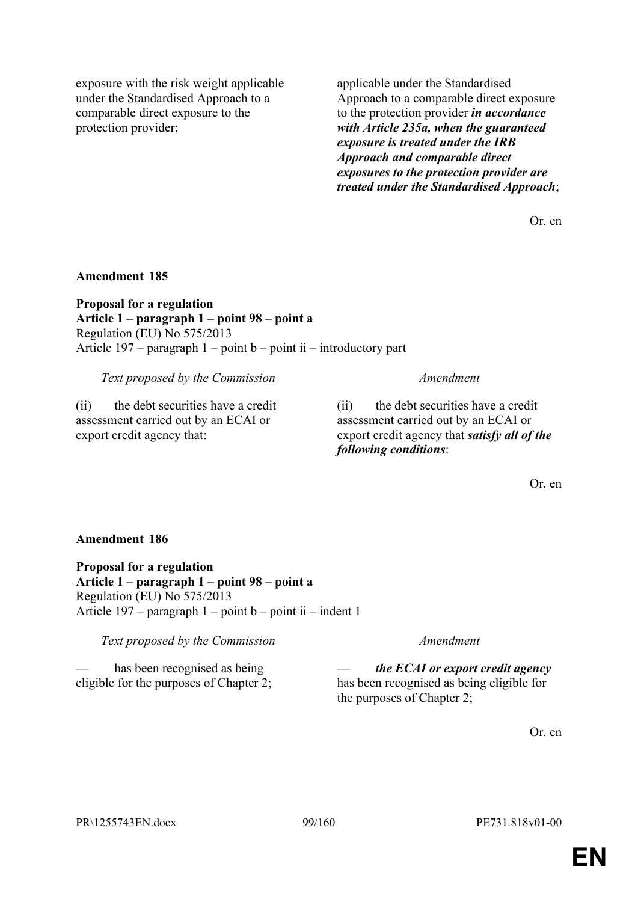exposure with the risk weight applicable under the Standardised Approach to a comparable direct exposure to the protection provider;

applicable under the Standardised Approach to a comparable direct exposure to the protection provider *in accordance with Article 235a, when the guaranteed exposure is treated under the IRB Approach and comparable direct exposures to the protection provider are treated under the Standardised Approach*;

Or. en

### **Amendment 185**

**Proposal for a regulation Article 1 – paragraph 1 – point 98 – point a** Regulation (EU) No 575/2013 Article  $197$  – paragraph  $1$  – point  $b$  – point ii – introductory part

*Text proposed by the Commission Amendment*

(ii) the debt securities have a credit assessment carried out by an ECAI or

(ii) the debt securities have a credit assessment carried out by an ECAI or export credit agency that *satisfy all of the following conditions*:

Or. en

# **Amendment 186**

export credit agency that:

**Proposal for a regulation Article 1 – paragraph 1 – point 98 – point a** Regulation (EU) No 575/2013 Article  $197$  – paragraph  $1$  – point b – point ii – indent 1

*Text proposed by the Commission Amendment*

has been recognised as being

eligible for the purposes of Chapter 2;

— *the ECAI or export credit agency* has been recognised as being eligible for the purposes of Chapter 2;

Or. en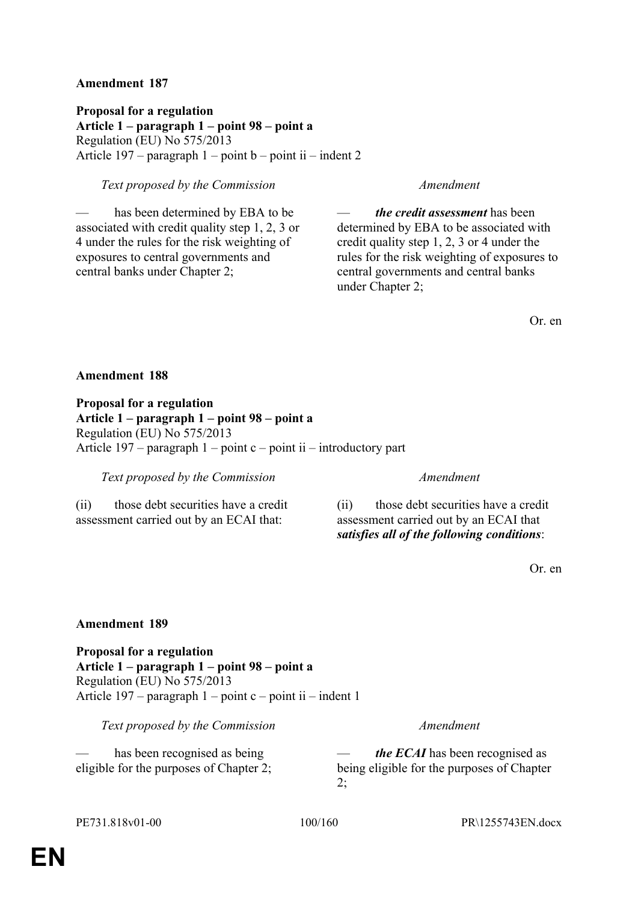**Proposal for a regulation Article 1 – paragraph 1 – point 98 – point a** Regulation (EU) No 575/2013 Article 197 – paragraph  $1$  – point  $b$  – point ii – indent 2

# *Text proposed by the Commission Amendment*

has been determined by EBA to be. associated with credit quality step 1, 2, 3 or 4 under the rules for the risk weighting of exposures to central governments and central banks under Chapter 2;

— *the credit assessment* has been determined by EBA to be associated with credit quality step 1, 2, 3 or 4 under the rules for the risk weighting of exposures to central governments and central banks under Chapter 2;

Or. en

### **Amendment 188**

**Proposal for a regulation Article 1 – paragraph 1 – point 98 – point a** Regulation (EU) No 575/2013 Article  $197$  – paragraph  $1$  – point c – point ii – introductory part

*Text proposed by the Commission Amendment*

(ii) those debt securities have a credit assessment carried out by an ECAI that:

(ii) those debt securities have a credit assessment carried out by an ECAI that *satisfies all of the following conditions*:

Or. en

# **Amendment 189**

**Proposal for a regulation Article 1 – paragraph 1 – point 98 – point a** Regulation (EU) No 575/2013 Article 197 – paragraph  $1$  – point c – point ii – indent 1

*Text proposed by the Commission Amendment*

has been recognised as being eligible for the purposes of Chapter 2;

*the ECAI* has been recognised as being eligible for the purposes of Chapter  $2$ ;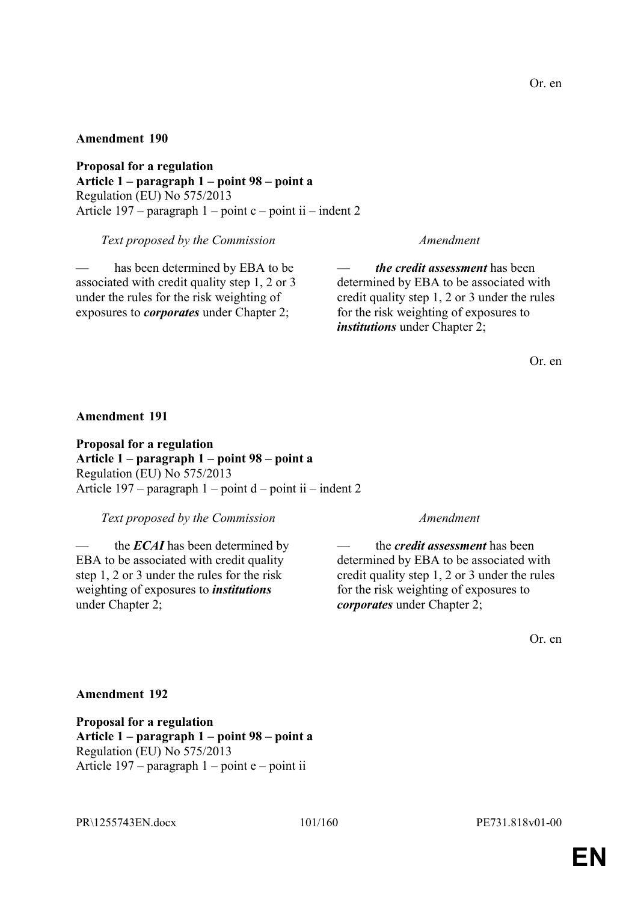**Proposal for a regulation Article 1 – paragraph 1 – point 98 – point a** Regulation (EU) No 575/2013 Article 197 – paragraph  $1$  – point c – point ii – indent 2

*Text proposed by the Commission Amendment*

has been determined by EBA to be associated with credit quality step 1, 2 or 3 under the rules for the risk weighting of exposures to *corporates* under Chapter 2;

— *the credit assessment* has been determined by EBA to be associated with credit quality step 1, 2 or 3 under the rules for the risk weighting of exposures to *institutions* under Chapter 2;

Or. en

# **Amendment 191**

**Proposal for a regulation Article 1 – paragraph 1 – point 98 – point a** Regulation (EU) No 575/2013 Article  $197$  – paragraph  $1$  – point  $d$  – point ii – indent 2

*Text proposed by the Commission Amendment*

the *ECAI* has been determined by EBA to be associated with credit quality step 1, 2 or 3 under the rules for the risk weighting of exposures to *institutions* under Chapter 2;

— the *credit assessment* has been determined by EBA to be associated with credit quality step 1, 2 or 3 under the rules for the risk weighting of exposures to *corporates* under Chapter 2;

Or. en

### **Amendment 192**

**Proposal for a regulation Article 1 – paragraph 1 – point 98 – point a** Regulation (EU) No 575/2013 Article  $197$  – paragraph  $1$  – point e – point ii

PR\1255743EN.docx 101/160 PE731.818v01-00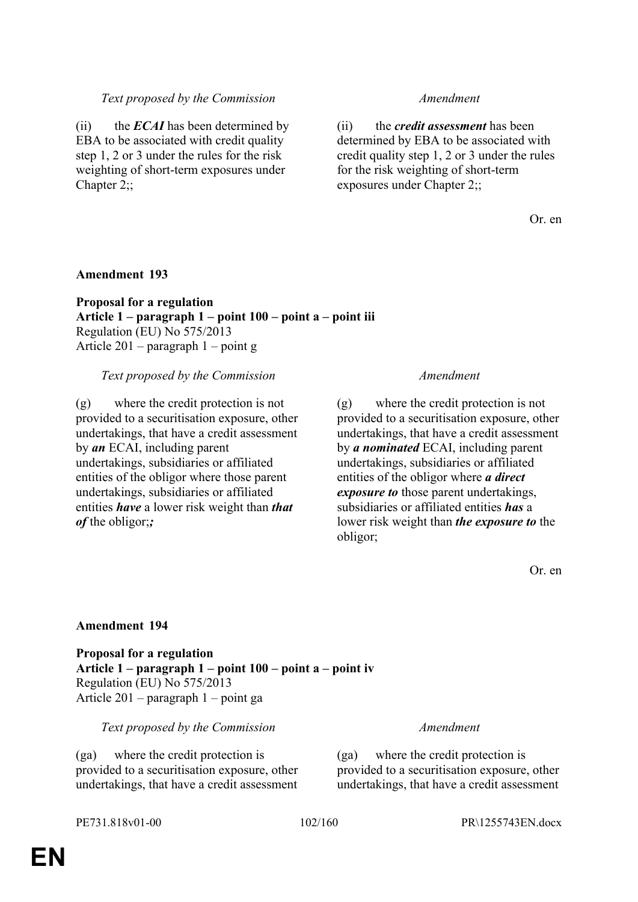# *Text proposed by the Commission Amendment*

(ii) the *ECAI* has been determined by EBA to be associated with credit quality step 1, 2 or 3 under the rules for the risk weighting of short-term exposures under Chapter 2::

(ii) the *credit assessment* has been determined by EBA to be associated with credit quality step 1, 2 or 3 under the rules for the risk weighting of short-term exposures under Chapter 2;;

Or. en

### **Amendment 193**

**Proposal for a regulation Article 1 – paragraph 1 – point 100 – point a – point iii** Regulation (EU) No 575/2013 Article 201 – paragraph 1 – point g

*Text proposed by the Commission Amendment*

(g) where the credit protection is not provided to a securitisation exposure, other undertakings, that have a credit assessment by *an* ECAI, including parent undertakings, subsidiaries or affiliated entities of the obligor where those parent undertakings, subsidiaries or affiliated entities *have* a lower risk weight than *that of* the obligor;*;*

(g) where the credit protection is not provided to a securitisation exposure, other undertakings, that have a credit assessment by *a nominated* ECAI, including parent undertakings, subsidiaries or affiliated entities of the obligor where *a direct exposure to* those parent undertakings, subsidiaries or affiliated entities *has* a lower risk weight than *the exposure to* the obligor;

Or. en

### **Amendment 194**

**Proposal for a regulation Article 1 – paragraph 1 – point 100 – point a – point iv** Regulation (EU) No 575/2013 Article 201 – paragraph 1 – point ga

### *Text proposed by the Commission Amendment*

(ga) where the credit protection is provided to a securitisation exposure, other undertakings, that have a credit assessment

(ga) where the credit protection is provided to a securitisation exposure, other undertakings, that have a credit assessment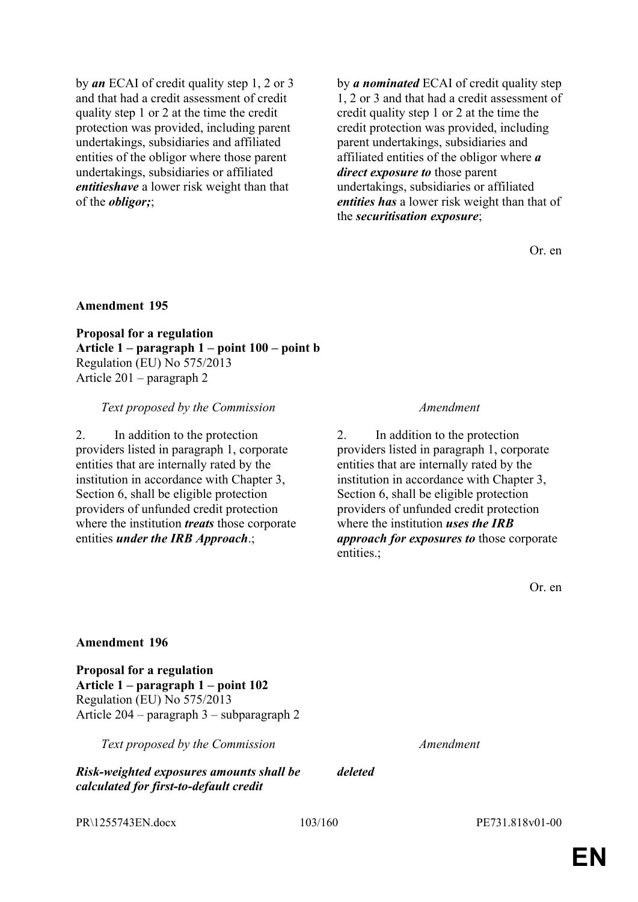by *an* ECAI of credit quality step 1, 2 or 3 and that had a credit assessment of credit quality step 1 or 2 at the time the credit protection was provided, including parent undertakings, subsidiaries and affiliated entities of the obligor where those parent undertakings, subsidiaries or affiliated *entitieshave* a lower risk weight than that of the *obligor;*;

by *a nominated* ECAI of credit quality step 1, 2 or 3 and that had a credit assessment of credit quality step 1 or 2 at the time the credit protection was provided, including parent undertakings, subsidiaries and affiliated entities of the obligor where *a direct exposure to* those parent undertakings, subsidiaries or affiliated *entities has* a lower risk weight than that of the *securitisation exposure*;

Or. en

### **Amendment 195**

**Proposal for a regulation Article 1 – paragraph 1 – point 100 – point b** Regulation (EU) No 575/2013 Article 201 – paragraph 2

### *Text proposed by the Commission Amendment*

2. In addition to the protection providers listed in paragraph 1, corporate entities that are internally rated by the institution in accordance with Chapter 3, Section 6, shall be eligible protection providers of unfunded credit protection where the institution *treats* those corporate entities *under the IRB Approach*.;

2. In addition to the protection providers listed in paragraph 1, corporate entities that are internally rated by the institution in accordance with Chapter 3, Section 6, shall be eligible protection providers of unfunded credit protection where the institution *uses the IRB approach for exposures to* those corporate entities.;

Or. en

### **Amendment 196**

**Proposal for a regulation Article 1 – paragraph 1 – point 102** Regulation (EU) No 575/2013 Article 204 – paragraph 3 – subparagraph 2

*Text proposed by the Commission Amendment*

*Risk-weighted exposures amounts shall be calculated for first-to-default credit* 

PR\1255743EN.docx 103/160 PE731.818v01-00

*deleted*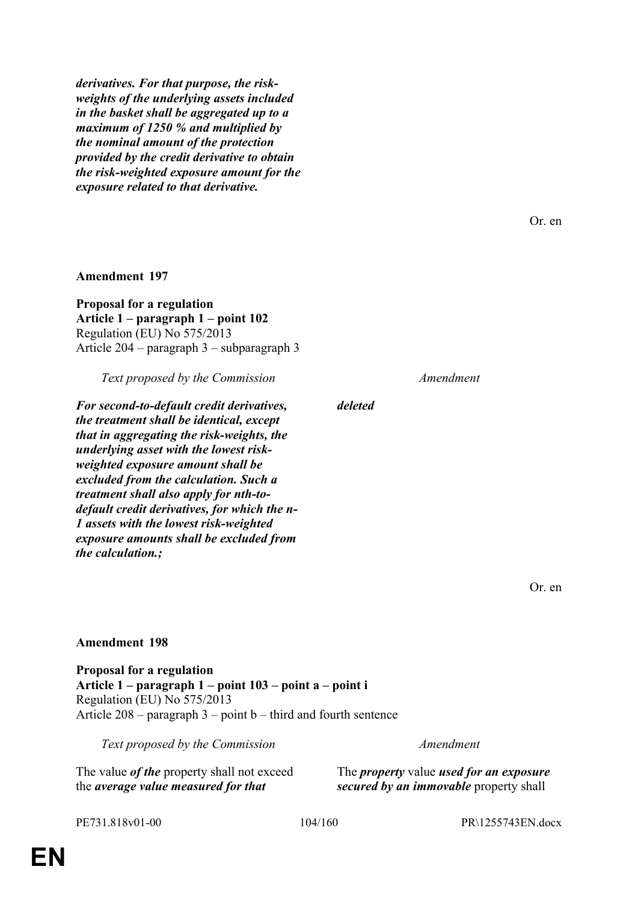*derivatives. For that purpose, the riskweights of the underlying assets included in the basket shall be aggregated up to a maximum of 1250 % and multiplied by the nominal amount of the protection provided by the credit derivative to obtain the risk-weighted exposure amount for the exposure related to that derivative.*

**Amendment 197**

**Proposal for a regulation Article 1 – paragraph 1 – point 102** Regulation (EU) No 575/2013 Article 204 – paragraph 3 – subparagraph 3

*Text proposed by the Commission Amendment*

*For second-to-default credit derivatives, the treatment shall be identical, except that in aggregating the risk-weights, the underlying asset with the lowest riskweighted exposure amount shall be excluded from the calculation. Such a treatment shall also apply for nth-todefault credit derivatives, for which the n-1 assets with the lowest risk-weighted exposure amounts shall be excluded from the calculation.;*

*deleted*

Or. en

Or. en

# **Amendment 198**

**Proposal for a regulation Article 1 – paragraph 1 – point 103 – point a – point i** Regulation (EU) No 575/2013 Article  $208$  – paragraph  $3$  – point b – third and fourth sentence

*Text proposed by the Commission Amendment*

The value *of the* property shall not exceed the *average value measured for that*

The *property* value *used for an exposure secured by an immovable* property shall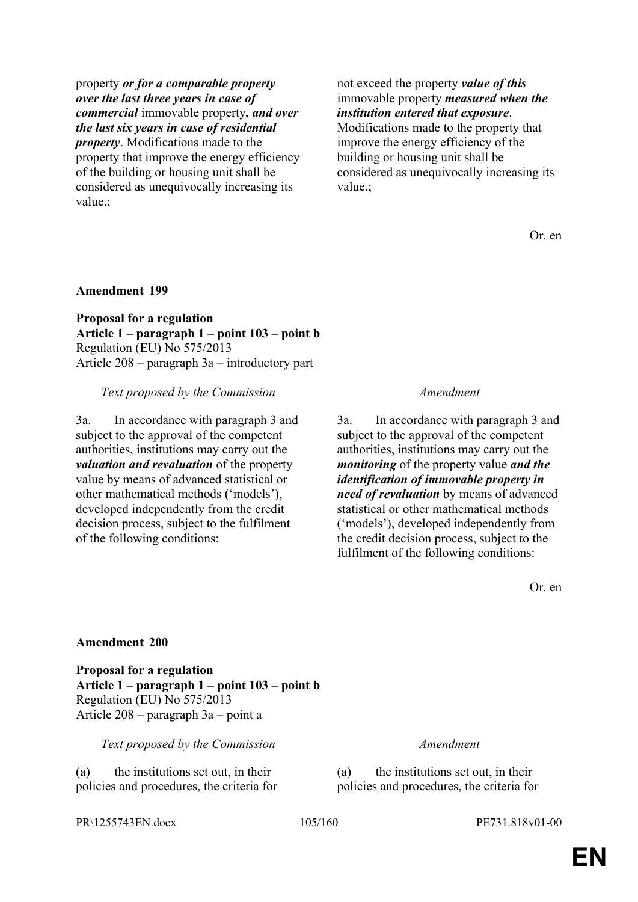property *or for a comparable property over the last three years in case of commercial* immovable property*, and over the last six years in case of residential property*. Modifications made to the property that improve the energy efficiency of the building or housing unit shall be considered as unequivocally increasing its value.;

not exceed the property *value of this* immovable property *measured when the institution entered that exposure*.

Modifications made to the property that improve the energy efficiency of the building or housing unit shall be considered as unequivocally increasing its value.;

Or. en

# **Amendment 199**

**Proposal for a regulation Article 1 – paragraph 1 – point 103 – point b** Regulation (EU) No 575/2013 Article 208 – paragraph 3a – introductory part

# *Text proposed by the Commission Amendment*

3a. In accordance with paragraph 3 and subject to the approval of the competent authorities, institutions may carry out the *valuation and revaluation* of the property value by means of advanced statistical or other mathematical methods ('models'), developed independently from the credit decision process, subject to the fulfilment of the following conditions:

3a. In accordance with paragraph 3 and subject to the approval of the competent authorities, institutions may carry out the *monitoring* of the property value *and the identification of immovable property in need of revaluation* by means of advanced statistical or other mathematical methods ('models'), developed independently from the credit decision process, subject to the fulfilment of the following conditions:

Or. en

### **Amendment 200**

**Proposal for a regulation Article 1 – paragraph 1 – point 103 – point b** Regulation (EU) No 575/2013 Article 208 – paragraph 3a – point a

*Text proposed by the Commission Amendment*

(a) the institutions set out, in their policies and procedures, the criteria for (a) the institutions set out, in their policies and procedures, the criteria for

PR\1255743EN.docx 105/160 PE731.818v01-00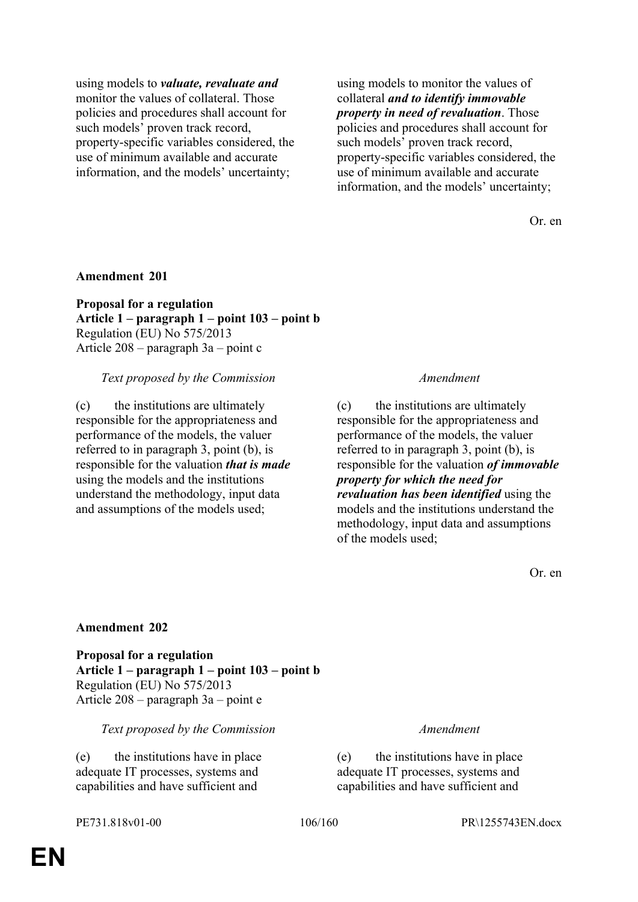using models to *valuate, revaluate and* monitor the values of collateral. Those policies and procedures shall account for such models' proven track record, property-specific variables considered, the use of minimum available and accurate information, and the models' uncertainty;

using models to monitor the values of collateral *and to identify immovable property in need of revaluation*. Those policies and procedures shall account for such models' proven track record, property-specific variables considered, the use of minimum available and accurate information, and the models' uncertainty;

Or. en

### **Amendment 201**

**Proposal for a regulation Article 1 – paragraph 1 – point 103 – point b** Regulation (EU) No 575/2013 Article 208 – paragraph 3a – point c

### *Text proposed by the Commission Amendment*

(c) the institutions are ultimately responsible for the appropriateness and performance of the models, the valuer referred to in paragraph 3, point (b), is responsible for the valuation *that is made* using the models and the institutions understand the methodology, input data and assumptions of the models used;

(c) the institutions are ultimately responsible for the appropriateness and performance of the models, the valuer referred to in paragraph 3, point (b), is responsible for the valuation *of immovable property for which the need for revaluation has been identified* using the models and the institutions understand the methodology, input data and assumptions of the models used;

Or. en

### **Amendment 202**

**Proposal for a regulation Article 1 – paragraph 1 – point 103 – point b** Regulation (EU) No 575/2013 Article 208 – paragraph 3a – point e

### *Text proposed by the Commission Amendment*

(e) the institutions have in place adequate IT processes, systems and capabilities and have sufficient and

(e) the institutions have in place adequate IT processes, systems and capabilities and have sufficient and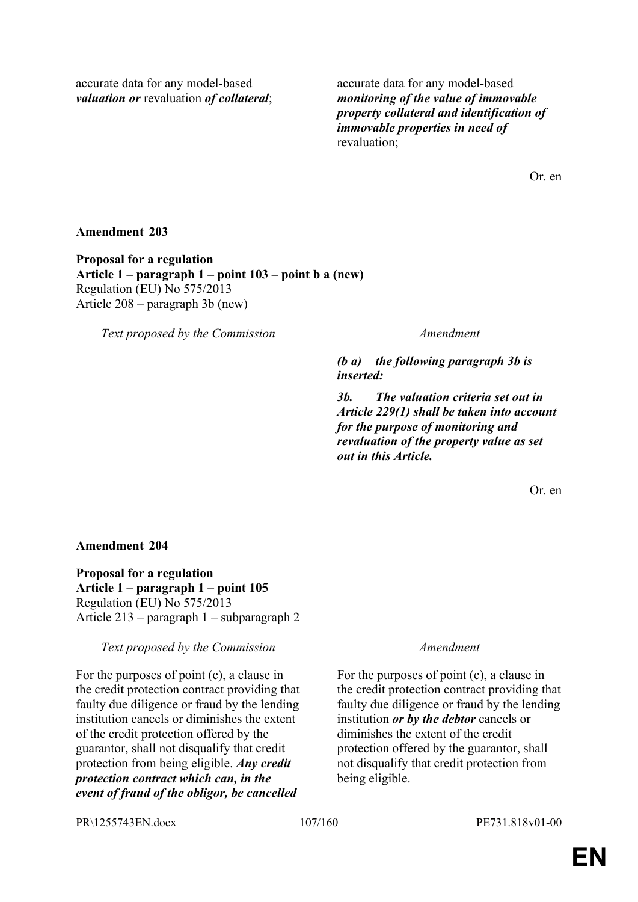accurate data for any model-based *valuation or* revaluation *of collateral*; accurate data for any model-based *monitoring of the value of immovable property collateral and identification of immovable properties in need of* revaluation;

Or. en

# **Amendment 203**

**Proposal for a regulation Article 1 – paragraph 1 – point 103 – point b a (new)** Regulation (EU) No 575/2013 Article 208 – paragraph 3b (new)

*Text proposed by the Commission Amendment*

*(b a) the following paragraph 3b is inserted:*

*3b. The valuation criteria set out in Article 229(1) shall be taken into account for the purpose of monitoring and revaluation of the property value as set out in this Article.*

Or. en

# **Amendment 204**

**Proposal for a regulation Article 1 – paragraph 1 – point 105** Regulation (EU) No 575/2013 Article 213 – paragraph 1 – subparagraph 2

### *Text proposed by the Commission Amendment*

For the purposes of point (c), a clause in the credit protection contract providing that faulty due diligence or fraud by the lending institution cancels or diminishes the extent of the credit protection offered by the guarantor, shall not disqualify that credit protection from being eligible. *Any credit protection contract which can, in the event of fraud of the obligor, be cancelled* 

For the purposes of point (c), a clause in the credit protection contract providing that faulty due diligence or fraud by the lending institution *or by the debtor* cancels or diminishes the extent of the credit protection offered by the guarantor, shall not disqualify that credit protection from being eligible.

PR\1255743EN.docx 107/160 PE731.818v01-00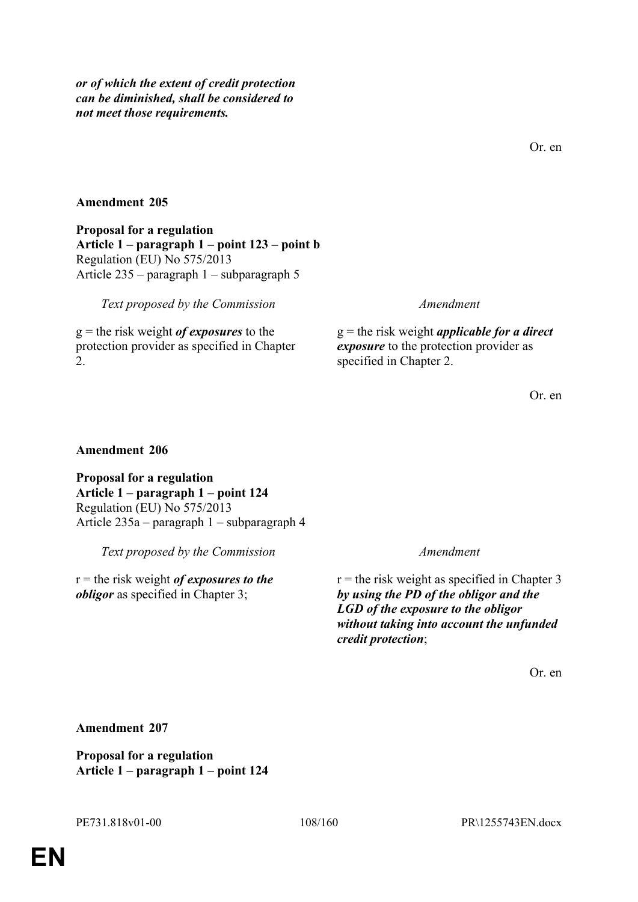*or of which the extent of credit protection can be diminished, shall be considered to not meet those requirements.*

Or. en

# **Amendment 205**

**Proposal for a regulation Article 1 – paragraph 1 – point 123 – point b** Regulation (EU) No 575/2013 Article 235 – paragraph 1 – subparagraph 5

*Text proposed by the Commission Amendment*

g = the risk weight *of exposures* to the protection provider as specified in Chapter 2.

g = the risk weight *applicable for a direct exposure* to the protection provider as specified in Chapter 2.

Or. en

### **Amendment 206**

**Proposal for a regulation Article 1 – paragraph 1 – point 124** Regulation (EU) No 575/2013 Article 235a – paragraph 1 – subparagraph 4

*Text proposed by the Commission Amendment*

r = the risk weight *of exposures to the obligor* as specified in Chapter 3;

 $r =$  the risk weight as specified in Chapter 3 *by using the PD of the obligor and the LGD of the exposure to the obligor without taking into account the unfunded credit protection*;

Or. en

**Amendment 207**

**Proposal for a regulation Article 1 – paragraph 1 – point 124**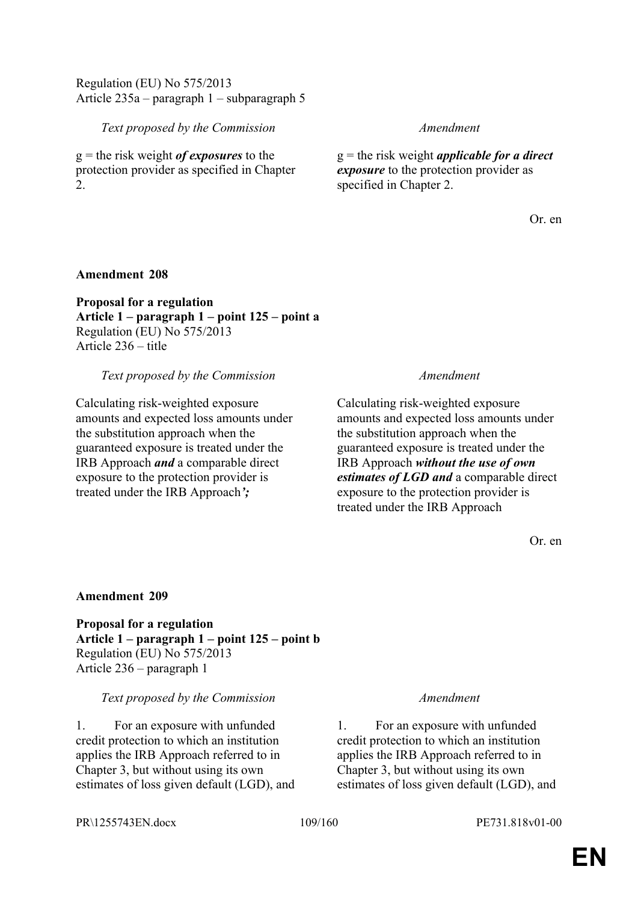## Regulation (EU) No 575/2013 Article 235a – paragraph 1 – subparagraph 5

## *Text proposed by the Commission Amendment*

g = the risk weight *of exposures* to the protection provider as specified in Chapter  $2^{\circ}$ 

g = the risk weight *applicable for a direct exposure* to the protection provider as specified in Chapter 2.

Or. en

## **Amendment 208**

**Proposal for a regulation Article 1 – paragraph 1 – point 125 – point a** Regulation (EU) No 575/2013 Article 236 – title

## *Text proposed by the Commission Amendment*

Calculating risk-weighted exposure amounts and expected loss amounts under the substitution approach when the guaranteed exposure is treated under the IRB Approach *and* a comparable direct exposure to the protection provider is treated under the IRB Approach*';*

Calculating risk-weighted exposure amounts and expected loss amounts under the substitution approach when the guaranteed exposure is treated under the IRB Approach *without the use of own estimates of LGD and* a comparable direct exposure to the protection provider is treated under the IRB Approach

Or. en

## **Amendment 209**

**Proposal for a regulation Article 1 – paragraph 1 – point 125 – point b** Regulation (EU) No 575/2013 Article 236 – paragraph 1

## *Text proposed by the Commission Amendment*

1. For an exposure with unfunded credit protection to which an institution applies the IRB Approach referred to in Chapter 3, but without using its own estimates of loss given default (LGD), and

1. For an exposure with unfunded credit protection to which an institution applies the IRB Approach referred to in Chapter 3, but without using its own estimates of loss given default (LGD), and

PR\1255743EN.docx 109/160 PE731.818v01-00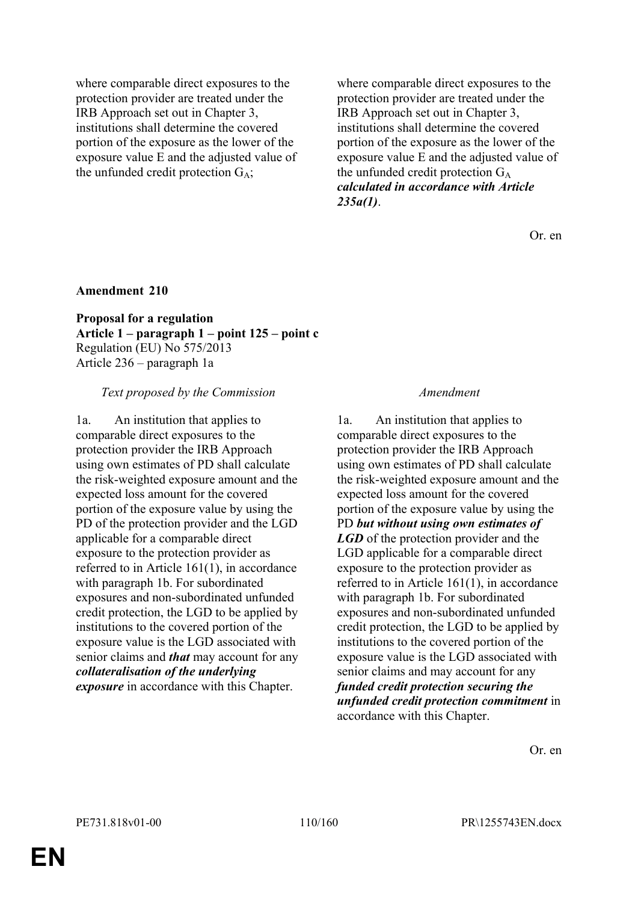where comparable direct exposures to the protection provider are treated under the IRB Approach set out in Chapter 3, institutions shall determine the covered portion of the exposure as the lower of the exposure value E and the adjusted value of the unfunded credit protection  $G_A$ ;

where comparable direct exposures to the protection provider are treated under the IRB Approach set out in Chapter 3, institutions shall determine the covered portion of the exposure as the lower of the exposure value E and the adjusted value of the unfunded credit protection  $G_A$ *calculated in accordance with Article 235a(1)*.

Or. en

## **Amendment 210**

**Proposal for a regulation Article 1 – paragraph 1 – point 125 – point c** Regulation (EU) No 575/2013 Article 236 – paragraph 1a

### *Text proposed by the Commission Amendment*

1a. An institution that applies to comparable direct exposures to the protection provider the IRB Approach using own estimates of PD shall calculate the risk-weighted exposure amount and the expected loss amount for the covered portion of the exposure value by using the PD of the protection provider and the LGD applicable for a comparable direct exposure to the protection provider as referred to in Article 161(1), in accordance with paragraph 1b. For subordinated exposures and non-subordinated unfunded credit protection, the LGD to be applied by institutions to the covered portion of the exposure value is the LGD associated with senior claims and *that* may account for any *collateralisation of the underlying exposure* in accordance with this Chapter.

1a. An institution that applies to comparable direct exposures to the protection provider the IRB Approach using own estimates of PD shall calculate the risk-weighted exposure amount and the expected loss amount for the covered portion of the exposure value by using the PD *but without using own estimates of LGD* of the protection provider and the LGD applicable for a comparable direct exposure to the protection provider as referred to in Article 161(1), in accordance with paragraph 1b. For subordinated exposures and non-subordinated unfunded credit protection, the LGD to be applied by institutions to the covered portion of the exposure value is the LGD associated with senior claims and may account for any *funded credit protection securing the unfunded credit protection commitment* in accordance with this Chapter.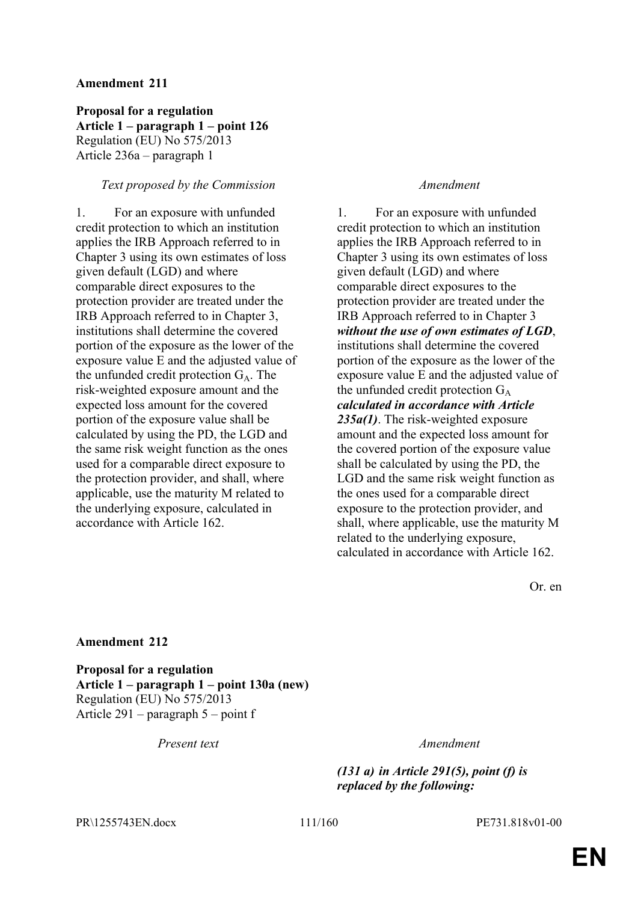**Proposal for a regulation Article 1 – paragraph 1 – point 126** Regulation (EU) No 575/2013 Article 236a – paragraph 1

### *Text proposed by the Commission Amendment*

1. For an exposure with unfunded credit protection to which an institution applies the IRB Approach referred to in Chapter 3 using its own estimates of loss given default (LGD) and where comparable direct exposures to the protection provider are treated under the IRB Approach referred to in Chapter 3, institutions shall determine the covered portion of the exposure as the lower of the exposure value E and the adjusted value of the unfunded credit protection  $G_A$ . The risk-weighted exposure amount and the expected loss amount for the covered portion of the exposure value shall be calculated by using the PD, the LGD and the same risk weight function as the ones used for a comparable direct exposure to the protection provider, and shall, where applicable, use the maturity M related to the underlying exposure, calculated in accordance with Article 162.

1. For an exposure with unfunded credit protection to which an institution applies the IRB Approach referred to in Chapter 3 using its own estimates of loss given default (LGD) and where comparable direct exposures to the protection provider are treated under the IRB Approach referred to in Chapter 3 *without the use of own estimates of LGD*, institutions shall determine the covered portion of the exposure as the lower of the exposure value E and the adjusted value of the unfunded credit protection  $G_A$ *calculated in accordance with Article 235a(1)*. The risk-weighted exposure amount and the expected loss amount for the covered portion of the exposure value shall be calculated by using the PD, the LGD and the same risk weight function as the ones used for a comparable direct exposure to the protection provider, and shall, where applicable, use the maturity M related to the underlying exposure, calculated in accordance with Article 162.

Or. en

### **Amendment 212**

**Proposal for a regulation Article 1 – paragraph 1 – point 130a (new)** Regulation (EU) No 575/2013 Article 291 – paragraph 5 – point f

*Present text Amendment*

*(131 a) in Article 291(5), point (f) is replaced by the following:*

PR\1255743EN.docx 111/160 PE731.818v01-00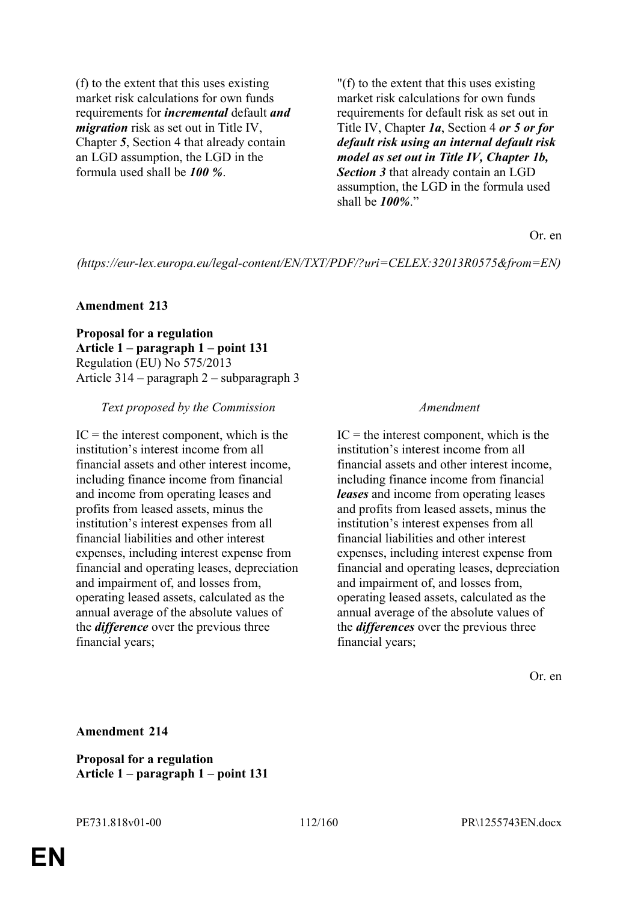(f) to the extent that this uses existing market risk calculations for own funds requirements for *incremental* default *and migration* risk as set out in Title IV, Chapter *5*, Section 4 that already contain an LGD assumption, the LGD in the formula used shall be *100 %*.

"(f) to the extent that this uses existing market risk calculations for own funds requirements for default risk as set out in Title IV, Chapter *1a*, Section 4 *or 5 or for default risk using an internal default risk model as set out in Title IV, Chapter 1b, Section 3* that already contain an LGD assumption, the LGD in the formula used shall be *100%*."

Or. en

*(https://eur-lex.europa.eu/legal-content/EN/TXT/PDF/?uri=CELEX:32013R0575&from=EN)*

### **Amendment 213**

**Proposal for a regulation Article 1 – paragraph 1 – point 131** Regulation (EU) No 575/2013 Article 314 – paragraph 2 – subparagraph 3

### *Text proposed by the Commission Amendment*

 $IC =$  the interest component, which is the institution's interest income from all financial assets and other interest income, including finance income from financial and income from operating leases and profits from leased assets, minus the institution's interest expenses from all financial liabilities and other interest expenses, including interest expense from financial and operating leases, depreciation and impairment of, and losses from, operating leased assets, calculated as the annual average of the absolute values of the *difference* over the previous three financial years;

 $IC =$  the interest component, which is the institution's interest income from all financial assets and other interest income, including finance income from financial *leases* and income from operating leases and profits from leased assets, minus the institution's interest expenses from all financial liabilities and other interest expenses, including interest expense from financial and operating leases, depreciation and impairment of, and losses from, operating leased assets, calculated as the annual average of the absolute values of the *differences* over the previous three financial years;

Or. en

**Amendment 214**

**Proposal for a regulation Article 1 – paragraph 1 – point 131**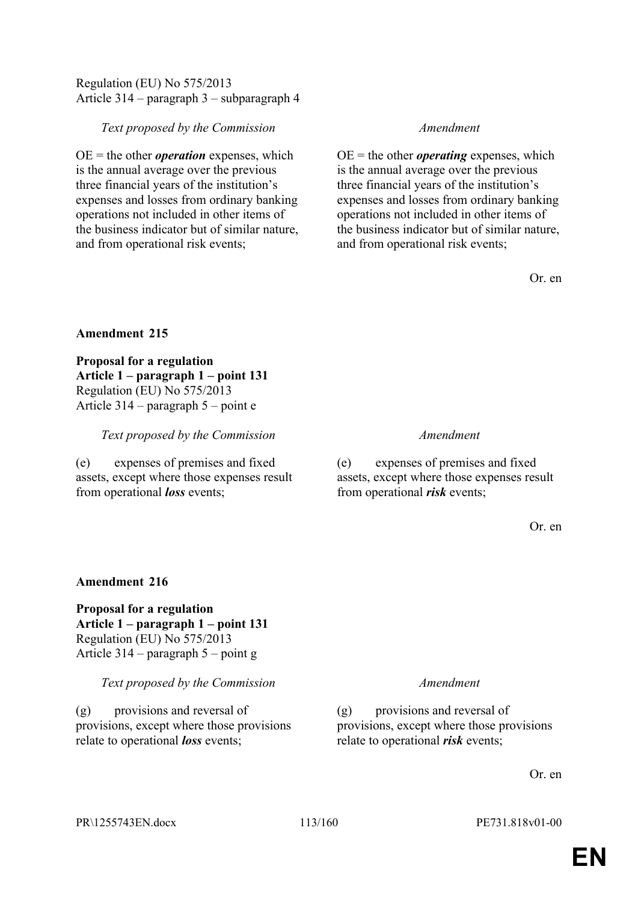## Regulation (EU) No 575/2013 Article 314 – paragraph 3 – subparagraph 4

## *Text proposed by the Commission Amendment*

 $OE =$  the other *operation* expenses, which is the annual average over the previous three financial years of the institution's expenses and losses from ordinary banking operations not included in other items of the business indicator but of similar nature, and from operational risk events;

 $OE =$  the other *operating* expenses, which is the annual average over the previous three financial years of the institution's expenses and losses from ordinary banking operations not included in other items of the business indicator but of similar nature, and from operational risk events;

Or. en

## **Amendment 215**

**Proposal for a regulation Article 1 – paragraph 1 – point 131** Regulation (EU) No 575/2013 Article 314 – paragraph 5 – point e

*Text proposed by the Commission Amendment*

(e) expenses of premises and fixed assets, except where those expenses result from operational *loss* events;

(e) expenses of premises and fixed assets, except where those expenses result from operational *risk* events;

Or. en

# **Amendment 216**

**Proposal for a regulation Article 1 – paragraph 1 – point 131** Regulation (EU) No 575/2013 Article 314 – paragraph 5 – point g

*Text proposed by the Commission Amendment*

(g) provisions and reversal of provisions, except where those provisions relate to operational *loss* events;

(g) provisions and reversal of provisions, except where those provisions relate to operational *risk* events;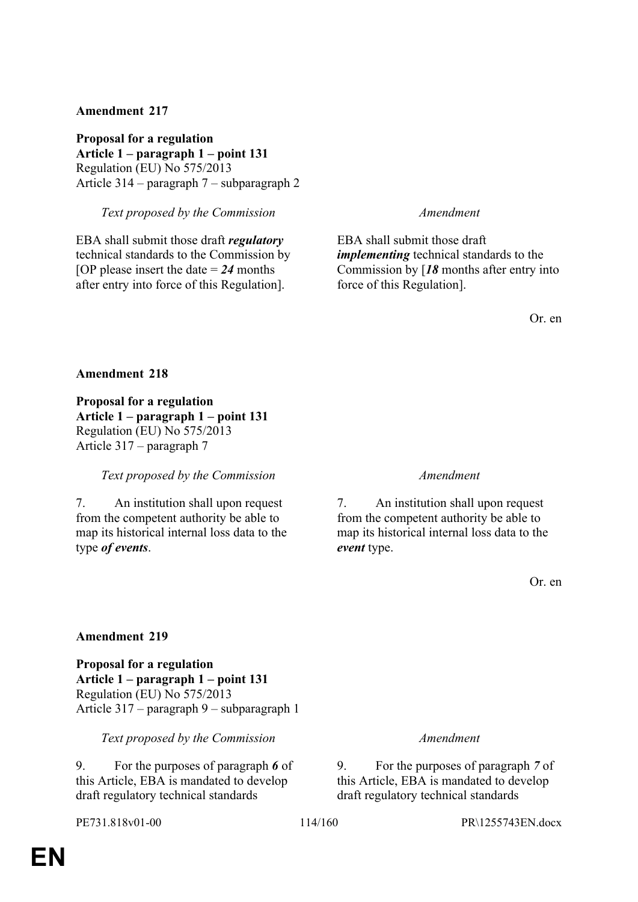**Proposal for a regulation Article 1 – paragraph 1 – point 131** Regulation (EU) No 575/2013 Article 314 – paragraph 7 – subparagraph 2

*Text proposed by the Commission Amendment*

EBA shall submit those draft *regulatory* technical standards to the Commission by [OP please insert the date = *24* months after entry into force of this Regulation].

EBA shall submit those draft *implementing* technical standards to the Commission by [*18* months after entry into force of this Regulation].

Or. en

### **Amendment 218**

**Proposal for a regulation Article 1 – paragraph 1 – point 131** Regulation (EU) No 575/2013 Article 317 – paragraph 7

### *Text proposed by the Commission Amendment*

7. An institution shall upon request from the competent authority be able to map its historical internal loss data to the type *of events*.

7. An institution shall upon request from the competent authority be able to map its historical internal loss data to the *event* type.

Or. en

### **Amendment 219**

**Proposal for a regulation Article 1 – paragraph 1 – point 131** Regulation (EU) No 575/2013 Article 317 – paragraph 9 – subparagraph 1

*Text proposed by the Commission Amendment*

9. For the purposes of paragraph *6* of this Article, EBA is mandated to develop draft regulatory technical standards

9. For the purposes of paragraph *7* of this Article, EBA is mandated to develop draft regulatory technical standards

PE731.818v01-00 114/160 PR\1255743EN.docx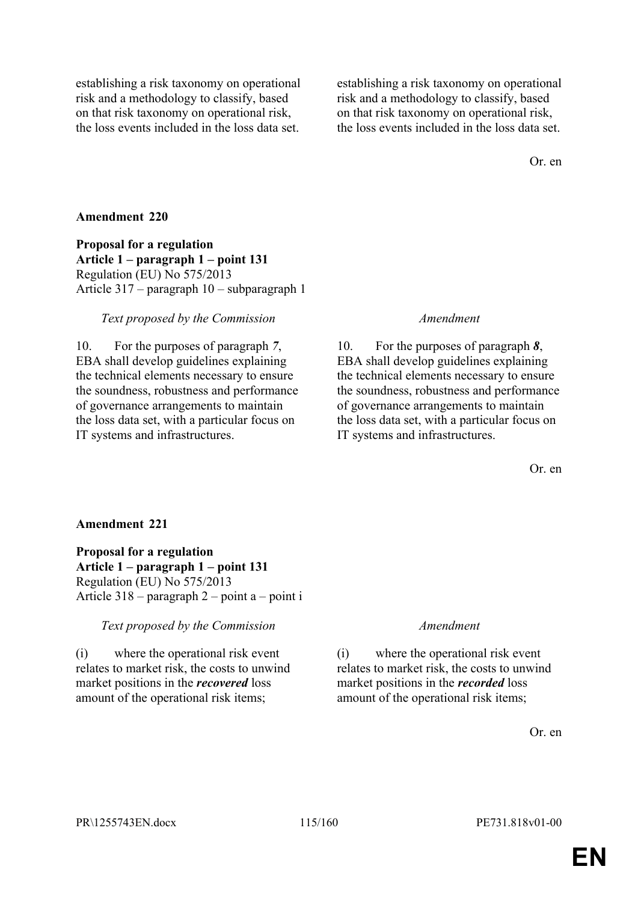establishing a risk taxonomy on operational risk and a methodology to classify, based on that risk taxonomy on operational risk, the loss events included in the loss data set.

establishing a risk taxonomy on operational risk and a methodology to classify, based on that risk taxonomy on operational risk, the loss events included in the loss data set.

Or. en

### **Amendment 220**

**Proposal for a regulation Article 1 – paragraph 1 – point 131** Regulation (EU) No 575/2013 Article 317 – paragraph 10 – subparagraph 1

### *Text proposed by the Commission Amendment*

10. For the purposes of paragraph *7*, EBA shall develop guidelines explaining the technical elements necessary to ensure the soundness, robustness and performance of governance arrangements to maintain the loss data set, with a particular focus on IT systems and infrastructures.

10. For the purposes of paragraph *8*, EBA shall develop guidelines explaining the technical elements necessary to ensure the soundness, robustness and performance of governance arrangements to maintain the loss data set, with a particular focus on IT systems and infrastructures.

Or. en

## **Amendment 221**

**Proposal for a regulation Article 1 – paragraph 1 – point 131** Regulation (EU) No 575/2013 Article 318 – paragraph 2 – point a – point i

### *Text proposed by the Commission Amendment*

(i) where the operational risk event relates to market risk, the costs to unwind market positions in the *recovered* loss amount of the operational risk items;

(i) where the operational risk event relates to market risk, the costs to unwind market positions in the *recorded* loss amount of the operational risk items;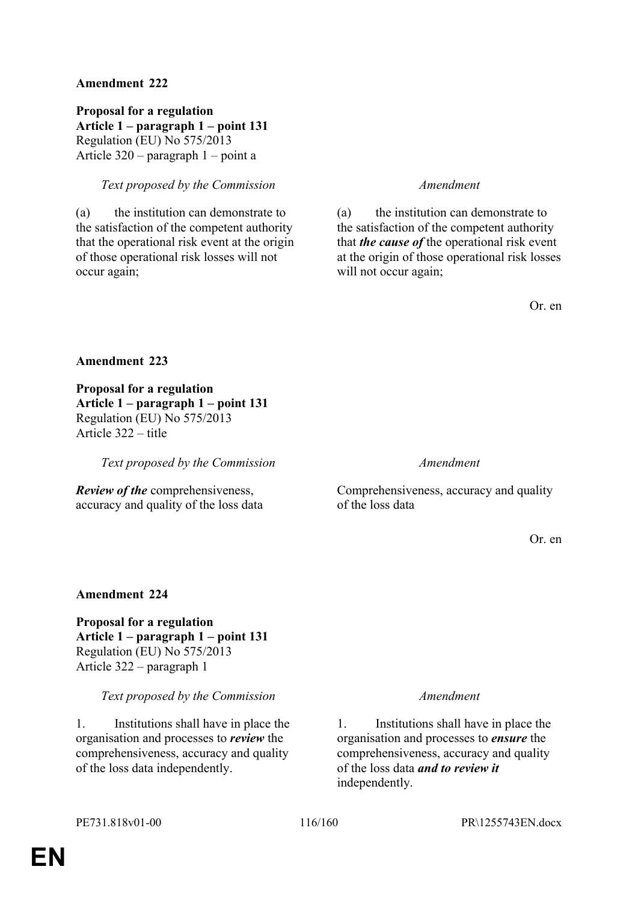**Proposal for a regulation Article 1 – paragraph 1 – point 131** Regulation (EU) No 575/2013 Article 320 – paragraph 1 – point a

## *Text proposed by the Commission Amendment*

(a) the institution can demonstrate to the satisfaction of the competent authority that the operational risk event at the origin of those operational risk losses will not occur again;

(a) the institution can demonstrate to the satisfaction of the competent authority that *the cause of* the operational risk event at the origin of those operational risk losses will not occur again;

Or. en

### **Amendment 223**

**Proposal for a regulation Article 1 – paragraph 1 – point 131** Regulation (EU) No 575/2013 Article 322 – title

*Text proposed by the Commission Amendment*

*Review of the* comprehensiveness, accuracy and quality of the loss data

Comprehensiveness, accuracy and quality of the loss data

Or. en

## **Amendment 224**

**Proposal for a regulation Article 1 – paragraph 1 – point 131** Regulation (EU) No 575/2013 Article 322 – paragraph 1

## *Text proposed by the Commission Amendment*

1. Institutions shall have in place the organisation and processes to *review* the comprehensiveness, accuracy and quality of the loss data independently.

1. Institutions shall have in place the organisation and processes to *ensure* the comprehensiveness, accuracy and quality of the loss data *and to review it* independently.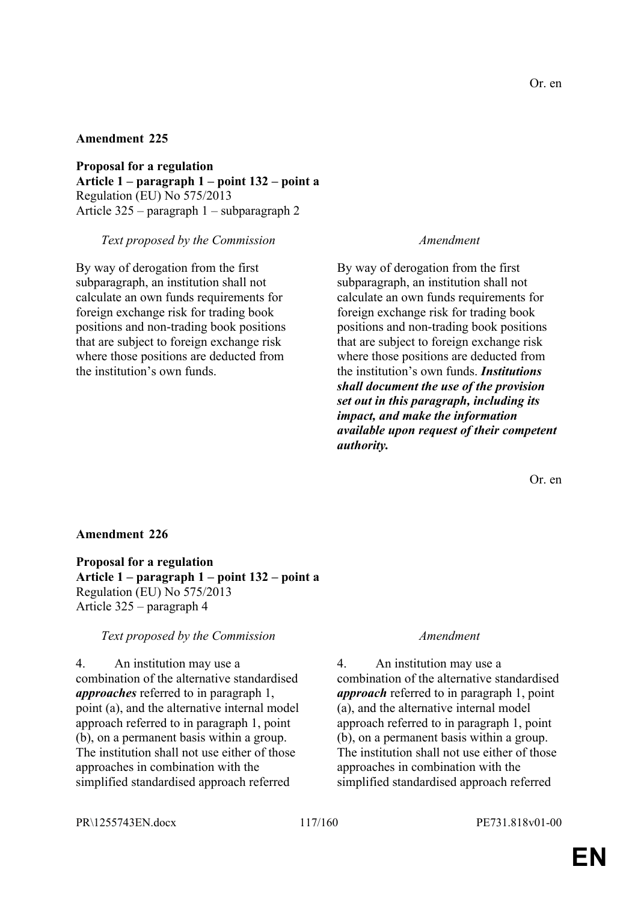**Proposal for a regulation Article 1 – paragraph 1 – point 132 – point a** Regulation (EU) No 575/2013 Article 325 – paragraph 1 – subparagraph 2

### *Text proposed by the Commission Amendment*

By way of derogation from the first subparagraph, an institution shall not calculate an own funds requirements for foreign exchange risk for trading book positions and non-trading book positions that are subject to foreign exchange risk where those positions are deducted from the institution's own funds.

By way of derogation from the first subparagraph, an institution shall not calculate an own funds requirements for foreign exchange risk for trading book positions and non-trading book positions that are subject to foreign exchange risk where those positions are deducted from the institution's own funds. *Institutions shall document the use of the provision set out in this paragraph, including its impact, and make the information available upon request of their competent authority.*

Or. en

## **Amendment 226**

**Proposal for a regulation Article 1 – paragraph 1 – point 132 – point a** Regulation (EU) No 575/2013 Article 325 – paragraph 4

### *Text proposed by the Commission Amendment*

4. An institution may use a combination of the alternative standardised *approaches* referred to in paragraph 1, point (a), and the alternative internal model approach referred to in paragraph 1, point (b), on a permanent basis within a group. The institution shall not use either of those approaches in combination with the simplified standardised approach referred

4. An institution may use a combination of the alternative standardised *approach* referred to in paragraph 1, point (a), and the alternative internal model approach referred to in paragraph 1, point (b), on a permanent basis within a group. The institution shall not use either of those approaches in combination with the simplified standardised approach referred

PR\1255743EN.docx 117/160 PE731.818v01-00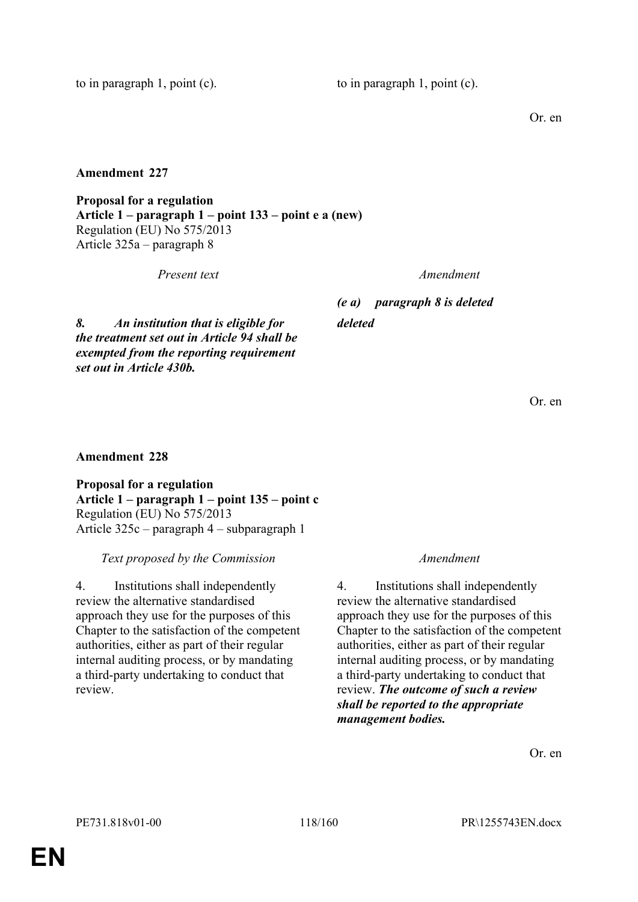to in paragraph 1, point  $(c)$ . to in paragraph 1, point  $(c)$ .

Or. en

**Amendment 227**

**Proposal for a regulation Article 1 – paragraph 1 – point 133 – point e a (new)** Regulation (EU) No 575/2013 Article 325a – paragraph 8

*Present text Amendment*

*(e a) paragraph 8 is deleted deleted*

*8. An institution that is eligible for the treatment set out in Article 94 shall be exempted from the reporting requirement set out in Article 430b.*

Or. en

**Amendment 228**

**Proposal for a regulation Article 1 – paragraph 1 – point 135 – point c** Regulation (EU) No 575/2013 Article 325c – paragraph 4 – subparagraph 1

*Text proposed by the Commission Amendment*

4. Institutions shall independently review the alternative standardised approach they use for the purposes of this Chapter to the satisfaction of the competent authorities, either as part of their regular internal auditing process, or by mandating a third-party undertaking to conduct that review.

4. Institutions shall independently review the alternative standardised approach they use for the purposes of this Chapter to the satisfaction of the competent authorities, either as part of their regular internal auditing process, or by mandating a third-party undertaking to conduct that review. *The outcome of such a review shall be reported to the appropriate management bodies.*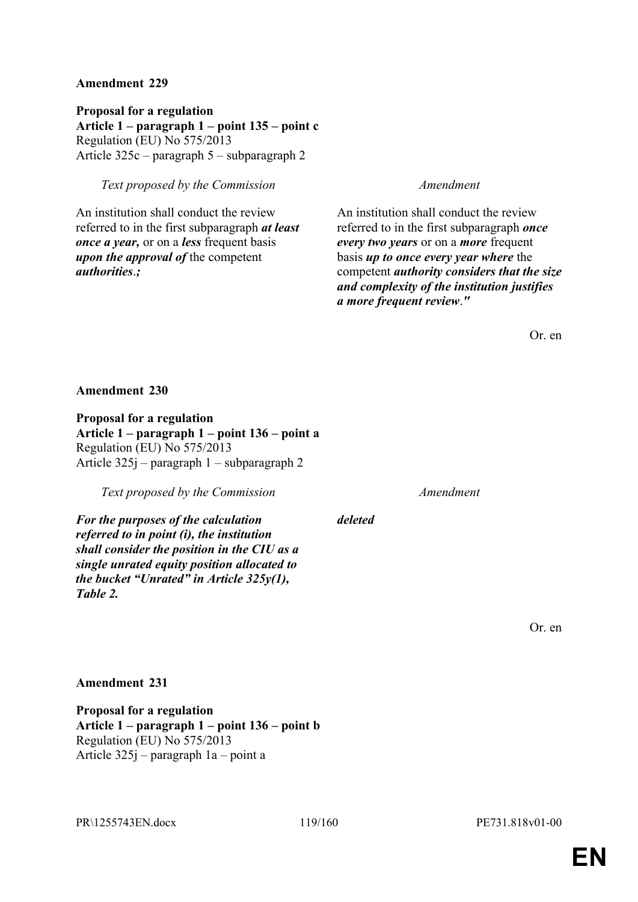**Proposal for a regulation Article 1 – paragraph 1 – point 135 – point c** Regulation (EU) No 575/2013 Article 325c – paragraph 5 – subparagraph 2

## *Text proposed by the Commission Amendment*

An institution shall conduct the review referred to in the first subparagraph *at least once a year,* or on a *less* frequent basis *upon the approval of* the competent *authorities*.*;*

An institution shall conduct the review referred to in the first subparagraph *once every two years* or on a *more* frequent basis *up to once every year where* the competent *authority considers that the size and complexity of the institution justifies a more frequent review*.*"*

Or. en

### **Amendment 230**

**Proposal for a regulation Article 1 – paragraph 1 – point 136 – point a** Regulation (EU) No 575/2013 Article 325j – paragraph 1 – subparagraph 2

*Text proposed by the Commission Amendment*

*For the purposes of the calculation referred to in point (i), the institution shall consider the position in the CIU as a single unrated equity position allocated to the bucket "Unrated" in Article 325y(1), Table 2.*

*deleted*

Or. en

### **Amendment 231**

**Proposal for a regulation Article 1 – paragraph 1 – point 136 – point b** Regulation (EU) No 575/2013 Article 325j – paragraph 1a – point a

PR\1255743EN.docx 119/160 PE731.818v01-00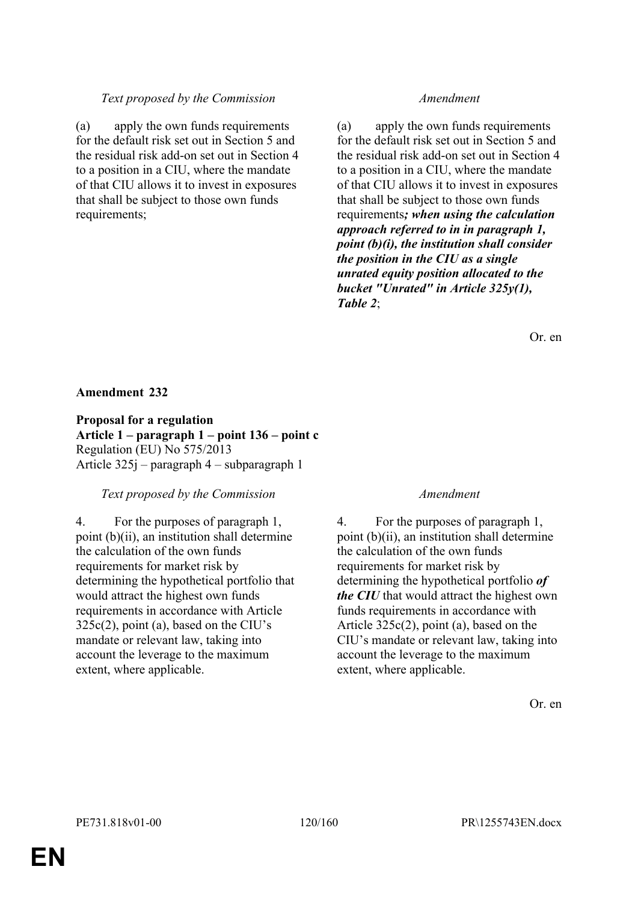## *Text proposed by the Commission Amendment*

(a) apply the own funds requirements for the default risk set out in Section 5 and the residual risk add-on set out in Section 4 to a position in a CIU, where the mandate of that CIU allows it to invest in exposures that shall be subject to those own funds requirements;

(a) apply the own funds requirements for the default risk set out in Section 5 and the residual risk add-on set out in Section 4 to a position in a CIU, where the mandate of that CIU allows it to invest in exposures that shall be subject to those own funds requirements*; when using the calculation approach referred to in in paragraph 1, point (b)(i), the institution shall consider the position in the CIU as a single unrated equity position allocated to the bucket "Unrated" in Article 325y(1), Table 2*;

Or. en

## **Amendment 232**

**Proposal for a regulation Article 1 – paragraph 1 – point 136 – point c** Regulation (EU) No 575/2013 Article 325j – paragraph 4 – subparagraph 1

## *Text proposed by the Commission Amendment*

4. For the purposes of paragraph 1, point (b)(ii), an institution shall determine the calculation of the own funds requirements for market risk by determining the hypothetical portfolio that would attract the highest own funds requirements in accordance with Article 325c(2), point (a), based on the CIU's mandate or relevant law, taking into account the leverage to the maximum extent, where applicable.

4. For the purposes of paragraph 1, point (b)(ii), an institution shall determine the calculation of the own funds requirements for market risk by determining the hypothetical portfolio *of the CIU* that would attract the highest own funds requirements in accordance with Article 325c(2), point (a), based on the CIU's mandate or relevant law, taking into account the leverage to the maximum extent, where applicable.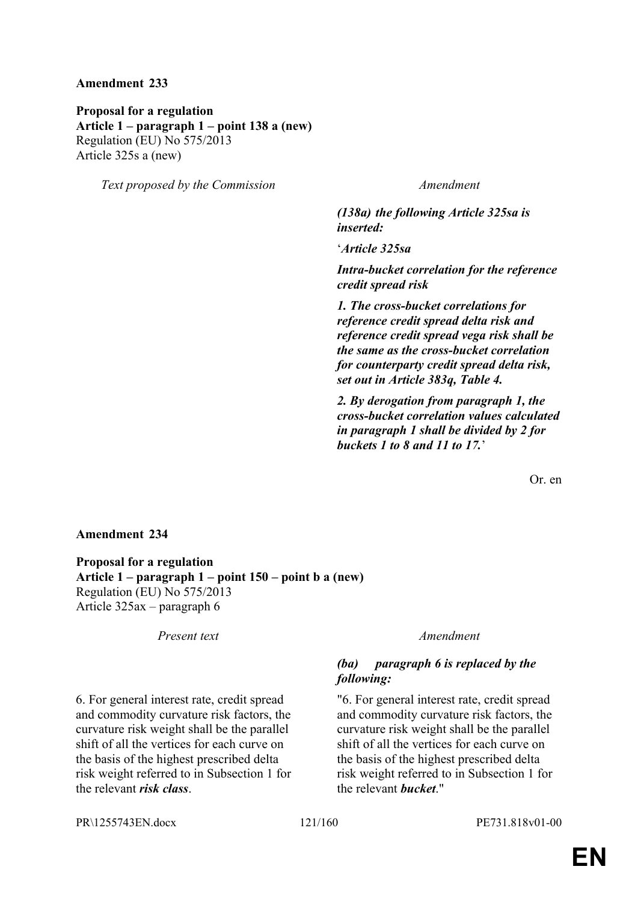**Proposal for a regulation Article 1 – paragraph 1 – point 138 a (new)** Regulation (EU) No 575/2013 Article 325s a (new)

*Text proposed by the Commission Amendment*

*(138a) the following Article 325sa is inserted:*

'*Article 325sa*

*Intra-bucket correlation for the reference credit spread risk*

*1. The cross-bucket correlations for reference credit spread delta risk and reference credit spread vega risk shall be the same as the cross-bucket correlation for counterparty credit spread delta risk, set out in Article 383q, Table 4.*

*2. By derogation from paragraph 1, the cross-bucket correlation values calculated in paragraph 1 shall be divided by 2 for buckets 1 to 8 and 11 to 17.*'

Or. en

## **Amendment 234**

**Proposal for a regulation Article 1 – paragraph 1 – point 150 – point b a (new)** Regulation (EU) No 575/2013 Article 325ax – paragraph 6

6. For general interest rate, credit spread and commodity curvature risk factors, the curvature risk weight shall be the parallel shift of all the vertices for each curve on the basis of the highest prescribed delta risk weight referred to in Subsection 1 for the relevant *risk class*.

### *Present text Amendment*

# *(ba) paragraph 6 is replaced by the following:*

"6. For general interest rate, credit spread and commodity curvature risk factors, the curvature risk weight shall be the parallel shift of all the vertices for each curve on the basis of the highest prescribed delta risk weight referred to in Subsection 1 for the relevant *bucket*."

PR\1255743EN.docx 121/160 PE731.818v01-00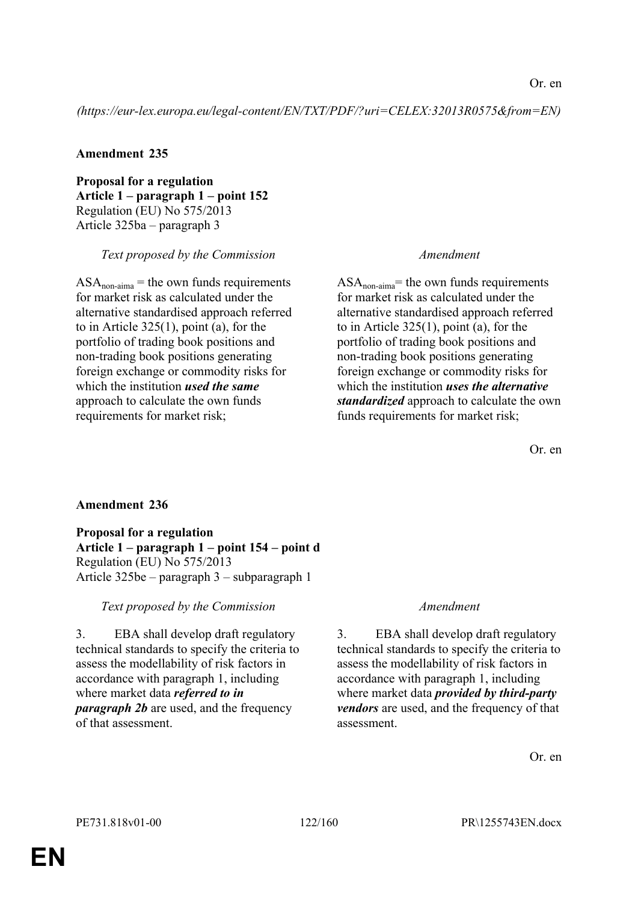*(https://eur-lex.europa.eu/legal-content/EN/TXT/PDF/?uri=CELEX:32013R0575&from=EN)*

## **Amendment 235**

**Proposal for a regulation Article 1 – paragraph 1 – point 152** Regulation (EU) No 575/2013 Article 325ba – paragraph 3

## *Text proposed by the Commission Amendment*

 $ASA_{\text{non-aima}}$  = the own funds requirements for market risk as calculated under the alternative standardised approach referred to in Article 325(1), point (a), for the portfolio of trading book positions and non-trading book positions generating foreign exchange or commodity risks for which the institution *used the same* approach to calculate the own funds requirements for market risk;

 $ASA<sub>non-aima</sub>$ = the own funds requirements for market risk as calculated under the alternative standardised approach referred to in Article 325(1), point (a), for the portfolio of trading book positions and non-trading book positions generating foreign exchange or commodity risks for which the institution *uses the alternative standardized* approach to calculate the own funds requirements for market risk;

Or. en

# **Amendment 236**

**Proposal for a regulation Article 1 – paragraph 1 – point 154 – point d** Regulation (EU) No 575/2013 Article 325be – paragraph 3 – subparagraph 1

## *Text proposed by the Commission Amendment*

3. EBA shall develop draft regulatory technical standards to specify the criteria to assess the modellability of risk factors in accordance with paragraph 1, including where market data *referred to in paragraph 2b* are used, and the frequency of that assessment.

3. EBA shall develop draft regulatory technical standards to specify the criteria to assess the modellability of risk factors in accordance with paragraph 1, including where market data *provided by third-party vendors* are used, and the frequency of that assessment.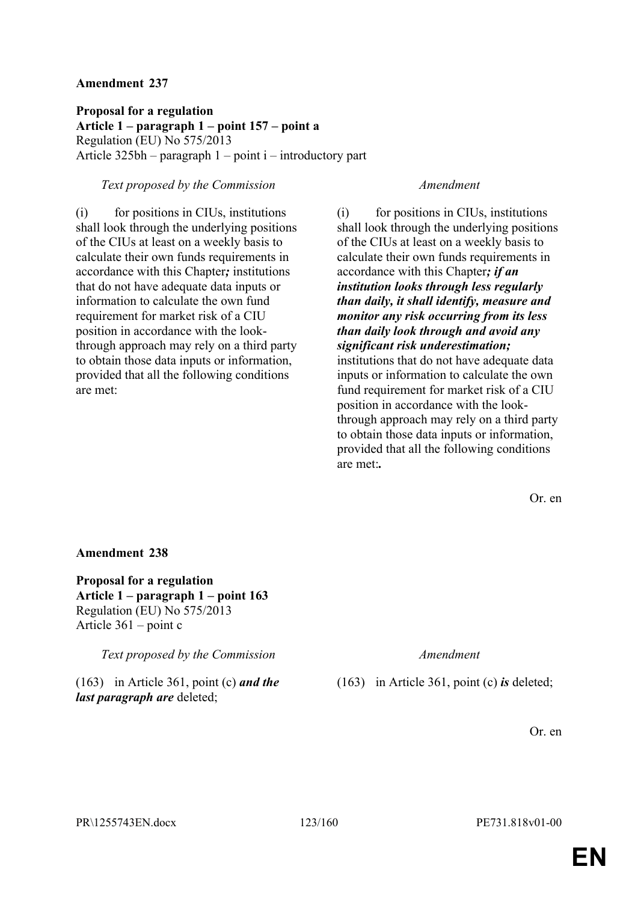**Proposal for a regulation Article 1 – paragraph 1 – point 157 – point a** Regulation (EU) No 575/2013 Article 325bh – paragraph 1 – point i – introductory part

### *Text proposed by the Commission Amendment*

(i) for positions in CIUs, institutions shall look through the underlying positions of the CIUs at least on a weekly basis to calculate their own funds requirements in accordance with this Chapter*;* institutions that do not have adequate data inputs or information to calculate the own fund requirement for market risk of a CIU position in accordance with the lookthrough approach may rely on a third party to obtain those data inputs or information, provided that all the following conditions are met:

(i) for positions in CIUs, institutions shall look through the underlying positions of the CIUs at least on a weekly basis to calculate their own funds requirements in accordance with this Chapter*; if an institution looks through less regularly than daily, it shall identify, measure and monitor any risk occurring from its less than daily look through and avoid any significant risk underestimation;*  institutions that do not have adequate data inputs or information to calculate the own fund requirement for market risk of a CIU position in accordance with the lookthrough approach may rely on a third party to obtain those data inputs or information, provided that all the following conditions are met:*.*

Or. en

### **Amendment 238**

**Proposal for a regulation Article 1 – paragraph 1 – point 163** Regulation (EU) No 575/2013 Article 361 – point c

*Text proposed by the Commission Amendment*

(163) in Article 361, point (c) *and the last paragraph are* deleted;

(163) in Article 361, point (c) *is* deleted;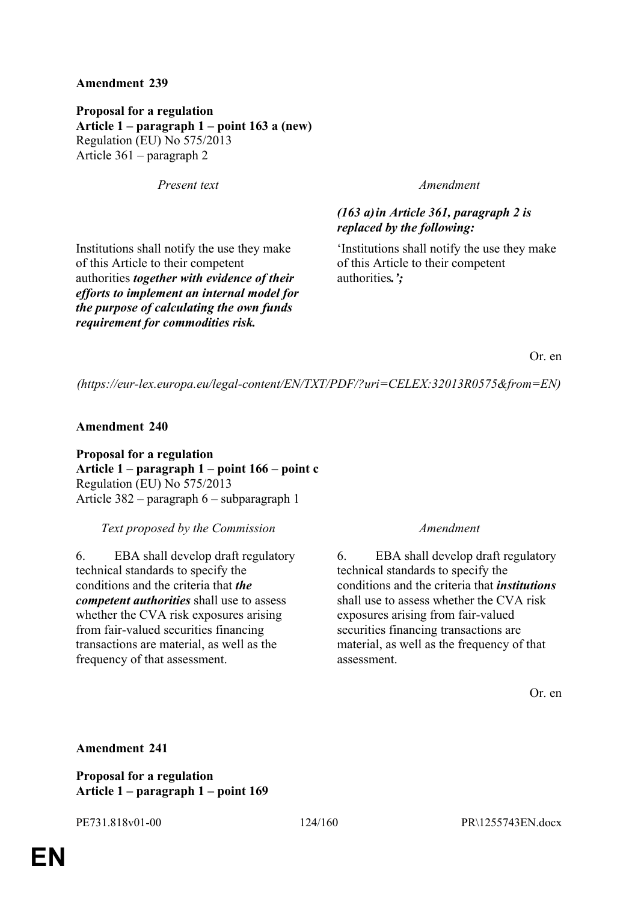**Proposal for a regulation Article 1 – paragraph 1 – point 163 a (new)** Regulation (EU) No 575/2013 Article 361 – paragraph 2

*Present text Amendment*

Institutions shall notify the use they make of this Article to their competent authorities *together with evidence of their efforts to implement an internal model for the purpose of calculating the own funds requirement for commodities risk.*

# *(163 a)in Article 361, paragraph 2 is replaced by the following:*

'Institutions shall notify the use they make of this Article to their competent authorities*.';*

Or. en

*(https://eur-lex.europa.eu/legal-content/EN/TXT/PDF/?uri=CELEX:32013R0575&from=EN)*

**Amendment 240**

**Proposal for a regulation Article 1 – paragraph 1 – point 166 – point c** Regulation (EU) No 575/2013 Article 382 – paragraph 6 – subparagraph 1

*Text proposed by the Commission Amendment*

6. EBA shall develop draft regulatory technical standards to specify the conditions and the criteria that *the competent authorities* shall use to assess whether the CVA risk exposures arising from fair-valued securities financing transactions are material, as well as the frequency of that assessment.

6. EBA shall develop draft regulatory technical standards to specify the conditions and the criteria that *institutions* shall use to assess whether the CVA risk exposures arising from fair-valued securities financing transactions are material, as well as the frequency of that assessment.

Or. en

## **Amendment 241**

**Proposal for a regulation Article 1 – paragraph 1 – point 169**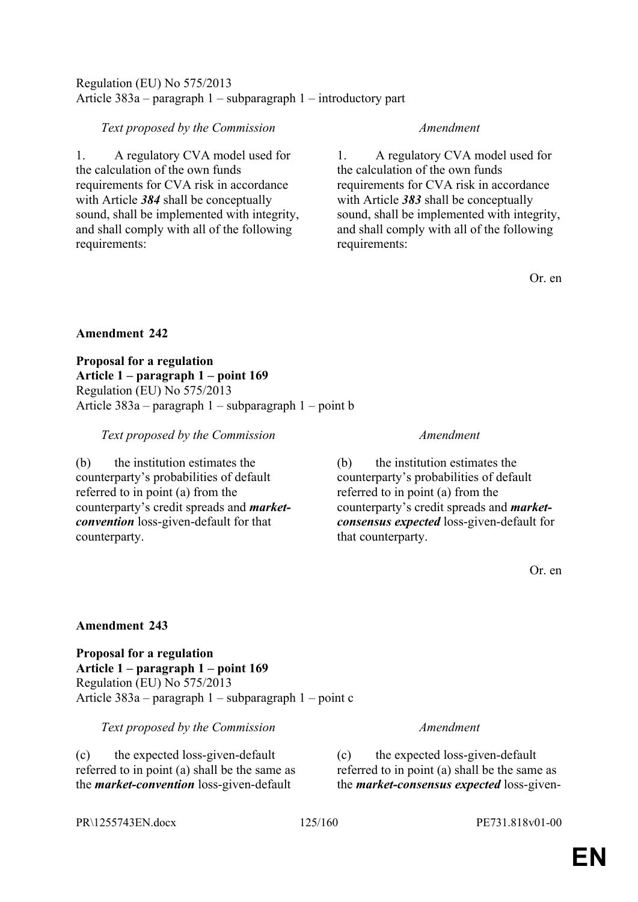# Regulation (EU) No 575/2013 Article 383a – paragraph 1 – subparagraph 1 – introductory part

# *Text proposed by the Commission Amendment*

1. A regulatory CVA model used for the calculation of the own funds requirements for CVA risk in accordance with Article *384* shall be conceptually sound, shall be implemented with integrity, and shall comply with all of the following requirements:

1. A regulatory CVA model used for the calculation of the own funds requirements for CVA risk in accordance with Article *383* shall be conceptually sound, shall be implemented with integrity, and shall comply with all of the following requirements:

Or. en

## **Amendment 242**

**Proposal for a regulation Article 1 – paragraph 1 – point 169** Regulation (EU) No 575/2013 Article 383a – paragraph 1 – subparagraph 1 – point b

*Text proposed by the Commission Amendment*

(b) the institution estimates the counterparty's probabilities of default referred to in point (a) from the counterparty's credit spreads and *marketconvention* loss-given-default for that counterparty.

(b) the institution estimates the counterparty's probabilities of default referred to in point (a) from the counterparty's credit spreads and *marketconsensus expected* loss-given-default for that counterparty.

Or. en

# **Amendment 243**

**Proposal for a regulation Article 1 – paragraph 1 – point 169** Regulation (EU) No 575/2013 Article 383a – paragraph 1 – subparagraph 1 – point c

*Text proposed by the Commission Amendment*

(c) the expected loss-given-default referred to in point (a) shall be the same as the *market-convention* loss-given-default

(c) the expected loss-given-default referred to in point (a) shall be the same as the *market-consensus expected* loss-given-

PR\1255743EN.docx 125/160 PE731.818v01-00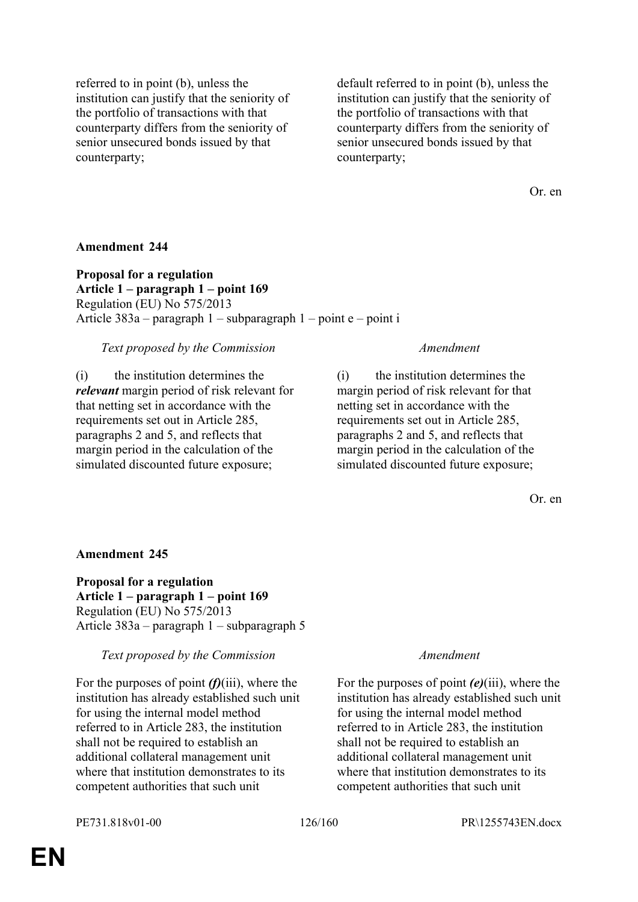referred to in point (b), unless the institution can justify that the seniority of the portfolio of transactions with that counterparty differs from the seniority of senior unsecured bonds issued by that counterparty;

default referred to in point (b), unless the institution can justify that the seniority of the portfolio of transactions with that counterparty differs from the seniority of senior unsecured bonds issued by that counterparty;

Or. en

### **Amendment 244**

**Proposal for a regulation Article 1 – paragraph 1 – point 169** Regulation (EU) No 575/2013 Article 383a – paragraph 1 – subparagraph 1 – point e – point i

### *Text proposed by the Commission Amendment*

(i) the institution determines the *relevant* margin period of risk relevant for that netting set in accordance with the requirements set out in Article 285, paragraphs 2 and 5, and reflects that margin period in the calculation of the simulated discounted future exposure;

(i) the institution determines the margin period of risk relevant for that netting set in accordance with the requirements set out in Article 285, paragraphs 2 and 5, and reflects that margin period in the calculation of the simulated discounted future exposure;

Or. en

## **Amendment 245**

**Proposal for a regulation Article 1 – paragraph 1 – point 169** Regulation (EU) No 575/2013 Article 383a – paragraph 1 – subparagraph 5

### *Text proposed by the Commission Amendment*

For the purposes of point *(f)*(iii), where the institution has already established such unit for using the internal model method referred to in Article 283, the institution shall not be required to establish an additional collateral management unit where that institution demonstrates to its competent authorities that such unit

For the purposes of point *(e)*(iii), where the institution has already established such unit for using the internal model method referred to in Article 283, the institution shall not be required to establish an additional collateral management unit where that institution demonstrates to its competent authorities that such unit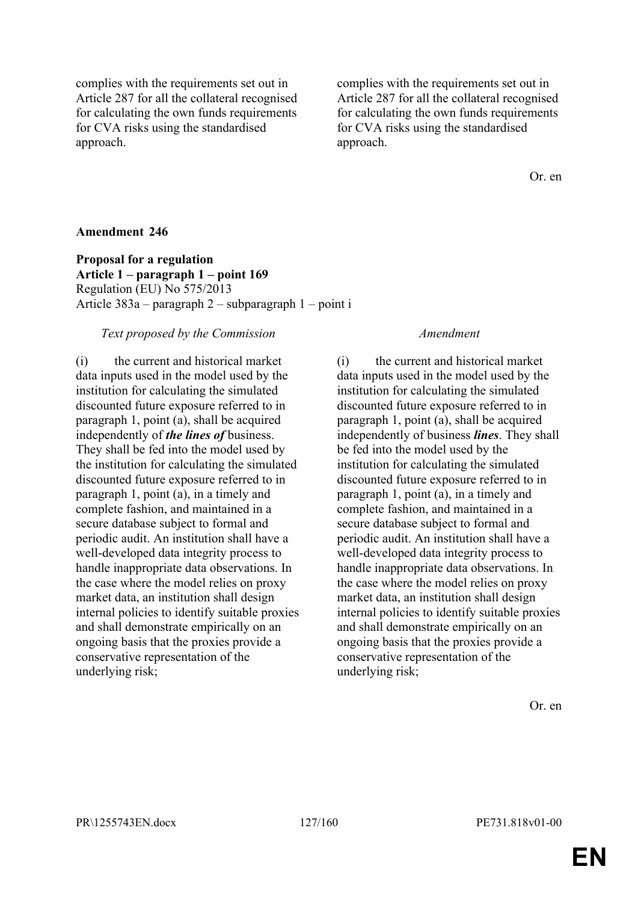complies with the requirements set out in Article 287 for all the collateral recognised for calculating the own funds requirements for CVA risks using the standardised approach.

complies with the requirements set out in Article 287 for all the collateral recognised for calculating the own funds requirements for CVA risks using the standardised approach.

Or. en

### **Amendment 246**

**Proposal for a regulation Article 1 – paragraph 1 – point 169** Regulation (EU) No 575/2013 Article 383a – paragraph 2 – subparagraph 1 – point i

### *Text proposed by the Commission Amendment*

(i) the current and historical market data inputs used in the model used by the institution for calculating the simulated discounted future exposure referred to in paragraph 1, point (a), shall be acquired independently of *the lines of* business. They shall be fed into the model used by the institution for calculating the simulated discounted future exposure referred to in paragraph 1, point (a), in a timely and complete fashion, and maintained in a secure database subject to formal and periodic audit. An institution shall have a well-developed data integrity process to handle inappropriate data observations. In the case where the model relies on proxy market data, an institution shall design internal policies to identify suitable proxies and shall demonstrate empirically on an ongoing basis that the proxies provide a conservative representation of the underlying risk;

(i) the current and historical market data inputs used in the model used by the institution for calculating the simulated discounted future exposure referred to in paragraph 1, point (a), shall be acquired independently of business *lines*. They shall be fed into the model used by the institution for calculating the simulated discounted future exposure referred to in paragraph 1, point (a), in a timely and complete fashion, and maintained in a secure database subject to formal and periodic audit. An institution shall have a well-developed data integrity process to handle inappropriate data observations. In the case where the model relies on proxy market data, an institution shall design internal policies to identify suitable proxies and shall demonstrate empirically on an ongoing basis that the proxies provide a conservative representation of the underlying risk;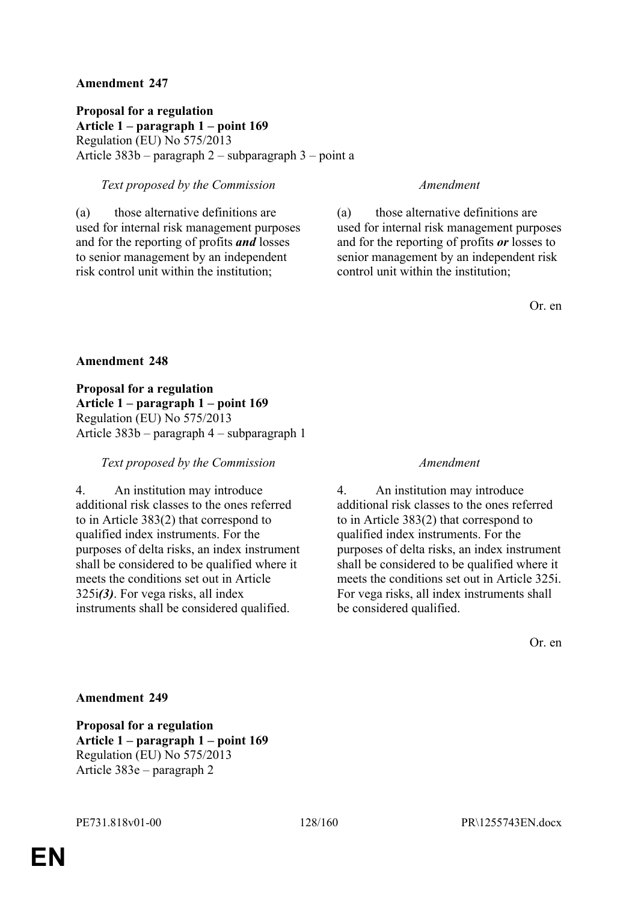**Proposal for a regulation Article 1 – paragraph 1 – point 169** Regulation (EU) No 575/2013 Article 383b – paragraph 2 – subparagraph 3 – point a

## *Text proposed by the Commission Amendment*

(a) those alternative definitions are used for internal risk management purposes and for the reporting of profits *and* losses to senior management by an independent risk control unit within the institution;

(a) those alternative definitions are used for internal risk management purposes and for the reporting of profits *or* losses to senior management by an independent risk control unit within the institution;

Or. en

### **Amendment 248**

**Proposal for a regulation Article 1 – paragraph 1 – point 169** Regulation (EU) No 575/2013 Article 383b – paragraph 4 – subparagraph 1

### *Text proposed by the Commission Amendment*

4. An institution may introduce additional risk classes to the ones referred to in Article 383(2) that correspond to qualified index instruments. For the purposes of delta risks, an index instrument shall be considered to be qualified where it meets the conditions set out in Article 325i*(3)*. For vega risks, all index instruments shall be considered qualified.

4. An institution may introduce additional risk classes to the ones referred to in Article 383(2) that correspond to qualified index instruments. For the purposes of delta risks, an index instrument shall be considered to be qualified where it meets the conditions set out in Article 325i. For vega risks, all index instruments shall be considered qualified.

Or. en

### **Amendment 249**

**Proposal for a regulation Article 1 – paragraph 1 – point 169** Regulation (EU) No 575/2013 Article 383e – paragraph 2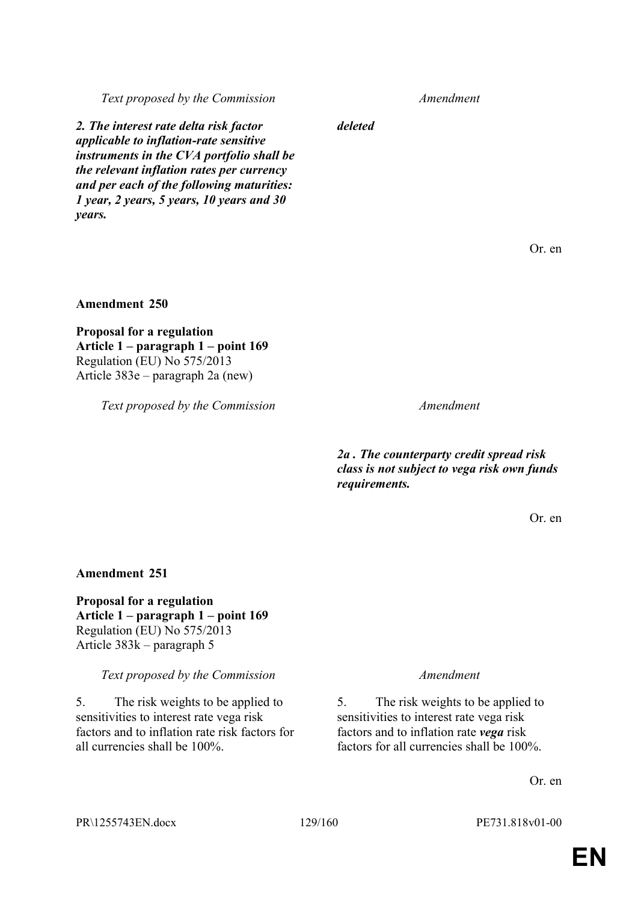*Text proposed by the Commission Amendment*

*2. The interest rate delta risk factor applicable to inflation-rate sensitive instruments in the CVA portfolio shall be the relevant inflation rates per currency and per each of the following maturities: 1 year, 2 years, 5 years, 10 years and 30 years.*

*deleted*

Or. en

**Amendment 250**

**Proposal for a regulation Article 1 – paragraph 1 – point 169** Regulation (EU) No 575/2013 Article 383e – paragraph 2a (new)

*Text proposed by the Commission Amendment*

*2a . The counterparty credit spread risk class is not subject to vega risk own funds requirements.*

Or. en

### **Amendment 251**

**Proposal for a regulation Article 1 – paragraph 1 – point 169** Regulation (EU) No 575/2013 Article 383k – paragraph 5

*Text proposed by the Commission Amendment*

5. The risk weights to be applied to sensitivities to interest rate vega risk factors and to inflation rate risk factors for all currencies shall be 100%.

5. The risk weights to be applied to sensitivities to interest rate vega risk factors and to inflation rate *vega* risk factors for all currencies shall be 100%.

Or. en

PR\1255743EN.docx 129/160 PE731.818v01-00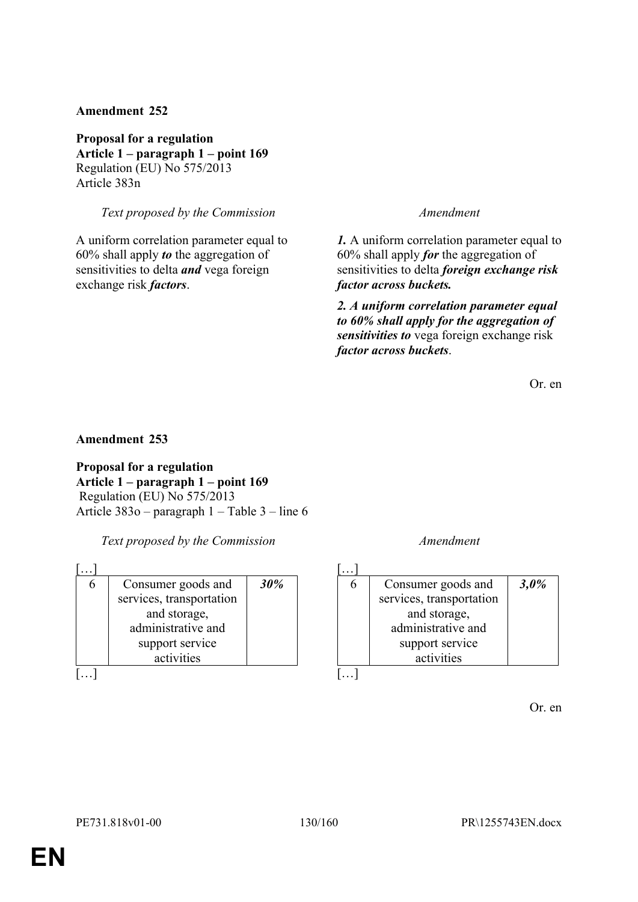**Proposal for a regulation Article 1 – paragraph 1 – point 169** Regulation (EU) No 575/2013 Article 383n

*Text proposed by the Commission Amendment*

A uniform correlation parameter equal to 60% shall apply *to* the aggregation of sensitivities to delta *and* vega foreign exchange risk *factors*.

*1.* A uniform correlation parameter equal to 60% shall apply *for* the aggregation of sensitivities to delta *foreign exchange risk factor across buckets.*

*2. A uniform correlation parameter equal to 60% shall apply for the aggregation of sensitivities to* vega foreign exchange risk *factor across buckets*.

Or. en

## **Amendment 253**

**Proposal for a regulation Article 1 – paragraph 1 – point 169** Regulation (EU) No 575/2013 Article 383o – paragraph 1 – Table 3 – line 6

*Text proposed by the Commission Amendment*

| Consumer goods and       | 30% |
|--------------------------|-----|
| services, transportation |     |
| and storage,             |     |
| administrative and       |     |
| support service          |     |
| activities               |     |
|                          |     |

| Consumer goods and       | 3,0% |
|--------------------------|------|
| services, transportation |      |
| and storage,             |      |
| administrative and       |      |
| support service          |      |
| activities               |      |
|                          |      |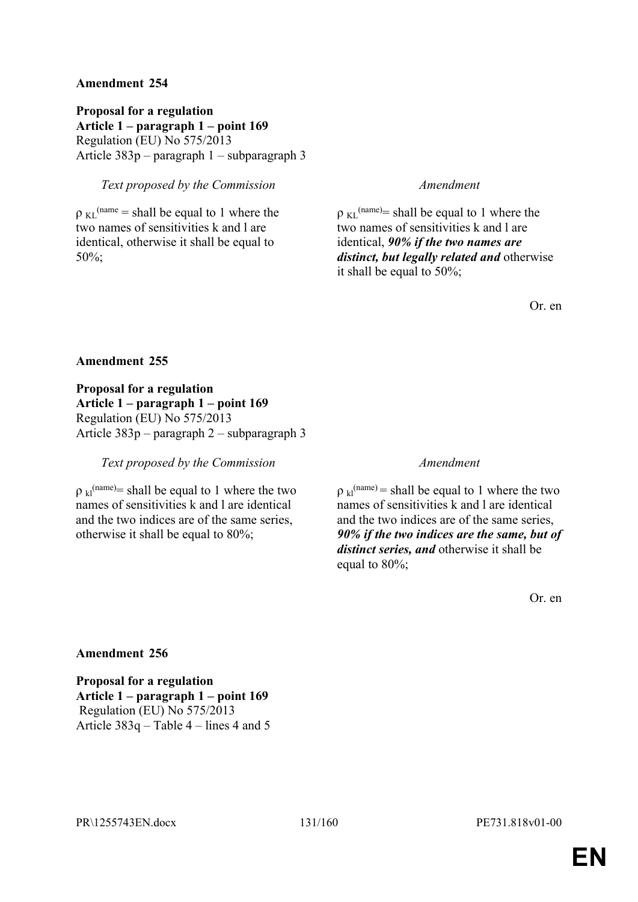**Proposal for a regulation Article 1 – paragraph 1 – point 169** Regulation (EU) No 575/2013 Article 383p – paragraph 1 – subparagraph 3

## *Text proposed by the Commission Amendment*

 $\rho_{\text{KL}}^{\text{(name)}} = \text{shall be equal to 1 where the}$ two names of sensitivities k and l are identical, otherwise it shall be equal to 50%;

 $p_{KL}^{(name)}$  shall be equal to 1 where the two names of sensitivities k and l are identical, *90% if the two names are distinct, but legally related and* otherwise it shall be equal to 50%;

Or. en

### **Amendment 255**

**Proposal for a regulation Article 1 – paragraph 1 – point 169** Regulation (EU) No 575/2013 Article 383p – paragraph 2 – subparagraph 3

### *Text proposed by the Commission Amendment*

 $p_{kl}^{\text{(name)}}$  shall be equal to 1 where the two names of sensitivities k and l are identical and the two indices are of the same series, otherwise it shall be equal to 80%;

 $p_{kl}^{(name)} =$  shall be equal to 1 where the two names of sensitivities k and l are identical and the two indices are of the same series, *90% if the two indices are the same, but of distinct series, and* otherwise it shall be equal to 80%;

Or. en

## **Amendment 256**

**Proposal for a regulation Article 1 – paragraph 1 – point 169** Regulation (EU) No 575/2013 Article 383q – Table 4 – lines 4 and 5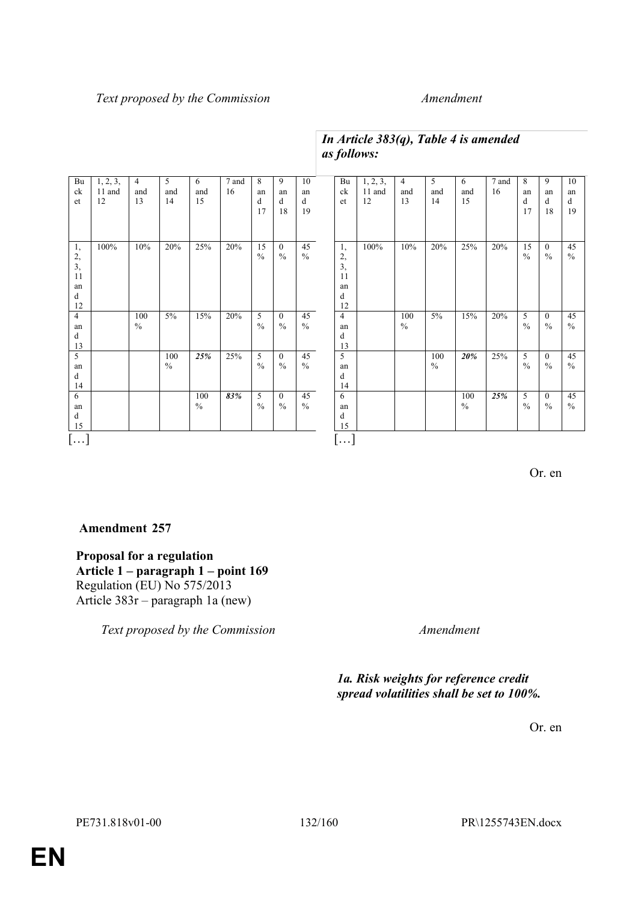### *Text proposed by the Commission Amendment*

### Bu ck et  $1, 2, 3,$ 11 and 12 4 and 13 5 and 14 6 and 15 7 and 16 8 an d 17 9 an d 18 10 an d 19 1, 2, 3, 11 an d 12 100% 10% 20% 25% 20% 15  $\frac{0}{6}$ 0  $\frac{1}{2}$ 45  $\frac{9}{6}$ 4 an d 13 100  $\frac{0}{0}$  $5\%$  15% 20%  $rac{5}{\frac{9}{6}}$ 0  $\frac{0}{0}$ 45  $0/2$  $\overline{\phantom{a}}$ an d 14 100  $\%$ *25%* 25% 5  $\frac{0}{0}$  $\overline{0}$  $\%$ 45  $\%$ 6 an d 15 100  $\frac{0}{0}$ *83%* 5  $\frac{0}{0}$ 0  $\frac{6}{9}$ 45  $\frac{0}{6}$ […] Bu ck et  $1, 2, 3,$ 11 and 12 4 and 13 5 and 14 6 and 15 7 and 16 8 an d 17 9 an d 18 10 an d 19 1, 2, 3, 11 an d 12 100% 10% 20% 25% 20% 15  $\frac{9}{6}$ 0  $\frac{6}{9}$ 45  $\frac{0}{0}$ 4 an d 13 100  $\frac{0}{0}$ 5% 15% 20% 5  $\frac{6}{9}$ 0  $\frac{0}{0}$ 45  $\frac{0}{0}$  $\overline{5}$ an d 14 100  $\%$ *20%* 25% 5  $\%$  $\overline{0}$  $\frac{0}{0}$ 45  $\%$ 6 an d 15 100  $\frac{0}{6}$ *25%* 5  $\frac{0}{0}$ 0  $\frac{0}{0}$ 45  $\frac{0}{6}$ […]

# *In Article 383(q), Table 4 is amended as follows:*

Or. en

# **Amendment 257**

**Proposal for a regulation Article 1 – paragraph 1 – point 169** Regulation (EU) No 575/2013 Article 383r – paragraph 1a (new)

*Text proposed by the Commission Amendment*

*1a. Risk weights for reference credit spread volatilities shall be set to 100%.*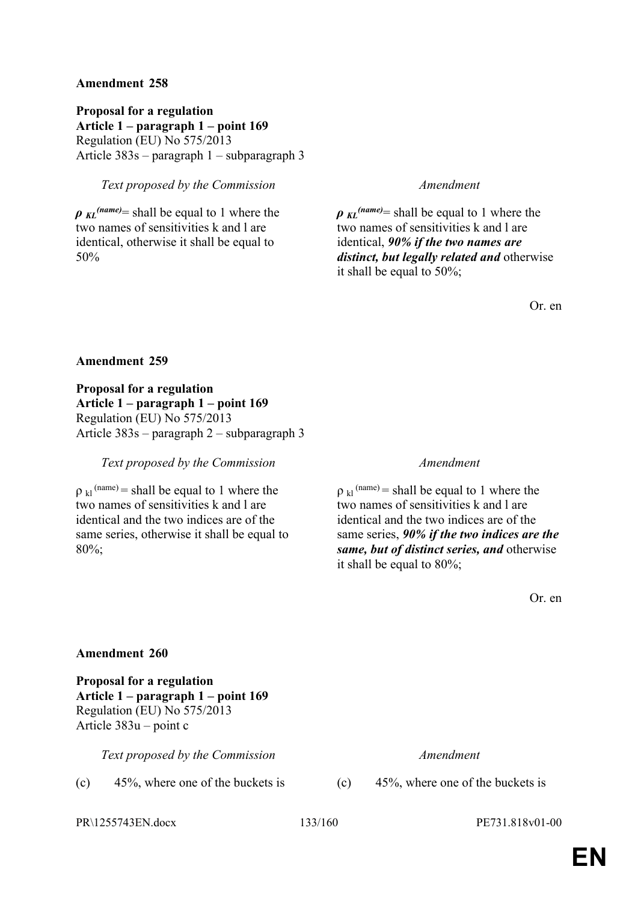**Proposal for a regulation Article 1 – paragraph 1 – point 169** Regulation (EU) No 575/2013 Article 383s – paragraph 1 – subparagraph 3

## *Text proposed by the Commission Amendment*

*ρ KL (name)*= shall be equal to 1 where the two names of sensitivities k and l are identical, otherwise it shall be equal to 50%

*ρ KL (name)*= shall be equal to 1 where the two names of sensitivities k and l are identical, *90% if the two names are distinct, but legally related and* otherwise it shall be equal to 50%;

Or. en

### **Amendment 259**

**Proposal for a regulation Article 1 – paragraph 1 – point 169** Regulation (EU) No 575/2013 Article 383s – paragraph 2 – subparagraph 3

### *Text proposed by the Commission Amendment*

 $p_{kl}$ <sup>(name)</sup> = shall be equal to 1 where the two names of sensitivities k and l are identical and the two indices are of the same series, otherwise it shall be equal to 80%;

 $p_{kl}$ <sup>(name)</sup> = shall be equal to 1 where the two names of sensitivities k and l are identical and the two indices are of the same series, *90% if the two indices are the same, but of distinct series, and* otherwise it shall be equal to 80%;

Or. en

### **Amendment 260**

**Proposal for a regulation Article 1 – paragraph 1 – point 169** Regulation (EU) No 575/2013 Article 383u – point c

*Text proposed by the Commission Amendment*

(c)  $45\%$ , where one of the buckets is (c)  $45\%$ , where one of the buckets is

PR\1255743EN.docx 133/160 PE731.818v01-00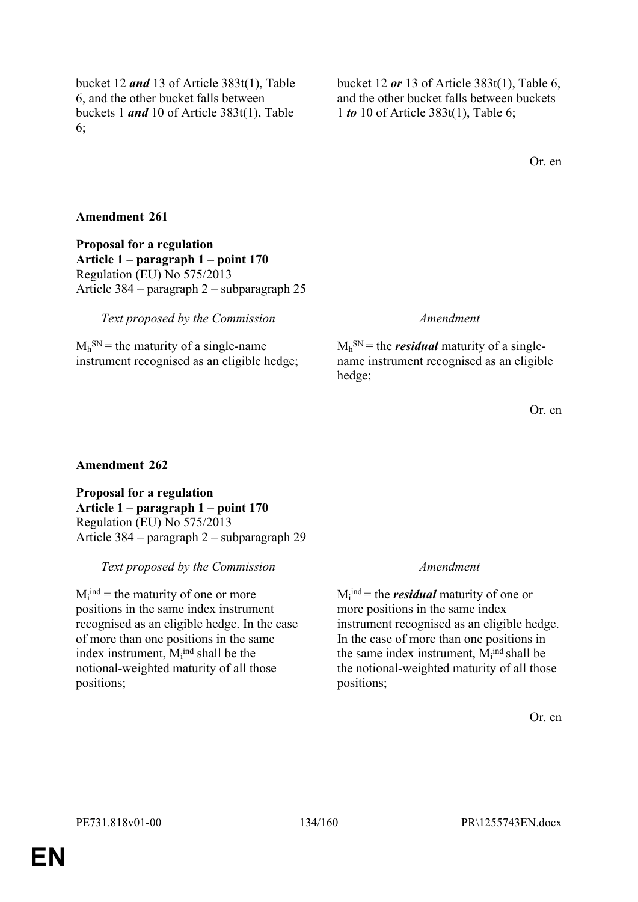bucket 12 *and* 13 of Article 383t(1), Table 6, and the other bucket falls between buckets 1 *and* 10 of Article 383t(1), Table 6;

bucket 12 *or* 13 of Article 383t(1), Table 6, and the other bucket falls between buckets 1 *to* 10 of Article 383t(1), Table 6;

Or. en

## **Amendment 261**

**Proposal for a regulation Article 1 – paragraph 1 – point 170** Regulation (EU) No 575/2013 Article 384 – paragraph 2 – subparagraph 25

## *Text proposed by the Commission Amendment*

 $M_h^{SN}$  = the maturity of a single-name instrument recognised as an eligible hedge;

 $M_h$ <sup>SN</sup> = the *residual* maturity of a singlename instrument recognised as an eligible hedge;

Or. en

## **Amendment 262**

**Proposal for a regulation Article 1 – paragraph 1 – point 170** Regulation (EU) No 575/2013 Article 384 – paragraph 2 – subparagraph 29

## *Text proposed by the Commission Amendment*

 $M_i^{ind}$  = the maturity of one or more positions in the same index instrument recognised as an eligible hedge. In the case of more than one positions in the same index instrument,  $M_i^{ind}$  shall be the notional-weighted maturity of all those positions;

 $M_i^{\text{ind}}$  = the *residual* maturity of one or more positions in the same index instrument recognised as an eligible hedge. In the case of more than one positions in the same index instrument,  $M_i^{ind}$  shall be the notional-weighted maturity of all those positions;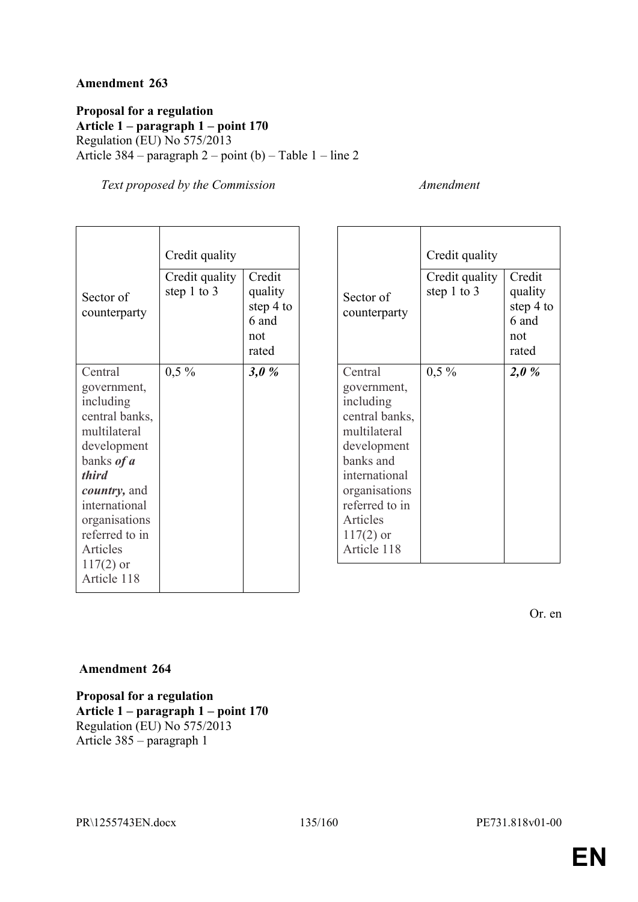**Proposal for a regulation Article 1 – paragraph 1 – point 170** Regulation (EU) No 575/2013 Article 384 – paragraph 2 – point (b) – Table 1 – line 2

*Text proposed by the Commission Amendment*

|                                                                                                                                                                                                                                      | Credit quality                  |                                                         |
|--------------------------------------------------------------------------------------------------------------------------------------------------------------------------------------------------------------------------------------|---------------------------------|---------------------------------------------------------|
| Sector of<br>counterparty                                                                                                                                                                                                            | Credit quality<br>step 1 to $3$ | Credit<br>quality<br>step 4 to<br>6 and<br>not<br>rated |
| Central                                                                                                                                                                                                                              | $0,5\%$                         | 3,0%                                                    |
| government,<br>including<br>central banks,<br>multilateral<br>development<br>banks <i>of a</i><br><i>third</i><br><i>country</i> , and<br>international<br>organisations<br>referred to in<br>Articles<br>$117(2)$ or<br>Article 118 |                                 |                                                         |

| Sector of<br>counterparty<br>Central                                                                                                       | Credit quality<br>Credit quality<br>step 1 to 3<br>$0,5\%$ | Credit<br>quality<br>step 4 to<br>6 and<br>not<br>rated<br>2,0% |
|--------------------------------------------------------------------------------------------------------------------------------------------|------------------------------------------------------------|-----------------------------------------------------------------|
| government,<br>including<br>central banks,<br>multilateral<br>development<br>banks and<br>international<br>organisations<br>referred to in |                                                            |                                                                 |
| Articles<br>$117(2)$ or<br>Article 118                                                                                                     |                                                            |                                                                 |

Or. en

### **Amendment 264**

**Proposal for a regulation Article 1 – paragraph 1 – point 170** Regulation (EU) No 575/2013 Article 385 – paragraph 1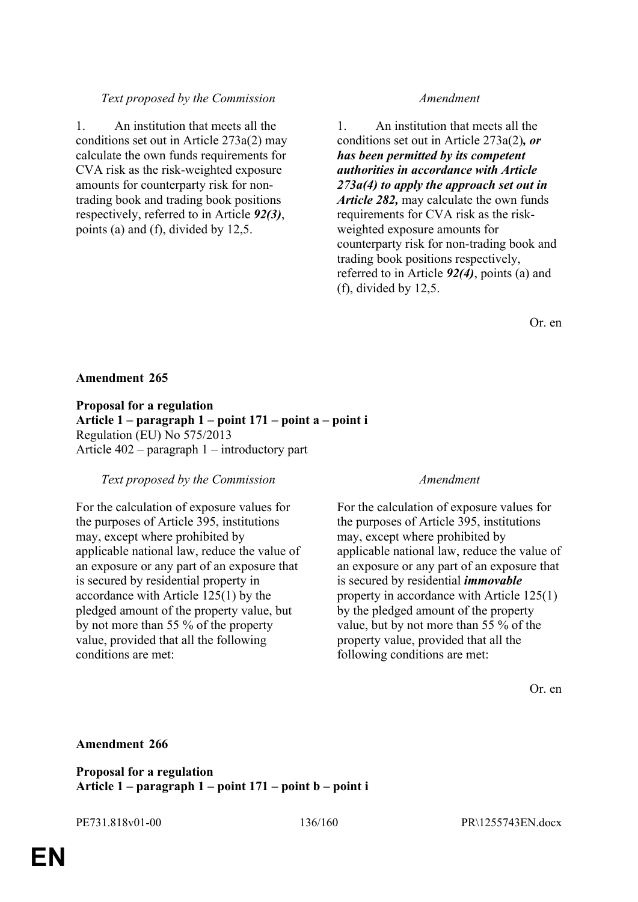## *Text proposed by the Commission Amendment*

1. An institution that meets all the conditions set out in Article 273a(2) may calculate the own funds requirements for CVA risk as the risk-weighted exposure amounts for counterparty risk for nontrading book and trading book positions respectively, referred to in Article *92(3)*, points (a) and (f), divided by 12,5.

1. An institution that meets all the conditions set out in Article 273a(2)*, or has been permitted by its competent authorities in accordance with Article 273a(4) to apply the approach set out in Article 282,* may calculate the own funds requirements for CVA risk as the riskweighted exposure amounts for counterparty risk for non-trading book and trading book positions respectively, referred to in Article *92(4)*, points (a) and (f), divided by 12,5.

Or. en

## **Amendment 265**

**Proposal for a regulation Article 1 – paragraph 1 – point 171 – point a – point i** Regulation (EU) No 575/2013 Article 402 – paragraph 1 – introductory part

## *Text proposed by the Commission Amendment*

For the calculation of exposure values for the purposes of Article 395, institutions may, except where prohibited by applicable national law, reduce the value of an exposure or any part of an exposure that is secured by residential property in accordance with Article 125(1) by the pledged amount of the property value, but by not more than 55 % of the property value, provided that all the following conditions are met:

For the calculation of exposure values for the purposes of Article 395, institutions may, except where prohibited by applicable national law, reduce the value of an exposure or any part of an exposure that is secured by residential *immovable*  property in accordance with Article 125(1) by the pledged amount of the property value, but by not more than 55 % of the property value, provided that all the following conditions are met:

Or. en

## **Amendment 266**

**Proposal for a regulation Article 1 – paragraph 1 – point 171 – point b – point i**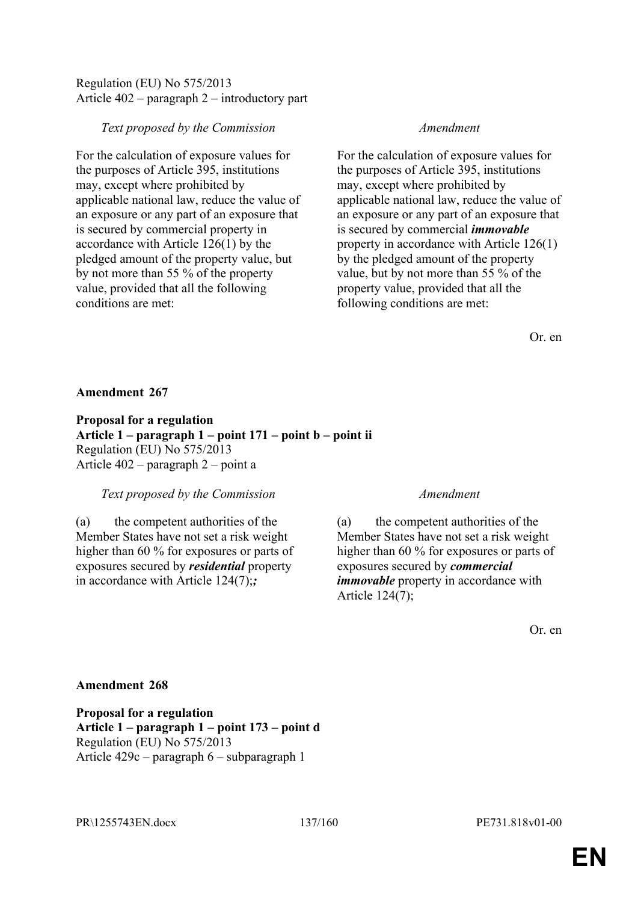## Regulation (EU) No 575/2013 Article 402 – paragraph 2 – introductory part

## *Text proposed by the Commission Amendment*

For the calculation of exposure values for the purposes of Article 395, institutions may, except where prohibited by applicable national law, reduce the value of an exposure or any part of an exposure that is secured by commercial property in accordance with Article 126(1) by the pledged amount of the property value, but by not more than 55 % of the property value, provided that all the following conditions are met:

For the calculation of exposure values for the purposes of Article 395, institutions may, except where prohibited by applicable national law, reduce the value of an exposure or any part of an exposure that is secured by commercial *immovable*  property in accordance with Article 126(1) by the pledged amount of the property value, but by not more than 55 % of the property value, provided that all the following conditions are met:

Or. en

## **Amendment 267**

**Proposal for a regulation Article 1 – paragraph 1 – point 171 – point b – point ii** Regulation (EU) No 575/2013 Article 402 – paragraph 2 – point a

## *Text proposed by the Commission Amendment*

(a) the competent authorities of the Member States have not set a risk weight higher than 60 % for exposures or parts of exposures secured by *residential* property in accordance with Article 124(7);*;*

(a) the competent authorities of the Member States have not set a risk weight higher than 60 % for exposures or parts of exposures secured by *commercial immovable* property in accordance with Article 124(7);

Or. en

# **Amendment 268**

**Proposal for a regulation Article 1 – paragraph 1 – point 173 – point d** Regulation (EU) No 575/2013 Article 429c – paragraph 6 – subparagraph 1

PR\1255743EN.docx 137/160 PE731.818v01-00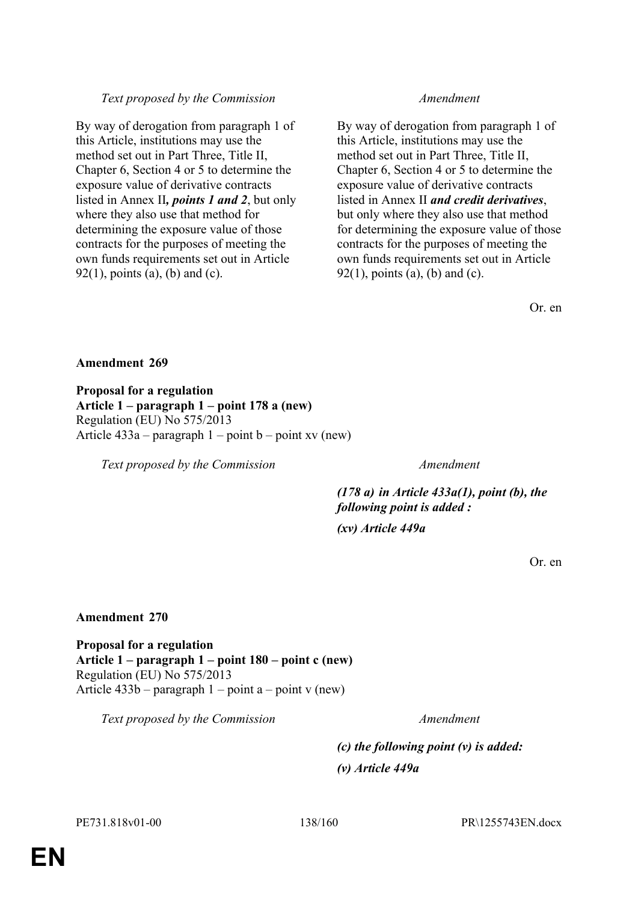# *Text proposed by the Commission Amendment*

By way of derogation from paragraph 1 of this Article, institutions may use the method set out in Part Three, Title II, Chapter 6, Section 4 or 5 to determine the exposure value of derivative contracts listed in Annex II*, points 1 and 2*, but only where they also use that method for determining the exposure value of those contracts for the purposes of meeting the own funds requirements set out in Article  $92(1)$ , points (a), (b) and (c).

By way of derogation from paragraph 1 of this Article, institutions may use the method set out in Part Three, Title II, Chapter 6, Section 4 or 5 to determine the exposure value of derivative contracts listed in Annex II *and credit derivatives*, but only where they also use that method for determining the exposure value of those contracts for the purposes of meeting the own funds requirements set out in Article  $92(1)$ , points (a), (b) and (c).

Or. en

# **Amendment 269**

**Proposal for a regulation Article 1 – paragraph 1 – point 178 a (new)** Regulation (EU) No 575/2013 Article  $433a$  – paragraph  $1$  – point b – point xv (new)

*Text proposed by the Commission Amendment*

*(178 a) in Article 433a(1), point (b), the following point is added :*

*(xv) Article 449a*

Or. en

# **Amendment 270**

**Proposal for a regulation Article 1 – paragraph 1 – point 180 – point c (new)** Regulation (EU) No 575/2013 Article  $433b$  – paragraph  $1$  – point a – point v (new)

*Text proposed by the Commission Amendment*

*(c) the following point (v) is added: (v) Article 449a*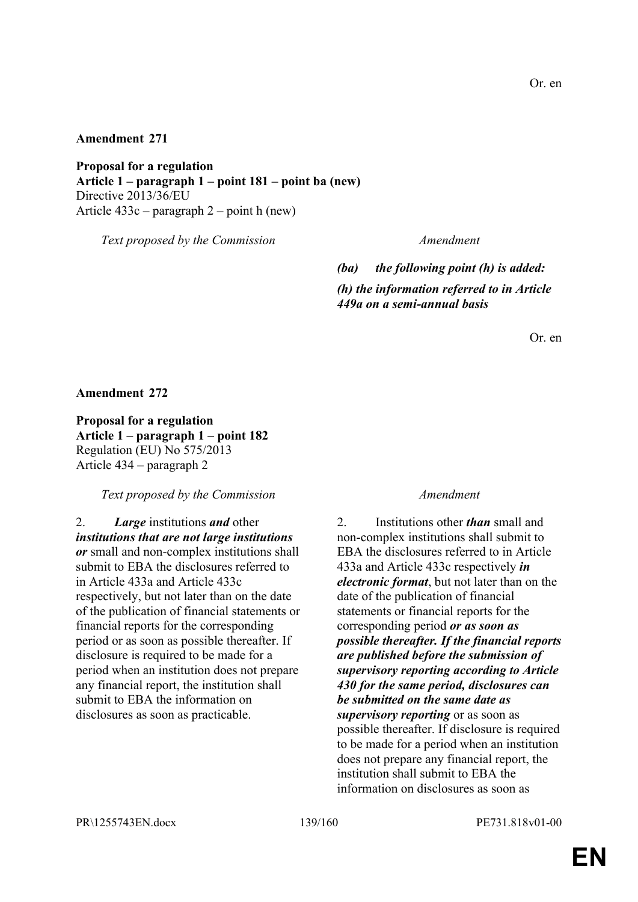**Proposal for a regulation Article 1 – paragraph 1 – point 181 – point ba (new)** Directive 2013/36/EU Article 433c – paragraph 2 – point h (new)

*Text proposed by the Commission Amendment*

*(ba) the following point (h) is added: (h) the information referred to in Article 449a on a semi-annual basis*

Or. en

**Amendment 272**

**Proposal for a regulation Article 1 – paragraph 1 – point 182** Regulation (EU) No 575/2013 Article 434 – paragraph 2

*Text proposed by the Commission Amendment*

2. *Large* institutions *and* other *institutions that are not large institutions or* small and non-complex institutions shall submit to EBA the disclosures referred to in Article 433a and Article 433c respectively, but not later than on the date of the publication of financial statements or financial reports for the corresponding period or as soon as possible thereafter. If disclosure is required to be made for a period when an institution does not prepare any financial report, the institution shall submit to EBA the information on disclosures as soon as practicable.

2. Institutions other *than* small and non-complex institutions shall submit to EBA the disclosures referred to in Article 433a and Article 433c respectively *in electronic format*, but not later than on the date of the publication of financial statements or financial reports for the corresponding period *or as soon as possible thereafter. If the financial reports are published before the submission of supervisory reporting according to Article 430 for the same period, disclosures can be submitted on the same date as supervisory reporting* or as soon as possible thereafter. If disclosure is required to be made for a period when an institution does not prepare any financial report, the institution shall submit to EBA the information on disclosures as soon as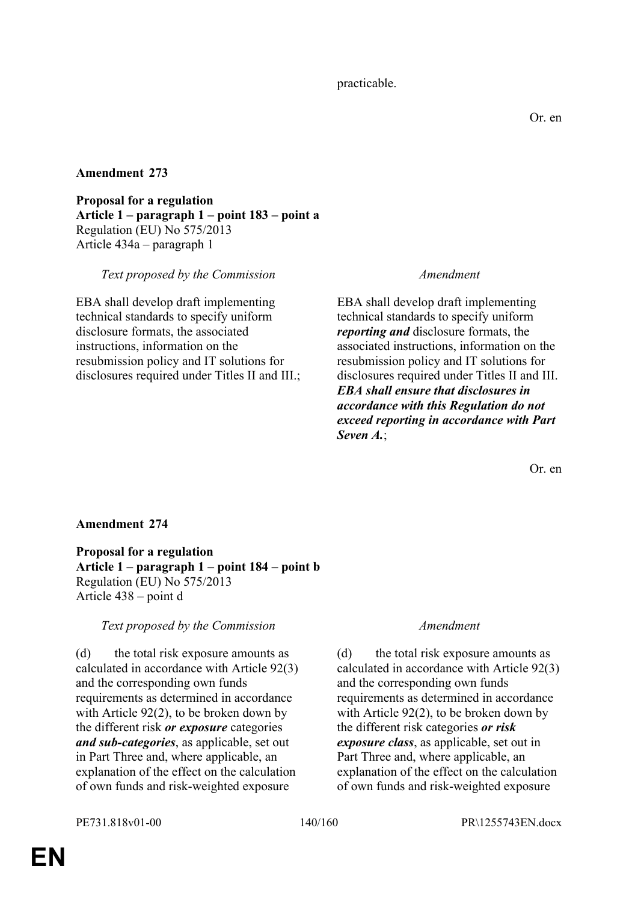**Proposal for a regulation Article 1 – paragraph 1 – point 183 – point a** Regulation (EU) No 575/2013 Article 434a – paragraph 1

## *Text proposed by the Commission Amendment*

EBA shall develop draft implementing technical standards to specify uniform disclosure formats, the associated instructions, information on the resubmission policy and IT solutions for disclosures required under Titles II and III.;

EBA shall develop draft implementing technical standards to specify uniform *reporting and* disclosure formats, the associated instructions, information on the resubmission policy and IT solutions for disclosures required under Titles II and III. *EBA shall ensure that disclosures in accordance with this Regulation do not exceed reporting in accordance with Part Seven A.*;

Or. en

# **Amendment 274**

**Proposal for a regulation Article 1 – paragraph 1 – point 184 – point b** Regulation (EU) No 575/2013 Article 438 – point d

*Text proposed by the Commission Amendment*

(d) the total risk exposure amounts as calculated in accordance with Article 92(3) and the corresponding own funds requirements as determined in accordance with Article 92(2), to be broken down by the different risk *or exposure* categories *and sub-categories*, as applicable, set out in Part Three and, where applicable, an explanation of the effect on the calculation of own funds and risk-weighted exposure

(d) the total risk exposure amounts as calculated in accordance with Article 92(3) and the corresponding own funds requirements as determined in accordance with Article 92(2), to be broken down by the different risk categories *or risk exposure class*, as applicable, set out in Part Three and, where applicable, an explanation of the effect on the calculation of own funds and risk-weighted exposure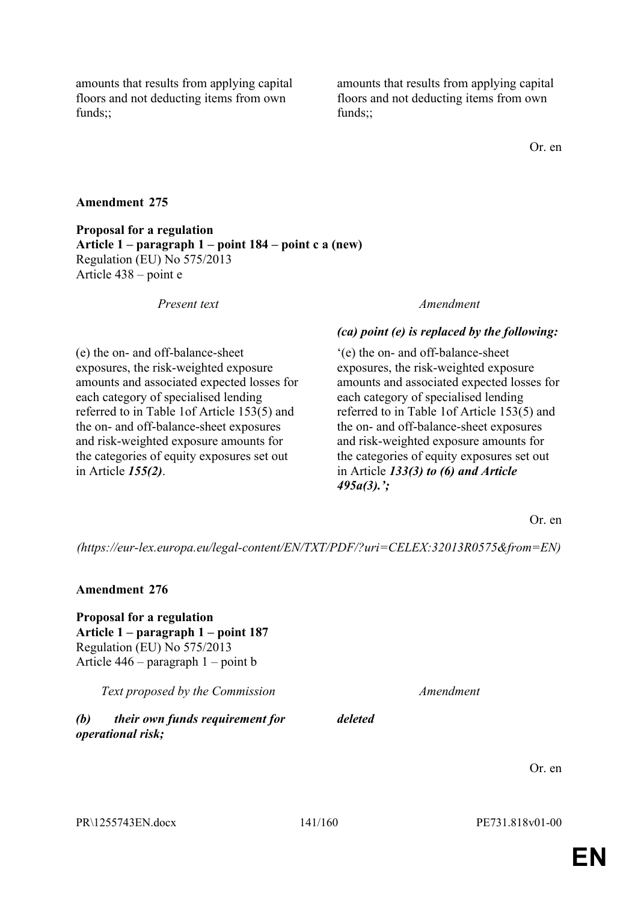amounts that results from applying capital floors and not deducting items from own funds;;

amounts that results from applying capital floors and not deducting items from own funds;;

Or. en

## **Amendment 275**

**Proposal for a regulation Article 1 – paragraph 1 – point 184 – point c a (new)** Regulation (EU) No 575/2013 Article 438 – point e

(e) the on- and off-balance-sheet exposures, the risk-weighted exposure amounts and associated expected losses for each category of specialised lending referred to in Table 1of Article 153(5) and the on- and off-balance-sheet exposures and risk-weighted exposure amounts for the categories of equity exposures set out in Article *155(2)*.

### *Present text Amendment*

### *(ca) point (e) is replaced by the following:*

'(e) the on- and off-balance-sheet exposures, the risk-weighted exposure amounts and associated expected losses for each category of specialised lending referred to in Table 1of Article 153(5) and the on- and off-balance-sheet exposures and risk-weighted exposure amounts for the categories of equity exposures set out in Article *133(3) to (6) and Article 495a(3).';*

Or. en

*(https://eur-lex.europa.eu/legal-content/EN/TXT/PDF/?uri=CELEX:32013R0575&from=EN)*

### **Amendment 276**

**Proposal for a regulation Article 1 – paragraph 1 – point 187** Regulation (EU) No 575/2013 Article 446 – paragraph 1 – point b

*Text proposed by the Commission Amendment*

*(b) their own funds requirement for operational risk;*

Or. en

PR\1255743EN.docx 141/160 PE731.818v01-00

*deleted*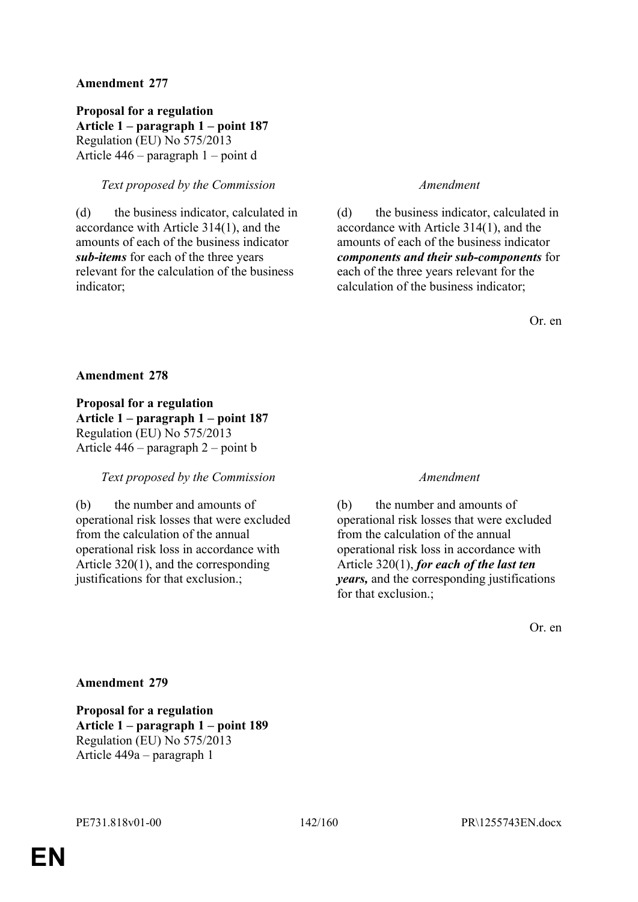**Proposal for a regulation Article 1 – paragraph 1 – point 187** Regulation (EU) No 575/2013 Article 446 – paragraph 1 – point d

## *Text proposed by the Commission Amendment*

(d) the business indicator, calculated in accordance with Article 314(1), and the amounts of each of the business indicator *sub-items* for each of the three years relevant for the calculation of the business indicator;

(d) the business indicator, calculated in accordance with Article 314(1), and the amounts of each of the business indicator *components and their sub-components* for each of the three years relevant for the calculation of the business indicator;

Or. en

### **Amendment 278**

**Proposal for a regulation Article 1 – paragraph 1 – point 187** Regulation (EU) No 575/2013 Article 446 – paragraph 2 – point b

## *Text proposed by the Commission Amendment*

(b) the number and amounts of operational risk losses that were excluded from the calculation of the annual operational risk loss in accordance with Article 320(1), and the corresponding justifications for that exclusion.;

(b) the number and amounts of operational risk losses that were excluded from the calculation of the annual operational risk loss in accordance with Article 320(1), *for each of the last ten years,* and the corresponding justifications for that exclusion.;

Or. en

## **Amendment 279**

**Proposal for a regulation Article 1 – paragraph 1 – point 189** Regulation (EU) No 575/2013 Article 449a – paragraph 1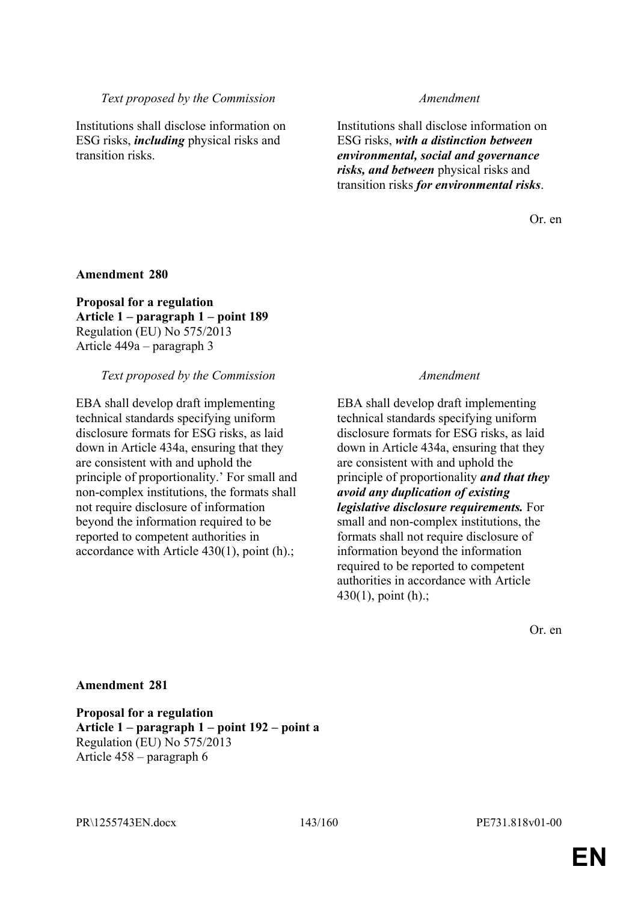### *Text proposed by the Commission Amendment*

Institutions shall disclose information on ESG risks, *including* physical risks and transition risks.

Institutions shall disclose information on ESG risks, *with a distinction between environmental, social and governance risks, and between* physical risks and transition risks *for environmental risks*.

Or. en

### **Amendment 280**

**Proposal for a regulation Article 1 – paragraph 1 – point 189** Regulation (EU) No 575/2013 Article 449a – paragraph 3

### *Text proposed by the Commission Amendment*

EBA shall develop draft implementing technical standards specifying uniform disclosure formats for ESG risks, as laid down in Article 434a, ensuring that they are consistent with and uphold the principle of proportionality.' For small and non-complex institutions, the formats shall not require disclosure of information beyond the information required to be reported to competent authorities in accordance with Article 430(1), point (h).;

EBA shall develop draft implementing technical standards specifying uniform disclosure formats for ESG risks, as laid down in Article 434a, ensuring that they are consistent with and uphold the principle of proportionality *and that they avoid any duplication of existing legislative disclosure requirements.* For small and non-complex institutions, the formats shall not require disclosure of information beyond the information required to be reported to competent authorities in accordance with Article  $430(1)$ , point (h).;

Or. en

## **Amendment 281**

**Proposal for a regulation Article 1 – paragraph 1 – point 192 – point a** Regulation (EU) No 575/2013 Article 458 – paragraph 6

PR\1255743EN.docx 143/160 PE731.818v01-00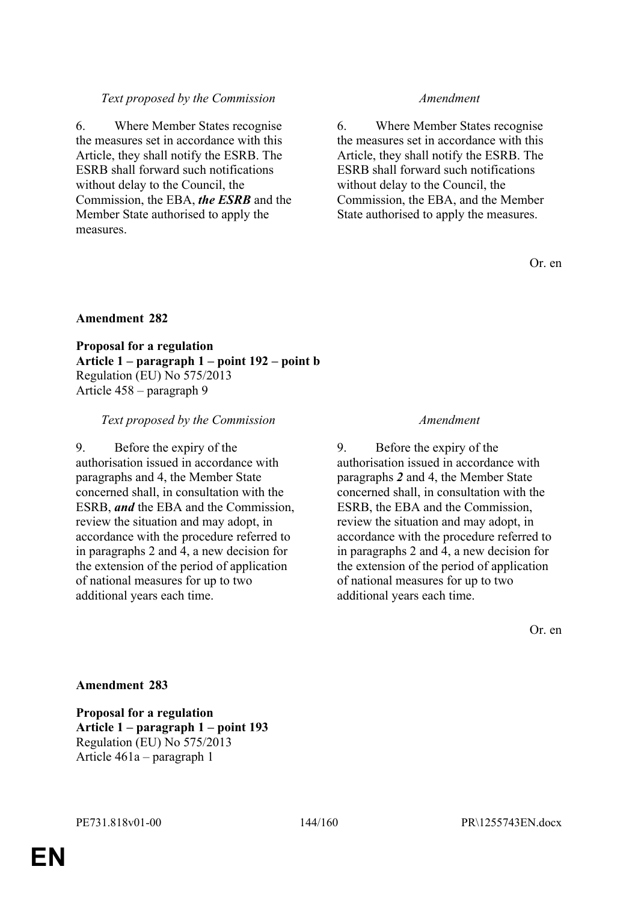## *Text proposed by the Commission Amendment*

6. Where Member States recognise the measures set in accordance with this Article, they shall notify the ESRB. The ESRB shall forward such notifications without delay to the Council, the Commission, the EBA, *the ESRB* and the Member State authorised to apply the measures.

6. Where Member States recognise the measures set in accordance with this Article, they shall notify the ESRB. The ESRB shall forward such notifications without delay to the Council, the Commission, the EBA, and the Member State authorised to apply the measures.

Or. en

# **Amendment 282**

**Proposal for a regulation Article 1 – paragraph 1 – point 192 – point b** Regulation (EU) No 575/2013 Article 458 – paragraph 9

### *Text proposed by the Commission Amendment*

9. Before the expiry of the authorisation issued in accordance with paragraphs and 4, the Member State concerned shall, in consultation with the ESRB, *and* the EBA and the Commission, review the situation and may adopt, in accordance with the procedure referred to in paragraphs 2 and 4, a new decision for the extension of the period of application of national measures for up to two additional years each time.

9. Before the expiry of the authorisation issued in accordance with paragraphs *2* and 4, the Member State concerned shall, in consultation with the ESRB, the EBA and the Commission, review the situation and may adopt, in accordance with the procedure referred to in paragraphs 2 and 4, a new decision for the extension of the period of application of national measures for up to two additional years each time.

Or. en

## **Amendment 283**

**Proposal for a regulation Article 1 – paragraph 1 – point 193** Regulation (EU) No 575/2013 Article 461a – paragraph 1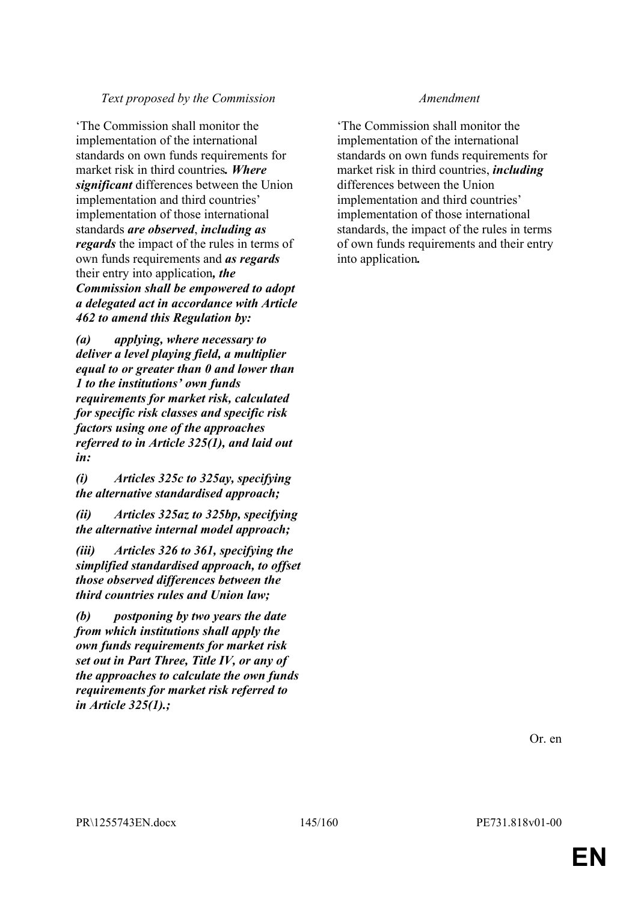'The Commission shall monitor the implementation of the international standards on own funds requirements for market risk in third countries*. Where significant* differences between the Union implementation and third countries' implementation of those international standards *are observed*, *including as regards* the impact of the rules in terms of own funds requirements and *as regards* their entry into application*, the Commission shall be empowered to adopt a delegated act in accordance with Article 462 to amend this Regulation by:*

*(a) applying, where necessary to deliver a level playing field, a multiplier equal to or greater than 0 and lower than 1 to the institutions' own funds requirements for market risk, calculated for specific risk classes and specific risk factors using one of the approaches referred to in Article 325(1), and laid out in:*

*(i) Articles 325c to 325ay, specifying the alternative standardised approach;*

*(ii) Articles 325az to 325bp, specifying the alternative internal model approach;*

*(iii) Articles 326 to 361, specifying the simplified standardised approach, to offset those observed differences between the third countries rules and Union law;*

*(b) postponing by two years the date from which institutions shall apply the own funds requirements for market risk set out in Part Three, Title IV, or any of the approaches to calculate the own funds requirements for market risk referred to in Article 325(1).;*

'The Commission shall monitor the implementation of the international standards on own funds requirements for market risk in third countries, *including* differences between the Union implementation and third countries' implementation of those international standards, the impact of the rules in terms of own funds requirements and their entry into application*.*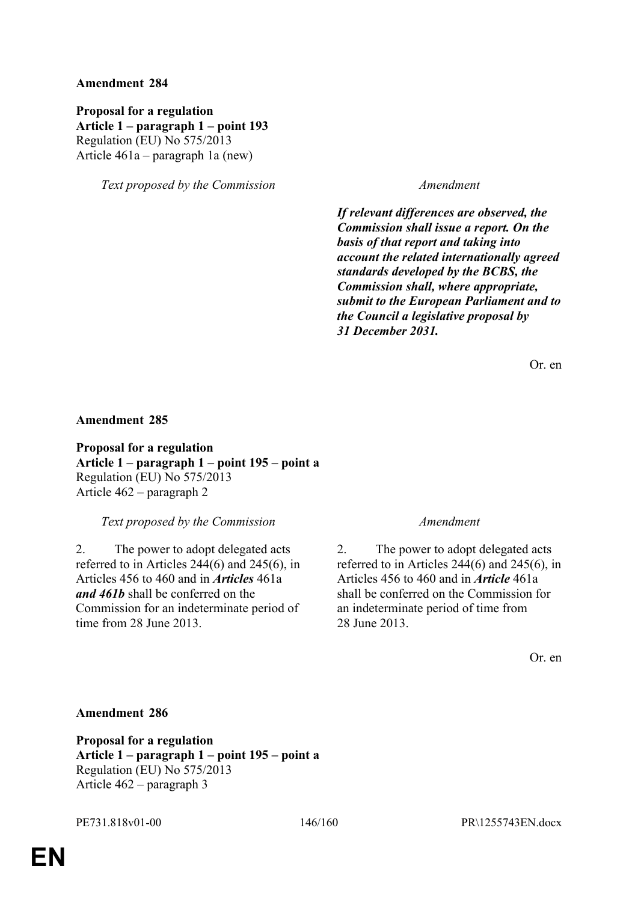**Proposal for a regulation Article 1 – paragraph 1 – point 193** Regulation (EU) No 575/2013 Article 461a – paragraph 1a (new)

*Text proposed by the Commission Amendment*

*If relevant differences are observed, the Commission shall issue a report. On the basis of that report and taking into account the related internationally agreed standards developed by the BCBS, the Commission shall, where appropriate, submit to the European Parliament and to the Council a legislative proposal by 31 December 2031.*

Or. en

### **Amendment 285**

**Proposal for a regulation Article 1 – paragraph 1 – point 195 – point a** Regulation (EU) No 575/2013 Article 462 – paragraph 2

*Text proposed by the Commission Amendment*

2. The power to adopt delegated acts referred to in Articles 244(6) and 245(6), in Articles 456 to 460 and in *Articles* 461a *and 461b* shall be conferred on the Commission for an indeterminate period of time from 28 June 2013.

2. The power to adopt delegated acts referred to in Articles 244(6) and 245(6), in Articles 456 to 460 and in *Article* 461a shall be conferred on the Commission for an indeterminate period of time from 28 June 2013.

Or. en

### **Amendment 286**

**Proposal for a regulation Article 1 – paragraph 1 – point 195 – point a** Regulation (EU) No 575/2013 Article 462 – paragraph 3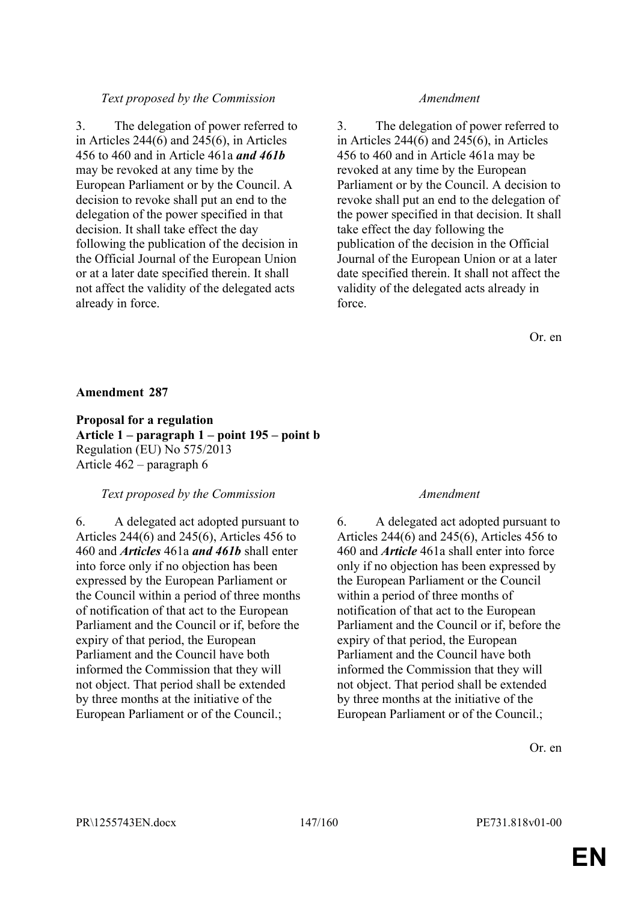3. The delegation of power referred to in Articles 244(6) and 245(6), in Articles 456 to 460 and in Article 461a *and 461b* may be revoked at any time by the European Parliament or by the Council. A decision to revoke shall put an end to the delegation of the power specified in that decision. It shall take effect the day following the publication of the decision in the Official Journal of the European Union or at a later date specified therein. It shall not affect the validity of the delegated acts already in force.

3. The delegation of power referred to in Articles 244(6) and 245(6), in Articles 456 to 460 and in Article 461a may be revoked at any time by the European Parliament or by the Council. A decision to revoke shall put an end to the delegation of the power specified in that decision. It shall take effect the day following the publication of the decision in the Official Journal of the European Union or at a later date specified therein. It shall not affect the validity of the delegated acts already in force.

Or. en

## **Amendment 287**

**Proposal for a regulation Article 1 – paragraph 1 – point 195 – point b** Regulation (EU) No 575/2013 Article 462 – paragraph 6

### *Text proposed by the Commission Amendment*

6. A delegated act adopted pursuant to Articles 244(6) and 245(6), Articles 456 to 460 and *Articles* 461a *and 461b* shall enter into force only if no objection has been expressed by the European Parliament or the Council within a period of three months of notification of that act to the European Parliament and the Council or if, before the expiry of that period, the European Parliament and the Council have both informed the Commission that they will not object. That period shall be extended by three months at the initiative of the European Parliament or of the Council.;

6. A delegated act adopted pursuant to Articles 244(6) and 245(6), Articles 456 to 460 and *Article* 461a shall enter into force only if no objection has been expressed by the European Parliament or the Council within a period of three months of notification of that act to the European Parliament and the Council or if, before the expiry of that period, the European Parliament and the Council have both informed the Commission that they will not object. That period shall be extended by three months at the initiative of the European Parliament or of the Council.;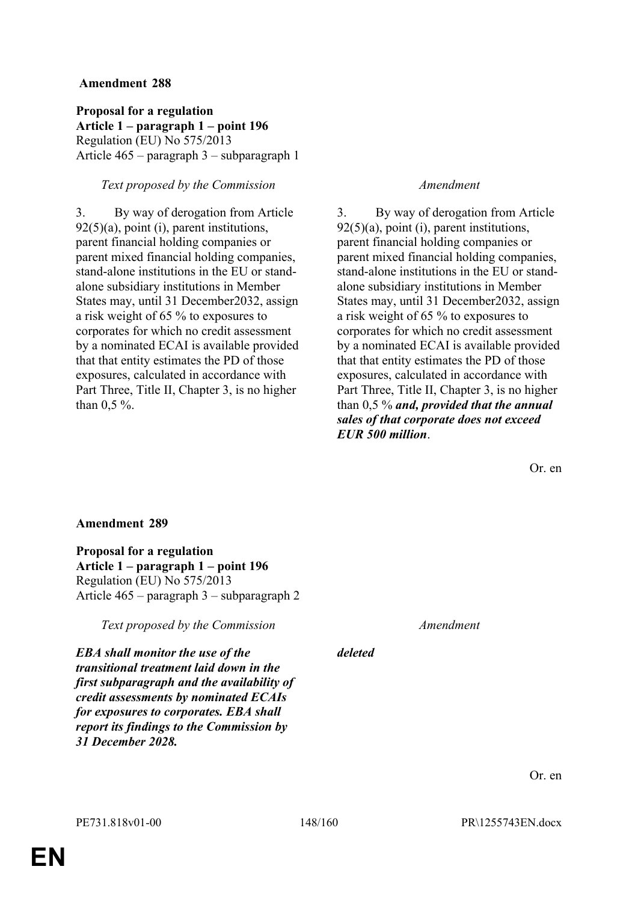**Proposal for a regulation Article 1 – paragraph 1 – point 196** Regulation (EU) No 575/2013 Article 465 – paragraph 3 – subparagraph 1

# *Text proposed by the Commission Amendment*

3. By way of derogation from Article  $92(5)(a)$ , point (i), parent institutions, parent financial holding companies or parent mixed financial holding companies, stand-alone institutions in the EU or standalone subsidiary institutions in Member States may, until 31 December2032, assign a risk weight of 65 % to exposures to corporates for which no credit assessment by a nominated ECAI is available provided that that entity estimates the PD of those exposures, calculated in accordance with Part Three, Title II, Chapter 3, is no higher than 0,5 %.

3. By way of derogation from Article  $92(5)(a)$ , point (i), parent institutions, parent financial holding companies or parent mixed financial holding companies, stand-alone institutions in the EU or standalone subsidiary institutions in Member States may, until 31 December2032, assign a risk weight of 65 % to exposures to corporates for which no credit assessment by a nominated ECAI is available provided that that entity estimates the PD of those exposures, calculated in accordance with Part Three, Title II, Chapter 3, is no higher than 0,5 % *and, provided that the annual sales of that corporate does not exceed EUR 500 million*.

Or. en

## **Amendment 289**

**Proposal for a regulation Article 1 – paragraph 1 – point 196** Regulation (EU) No 575/2013 Article 465 – paragraph 3 – subparagraph 2

*Text proposed by the Commission Amendment*

*EBA shall monitor the use of the transitional treatment laid down in the first subparagraph and the availability of credit assessments by nominated ECAIs for exposures to corporates. EBA shall report its findings to the Commission by 31 December 2028.*

*deleted*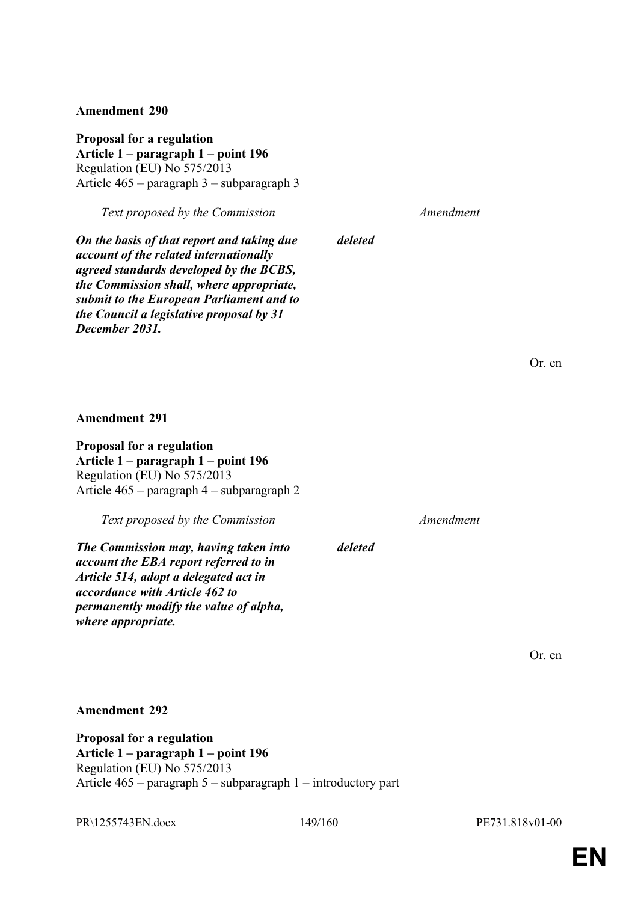**Proposal for a regulation Article 1 – paragraph 1 – point 196** Regulation (EU) No 575/2013 Article 465 – paragraph 3 – subparagraph 3

*Text proposed by the Commission Amendment*

*On the basis of that report and taking due account of the related internationally agreed standards developed by the BCBS, the Commission shall, where appropriate, submit to the European Parliament and to the Council a legislative proposal by 31 December 2031.*

Or. en

**Amendment 291**

**Proposal for a regulation Article 1 – paragraph 1 – point 196** Regulation (EU) No 575/2013 Article 465 – paragraph 4 – subparagraph 2

*Text proposed by the Commission Amendment*

*The Commission may, having taken into account the EBA report referred to in Article 514, adopt a delegated act in accordance with Article 462 to permanently modify the value of alpha, where appropriate.*

*deleted*

*deleted*

Or. en

**Amendment 292**

**Proposal for a regulation Article 1 – paragraph 1 – point 196** Regulation (EU) No 575/2013 Article 465 – paragraph 5 – subparagraph 1 – introductory part

PR\1255743EN.docx 149/160 PE731.818v01-00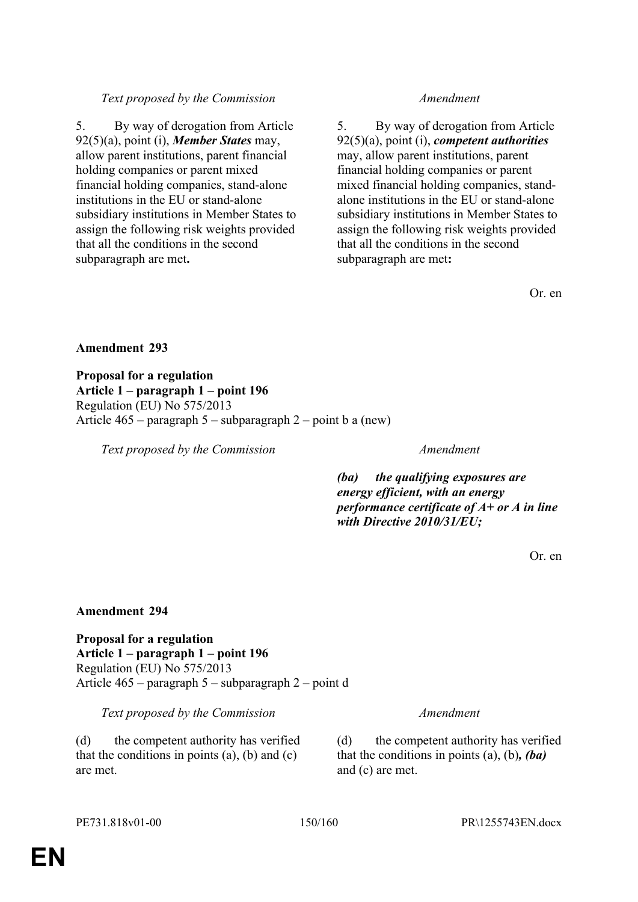5. By way of derogation from Article 92(5)(a), point (i), *Member States* may, allow parent institutions, parent financial holding companies or parent mixed financial holding companies, stand-alone institutions in the EU or stand-alone subsidiary institutions in Member States to assign the following risk weights provided that all the conditions in the second subparagraph are met**.**

5. By way of derogation from Article 92(5)(a), point (i), *competent authorities* may, allow parent institutions, parent financial holding companies or parent mixed financial holding companies, standalone institutions in the EU or stand-alone subsidiary institutions in Member States to assign the following risk weights provided that all the conditions in the second subparagraph are met**:**

Or. en

**Amendment 293**

**Proposal for a regulation Article 1 – paragraph 1 – point 196** Regulation (EU) No 575/2013 Article 465 – paragraph 5 – subparagraph 2 – point b a (new)

*Text proposed by the Commission Amendment*

*(ba) the qualifying exposures are energy efficient, with an energy performance certificate of A+ or A in line with Directive 2010/31/EU;*

Or. en

# **Amendment 294**

**Proposal for a regulation Article 1 – paragraph 1 – point 196** Regulation (EU) No 575/2013 Article 465 – paragraph 5 – subparagraph 2 – point d

*Text proposed by the Commission Amendment*

(d) the competent authority has verified that the conditions in points  $(a)$ ,  $(b)$  and  $(c)$ are met.

(d) the competent authority has verified that the conditions in points (a), (b)*, (ba)* and (c) are met.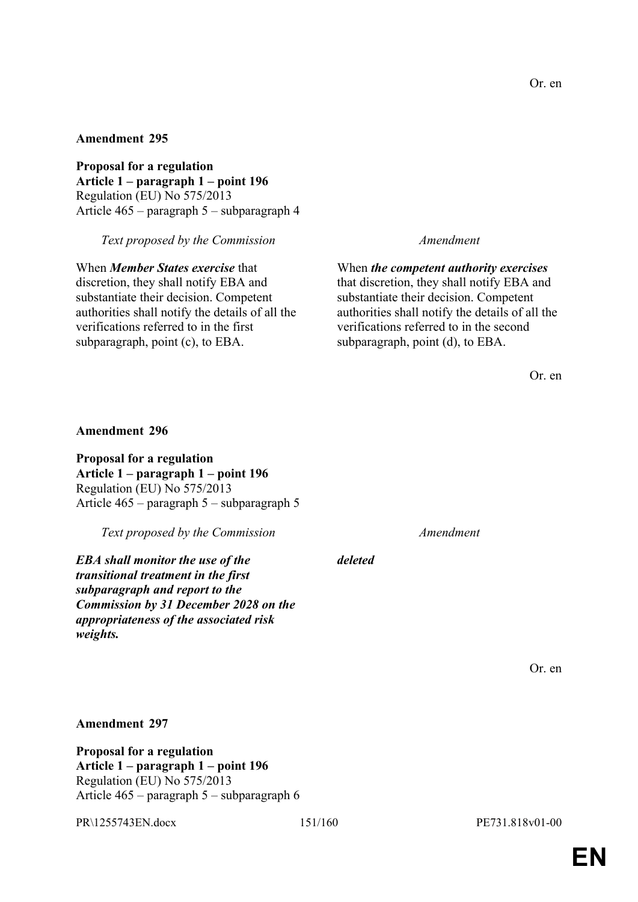**Proposal for a regulation Article 1 – paragraph 1 – point 196** Regulation (EU) No 575/2013 Article 465 – paragraph 5 – subparagraph 4

*Text proposed by the Commission Amendment*

When *Member States exercise* that discretion, they shall notify EBA and substantiate their decision. Competent authorities shall notify the details of all the verifications referred to in the first subparagraph, point (c), to EBA.

When *the competent authority exercises* that discretion, they shall notify EBA and substantiate their decision. Competent authorities shall notify the details of all the verifications referred to in the second subparagraph, point (d), to EBA.

Or. en

### **Amendment 296**

**Proposal for a regulation Article 1 – paragraph 1 – point 196** Regulation (EU) No 575/2013 Article 465 – paragraph 5 – subparagraph 5

*Text proposed by the Commission Amendment*

*EBA shall monitor the use of the transitional treatment in the first subparagraph and report to the Commission by 31 December 2028 on the appropriateness of the associated risk weights.*

*deleted*

Or. en

**Amendment 297**

**Proposal for a regulation Article 1 – paragraph 1 – point 196** Regulation (EU) No 575/2013 Article 465 – paragraph 5 – subparagraph 6

PR\1255743EN.docx 151/160 PE731.818v01-00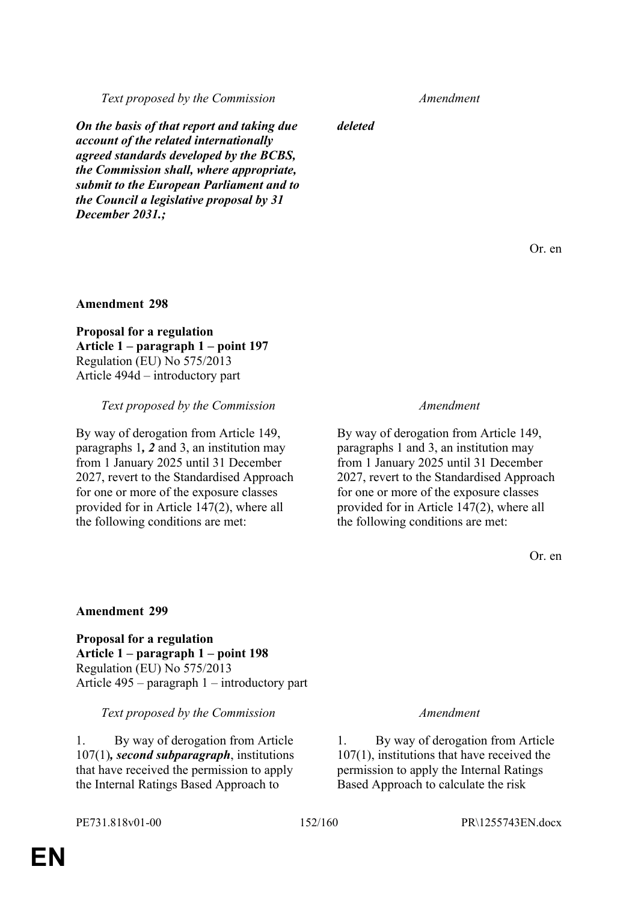*On the basis of that report and taking due account of the related internationally agreed standards developed by the BCBS, the Commission shall, where appropriate, submit to the European Parliament and to the Council a legislative proposal by 31 December 2031.;*

*deleted*

Or. en

### **Amendment 298**

**Proposal for a regulation Article 1 – paragraph 1 – point 197** Regulation (EU) No 575/2013 Article 494d – introductory part

### *Text proposed by the Commission Amendment*

By way of derogation from Article 149, paragraphs 1*, 2* and 3, an institution may from 1 January 2025 until 31 December 2027, revert to the Standardised Approach for one or more of the exposure classes provided for in Article 147(2), where all the following conditions are met:

By way of derogation from Article 149, paragraphs 1 and 3, an institution may from 1 January 2025 until 31 December 2027, revert to the Standardised Approach for one or more of the exposure classes provided for in Article 147(2), where all the following conditions are met:

Or. en

### **Amendment 299**

**Proposal for a regulation Article 1 – paragraph 1 – point 198** Regulation (EU) No 575/2013 Article 495 – paragraph 1 – introductory part

*Text proposed by the Commission Amendment*

1. By way of derogation from Article 107(1)*, second subparagraph*, institutions that have received the permission to apply the Internal Ratings Based Approach to

1. By way of derogation from Article 107(1), institutions that have received the permission to apply the Internal Ratings Based Approach to calculate the risk

PE731.818v01-00 152/160 PR\1255743EN.docx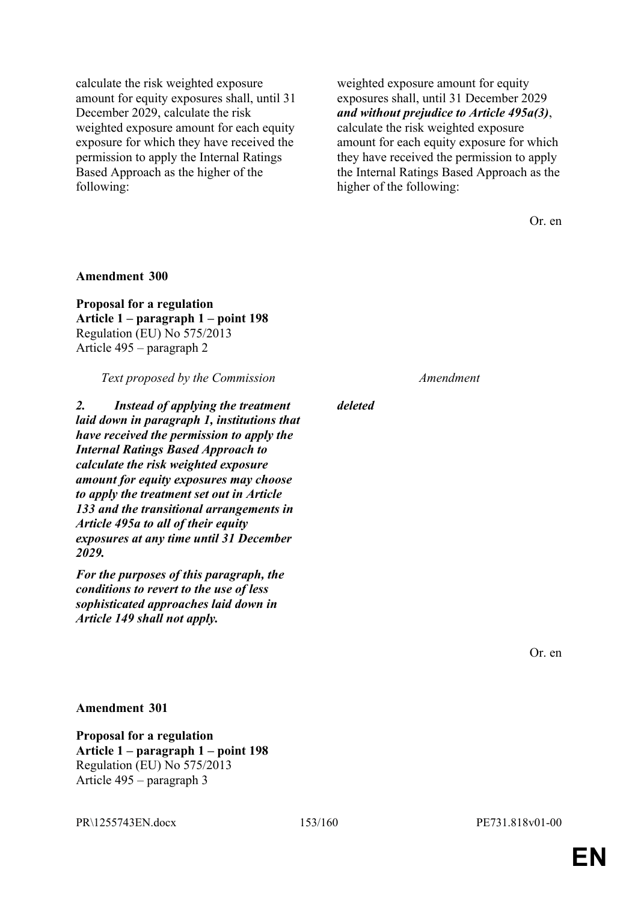calculate the risk weighted exposure amount for equity exposures shall, until 31 December 2029, calculate the risk weighted exposure amount for each equity exposure for which they have received the permission to apply the Internal Ratings Based Approach as the higher of the following:

weighted exposure amount for equity exposures shall, until 31 December 2029 *and without prejudice to Article 495a(3)*, calculate the risk weighted exposure amount for each equity exposure for which they have received the permission to apply the Internal Ratings Based Approach as the higher of the following:

Or. en

### **Amendment 300**

**Proposal for a regulation Article 1 – paragraph 1 – point 198** Regulation (EU) No 575/2013 Article 495 – paragraph 2

*Text proposed by the Commission Amendment*

*2. Instead of applying the treatment laid down in paragraph 1, institutions that have received the permission to apply the Internal Ratings Based Approach to calculate the risk weighted exposure amount for equity exposures may choose to apply the treatment set out in Article 133 and the transitional arrangements in Article 495a to all of their equity exposures at any time until 31 December 2029.*

*For the purposes of this paragraph, the conditions to revert to the use of less sophisticated approaches laid down in Article 149 shall not apply.*

*deleted*

Or. en

**Amendment 301**

**Proposal for a regulation Article 1 – paragraph 1 – point 198** Regulation (EU) No 575/2013 Article 495 – paragraph 3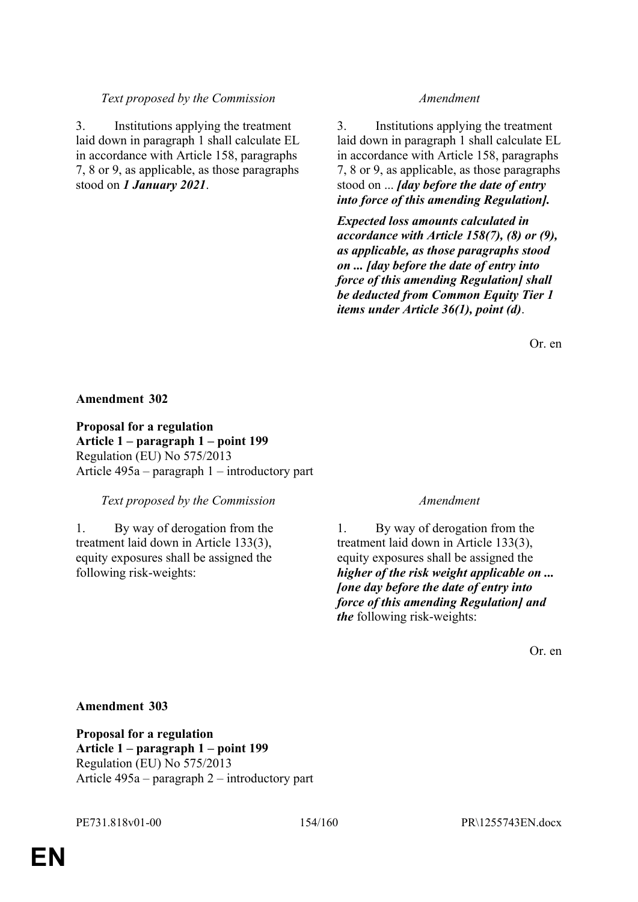3. Institutions applying the treatment laid down in paragraph 1 shall calculate EL in accordance with Article 158, paragraphs 7, 8 or 9, as applicable, as those paragraphs stood on *1 January 2021*.

3. Institutions applying the treatment laid down in paragraph 1 shall calculate EL in accordance with Article 158, paragraphs 7, 8 or 9, as applicable, as those paragraphs stood on ... *[day before the date of entry into force of this amending Regulation].*

*Expected loss amounts calculated in accordance with Article 158(7), (8) or (9), as applicable, as those paragraphs stood on ... [day before the date of entry into force of this amending Regulation] shall be deducted from Common Equity Tier 1 items under Article 36(1), point (d)*.

Or. en

## **Amendment 302**

**Proposal for a regulation Article 1 – paragraph 1 – point 199** Regulation (EU) No 575/2013 Article 495a – paragraph 1 – introductory part

*Text proposed by the Commission Amendment*

1. By way of derogation from the treatment laid down in Article 133(3), equity exposures shall be assigned the following risk-weights:

1. By way of derogation from the treatment laid down in Article 133(3), equity exposures shall be assigned the *higher of the risk weight applicable on ... [one day before the date of entry into force of this amending Regulation] and the* following risk-weights:

Or. en

## **Amendment 303**

**Proposal for a regulation Article 1 – paragraph 1 – point 199** Regulation (EU) No 575/2013 Article 495a – paragraph 2 – introductory part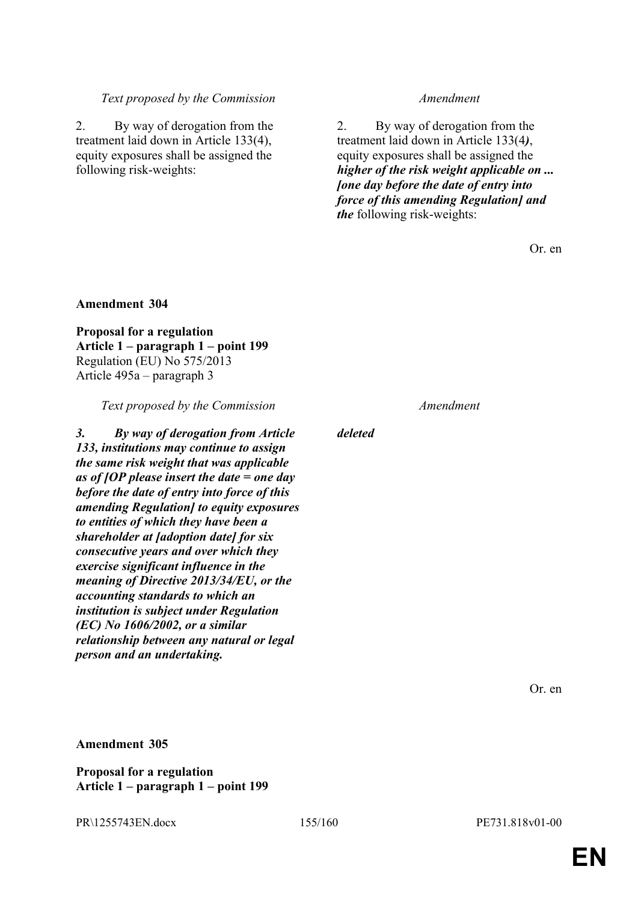2. By way of derogation from the treatment laid down in Article 133(4), equity exposures shall be assigned the following risk-weights:

2. By way of derogation from the treatment laid down in Article 133(4*)*, equity exposures shall be assigned the *higher of the risk weight applicable on ... [one day before the date of entry into force of this amending Regulation] and the* following risk-weights:

Or. en

### **Amendment 304**

**Proposal for a regulation Article 1 – paragraph 1 – point 199** Regulation (EU) No 575/2013 Article 495a – paragraph 3

*Text proposed by the Commission Amendment*

*3. By way of derogation from Article 133, institutions may continue to assign the same risk weight that was applicable as of [OP please insert the date = one day before the date of entry into force of this amending Regulation] to equity exposures to entities of which they have been a shareholder at [adoption date] for six consecutive years and over which they exercise significant influence in the meaning of Directive 2013/34/EU, or the accounting standards to which an institution is subject under Regulation (EC) No 1606/2002, or a similar relationship between any natural or legal person and an undertaking.*

*deleted*

Or. en

## **Amendment 305**

**Proposal for a regulation Article 1 – paragraph 1 – point 199**

PR\1255743EN.docx 155/160 PE731.818v01-00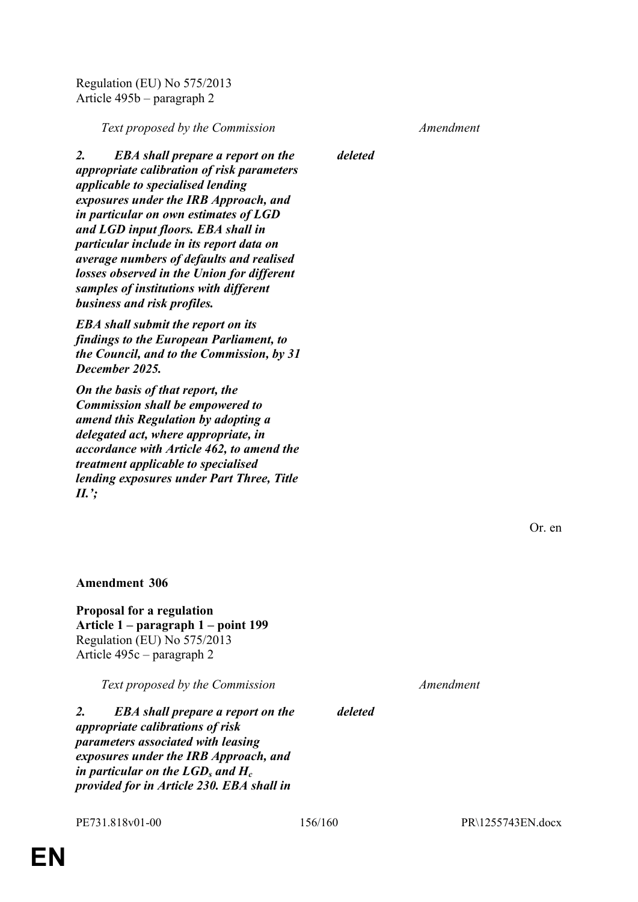Regulation (EU) No 575/2013 Article 495b – paragraph 2

*Text proposed by the Commission Amendment*

*2. EBA shall prepare a report on the appropriate calibration of risk parameters applicable to specialised lending exposures under the IRB Approach, and in particular on own estimates of LGD and LGD input floors. EBA shall in particular include in its report data on average numbers of defaults and realised losses observed in the Union for different samples of institutions with different business and risk profiles.*

*EBA shall submit the report on its findings to the European Parliament, to the Council, and to the Commission, by 31 December 2025.*

*On the basis of that report, the Commission shall be empowered to amend this Regulation by adopting a delegated act, where appropriate, in accordance with Article 462, to amend the treatment applicable to specialised lending exposures under Part Three, Title II.';*

*deleted*

Or. en

**Amendment 306**

**Proposal for a regulation Article 1 – paragraph 1 – point 199** Regulation (EU) No 575/2013 Article 495c – paragraph 2

*Text proposed by the Commission Amendment*

*2. EBA shall prepare a report on the appropriate calibrations of risk parameters associated with leasing exposures under the IRB Approach, and in particular on the LGD<sup>s</sup> and H<sup>c</sup> provided for in Article 230. EBA shall in* 

*deleted*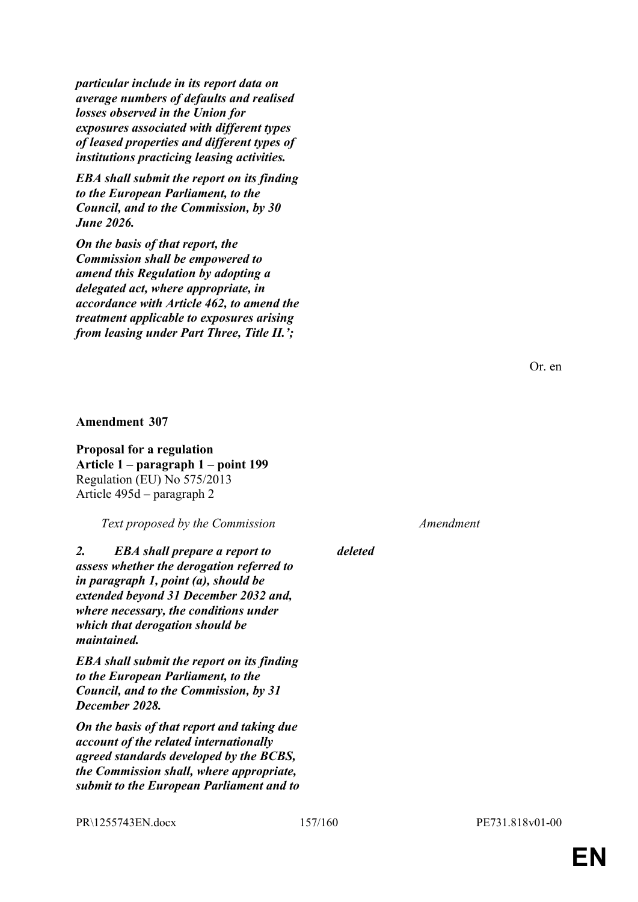*particular include in its report data on average numbers of defaults and realised losses observed in the Union for exposures associated with different types of leased properties and different types of institutions practicing leasing activities.*

*EBA shall submit the report on its finding to the European Parliament, to the Council, and to the Commission, by 30 June 2026.*

*On the basis of that report, the Commission shall be empowered to amend this Regulation by adopting a delegated act, where appropriate, in accordance with Article 462, to amend the treatment applicable to exposures arising from leasing under Part Three, Title II.';*

Or. en

### **Amendment 307**

**Proposal for a regulation Article 1 – paragraph 1 – point 199** Regulation (EU) No 575/2013 Article 495d – paragraph 2

*Text proposed by the Commission Amendment*

*2. EBA shall prepare a report to assess whether the derogation referred to in paragraph 1, point (a), should be extended beyond 31 December 2032 and, where necessary, the conditions under which that derogation should be maintained.*

*EBA shall submit the report on its finding to the European Parliament, to the Council, and to the Commission, by 31 December 2028.*

*On the basis of that report and taking due account of the related internationally agreed standards developed by the BCBS, the Commission shall, where appropriate, submit to the European Parliament and to* 

*deleted*

PR\1255743EN.docx 157/160 PE731.818v01-00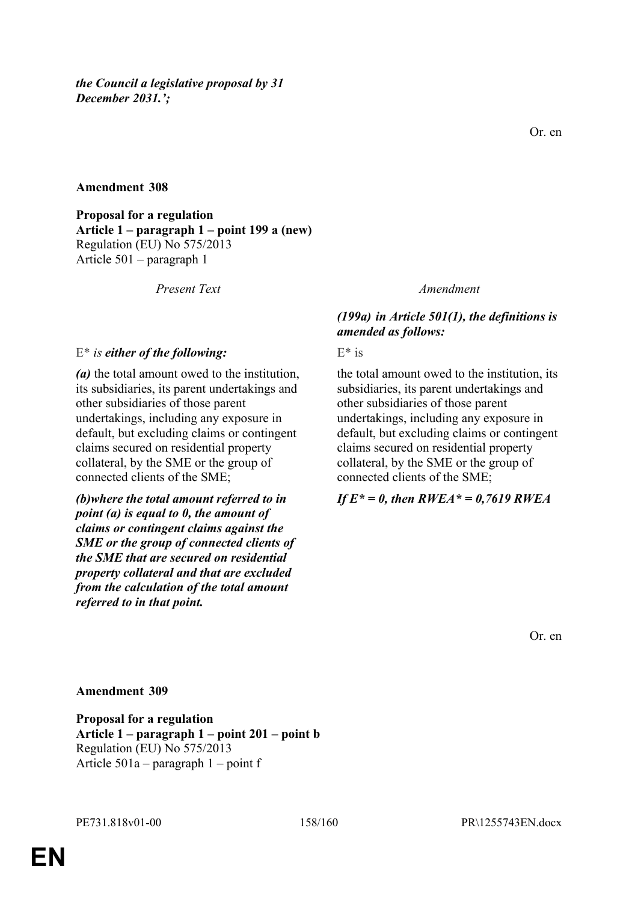**Proposal for a regulation Article 1 – paragraph 1 – point 199 a (new)** Regulation (EU) No 575/2013 Article 501 – paragraph 1

*Present Text Amendment*

*(a)* the total amount owed to the institution, its subsidiaries, its parent undertakings and

undertakings, including any exposure in default, but excluding claims or contingent claims secured on residential property collateral, by the SME or the group of

*(b)where the total amount referred to in point (a) is equal to 0, the amount of claims or contingent claims against the SME or the group of connected clients of the SME that are secured on residential property collateral and that are excluded from the calculation of the total amount* 

other subsidiaries of those parent

connected clients of the SME;

# *(199a) in Article 501(1), the definitions is amended as follows:*

E<sup>\*</sup> *is* either of the following: E<sup>\*</sup> is

the total amount owed to the institution, its subsidiaries, its parent undertakings and other subsidiaries of those parent undertakings, including any exposure in default, but excluding claims or contingent claims secured on residential property collateral, by the SME or the group of connected clients of the SME;

# *If E\* = 0, then RWEA\* = 0,7619 RWEA*

Or. en

# **Amendment 309**

*referred to in that point.*

**Proposal for a regulation Article 1 – paragraph 1 – point 201 – point b** Regulation (EU) No 575/2013 Article 501a – paragraph 1 – point f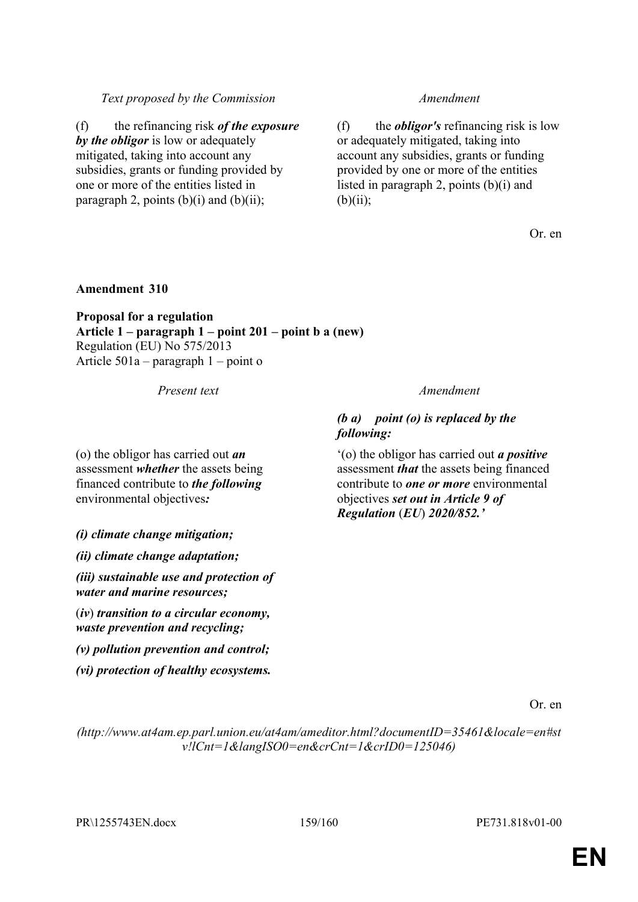(f) the refinancing risk *of the exposure by the obligor* is low or adequately mitigated, taking into account any subsidies, grants or funding provided by one or more of the entities listed in paragraph 2, points  $(b)(i)$  and  $(b)(ii)$ ;

(f) the *obligor's* refinancing risk is low or adequately mitigated, taking into account any subsidies, grants or funding provided by one or more of the entities listed in paragraph 2, points  $(b)(i)$  and  $(b)(ii)$ ;

Or. en

## **Amendment 310**

**Proposal for a regulation Article 1 – paragraph 1 – point 201 – point b a (new)** Regulation (EU) No 575/2013 Article 501a – paragraph 1 – point o

*Present text Amendment*

# *(b a) point (o) is replaced by the following:*

'(o) the obligor has carried out *a positive* assessment *that* the assets being financed contribute to *one or more* environmental objectives *set out in Article 9 of Regulation* (*EU*) *2020/852.'*

*(i) climate change mitigation;*

environmental objectives*:*

(o) the obligor has carried out *an* assessment *whether* the assets being financed contribute to *the following*

*(ii) climate change adaptation;*

*(iii) sustainable use and protection of water and marine resources;*

(*iv*) *transition to a circular economy, waste prevention and recycling;*

*(v) pollution prevention and control;*

*(vi) protection of healthy ecosystems.*

Or. en

*(http://www.at4am.ep.parl.union.eu/at4am/ameditor.html?documentID=35461&locale=en#st v!lCnt=1&langISO0=en&crCnt=1&crID0=125046)*

PR\1255743EN.docx 159/160 PE731.818v01-00